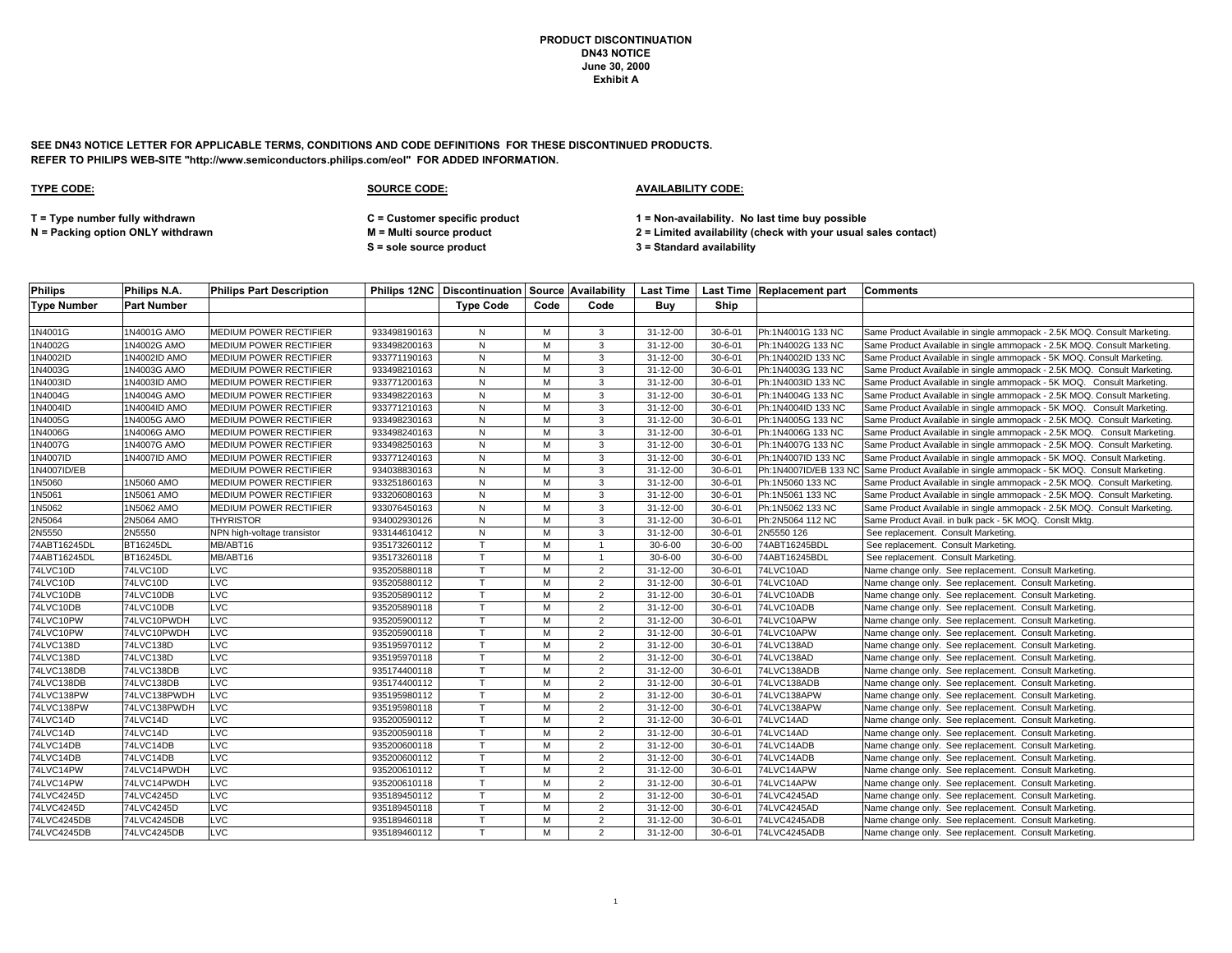**SEE DN43 NOTICE LETTER FOR APPLICABLE TERMS, CONDITIONS AND CODE DEFINITIONS FOR THESE DISCONTINUED PRODUCTS. REFER TO PHILIPS WEB-SITE "http://www.semiconductors.philips.com/eol" FOR ADDED INFORMATION.**

| <b>Philips</b>     | Philips N.A.       | <b>Philips Part Description</b> |              |                  |      |                |                |               | Philips 12NC   Discontinuation   Source   Availability   Last Time   Last Time   Replacement part   Comments |                                                                                              |
|--------------------|--------------------|---------------------------------|--------------|------------------|------|----------------|----------------|---------------|--------------------------------------------------------------------------------------------------------------|----------------------------------------------------------------------------------------------|
| <b>Type Number</b> | <b>Part Number</b> |                                 |              | <b>Type Code</b> | Code | Code           | Buv            | Ship          |                                                                                                              |                                                                                              |
|                    |                    |                                 |              |                  |      |                |                |               |                                                                                                              |                                                                                              |
| 1N4001G            | 1N4001G AMO        | <b>MEDIUM POWER RECTIFIER</b>   | 933498190163 | N                | M    | 3              | 31-12-00       | $30 - 6 - 01$ | Ph:1N4001G 133 NC                                                                                            | Same Product Available in single ammopack - 2.5K MOQ. Consult Marketing.                     |
| 1N4002G            | 1N4002G AMO        | <b>MEDIUM POWER RECTIFIER</b>   | 933498200163 | N                | М    | 3              | 31-12-00       | $30 - 6 - 01$ | Ph:1N4002G 133 NC                                                                                            | Same Product Available in single ammopack - 2.5K MOQ. Consult Marketing.                     |
| 1N4002ID           | 1N4002ID AMO       | MEDIUM POWER RECTIFIER          | 933771190163 | N                | M    | 3              | 31-12-00       | $30 - 6 - 01$ | Ph:1N4002ID 133 NC                                                                                           | Same Product Available in single ammopack - 5K MOQ. Consult Marketing.                       |
| 1N4003G            | 1N4003G AMO        | <b>MEDIUM POWER RECTIFIER</b>   | 933498210163 | ${\sf N}$        | M    | 3              | 31-12-00       | $30 - 6 - 01$ | Ph:1N4003G 133 NC                                                                                            | Same Product Available in single ammopack - 2.5K MOQ. Consult Marketing.                     |
| 1N4003ID           | 1N4003ID AMO       | MEDIUM POWER RECTIFIER          | 933771200163 | N                | м    | 3              | 31-12-00       | $30 - 6 - 01$ | Ph:1N4003ID 133 NC                                                                                           | Same Product Available in single ammopack - 5K MOQ. Consult Marketing                        |
| 1N4004G            | 1N4004G AMO        | MEDIUM POWER RECTIFIER          | 933498220163 | N                | M    | 3              | $31 - 12 - 00$ | $30 - 6 - 01$ | Ph:1N4004G 133 NC                                                                                            | Same Product Available in single ammopack - 2.5K MOQ. Consult Marketing.                     |
| 1N4004ID           | 1N4004ID AMO       | MEDIUM POWER RECTIFIER          | 933771210163 | N                | M    | 3              | 31-12-00       | $30 - 6 - 01$ | Ph:1N4004ID 133 NC                                                                                           | Same Product Available in single ammopack - 5K MOQ. Consult Marketing                        |
| 1N4005G            | 1N4005G AMO        | <b>MEDIUM POWER RECTIFIER</b>   | 933498230163 | ${\sf N}$        | M    | 3              | 31-12-00       | $30 - 6 - 01$ | Ph:1N4005G 133 NC                                                                                            | Same Product Available in single ammopack - 2.5K MOQ. Consult Marketing.                     |
| 1N4006G            | 1N4006G AMO        | <b>MEDIUM POWER RECTIFIER</b>   | 933498240163 | N                | M    | 3              | 31-12-00       | $30 - 6 - 01$ | Ph:1N4006G 133 NC                                                                                            | Same Product Available in single ammopack - 2.5K MOQ. Consult Marketing.                     |
| 1N4007G            | 1N4007G AMO        | MEDIUM POWER RECTIFIER          | 933498250163 | N                | M    | 3              | 31-12-00       | $30 - 6 - 01$ | Ph:1N4007G 133 NC                                                                                            | Same Product Available in single ammopack - 2.5K MOQ. Consult Marketing.                     |
| 1N4007ID           | 1N4007ID AMO       | <b>MEDIUM POWER RECTIFIER</b>   | 933771240163 | ${\sf N}$        | M    | 3              | 31-12-00       | $30 - 6 - 01$ | Ph:1N4007ID 133 NC                                                                                           | Same Product Available in single ammopack - 5K MOQ. Consult Marketing.                       |
| 1N4007ID/EB        |                    | MEDIUM POWER RECTIFIER          | 934038830163 | N                | M    | 3              | 31-12-00       | $30 - 6 - 01$ |                                                                                                              | Ph:1N4007ID/EB 133 NC Same Product Available in single ammopack - 5K MOQ. Consult Marketing. |
| 1N5060             | 1N5060 AMO         | MEDIUM POWER RECTIFIER          | 933251860163 | N                | M    | 3              | 31-12-00       | $30 - 6 - 01$ | Ph:1N5060 133 NC                                                                                             | Same Product Available in single ammopack - 2.5K MOQ. Consult Marketing.                     |
| 1N5061             | 1N5061 AMO         | MEDIUM POWER RECTIFIER          | 933206080163 | N                | M    | 3              | 31-12-00       | $30 - 6 - 01$ | Ph:1N5061 133 NC                                                                                             | Same Product Available in single ammopack - 2.5K MOQ. Consult Marketing.                     |
| 1N5062             | 1N5062 AMO         | MEDIUM POWER RECTIFIER          | 933076450163 | N                | M    | 3              | 31-12-00       | $30 - 6 - 01$ | Ph:1N5062 133 NC                                                                                             | Same Product Available in single ammopack - 2.5K MOQ. Consult Marketing.                     |
| 2N5064             | 2N5064 AMO         | <b>THYRISTOR</b>                | 934002930126 | N                | M    | 3              | $31 - 12 - 00$ | $30 - 6 - 01$ | Ph:2N5064 112 NC                                                                                             | Same Product Avail. in bulk pack - 5K MOQ. Conslt Mktg.                                      |
| 2N5550             | 2N5550             | NPN high-voltage transistor     | 933144610412 | $\mathsf{N}$     | M    | 3              | 31-12-00       | $30 - 6 - 01$ | 2N5550 126                                                                                                   | See replacement. Consult Marketing.                                                          |
| 74ABT16245DL       | BT16245DL          | MB/ABT16                        | 935173260112 | $\mathsf{T}$     | M    | -1             | $30 - 6 - 00$  | $30 - 6 - 00$ | 74ABT16245BDL                                                                                                | See replacement. Consult Marketing.                                                          |
| 74ABT16245DL       | BT16245DL          | MB/ABT16                        | 935173260118 | $\mathsf{T}$     | M    | $\overline{1}$ | $30 - 6 - 00$  | $30 - 6 - 00$ | 74ABT16245BDL                                                                                                | See replacement. Consult Marketing.                                                          |
| 74LVC10D           | 74LVC10D           | <b>LVC</b>                      | 935205880118 | T.               | M    | $\overline{2}$ | 31-12-00       | $30 - 6 - 01$ | 74LVC10AD                                                                                                    | Name change only. See replacement. Consult Marketing.                                        |
| 74LVC10D           | 74LVC10D           | <b>LVC</b>                      | 935205880112 |                  | M    | $\overline{2}$ | 31-12-00       | $30 - 6 - 01$ | 74LVC10AD                                                                                                    | Name change only. See replacement. Consult Marketing.                                        |
| 74LVC10DB          | 74LVC10DB          | LVC                             | 935205890112 | $\mathsf{T}$     | M    | $\overline{2}$ | $31 - 12 - 00$ | $30 - 6 - 01$ | 74LVC10ADB                                                                                                   | Name change only. See replacement. Consult Marketing.                                        |
| 74LVC10DB          | 74LVC10DB          | LVC                             | 935205890118 |                  | M    | $\overline{2}$ | 31-12-00       | $30 - 6 - 01$ | 74LVC10ADB                                                                                                   | Name change only. See replacement. Consult Marketing.                                        |
| 74LVC10PW          | 74LVC10PWDH        | LVC                             | 935205900112 |                  | M    | $\overline{2}$ | 31-12-00       | $30 - 6 - 01$ | 74LVC10APW                                                                                                   | Name change only. See replacement. Consult Marketing.                                        |
| 74LVC10PW          | 74LVC10PWDH        | LVC                             | 935205900118 |                  | M    | $\overline{2}$ | 31-12-00       | $30 - 6 - 01$ | 74LVC10APW                                                                                                   | Name change only. See replacement. Consult Marketing.                                        |
| 74LVC138D          | 74LVC138D          | LVC                             | 935195970112 | T.               | M    | $\overline{2}$ | 31-12-00       | $30 - 6 - 01$ | 74LVC138AD                                                                                                   | Name change only. See replacement. Consult Marketing.                                        |
| 74LVC138D          | 74LVC138D          | LVC                             | 935195970118 | T.               | M    | $\overline{2}$ | 31-12-00       | $30 - 6 - 01$ | 74LVC138AD                                                                                                   | Name change only. See replacement. Consult Marketing.                                        |
| 74LVC138DB         | 74LVC138DB         | LVC                             | 935174400118 |                  | M    | $\overline{2}$ | 31-12-00       | $30 - 6 - 01$ | 74LVC138ADB                                                                                                  | Name change only. See replacement. Consult Marketing.                                        |
| 74LVC138DB         | 74LVC138DB         | LVC                             | 935174400112 | $\mathsf{T}$     | M    | 2              | 31-12-00       | $30 - 6 - 01$ | 74LVC138ADB                                                                                                  | Name change only. See replacement. Consult Marketing.                                        |
| 74LVC138PW         | 74LVC138PWDH       | LVC                             | 935195980112 |                  | M    | $\overline{2}$ | 31-12-00       | $30 - 6 - 01$ | 74LVC138APW                                                                                                  | Name change only. See replacement. Consult Marketing.                                        |
| 74LVC138PW         | 74LVC138PWDH       | LVC                             | 935195980118 |                  | M    | $\overline{2}$ | 31-12-00       | $30 - 6 - 01$ | 74LVC138APW                                                                                                  | Name change only. See replacement. Consult Marketing.                                        |
| 74LVC14D           | 74LVC14D           | LVC                             | 935200590112 | T.               | М    | 2              | 31-12-00       | $30 - 6 - 01$ | 74LVC14AD                                                                                                    | Name change only. See replacement. Consult Marketing.                                        |
| 74LVC14D           | 74LVC14D           | LVC                             | 935200590118 |                  | M    | $\overline{2}$ | 31-12-00       | $30 - 6 - 01$ | 74LVC14AD                                                                                                    | Name change only. See replacement. Consult Marketing.                                        |
| 74LVC14DB          | 74LVC14DB          | LVC                             | 935200600118 |                  | M    | 2              | 31-12-00       | $30 - 6 - 01$ | 74LVC14ADB                                                                                                   | Name change only. See replacement. Consult Marketing.                                        |
| 74LVC14DB          | 74LVC14DB          | LVC                             | 935200600112 | $\mathsf{T}$     | M    | $\overline{2}$ | 31-12-00       | $30 - 6 - 01$ | 74LVC14ADB                                                                                                   | Name change only. See replacement. Consult Marketing.                                        |
| 74LVC14PW          | 74LVC14PWDH        | LVC                             | 935200610112 | T                | M    | $\overline{2}$ | 31-12-00       | $30 - 6 - 01$ | 74LVC14APW                                                                                                   | Name change only. See replacement. Consult Marketing.                                        |
| 74LVC14PW          | 74LVC14PWDH        | LVC                             | 935200610118 | $\mathsf{T}$     | M    | 2              | 31-12-00       | $30 - 6 - 01$ | 74LVC14APW                                                                                                   | Name change only. See replacement. Consult Marketing.                                        |
| 74LVC4245D         | 74LVC4245D         | LVC                             | 935189450112 |                  | M    | 2              | 31-12-00       | $30 - 6 - 01$ | 74LVC4245AD                                                                                                  | Name change only. See replacement. Consult Marketing.                                        |
| 74LVC4245D         | 74LVC4245D         | LVC                             | 935189450118 |                  | M    | 2              | $31 - 12 - 00$ | $30 - 6 - 01$ | 74LVC4245AD                                                                                                  | Name change only. See replacement. Consult Marketing.                                        |
| 74LVC4245DB        | 74LVC4245DB        | LVC                             | 935189460118 |                  | M    | $\overline{2}$ | $31 - 12 - 00$ | $30 - 6 - 01$ | 74LVC4245ADB                                                                                                 | Name change only. See replacement. Consult Marketing.                                        |
| 74LVC4245DB        | 74LVC4245DB        | LVC                             | 935189460112 | T.               | M    | $\overline{2}$ | 31-12-00       | $30 - 6 - 01$ | 74LVC4245ADB                                                                                                 | Name change only. See replacement. Consult Marketing.                                        |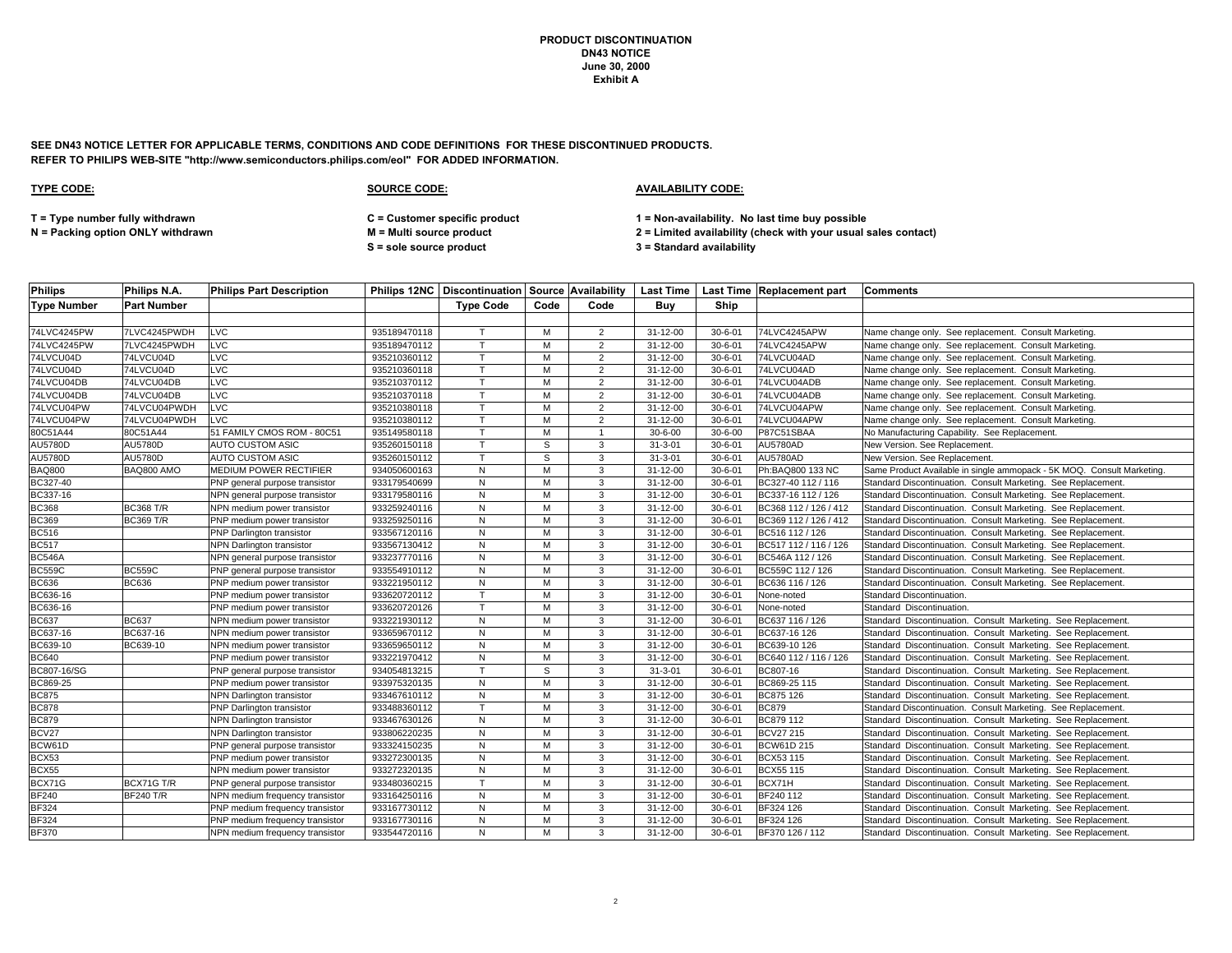**SEE DN43 NOTICE LETTER FOR APPLICABLE TERMS, CONDITIONS AND CODE DEFINITIONS FOR THESE DISCONTINUED PRODUCTS. REFER TO PHILIPS WEB-SITE "http://www.semiconductors.philips.com/eol" FOR ADDED INFORMATION.**

| <b>Philips</b>     | Philips N.A.       | <b>Philips Part Description</b> |              |                  |      |                |                |               | <b>Philips 12NC   Discontinuation   Source   Availability   Last Time   Last Time   Replacement part</b> | <b>Comments</b>                                                        |
|--------------------|--------------------|---------------------------------|--------------|------------------|------|----------------|----------------|---------------|----------------------------------------------------------------------------------------------------------|------------------------------------------------------------------------|
| <b>Type Number</b> | <b>Part Number</b> |                                 |              | <b>Type Code</b> | Code | Code           | Buy            | Ship          |                                                                                                          |                                                                        |
|                    |                    |                                 |              |                  |      |                |                |               |                                                                                                          |                                                                        |
| 74LVC4245PW        | 7LVC4245PWDH       | LVC                             | 935189470118 |                  | M    | $\overline{2}$ | 31-12-00       | $30 - 6 - 01$ | 74LVC4245APW                                                                                             | Name change only. See replacement. Consult Marketing.                  |
| 74LVC4245PW        | 7LVC4245PWDH       | LVC                             | 935189470112 | $\mathsf{T}$     | М    | $\overline{2}$ | 31-12-00       | $30 - 6 - 01$ | 74LVC4245APW                                                                                             | Name change only. See replacement. Consult Marketing.                  |
| 74LVCU04D          | 74LVCU04D          | LVC                             | 935210360112 | T.               | M    | $\overline{2}$ | 31-12-00       | $30 - 6 - 01$ | 74LVCU04AD                                                                                               | Name change only. See replacement. Consult Marketing.                  |
| 74LVCU04D          | 74LVCU04D          | LVC                             | 935210360118 | T.               | м    | $\overline{2}$ | 31-12-00       | $30 - 6 - 01$ | 74LVCU04AD                                                                                               | Name change only. See replacement. Consult Marketing.                  |
| 74LVCU04DB         | 74LVCU04DB         | LVC                             | 935210370112 |                  | M    | $\overline{2}$ | 31-12-00       | $30 - 6 - 01$ | 74LVCU04ADB                                                                                              | Name change only. See replacement. Consult Marketing.                  |
| 74LVCU04DB         | 74LVCU04DB         | LVC                             | 935210370118 | T                | M    | $\overline{2}$ | 31-12-00       | $30 - 6 - 01$ | 74LVCU04ADB                                                                                              | Name change only. See replacement. Consult Marketing.                  |
| 74LVCU04PW         | 74LVCU04PWDH       | <b>LVC</b>                      | 935210380118 |                  | M    | $\overline{2}$ | 31-12-00       | $30 - 6 - 01$ | 74LVCU04APW                                                                                              | Name change only. See replacement. Consult Marketing.                  |
| 74LVCU04PW         | 74LVCU04PWDH       | LVC                             | 935210380112 |                  | M    | $\overline{2}$ | 31-12-00       | $30 - 6 - 01$ | 74LVCU04APW                                                                                              | Name change only. See replacement. Consult Marketing.                  |
| 80C51A44           | 80C51A44           | 51 FAMILY CMOS ROM - 80C51      | 935149580118 | T                | M    | $\overline{1}$ | $30 - 6 - 00$  | $30 - 6 - 00$ | P87C51SBAA                                                                                               | No Manufacturing Capability. See Replacement.                          |
| AU5780D            | AU5780D            | AUTO CUSTOM ASIC                | 935260150118 | т                | S    | 3              | $31 - 3 - 01$  | $30 - 6 - 01$ | AU5780AD                                                                                                 | New Version. See Replacement.                                          |
| AU5780D            | AU5780D            | <b>AUTO CUSTOM ASIC</b>         | 935260150112 | T.               | S    | 3              | $31 - 3 - 01$  | $30 - 6 - 01$ | AU5780AD                                                                                                 | New Version. See Replacement.                                          |
| <b>BAQ800</b>      | BAQ800 AMO         | MEDIUM POWER RECTIFIER          | 934050600163 | ${\sf N}$        | M    | 3              | 31-12-00       | $30 - 6 - 01$ | Ph:BAQ800 133 NC                                                                                         | Same Product Available in single ammopack - 5K MOQ. Consult Marketing. |
| BC327-40           |                    | PNP general purpose transistor  | 933179540699 | N                | M    | 3              | $31 - 12 - 00$ | $30 - 6 - 01$ | BC327-40 112 / 116                                                                                       | Standard Discontinuation. Consult Marketing. See Replacement.          |
| BC337-16           |                    | NPN general purpose transistor  | 933179580116 | N                | M    | 3              | 31-12-00       | $30 - 6 - 01$ | BC337-16 112 / 126                                                                                       | Standard Discontinuation. Consult Marketing. See Replacement.          |
| <b>BC368</b>       | <b>BC368 T/R</b>   | NPN medium power transistor     | 933259240116 | N                | M    | 3              | 31-12-00       | $30 - 6 - 01$ | BC368 112 / 126 / 412                                                                                    | Standard Discontinuation. Consult Marketing. See Replacement.          |
| <b>BC369</b>       | <b>BC369 T/R</b>   | PNP medium power transistor     | 933259250116 | N                | M    | 3              | $31 - 12 - 00$ | $30 - 6 - 01$ | BC369 112 / 126 / 412                                                                                    | Standard Discontinuation. Consult Marketing. See Replacement.          |
| <b>BC516</b>       |                    | PNP Darlington transistor       | 933567120116 | N                | M    | 3              | 31-12-00       | $30 - 6 - 01$ | BC516 112 / 126                                                                                          | Standard Discontinuation. Consult Marketing. See Replacement.          |
| <b>BC517</b>       |                    | NPN Darlington transistor       | 933567130412 | N                | M    | 3              | 31-12-00       | $30 - 6 - 01$ | BC517 112 / 116 / 126                                                                                    | Standard Discontinuation. Consult Marketing. See Replacement.          |
| <b>BC546A</b>      |                    | NPN general purpose transistor  | 933237770116 | N                | M    | $\mathbf{3}$   | 31-12-00       | $30 - 6 - 01$ | BC546A 112 / 126                                                                                         | Standard Discontinuation. Consult Marketing. See Replacement.          |
| <b>BC559C</b>      | <b>BC559C</b>      | PNP general purpose transistor  | 933554910112 | N                | M    | 3              | 31-12-00       | $30 - 6 - 01$ | BC559C 112 / 126                                                                                         | Standard Discontinuation. Consult Marketing. See Replacement.          |
| <b>BC636</b>       | <b>BC636</b>       | PNP medium power transistor     | 933221950112 | ${\sf N}$        | M    | 3              | 31-12-00       | $30 - 6 - 01$ | BC636 116 / 126                                                                                          | Standard Discontinuation. Consult Marketing. See Replacement.          |
| BC636-16           |                    | PNP medium power transistor     | 933620720112 | $\mathsf{T}$     | M    | $\mathbf{3}$   | 31-12-00       | $30 - 6 - 01$ | None-noted                                                                                               | Standard Discontinuation.                                              |
| BC636-16           |                    | PNP medium power transistor     | 933620720126 | T.               | м    | 3              | 31-12-00       | 30-6-01       | None-noted                                                                                               | Standard Discontinuation.                                              |
| <b>BC637</b>       | <b>BC637</b>       | NPN medium power transistor     | 933221930112 | N                | M    | $\mathbf{3}$   | 31-12-00       | $30 - 6 - 01$ | BC637 116 / 126                                                                                          | Standard Discontinuation. Consult Marketing. See Replacement.          |
| BC637-16           | BC637-16           | NPN medium power transistor     | 933659670112 | ${\sf N}$        | M    | 3              | 31-12-00       | $30 - 6 - 01$ | BC637-16 126                                                                                             | Standard Discontinuation. Consult Marketing. See Replacement.          |
| BC639-10           | BC639-10           | NPN medium power transistor     | 933659650112 | N                | M    | $\mathbf{3}$   | 31-12-00       | $30 - 6 - 01$ | BC639-10 126                                                                                             | Standard Discontinuation. Consult Marketing. See Replacement.          |
| <b>BC640</b>       |                    | PNP medium power transistor     | 933221970412 | N                | м    | 3              | 31-12-00       | $30 - 6 - 01$ | BC640 112 / 116 / 126                                                                                    | Standard Discontinuation. Consult Marketing. See Replacement.          |
| BC807-16/SG        |                    | PNP general purpose transistor  | 934054813215 | $\mathsf{T}$     | S    | 3              | $31 - 3 - 01$  | $30 - 6 - 01$ | BC807-16                                                                                                 | Standard Discontinuation. Consult Marketing. See Replacement.          |
| BC869-25           |                    | PNP medium power transistor     | 933975320135 | N                | M    | $\mathbf{3}$   | 31-12-00       | $30 - 6 - 01$ | BC869-25 115                                                                                             | Standard Discontinuation. Consult Marketing. See Replacement.          |
| <b>BC875</b>       |                    | NPN Darlington transistor       | 933467610112 | ${\sf N}$        | M    | 3              | 31-12-00       | $30 - 6 - 01$ | BC875 126                                                                                                | Standard Discontinuation. Consult Marketing. See Replacement.          |
| <b>BC878</b>       |                    | PNP Darlington transistor       | 933488360112 | $\mathsf{T}$     | M    | $\mathbf{3}$   | 31-12-00       | $30 - 6 - 01$ | <b>BC879</b>                                                                                             | Standard Discontinuation. Consult Marketing. See Replacement.          |
| <b>BC879</b>       |                    | NPN Darlington transistor       | 933467630126 | N                | M    | $\mathbf{3}$   | 31-12-00       | $30 - 6 - 01$ | BC879 112                                                                                                | Standard Discontinuation. Consult Marketing. See Replacement.          |
| BCV27              |                    | NPN Darlington transistor       | 933806220235 | N                | M    | 3              | 31-12-00       | $30 - 6 - 01$ | <b>BCV27 215</b>                                                                                         | Standard Discontinuation. Consult Marketing. See Replacement.          |
| BCW61D             |                    | PNP general purpose transistor  | 933324150235 | ${\sf N}$        | M    | 3              | $31 - 12 - 00$ | $30 - 6 - 01$ | <b>BCW61D 215</b>                                                                                        | Standard Discontinuation. Consult Marketing. See Replacement.          |
| BCX53              |                    | PNP medium power transistor     | 933272300135 | ${\sf N}$        | M    | 3              | 31-12-00       | $30 - 6 - 01$ | BCX53 115                                                                                                | Standard Discontinuation. Consult Marketing. See Replacement.          |
| BCX55              |                    | NPN medium power transistor     | 933272320135 | N                | M    | 3              | 31-12-00       | $30 - 6 - 01$ | <b>BCX55 115</b>                                                                                         | Standard Discontinuation. Consult Marketing. See Replacement.          |
| BCX71G             | BCX71G T/R         | PNP general purpose transistor  | 933480360215 | T                | м    | $\mathbf{3}$   | 31-12-00       | $30 - 6 - 01$ | BCX71H                                                                                                   | Standard Discontinuation. Consult Marketing. See Replacement.          |
| <b>BF240</b>       | <b>BF240 T/R</b>   | NPN medium frequency transistor | 933164250116 | N                | M    | 3              | 31-12-00       | $30 - 6 - 01$ | BF240 112                                                                                                | Standard Discontinuation. Consult Marketing. See Replacement.          |
| <b>BF324</b>       |                    | PNP medium frequency transistor | 933167730112 | N                | м    | $\mathbf{3}$   | $31 - 12 - 00$ | $30 - 6 - 01$ | BF324 126                                                                                                | Standard Discontinuation. Consult Marketing. See Replacement.          |
| <b>BF324</b>       |                    | PNP medium frequency transistor | 933167730116 | N                | M    | $\mathbf{3}$   | $31 - 12 - 00$ | $30 - 6 - 01$ | BF324 126                                                                                                | Standard Discontinuation. Consult Marketing. See Replacement.          |
| <b>BF370</b>       |                    | NPN medium frequency transistor | 933544720116 | N                | M    | $\mathbf{3}$   | 31-12-00       | $30 - 6 - 01$ | BF370 126 / 112                                                                                          | Standard Discontinuation. Consult Marketing. See Replacement.          |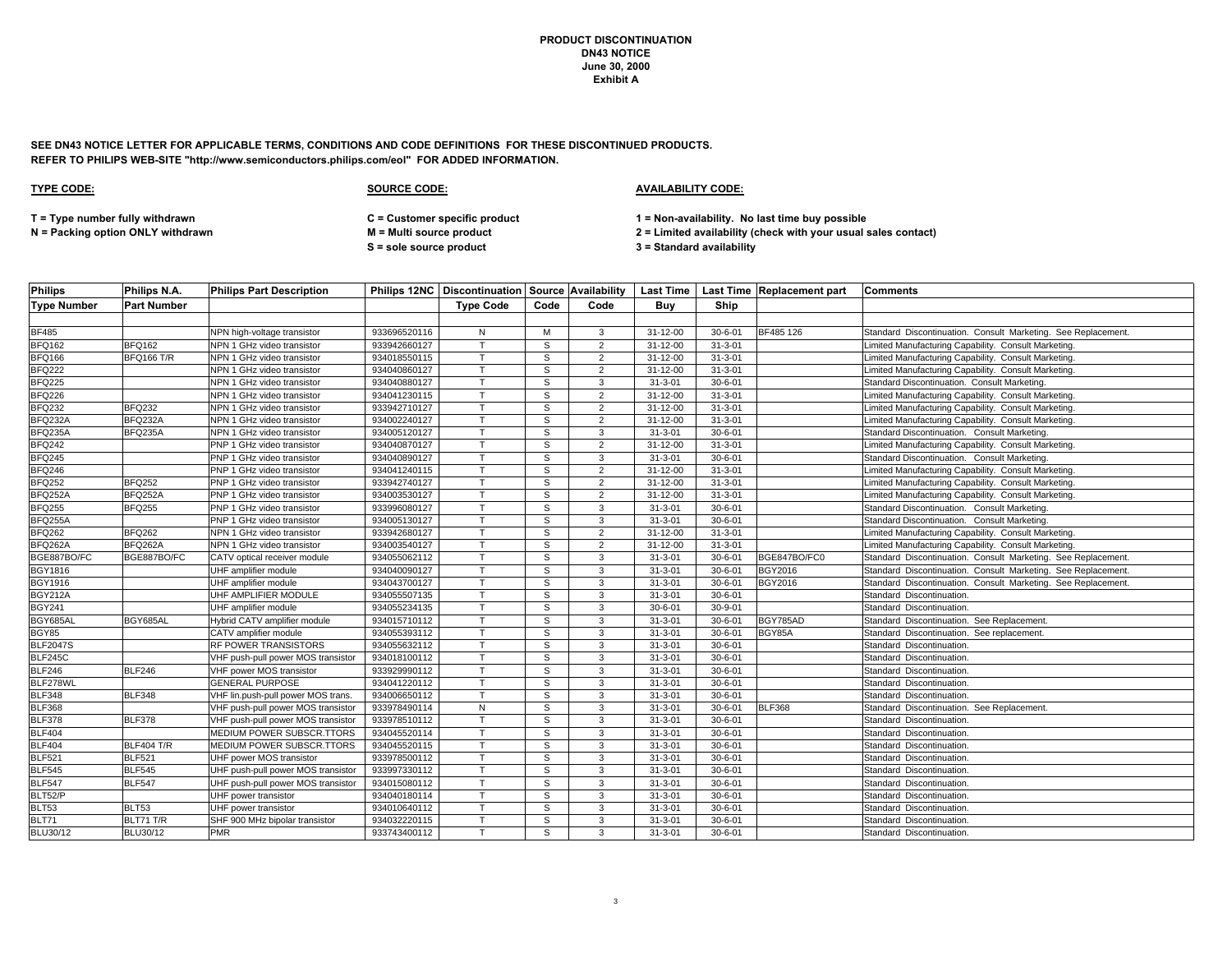**SEE DN43 NOTICE LETTER FOR APPLICABLE TERMS, CONDITIONS AND CODE DEFINITIONS FOR THESE DISCONTINUED PRODUCTS. REFER TO PHILIPS WEB-SITE "http://www.semiconductors.philips.com/eol" FOR ADDED INFORMATION.**

### **TYPE CODE: SOURCE CODE: AVAILABILITY CODE:**

**T = Type number fully withdrawn C = Customer specific product 1 = Non-availability. No last time buy possible**

**S = sole source product 3 = Standard availability**

| <b>Philips</b>     | Philips N.A.       | <b>Philips Part Description</b>    |              |                  |      |                |                |               | Philips 12NC   Discontinuation   Source   Availability   Last Time   Last Time   Replacement part | <b>Comments</b>                                               |
|--------------------|--------------------|------------------------------------|--------------|------------------|------|----------------|----------------|---------------|---------------------------------------------------------------------------------------------------|---------------------------------------------------------------|
| <b>Type Number</b> | <b>Part Number</b> |                                    |              | <b>Type Code</b> | Code | Code           | Buv            | Ship          |                                                                                                   |                                                               |
|                    |                    |                                    |              |                  |      |                |                |               |                                                                                                   |                                                               |
| <b>BF485</b>       |                    | NPN high-voltage transistor        | 933696520116 | N                | M    | 3              | 31-12-00       | $30 - 6 - 01$ | BF485 126                                                                                         | Standard Discontinuation. Consult Marketing. See Replacement. |
| <b>BFQ162</b>      | <b>BFQ162</b>      | NPN 1 GHz video transistor         | 933942660127 | $\mathsf{T}$     | S    | $\overline{2}$ | 31-12-00       | $31 - 3 - 01$ |                                                                                                   | Limited Manufacturing Capability. Consult Marketing.          |
| <b>BFQ166</b>      | BFQ166 T/R         | NPN 1 GHz video transistor         | 934018550115 | T                | S    | $\overline{2}$ | 31-12-00       | $31 - 3 - 01$ |                                                                                                   | Limited Manufacturing Capability. Consult Marketing.          |
| <b>BFQ222</b>      |                    | NPN 1 GHz video transistor         | 934040860127 |                  | S    | 2              | 31-12-00       | $31 - 3 - 01$ |                                                                                                   | Limited Manufacturing Capability. Consult Marketing.          |
| <b>BFQ225</b>      |                    | NPN 1 GHz video transistor         | 934040880127 |                  | S    | 3              | $31 - 3 - 01$  | $30 - 6 - 01$ |                                                                                                   | Standard Discontinuation. Consult Marketing.                  |
| <b>BFQ226</b>      |                    | NPN 1 GHz video transistor         | 934041230115 | $\mathsf{T}$     | S    | 2              | $31 - 12 - 00$ | $31 - 3 - 01$ |                                                                                                   | Limited Manufacturing Capability. Consult Marketing.          |
| <b>BFQ232</b>      | <b>BFQ232</b>      | NPN 1 GHz video transistor         | 933942710127 |                  | S    | 2              | $31 - 12 - 00$ | $31 - 3 - 01$ |                                                                                                   | Limited Manufacturing Capability. Consult Marketing.          |
| BFQ232A            | BFQ232A            | NPN 1 GHz video transistor         | 934002240127 |                  | S    | $\overline{2}$ | 31-12-00       | $31 - 3 - 01$ |                                                                                                   | Limited Manufacturing Capability. Consult Marketing.          |
| BFQ235A            | BFQ235A            | NPN 1 GHz video transistor         | 934005120127 |                  | S    | 3              | $31 - 3 - 01$  | $30 - 6 - 01$ |                                                                                                   | Standard Discontinuation. Consult Marketing.                  |
| <b>BFQ242</b>      |                    | PNP 1 GHz video transistor         | 934040870127 |                  | S    | 2              | 31-12-00       | $31 - 3 - 01$ |                                                                                                   | Limited Manufacturing Capability. Consult Marketing.          |
| <b>BFQ245</b>      |                    | PNP 1 GHz video transistor         | 934040890127 | $\mathsf{T}$     | S    | 3              | $31 - 3 - 01$  | $30 - 6 - 01$ |                                                                                                   | Standard Discontinuation. Consult Marketing.                  |
| <b>BFQ246</b>      |                    | PNP 1 GHz video transistor         | 934041240115 |                  | S    | $\overline{2}$ | 31-12-00       | $31 - 3 - 01$ |                                                                                                   | Limited Manufacturing Capability. Consult Marketing.          |
| <b>BFQ252</b>      | <b>BFQ252</b>      | PNP 1 GHz video transistor         | 933942740127 | T                | S    | $\overline{2}$ | 31-12-00       | $31 - 3 - 01$ |                                                                                                   | Limited Manufacturing Capability. Consult Marketing.          |
| BFQ252A            | BFQ252A            | PNP 1 GHz video transistor         | 934003530127 | $\mathsf{T}$     | s    | $\overline{2}$ | 31-12-00       | $31 - 3 - 01$ |                                                                                                   | Limited Manufacturing Capability. Consult Marketing.          |
| <b>BFQ255</b>      | <b>BFQ255</b>      | PNP 1 GHz video transistor         | 933996080127 |                  | S    | 3              | $31 - 3 - 01$  | $30 - 6 - 01$ |                                                                                                   | Standard Discontinuation. Consult Marketing.                  |
| BFQ255A            |                    | PNP 1 GHz video transistor         | 934005130127 |                  | S    | 3              | $31 - 3 - 01$  | $30 - 6 - 01$ |                                                                                                   | Standard Discontinuation. Consult Marketing.                  |
| <b>BFQ262</b>      | <b>BFQ262</b>      | NPN 1 GHz video transistor         | 933942680127 | $\mathsf{T}$     | S    | 2              | 31-12-00       | $31 - 3 - 01$ |                                                                                                   | Limited Manufacturing Capability. Consult Marketing.          |
| BFQ262A            | BFQ262A            | NPN 1 GHz video transistor         | 934003540127 |                  | S    | 2              | 31-12-00       | $31 - 3 - 01$ |                                                                                                   | Limited Manufacturing Capability. Consult Marketing.          |
| BGE887BO/FC        | BGE887BO/FC        | CATV optical receiver module       | 934055062112 | T                | S    | 3              | $31 - 3 - 01$  | $30 - 6 - 01$ | BGE847BO/FC0                                                                                      | Standard Discontinuation. Consult Marketing. See Replacement. |
| <b>BGY1816</b>     |                    | UHF amplifier module               | 934040090127 | $\mathsf{T}$     | S    | 3              | $31 - 3 - 01$  | $30 - 6 - 01$ | <b>BGY2016</b>                                                                                    | Standard Discontinuation. Consult Marketing. See Replacement. |
| <b>BGY1916</b>     |                    | UHF amplifier module               | 934043700127 |                  | S    | 3              | $31 - 3 - 01$  | $30 - 6 - 01$ | BGY2016                                                                                           | Standard Discontinuation. Consult Marketing. See Replacement. |
| <b>BGY212A</b>     |                    | UHF AMPLIFIER MODULE               | 934055507135 | $\mathsf{T}$     | S    | 3              | $31 - 3 - 01$  | $30 - 6 - 01$ |                                                                                                   | Standard Discontinuation.                                     |
| <b>BGY241</b>      |                    | UHF amplifier module               | 934055234135 |                  | S    | 3              | $30 - 6 - 01$  | $30 - 9 - 01$ |                                                                                                   | Standard Discontinuation.                                     |
| BGY685AL           | BGY685AL           | Hybrid CATV amplifier module       | 934015710112 | $\mathsf{T}$     | S    | 3              | $31 - 3 - 01$  | $30 - 6 - 01$ | BGY785AD                                                                                          | Standard Discontinuation. See Replacement.                    |
| <b>BGY85</b>       |                    | CATV amplifier module              | 934055393112 | $\mathsf{T}$     | S    | 3              | $31 - 3 - 01$  | $30 - 6 - 01$ | BGY85A                                                                                            | Standard Discontinuation. See replacement.                    |
| <b>BLF2047S</b>    |                    | RF POWER TRANSISTORS               | 934055632112 | $\mathsf{T}$     | S    | 3              | $31 - 3 - 01$  | $30 - 6 - 01$ |                                                                                                   | Standard Discontinuation.                                     |
| <b>BLF245C</b>     |                    | VHF push-pull power MOS transistor | 934018100112 |                  | S    | 3              | $31 - 3 - 01$  | $30 - 6 - 01$ |                                                                                                   | Standard Discontinuation.                                     |
| <b>BLF246</b>      | <b>BLF246</b>      | VHF power MOS transistor           | 933929990112 |                  | S    | 3              | $31 - 3 - 01$  | $30 - 6 - 01$ |                                                                                                   | Standard Discontinuation.                                     |
| BLF278WL           |                    | <b>GENERAL PURPOSE</b>             | 934041220112 |                  | S    | 3              | $31 - 3 - 01$  | $30 - 6 - 01$ |                                                                                                   | Standard Discontinuation.                                     |
| <b>BLF348</b>      | <b>BLF348</b>      | VHF lin.push-pull power MOS trans. | 934006650112 | $\mathsf{T}$     | S    | 3              | $31 - 3 - 01$  | $30 - 6 - 01$ |                                                                                                   | Standard Discontinuation.                                     |
| <b>BLF368</b>      |                    | VHF push-pull power MOS transistor | 933978490114 | ${\sf N}$        | S    | 3              | $31 - 3 - 01$  | $30 - 6 - 01$ | <b>BLF368</b>                                                                                     | Standard Discontinuation. See Replacement.                    |
| <b>BLF378</b>      | <b>BLF378</b>      | VHF push-pull power MOS transistor | 933978510112 | $\mathsf{T}$     | S    | 3              | $31 - 3 - 01$  | $30 - 6 - 01$ |                                                                                                   | Standard Discontinuation.                                     |
| <b>BLF404</b>      |                    | MEDIUM POWER SUBSCR.TTORS          | 934045520114 |                  | S    | 3              | $31 - 3 - 01$  | $30 - 6 - 01$ |                                                                                                   | Standard Discontinuation.                                     |
| <b>BLF404</b>      | <b>BLF404 T/R</b>  | MEDIUM POWER SUBSCR.TTORS          | 934045520115 |                  | S    | 3              | $31 - 3 - 01$  | $30 - 6 - 01$ |                                                                                                   | Standard Discontinuation.                                     |
| <b>BLF521</b>      | <b>BLF521</b>      | UHF power MOS transistor           | 933978500112 | $\mathsf{T}$     | S    | 3              | $31 - 3 - 01$  | $30 - 6 - 01$ |                                                                                                   | Standard Discontinuation.                                     |
| <b>BLF545</b>      | <b>BLF545</b>      | UHF push-pull power MOS transistor | 933997330112 |                  | S    | 3              | $31 - 3 - 01$  | $30 - 6 - 01$ |                                                                                                   | Standard Discontinuation.                                     |
| <b>BLF547</b>      | <b>BLF547</b>      | UHF push-pull power MOS transistor | 934015080112 |                  | S    | 3              | $31 - 3 - 01$  | $30 - 6 - 01$ |                                                                                                   | Standard Discontinuation.                                     |
| BLT52/P            |                    | UHF power transistor               | 934040180114 | $\mathsf{T}$     | S    | 3              | $31 - 3 - 01$  | $30 - 6 - 01$ |                                                                                                   | Standard Discontinuation.                                     |
| <b>BLT53</b>       | <b>BLT53</b>       | UHF power transistor               | 934010640112 |                  | S    | 3              | $31 - 3 - 01$  | $30 - 6 - 01$ |                                                                                                   | Standard Discontinuation.                                     |
| BLT71              | BLT71 T/R          | SHF 900 MHz bipolar transistor     | 934032220115 |                  | S    | 3              | $31 - 3 - 01$  | $30 - 6 - 01$ |                                                                                                   | Standard Discontinuation.                                     |
| <b>BLU30/12</b>    | BLU30/12           | PMR                                | 933743400112 | $\mathsf{T}$     | s    | 3              | $31 - 3 - 01$  | $30 - 6 - 01$ |                                                                                                   | Standard Discontinuation                                      |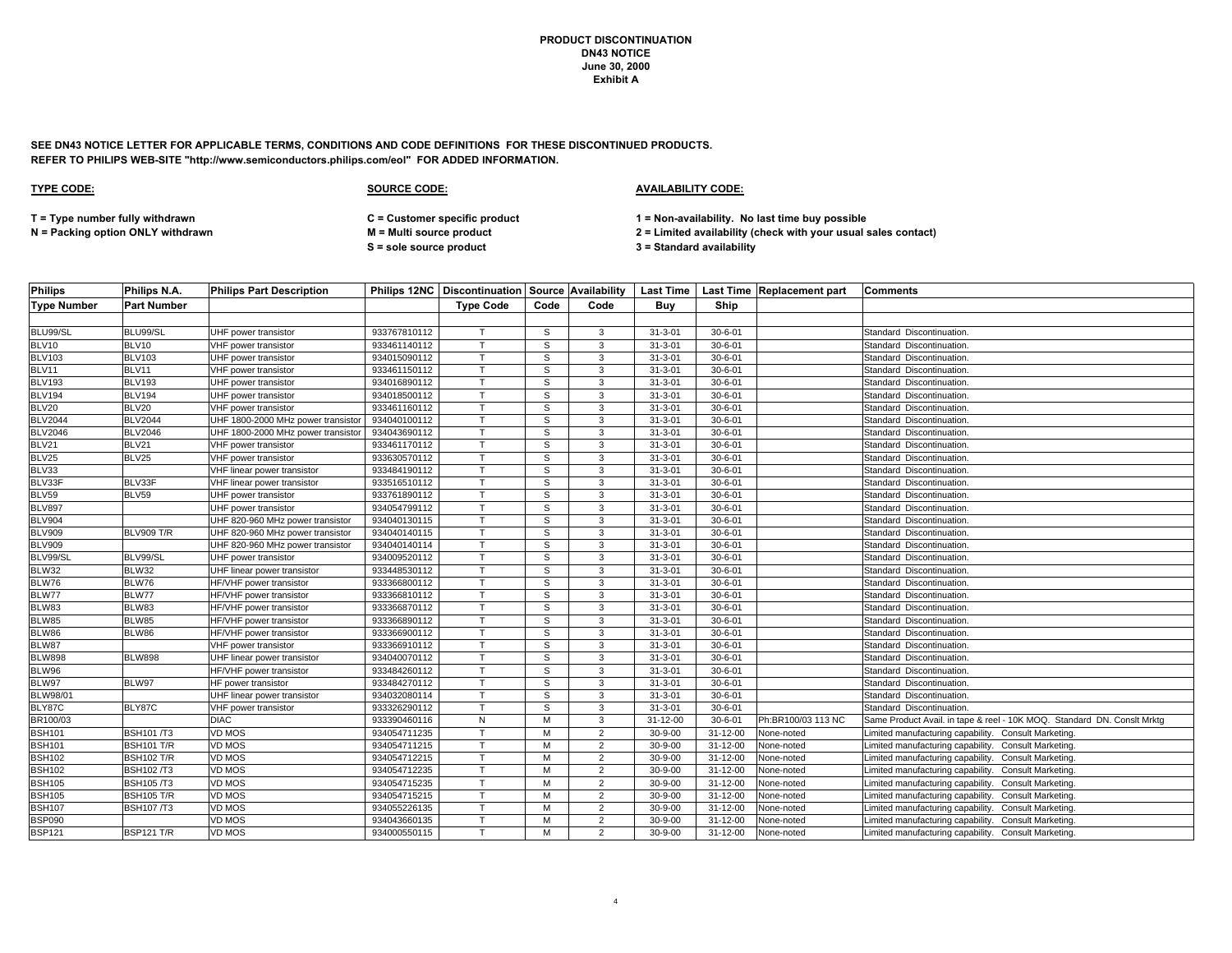**SEE DN43 NOTICE LETTER FOR APPLICABLE TERMS, CONDITIONS AND CODE DEFINITIONS FOR THESE DISCONTINUED PRODUCTS. REFER TO PHILIPS WEB-SITE "http://www.semiconductors.philips.com/eol" FOR ADDED INFORMATION.**

### **TYPE CODE: SOURCE CODE: AVAILABILITY CODE:**

**T = Type number fully withdrawn C = Customer specific product 1 = Non-availability. No last time buy possible**

**S = sole source product 3 = Standard availability**

| <b>Philips</b>     | Philips N.A.       | <b>Philips Part Description</b>    |              |                  |      |                |               |                | Philips 12NC   Discontinuation   Source   Availability   Last Time   Last Time   Replacement part | <b>Comments</b>                                                         |
|--------------------|--------------------|------------------------------------|--------------|------------------|------|----------------|---------------|----------------|---------------------------------------------------------------------------------------------------|-------------------------------------------------------------------------|
| <b>Type Number</b> | <b>Part Number</b> |                                    |              | <b>Type Code</b> | Code | Code           | Buy           | Ship           |                                                                                                   |                                                                         |
|                    |                    |                                    |              |                  |      |                |               |                |                                                                                                   |                                                                         |
| BLU99/SL           | BLU99/SL           | UHF power transistor               | 933767810112 |                  | S    | 3              | $31 - 3 - 01$ | $30 - 6 - 01$  |                                                                                                   | Standard Discontinuation.                                               |
| BLV10              | BLV10              | VHF power transistor               | 933461140112 | $\mathsf{T}$     | s    | 3              | $31 - 3 - 01$ | $30 - 6 - 01$  |                                                                                                   | Standard Discontinuation.                                               |
| <b>BLV103</b>      | <b>BLV103</b>      | UHF power transistor               | 934015090112 |                  | S    | 3              | $31 - 3 - 01$ | $30 - 6 - 01$  |                                                                                                   | Standard Discontinuation.                                               |
| BLV11              | BLV11              | VHF power transistor               | 933461150112 | $\mathsf{T}$     | s    | 3              | $31 - 3 - 01$ | $30 - 6 - 01$  |                                                                                                   | Standard Discontinuation.                                               |
| <b>BLV193</b>      | <b>BLV193</b>      | UHF power transistor               | 934016890112 |                  | S    | 3              | $31 - 3 - 01$ | $30 - 6 - 01$  |                                                                                                   | Standard Discontinuation.                                               |
| <b>BLV194</b>      | <b>BLV194</b>      | UHF power transistor               | 934018500112 | T                | S    | 3              | $31 - 3 - 01$ | $30 - 6 - 01$  |                                                                                                   | Standard Discontinuation.                                               |
| BLV20              | <b>BLV20</b>       | VHF power transistor               | 933461160112 |                  | S    | 3              | $31 - 3 - 01$ | $30 - 6 - 01$  |                                                                                                   | Standard Discontinuation.                                               |
| <b>BLV2044</b>     | <b>BLV2044</b>     | UHF 1800-2000 MHz power transistor | 934040100112 | $\mathsf{T}$     | S    | 3              | $31 - 3 - 01$ | $30 - 6 - 01$  |                                                                                                   | Standard Discontinuation.                                               |
| <b>BLV2046</b>     | <b>BLV2046</b>     | UHF 1800-2000 MHz power transistor | 934043690112 |                  | s    | 3              | $31 - 3 - 01$ | $30 - 6 - 01$  |                                                                                                   | Standard Discontinuation.                                               |
| BLV21              | BLV21              | VHF power transistor               | 933461170112 | $\mathsf{T}$     | S    | 3              | $31 - 3 - 01$ | $30 - 6 - 01$  |                                                                                                   | Standard Discontinuation.                                               |
| BLV25              | BLV25              | VHF power transistor               | 933630570112 |                  | s    | 3              | $31 - 3 - 01$ | $30 - 6 - 01$  |                                                                                                   | Standard Discontinuation.                                               |
| BLV33              |                    | VHF linear power transistor        | 933484190112 |                  | S    | 3              | $31 - 3 - 01$ | $30 - 6 - 01$  |                                                                                                   | Standard Discontinuation.                                               |
| BLV33F             | BLV33F             | VHF linear power transistor        | 933516510112 | T                | S    | 3              | $31 - 3 - 01$ | $30 - 6 - 01$  |                                                                                                   | Standard Discontinuation.                                               |
| <b>BLV59</b>       | <b>BLV59</b>       | UHF power transistor               | 933761890112 |                  | s    | 3              | $31 - 3 - 01$ | $30 - 6 - 01$  |                                                                                                   | Standard Discontinuation.                                               |
| <b>BLV897</b>      |                    | UHF power transistor               | 934054799112 |                  | S    | 3              | $31 - 3 - 01$ | $30 - 6 - 01$  |                                                                                                   | Standard Discontinuation.                                               |
| <b>BLV904</b>      |                    | UHF 820-960 MHz power transistor   | 934040130115 | $\mathsf{T}$     | S    | 3              | $31 - 3 - 01$ | $30 - 6 - 01$  |                                                                                                   | Standard Discontinuation.                                               |
| <b>BLV909</b>      | <b>BLV909 T/R</b>  | UHF 820-960 MHz power transistor   | 934040140115 |                  | S    | 3              | $31 - 3 - 01$ | $30 - 6 - 01$  |                                                                                                   | Standard Discontinuation.                                               |
| <b>BLV909</b>      |                    | UHF 820-960 MHz power transistor   | 934040140114 | $\mathsf{T}$     | S    | 3              | $31 - 3 - 01$ | $30 - 6 - 01$  |                                                                                                   | Standard Discontinuation.                                               |
| BLV99/SL           | BLV99/SL           | UHF power transistor               | 934009520112 | $\mathbf \tau$   | S    | 3              | $31 - 3 - 01$ | $30 - 6 - 01$  |                                                                                                   | Standard Discontinuation.                                               |
| <b>BLW32</b>       | <b>BLW32</b>       | UHF linear power transistor        | 933448530112 | $\mathsf{T}$     | s    | 3              | $31 - 3 - 01$ | $30 - 6 - 01$  |                                                                                                   | Standard Discontinuation.                                               |
| BLW76              | BLW76              | HF/VHF power transistor            | 933366800112 |                  | S    | 3              | $31 - 3 - 01$ | $30 - 6 - 01$  |                                                                                                   | Standard Discontinuation.                                               |
| BLW77              | BLW77              | HF/VHF power transistor            | 933366810112 | T                | s    | 3              | $31 - 3 - 01$ | $30 - 6 - 01$  |                                                                                                   | Standard Discontinuation.                                               |
| BLW83              | <b>BLW83</b>       | HF/VHF power transistor            | 933366870112 | T                | S    | 3              | $31 - 3 - 01$ | $30 - 6 - 01$  |                                                                                                   | Standard Discontinuation.                                               |
| <b>BLW85</b>       | <b>BLW85</b>       | HF/VHF power transistor            | 933366890112 | $\mathsf{T}$     | S    | 3              | $31 - 3 - 01$ | $30 - 6 - 01$  |                                                                                                   | Standard Discontinuation.                                               |
| BLW86              | <b>BLW86</b>       | HF/VHF power transistor            | 933366900112 |                  | s    | 3              | $31 - 3 - 01$ | $30 - 6 - 01$  |                                                                                                   | Standard Discontinuation.                                               |
| BLW87              |                    | VHF power transistor               | 933366910112 | $\mathsf{T}$     | S    | 3              | $31 - 3 - 01$ | $30 - 6 - 01$  |                                                                                                   | Standard Discontinuation.                                               |
| <b>BLW898</b>      | <b>BLW898</b>      | UHF linear power transistor        | 934040070112 |                  | s    | 3              | $31 - 3 - 01$ | $30 - 6 - 01$  |                                                                                                   | Standard Discontinuation.                                               |
| BLW96              |                    | HF/VHF power transistor            | 933484260112 |                  | S    | 3              | $31 - 3 - 01$ | $30 - 6 - 01$  |                                                                                                   | Standard Discontinuation.                                               |
| BLW97              | BLW97              | HF power transistor                | 933484270112 |                  | S    | 3              | $31 - 3 - 01$ | $30 - 6 - 01$  |                                                                                                   | Standard Discontinuation.                                               |
| <b>BLW98/01</b>    |                    | UHF linear power transistor        | 934032080114 |                  | S    | 3              | $31 - 3 - 01$ | $30 - 6 - 01$  |                                                                                                   | Standard Discontinuation.                                               |
| BLY87C             | BLY87C             | VHF power transistor               | 933326290112 | т                | s    | 3              | $31 - 3 - 01$ | $30 - 6 - 01$  |                                                                                                   | Standard Discontinuation.                                               |
| BR100/03           |                    | <b>DIAC</b>                        | 933390460116 | ${\sf N}$        | M    | 3              | 31-12-00      | $30 - 6 - 01$  | Ph:BR100/03 113 NC                                                                                | Same Product Avail. in tape & reel - 10K MOQ. Standard DN. Conslt Mrktg |
| <b>BSH101</b>      | <b>BSH101/T3</b>   | <b>VD MOS</b>                      | 934054711235 | $\mathsf{T}$     | M    | $\overline{2}$ | $30 - 9 - 00$ | 31-12-00       | None-noted                                                                                        | Limited manufacturing capability. Consult Marketing.                    |
| <b>BSH101</b>      | <b>BSH101 T/R</b>  | <b>VD MOS</b>                      | 934054711215 |                  | м    | 2              | $30 - 9 - 00$ | 31-12-00       | None-noted                                                                                        | Limited manufacturing capability.<br>Consult Marketing.                 |
| <b>BSH102</b>      | <b>BSH102 T/R</b>  | <b>VD MOS</b>                      | 934054712215 | $\mathbf \tau$   | м    | $\overline{2}$ | $30 - 9 - 00$ | $31 - 12 - 00$ | None-noted                                                                                        | Limited manufacturing capability.<br>Consult Marketing.                 |
| <b>BSH102</b>      | <b>BSH102/T3</b>   | VD MOS                             | 934054712235 | $\mathsf{T}$     | M    | 2              | $30 - 9 - 00$ | 31-12-00       | None-noted                                                                                        | Limited manufacturing capability. Consult Marketing.                    |
| <b>BSH105</b>      | <b>BSH105/T3</b>   | <b>VD MOS</b>                      | 934054715235 | T                | M    | 2              | $30 - 9 - 00$ | 31-12-00       | None-noted                                                                                        | Limited manufacturing capability.<br>Consult Marketing.                 |
| <b>BSH105</b>      | <b>BSH105 T/R</b>  | <b>VD MOS</b>                      | 934054715215 |                  | M    | $\overline{2}$ | $30 - 9 - 00$ | 31-12-00       | None-noted                                                                                        | Limited manufacturing capability.<br>Consult Marketing.                 |
| <b>BSH107</b>      | <b>BSH107/T3</b>   | <b>VD MOS</b>                      | 934055226135 |                  | м    | 2              | $30 - 9 - 00$ | 31-12-00       | None-noted                                                                                        | Limited manufacturing capability.<br>Consult Marketing.                 |
| <b>BSP090</b>      |                    | VD MOS                             | 934043660135 | $\mathsf{T}$     | м    | 2              | $30 - 9 - 00$ | $31 - 12 - 00$ | None-noted                                                                                        | Limited manufacturing capability.<br>Consult Marketing.                 |
| <b>BSP121</b>      | <b>BSP121 T/R</b>  | <b>VD MOS</b>                      | 934000550115 |                  | M    | $\overline{2}$ | $30 - 9 - 00$ | 31-12-00       | None-noted                                                                                        | Limited manufacturing capability. Consult Marketing.                    |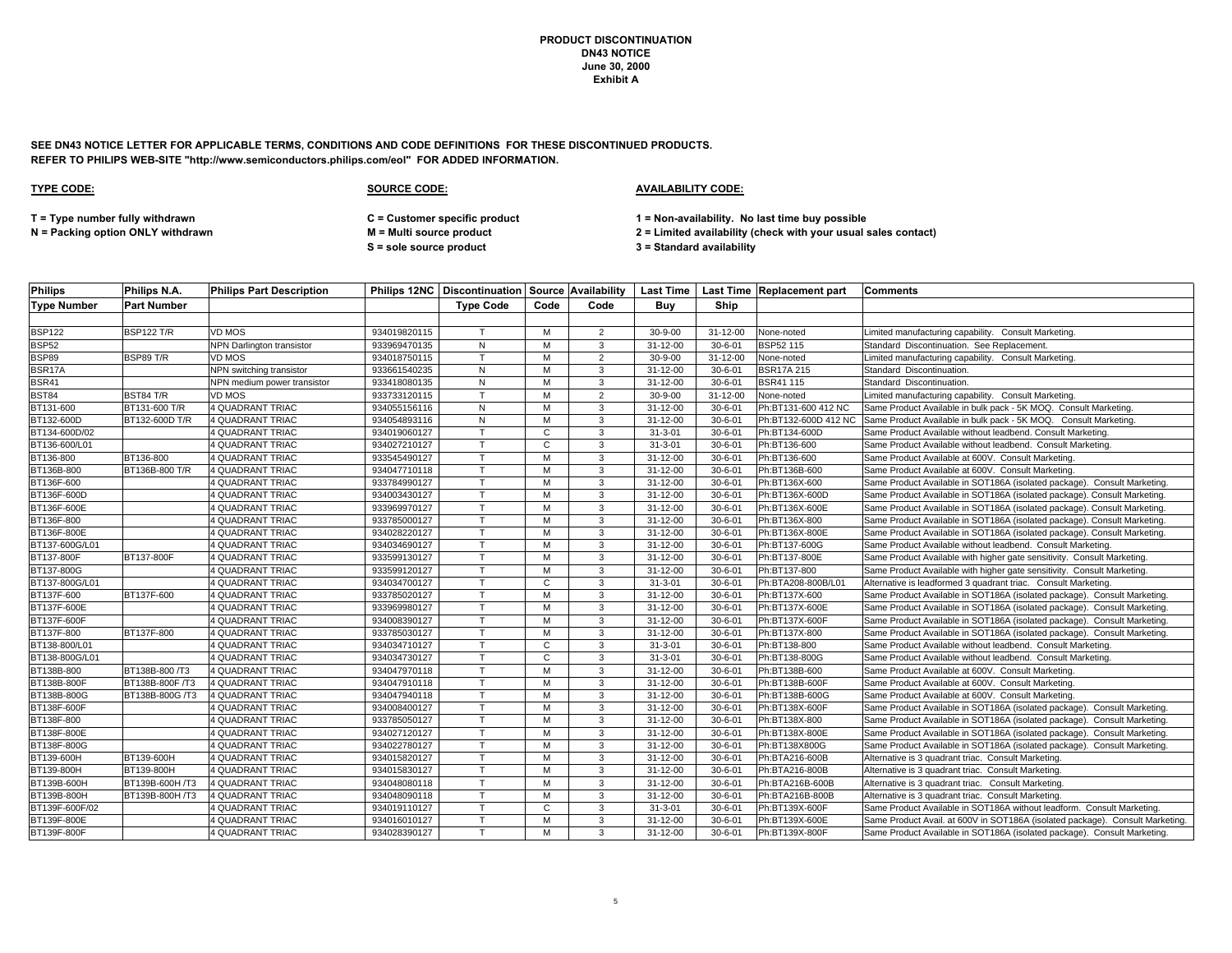**SEE DN43 NOTICE LETTER FOR APPLICABLE TERMS, CONDITIONS AND CODE DEFINITIONS FOR THESE DISCONTINUED PRODUCTS. REFER TO PHILIPS WEB-SITE "http://www.semiconductors.philips.com/eol" FOR ADDED INFORMATION.**

| <b>Philips</b>     | Philips N.A.       | <b>Philips Part Description</b>  |              |                  |              |                |                |                | Philips 12NC   Discontinuation   Source   Availability   Last Time   Last Time   Replacement part | <b>Comments</b>                                                               |
|--------------------|--------------------|----------------------------------|--------------|------------------|--------------|----------------|----------------|----------------|---------------------------------------------------------------------------------------------------|-------------------------------------------------------------------------------|
| <b>Type Number</b> | <b>Part Number</b> |                                  |              | <b>Type Code</b> | Code         | Code           | Buv            | Ship           |                                                                                                   |                                                                               |
|                    |                    |                                  |              |                  |              |                |                |                |                                                                                                   |                                                                               |
| <b>BSP122</b>      | <b>BSP122 T/R</b>  | VD MOS                           | 934019820115 | $\mathsf{T}$     | M            | $\overline{2}$ | $30 - 9 - 00$  | $31 - 12 - 00$ | None-noted                                                                                        | Limited manufacturing capability. Consult Marketing.                          |
| <b>BSP52</b>       |                    | <b>NPN Darlington transistor</b> | 933969470135 | ${\sf N}$        | M            | 3              | 31-12-00       | $30 - 6 - 01$  | BSP52 115                                                                                         | Standard Discontinuation. See Replacement.                                    |
| <b>BSP89</b>       | BSP89 T/R          | VD MOS                           | 934018750115 | $\mathsf{T}$     | M            | $\overline{2}$ | $30 - 9 - 00$  | 31-12-00       | None-noted                                                                                        | Limited manufacturing capability. Consult Marketing.                          |
| BSR17A             |                    | NPN switching transistor         | 933661540235 | ${\sf N}$        | M            | 3              | 31-12-00       | $30 - 6 - 01$  | <b>BSR17A215</b>                                                                                  | Standard Discontinuation.                                                     |
| <b>BSR41</b>       |                    | NPN medium power transistor      | 933418080135 | ${\sf N}$        | м            | 3              | 31-12-00       | $30 - 6 - 01$  | <b>BSR41115</b>                                                                                   | Standard Discontinuation.                                                     |
| <b>BST84</b>       | BST84 T/R          | VD MOS                           | 933733120115 | T                | M            | $\overline{2}$ | $30 - 9 - 00$  | 31-12-00       | None-noted                                                                                        | Limited manufacturing capability. Consult Marketing.                          |
| BT131-600          | BT131-600 T/R      | <b>4 QUADRANT TRIAC</b>          | 934055156116 | N                | M            | 3              | 31-12-00       | $30 - 6 - 01$  | Ph:BT131-600 412 NC                                                                               | Same Product Available in bulk pack - 5K MOQ. Consult Marketing.              |
| BT132-600D         | BT132-600D T/R     | 4 QUADRANT TRIAC                 | 934054893116 | $\mathsf{N}$     | M            | 3              | 31-12-00       | $30 - 6 - 01$  | Ph:BT132-600D 412 NC                                                                              | Same Product Available in bulk pack - 5K MOQ. Consult Marketing.              |
| BT134-600D/02      |                    | 4 QUADRANT TRIAC                 | 934019060127 | T                | C            | 3              | $31 - 3 - 01$  | $30 - 6 - 01$  | Ph:BT134-600D                                                                                     | Same Product Available without leadbend. Consult Marketing.                   |
| BT136-600/L01      |                    | <b>4 QUADRANT TRIAC</b>          | 934027210127 | $\mathsf{T}$     | $\mathbf{C}$ | 3              | $31 - 3 - 01$  | $30 - 6 - 01$  | Ph:BT136-600                                                                                      | Same Product Available without leadbend. Consult Marketing.                   |
| BT136-800          | BT136-800          | 4 QUADRANT TRIAC                 | 933545490127 | T.               | M            | 3              | $31 - 12 - 00$ | $30 - 6 - 01$  | Ph:BT136-600                                                                                      | Same Product Available at 600V. Consult Marketing.                            |
| BT136B-800         | BT136B-800 T/R     | 4 QUADRANT TRIAC                 | 934047710118 | $\mathsf{T}$     | M            | 3              | 31-12-00       | $30 - 6 - 01$  | Ph:BT136B-600                                                                                     | Same Product Available at 600V. Consult Marketing.                            |
| BT136F-600         |                    | <b>4 QUADRANT TRIAC</b>          | 933784990127 | $\mathsf{T}$     | M            | 3              | $31 - 12 - 00$ | $30 - 6 - 01$  | Ph:BT136X-600                                                                                     | Same Product Available in SOT186A (isolated package). Consult Marketing       |
| BT136F-600D        |                    | 4 QUADRANT TRIAC                 | 934003430127 |                  | м            | 3              | $31 - 12 - 00$ | $30 - 6 - 01$  | Ph:BT136X-600D                                                                                    | Same Product Available in SOT186A (isolated package). Consult Marketing.      |
| BT136F-600E        |                    | 4 QUADRANT TRIAC                 | 933969970127 |                  | M            | 3              | 31-12-00       | $30 - 6 - 01$  | Ph:BT136X-600E                                                                                    | Same Product Available in SOT186A (isolated package). Consult Marketing.      |
| BT136F-800         |                    | 4 QUADRANT TRIAC                 | 933785000127 | $\mathsf{T}$     | M            | 3              | $31 - 12 - 00$ | $30 - 6 - 01$  | Ph:BT136X-800                                                                                     | Same Product Available in SOT186A (isolated package). Consult Marketing       |
| BT136F-800E        |                    | 4 QUADRANT TRIAC                 | 934028220127 |                  | M            | 3              | 31-12-00       | $30 - 6 - 01$  | Ph:BT136X-800E                                                                                    | Same Product Available in SOT186A (isolated package). Consult Marketing.      |
| BT137-600G/L01     |                    | 4 QUADRANT TRIAC                 | 934034690127 | $\mathsf{T}$     | M            | 3              | 31-12-00       | $30 - 6 - 01$  | Ph:BT137-600G                                                                                     | Same Product Available without leadbend. Consult Marketing.                   |
| BT137-800F         | BT137-800F         | <b>4 QUADRANT TRIAC</b>          | 933599130127 | T                | M            | 3              | 31-12-00       | $30 - 6 - 01$  | Ph:BT137-800E                                                                                     | Same Product Available with higher gate sensitivity. Consult Marketing.       |
| BT137-800G         |                    | 4 QUADRANT TRIAC                 | 933599120127 | $\mathsf{T}$     | M            | 3              | 31-12-00       | $30 - 6 - 01$  | Ph:BT137-800                                                                                      | Same Product Available with higher gate sensitivity. Consult Marketing.       |
| BT137-800G/L01     |                    | 4 QUADRANT TRIAC                 | 934034700127 |                  | C            | 3              | $31 - 3 - 01$  | $30 - 6 - 01$  | Ph:BTA208-800B/L01                                                                                | Alternative is leadformed 3 quadrant triac. Consult Marketing.                |
| BT137F-600         | BT137F-600         | 4 QUADRANT TRIAC                 | 933785020127 | T                | M            | 3              | 31-12-00       | $30 - 6 - 01$  | Ph:BT137X-600                                                                                     | Same Product Available in SOT186A (isolated package). Consult Marketing.      |
| BT137F-600E        |                    | 4 QUADRANT TRIAC                 | 933969980127 | $\mathsf{T}$     | M            | 3              | 31-12-00       | $30 - 6 - 01$  | Ph:BT137X-600E                                                                                    | Same Product Available in SOT186A (isolated package). Consult Marketing       |
| BT137F-600F        |                    | 4 QUADRANT TRIAC                 | 934008390127 | T                | M            | 3              | 31-12-00       | $30 - 6 - 01$  | Ph:BT137X-600F                                                                                    | Same Product Available in SOT186A (isolated package). Consult Marketing       |
| BT137F-800         | BT137F-800         | 4 QUADRANT TRIAC                 | 933785030127 |                  | м            | 3              | 31-12-00       | $30 - 6 - 01$  | Ph:BT137X-800                                                                                     | Same Product Available in SOT186A (isolated package). Consult Marketing       |
| BT138-800/L01      |                    | <b>4 QUADRANT TRIAC</b>          | 934034710127 | T                | C            | 3              | $31 - 3 - 01$  | $30 - 6 - 01$  | Ph:BT138-800                                                                                      | Same Product Available without leadbend. Consult Marketing.                   |
| BT138-800G/L01     |                    | 4 QUADRANT TRIAC                 | 934034730127 |                  | C            | 3              | $31 - 3 - 01$  | $30 - 6 - 01$  | Ph:BT138-800G                                                                                     | Same Product Available without leadbend. Consult Marketing.                   |
| BT138B-800         | BT138B-800 /T3     | 4 QUADRANT TRIAC                 | 934047970118 | $\mathsf{T}$     | M            | 3              | 31-12-00       | $30 - 6 - 01$  | Ph:BT138B-600                                                                                     | Same Product Available at 600V. Consult Marketing.                            |
| BT138B-800F        | BT138B-800F /T3    | 4 QUADRANT TRIAC                 | 934047910118 | T                | M            | 3              | 31-12-00       | $30 - 6 - 01$  | Ph:BT138B-600F                                                                                    | Same Product Available at 600V. Consult Marketing.                            |
| BT138B-800G        | BT138B-800G /T3    | 4 QUADRANT TRIAC                 | 934047940118 |                  | M            | 3              | 31-12-00       | $30 - 6 - 01$  | Ph:BT138B-600G                                                                                    | Same Product Available at 600V. Consult Marketing.                            |
| BT138F-600F        |                    | 4 QUADRANT TRIAC                 | 934008400127 | $\mathsf{T}$     | M            | 3              | 31-12-00       | $30 - 6 - 01$  | Ph:BT138X-600F                                                                                    | Same Product Available in SOT186A (isolated package). Consult Marketing       |
| BT138F-800         |                    | 4 QUADRANT TRIAC                 | 933785050127 | T                | м            | 3              | $31 - 12 - 00$ | $30 - 6 - 01$  | Ph:BT138X-800                                                                                     | Same Product Available in SOT186A (isolated package). Consult Marketing.      |
| BT138F-800E        |                    | 4 QUADRANT TRIAC                 | 934027120127 | $\mathsf{T}$     | M            | 3              | 31-12-00       | $30 - 6 - 01$  | Ph:BT138X-800E                                                                                    | Same Product Available in SOT186A (isolated package). Consult Marketing.      |
| BT138F-800G        |                    | 4 QUADRANT TRIAC                 | 934022780127 | $\mathsf{T}$     | м            | 3              | $31 - 12 - 00$ | $30 - 6 - 01$  | Ph:BT138X800G                                                                                     | Same Product Available in SOT186A (isolated package). Consult Marketing.      |
| BT139-600H         | BT139-600H         | 4 QUADRANT TRIAC                 | 934015820127 |                  | M            | 3              | 31-12-00       | $30 - 6 - 01$  | Ph:BTA216-600B                                                                                    | Alternative is 3 quadrant triac. Consult Marketing.                           |
| BT139-800H         | BT139-800H         | 4 QUADRANT TRIAC                 | 934015830127 | T                | M            | 3              | 31-12-00       | $30 - 6 - 01$  | Ph:BTA216-800B                                                                                    | Alternative is 3 quadrant triac. Consult Marketing.                           |
| BT139B-600H        | BT139B-600H /T3    | <b>4 QUADRANT TRIAC</b>          | 934048080118 | T                | M            | 3              | 31-12-00       | $30 - 6 - 01$  | Ph:BTA216B-600B                                                                                   | Alternative is 3 quadrant triac. Consult Marketing.                           |
| BT139B-800H        | BT139B-800H /T3    | 4 QUADRANT TRIAC                 | 934048090118 | $\mathsf{T}$     | М            | 3              | $31 - 12 - 00$ | $30 - 6 - 01$  | Ph:BTA216B-800B                                                                                   | Alternative is 3 quadrant triac. Consult Marketing.                           |
| BT139F-600F/02     |                    | 4 QUADRANT TRIAC                 | 934019110127 | T                | C            | 3              | $31 - 3 - 01$  | $30 - 6 - 01$  | Ph:BT139X-600F                                                                                    | Same Product Available in SOT186A without leadform. Consult Marketing.        |
| BT139F-800E        |                    | 4 QUADRANT TRIAC                 | 934016010127 | $\mathsf{T}$     | M            | 3              | 31-12-00       | $30 - 6 - 01$  | Ph:BT139X-600E                                                                                    | Same Product Avail. at 600V in SOT186A (isolated package). Consult Marketing. |
| BT139F-800F        |                    | 4 QUADRANT TRIAC                 | 934028390127 | T                | M            | $\mathbf{3}$   | 31-12-00       | $30 - 6 - 01$  | Ph:BT139X-800F                                                                                    | Same Product Available in SOT186A (isolated package). Consult Marketing.      |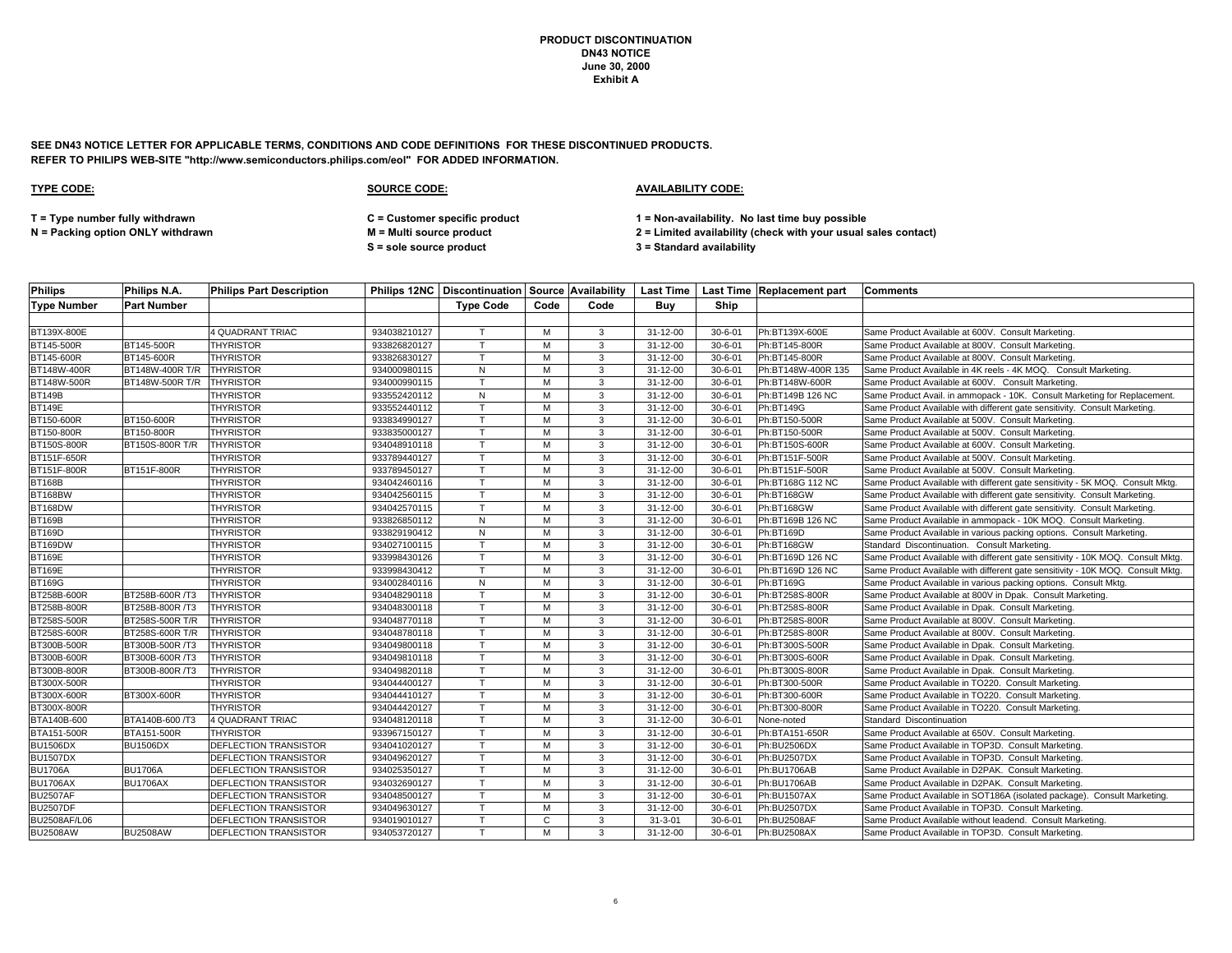**SEE DN43 NOTICE LETTER FOR APPLICABLE TERMS, CONDITIONS AND CODE DEFINITIONS FOR THESE DISCONTINUED PRODUCTS. REFER TO PHILIPS WEB-SITE "http://www.semiconductors.philips.com/eol" FOR ADDED INFORMATION.**

| <b>Philips</b>     | Philips N.A.       | <b>Philips Part Description</b> |              | <b>Philips 12NC Discontinuation Source Availability</b> |      |      |                |               | Last Time   Last Time   Replacement part | <b>Comments</b>                                                                 |
|--------------------|--------------------|---------------------------------|--------------|---------------------------------------------------------|------|------|----------------|---------------|------------------------------------------|---------------------------------------------------------------------------------|
| <b>Type Number</b> | <b>Part Number</b> |                                 |              | <b>Type Code</b>                                        | Code | Code | Buy            | Ship          |                                          |                                                                                 |
|                    |                    |                                 |              |                                                         |      |      |                |               |                                          |                                                                                 |
| BT139X-800E        |                    | <b>4 QUADRANT TRIAC</b>         | 934038210127 | $\mathbf \tau$                                          | M    | 3    | $31 - 12 - 00$ | $30 - 6 - 01$ | Ph:BT139X-600E                           | Same Product Available at 600V. Consult Marketing                               |
| BT145-500R         | BT145-500R         | <b>THYRISTOR</b>                | 933826820127 | $\mathsf{T}$                                            | M    | 3    | $31 - 12 - 00$ | $30 - 6 - 01$ | Ph:BT145-800R                            | Same Product Available at 800V. Consult Marketing.                              |
| BT145-600R         | BT145-600R         | <b>THYRISTOR</b>                | 933826830127 | $\mathsf{T}$                                            | м    | 3    | 31-12-00       | $30 - 6 - 01$ | Ph:BT145-800R                            | Same Product Available at 800V. Consult Marketing                               |
| BT148W-400R        | BT148W-400R T/R    | <b>THYRISTOR</b>                | 934000980115 | N                                                       | M    | 3    | $31 - 12 - 00$ | $30 - 6 - 01$ | Ph:BT148W-400R 135                       | Same Product Available in 4K reels - 4K MOQ. Consult Marketing.                 |
| BT148W-500R        | BT148W-500R T/R    | <b>THYRISTOR</b>                | 934000990115 | $\mathsf{T}$                                            | M    | 3    | 31-12-00       | $30 - 6 - 01$ | Ph:BT148W-600R                           | Same Product Available at 600V. Consult Marketing.                              |
| <b>BT149B</b>      |                    | <b>THYRISTOR</b>                | 933552420112 | N                                                       | м    | 3    | 31-12-00       | $30 - 6 - 01$ | Ph:BT149B 126 NC                         | Same Product Avail. in ammopack - 10K. Consult Marketing for Replacement.       |
| <b>BT149E</b>      |                    | <b>THYRISTOR</b>                | 933552440112 | $\mathsf{T}$                                            | M    | 3    | 31-12-00       | $30 - 6 - 01$ | Ph:BT149G                                | Same Product Available with different gate sensitivity. Consult Marketing.      |
| BT150-600R         | BT150-600R         | <b>THYRISTOR</b>                | 933834990127 | $\mathsf{T}$                                            | M    | 3    | 31-12-00       | $30 - 6 - 01$ | Ph:BT150-500R                            | Same Product Available at 500V. Consult Marketing.                              |
| BT150-800R         | BT150-800R         | <b>THYRISTOR</b>                | 933835000127 | $\mathsf{T}$                                            | M    | 3    | 31-12-00       | $30 - 6 - 01$ | Ph:BT150-500R                            | Same Product Available at 500V. Consult Marketing.                              |
| BT150S-800R        | BT150S-800R T/R    | <b>THYRISTOR</b>                | 934048910118 | T                                                       | м    | 3    | 31-12-00       | $30 - 6 - 01$ | Ph:BT150S-600R                           | Same Product Available at 600V. Consult Marketing.                              |
| BT151F-650R        |                    | <b>THYRISTOR</b>                | 933789440127 | T                                                       | M    | 3    | 31-12-00       | $30 - 6 - 01$ | Ph:BT151F-500R                           | Same Product Available at 500V. Consult Marketing                               |
| BT151F-800R        | BT151F-800R        | <b>THYRISTOR</b>                | 933789450127 | T                                                       | M    | 3    | 31-12-00       | $30 - 6 - 01$ | Ph:BT151F-500R                           | Same Product Available at 500V. Consult Marketing.                              |
| <b>BT168B</b>      |                    | <b>THYRISTOR</b>                | 934042460116 | T                                                       | м    | 3    | 31-12-00       | $30 - 6 - 01$ | Ph:BT168G 112 NC                         | Same Product Available with different gate sensitivity - 5K MOQ. Consult Mktg.  |
| BT168BW            |                    | <b>THYRISTOR</b>                | 934042560115 | T                                                       | M    | 3    | 31-12-00       | $30 - 6 - 01$ | Ph:BT168GW                               | Same Product Available with different gate sensitivity. Consult Marketing.      |
| BT168DW            |                    | <b>THYRISTOR</b>                | 934042570115 | $\mathsf{T}$                                            | M    | 3    | 31-12-00       | $30 - 6 - 01$ | Ph:BT168GW                               | Same Product Available with different gate sensitivity. Consult Marketing.      |
| <b>BT169B</b>      |                    | <b>THYRISTOR</b>                | 933826850112 | $\overline{N}$                                          | м    | 3    | 31-12-00       | $30 - 6 - 01$ | Ph:BT169B 126 NC                         | Same Product Available in ammopack - 10K MOQ. Consult Marketing.                |
| <b>BT169D</b>      |                    | <b>THYRISTOR</b>                | 933829190412 | N                                                       | M    | 3    | 31-12-00       | $30 - 6 - 01$ | Ph:BT169D                                | Same Product Available in various packing options. Consult Marketing.           |
| BT169DW            |                    | <b>THYRISTOR</b>                | 934027100115 | $\mathsf{T}$                                            | M    | 3    | 31-12-00       | $30 - 6 - 01$ | Ph:BT168GW                               | Standard Discontinuation. Consult Marketing.                                    |
| <b>BT169E</b>      |                    | <b>THYRISTOR</b>                | 933998430126 | T                                                       | M    | 3    | $31 - 12 - 00$ | $30 - 6 - 01$ | Ph:BT169D 126 NC                         | Same Product Available with different gate sensitivity - 10K MOQ. Consult Mktg. |
| <b>BT169E</b>      |                    | <b>THYRISTOR</b>                | 933998430412 | T                                                       | M    | 3    | 31-12-00       | $30 - 6 - 01$ | Ph:BT169D 126 NC                         | Same Product Available with different gate sensitivity - 10K MOQ. Consult Mktg. |
| <b>BT169G</b>      |                    | <b>THYRISTOR</b>                | 934002840116 | ${\sf N}$                                               | M    | 3    | 31-12-00       | $30 - 6 - 01$ | Ph:BT169G                                | Same Product Available in various packing options. Consult Mktg.                |
| BT258B-600R        | BT258B-600R /T3    | <b>THYRISTOR</b>                | 934048290118 | $\mathsf{T}$                                            | M    | 3    | $31 - 12 - 00$ | $30 - 6 - 01$ | Ph:BT258S-800R                           | Same Product Available at 800V in Dpak. Consult Marketing.                      |
| BT258B-800R        | BT258B-800R /T3    | <b>THYRISTOR</b>                | 934048300118 | $\mathsf{T}$                                            | M    | 3    | 31-12-00       | $30 - 6 - 01$ | Ph:BT258S-800R                           | Same Product Available in Dpak. Consult Marketing.                              |
| BT258S-500R        | BT258S-500R T/R    | <b>THYRISTOR</b>                | 934048770118 |                                                         | M    | 3    | $31 - 12 - 00$ | $30 - 6 - 01$ | Ph:BT258S-800R                           | Same Product Available at 800V. Consult Marketing.                              |
| BT258S-600R        | BT258S-600R T/R    | <b>THYRISTOR</b>                | 934048780118 | $\mathsf{T}$                                            | M    | 3    | 31-12-00       | $30 - 6 - 01$ | Ph:BT258S-800R                           | Same Product Available at 800V. Consult Marketing.                              |
| BT300B-500R        | BT300B-500R /T3    | <b>THYRISTOR</b>                | 934049800118 | T                                                       | M    | 3    | 31-12-00       | $30 - 6 - 01$ | Ph:BT300S-500R                           | Same Product Available in Dpak. Consult Marketing.                              |
| BT300B-600R        | BT300B-600R /T3    | <b>THYRISTOR</b>                | 934049810118 | T                                                       | M    | 3    | 31-12-00       | $30 - 6 - 01$ | Ph:BT300S-600R                           | Same Product Available in Dpak. Consult Marketing.                              |
| BT300B-800R        | BT300B-800R /T3    | <b>THYRISTOR</b>                | 934049820118 | T                                                       | M    | 3    | 31-12-00       | $30 - 6 - 01$ | Ph:BT300S-800R                           | Same Product Available in Dpak. Consult Marketing.                              |
| BT300X-500R        |                    | <b>THYRISTOR</b>                | 934044400127 | $\mathsf{T}$                                            | M    | 3    | 31-12-00       | $30 - 6 - 01$ | Ph:BT300-500R                            | Same Product Available in TO220. Consult Marketing.                             |
| BT300X-600R        | BT300X-600R        | <b>THYRISTOR</b>                | 934044410127 | $\mathsf{T}$                                            | м    | 3    | 31-12-00       | $30 - 6 - 01$ | Ph:BT300-600R                            | Same Product Available in TO220. Consult Marketing.                             |
| BT300X-800R        |                    | <b>THYRISTOR</b>                | 934044420127 | T                                                       | M    | 3    | 31-12-00       | $30 - 6 - 01$ | Ph:BT300-800R                            | Same Product Available in TO220. Consult Marketing.                             |
| BTA140B-600        | BTA140B-600 /T3    | 4 QUADRANT TRIAC                | 934048120118 | T                                                       | м    | 3    | 31-12-00       | $30 - 6 - 01$ | None-noted                               | Standard Discontinuation                                                        |
| BTA151-500R        | BTA151-500R        | <b>THYRISTOR</b>                | 933967150127 | $\mathsf{T}$                                            | M    | 3    | $31 - 12 - 00$ | $30 - 6 - 01$ | Ph:BTA151-650R                           | Same Product Available at 650V. Consult Marketing.                              |
| <b>BU1506DX</b>    | <b>BU1506DX</b>    | DEFLECTION TRANSISTOR           | 934041020127 | т                                                       | м    | 3    | 31-12-00       | $30 - 6 - 01$ | Ph:BU2506DX                              | Same Product Available in TOP3D. Consult Marketing.                             |
| <b>BU1507DX</b>    |                    | DEFLECTION TRANSISTOR           | 934049620127 | $\mathbf \tau$                                          | M    | 3    | 31-12-00       | $30 - 6 - 01$ | Ph:BU2507DX                              | Same Product Available in TOP3D. Consult Marketing.                             |
| <b>BU1706A</b>     | <b>BU1706A</b>     | DEFLECTION TRANSISTOR           | 934025350127 | T                                                       | M    | 3    | 31-12-00       | $30 - 6 - 01$ | Ph:BU1706AB                              | Same Product Available in D2PAK. Consult Marketing.                             |
| <b>BU1706AX</b>    | <b>BU1706AX</b>    | DEFLECTION TRANSISTOR           | 934032690127 | $\mathsf{T}$                                            | M    | 3    | 31-12-00       | $30 - 6 - 01$ | Ph:BU1706AB                              | Same Product Available in D2PAK. Consult Marketing                              |
| <b>BU2507AF</b>    |                    | DEFLECTION TRANSISTOR           | 934048500127 | $\mathsf{T}$                                            | M    | 3    | 31-12-00       | $30 - 6 - 01$ | Ph:BU1507AX                              | Same Product Available in SOT186A (isolated package). Consult Marketing         |
| <b>BU2507DF</b>    |                    | DEFLECTION TRANSISTOR           | 934049630127 | $\mathsf{T}$                                            | м    | 3    | 31-12-00       | $30 - 6 - 01$ | Ph:BU2507DX                              | Same Product Available in TOP3D. Consult Marketing.                             |
| BU2508AF/L06       |                    | DEFLECTION TRANSISTOR           | 934019010127 | $\mathsf{T}$                                            | C    | 3    | $31 - 3 - 01$  | $30 - 6 - 01$ | Ph:BU2508AF                              | Same Product Available without leadend. Consult Marketing                       |
| <b>BU2508AW</b>    | <b>BU2508AW</b>    | DEFLECTION TRANSISTOR           | 934053720127 | T                                                       | M    | 3    | 31-12-00       | $30 - 6 - 01$ | Ph:BU2508AX                              | Same Product Available in TOP3D. Consult Marketing.                             |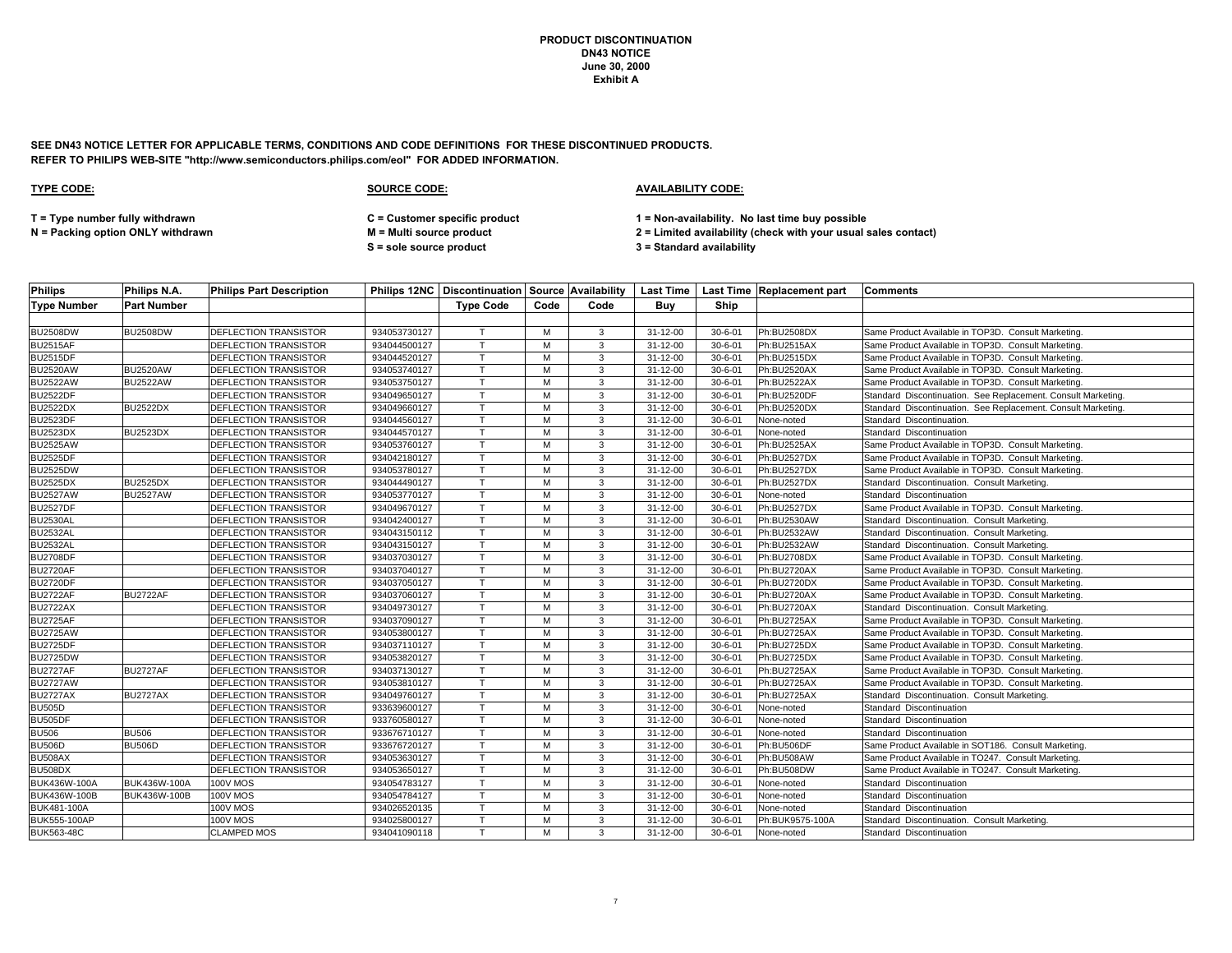**SEE DN43 NOTICE LETTER FOR APPLICABLE TERMS, CONDITIONS AND CODE DEFINITIONS FOR THESE DISCONTINUED PRODUCTS. REFER TO PHILIPS WEB-SITE "http://www.semiconductors.philips.com/eol" FOR ADDED INFORMATION.**

# **TYPE CODE: SOURCE CODE: AVAILABILITY CODE: T = Type number fully withdrawn C = Customer specific product 1 = Non-availability. No last time buy possible N = Packing option ONLY withdrawn M = Multi source product 2 = Limited availability (check with your usual sales contact)**

**S = sole source product 3 = Standard availability**

| <b>Philips</b>     | Philips N.A.       | <b>Philips Part Description</b> |              | Philips 12NC   Discontinuation   Source   Availability |      |      | <b>Last Time</b> |               | Last Time Replacement part | <b>Comments</b>                                               |
|--------------------|--------------------|---------------------------------|--------------|--------------------------------------------------------|------|------|------------------|---------------|----------------------------|---------------------------------------------------------------|
| <b>Type Number</b> | <b>Part Number</b> |                                 |              | <b>Type Code</b>                                       | Code | Code | Buv              | Ship          |                            |                                                               |
|                    |                    |                                 |              |                                                        |      |      |                  |               |                            |                                                               |
| <b>BU2508DW</b>    | <b>BU2508DW</b>    | DEFLECTION TRANSISTOR           | 934053730127 |                                                        | M    | 3    | 31-12-00         | $30 - 6 - 01$ | Ph:BU2508DX                | Same Product Available in TOP3D. Consult Marketing.           |
| <b>BU2515AF</b>    |                    | DEFLECTION TRANSISTOR           | 934044500127 | $\mathsf{T}$                                           | M    | 3    | 31-12-00         | $30 - 6 - 01$ | Ph:BU2515AX                | Same Product Available in TOP3D. Consult Marketing.           |
| <b>BU2515DF</b>    |                    | DEFLECTION TRANSISTOR           | 934044520127 | $\mathsf{T}$                                           | м    | 3    | 31-12-00         | $30 - 6 - 01$ | Ph:BU2515DX                | Same Product Available in TOP3D. Consult Marketing.           |
| <b>BU2520AW</b>    | <b>BU2520AW</b>    | DEFLECTION TRANSISTOR           | 934053740127 | $\mathsf{T}$                                           | M    | 3    | 31-12-00         | $30 - 6 - 01$ | Ph:BU2520AX                | Same Product Available in TOP3D. Consult Marketing.           |
| <b>BU2522AW</b>    | <b>BU2522AW</b>    | DEFLECTION TRANSISTOR           | 934053750127 | T                                                      | м    | 3    | $31 - 12 - 00$   | $30 - 6 - 01$ | Ph:BU2522AX                | Same Product Available in TOP3D. Consult Marketing.           |
| <b>BU2522DF</b>    |                    | DEFLECTION TRANSISTOR           | 934049650127 | $\mathsf{T}$                                           | M    | 3    | 31-12-00         | $30 - 6 - 01$ | Ph:BU2520DF                | Standard Discontinuation. See Replacement. Consult Marketing. |
| <b>BU2522DX</b>    | <b>BU2522DX</b>    | DEFLECTION TRANSISTOR           | 934049660127 | $\mathsf{T}$                                           | м    | 3    | 31-12-00         | $30 - 6 - 01$ | Ph:BU2520DX                | Standard Discontinuation. See Replacement. Consult Marketing. |
| <b>BU2523DF</b>    |                    | DEFLECTION TRANSISTOR           | 934044560127 | T                                                      | M    | 3    | 31-12-00         | $30 - 6 - 01$ | None-noted                 | Standard Discontinuation.                                     |
| <b>BU2523DX</b>    | <b>BU2523DX</b>    | <b>DEFLECTION TRANSISTOR</b>    | 934044570127 | $\mathsf{T}$                                           | м    | 3    | 31-12-00         | $30 - 6 - 01$ | None-noted                 | Standard Discontinuation                                      |
| <b>BU2525AW</b>    |                    | DEFLECTION TRANSISTOR           | 934053760127 | $\mathsf{T}$                                           | M    | 3    | 31-12-00         | $30 - 6 - 01$ | Ph:BU2525AX                | Same Product Available in TOP3D. Consult Marketing.           |
| <b>BU2525DF</b>    |                    | DEFLECTION TRANSISTOR           | 934042180127 | T                                                      | M    | 3    | 31-12-00         | $30 - 6 - 01$ | Ph:BU2527DX                | Same Product Available in TOP3D. Consult Marketing.           |
| <b>BU2525DW</b>    |                    | DEFLECTION TRANSISTOR           | 934053780127 |                                                        | м    | 3    | $31 - 12 - 00$   | $30 - 6 - 01$ | Ph:BU2527DX                | Same Product Available in TOP3D. Consult Marketing.           |
| <b>BU2525DX</b>    | <b>BU2525DX</b>    | DEFLECTION TRANSISTOR           | 934044490127 |                                                        | M    | 3    | 31-12-00         | $30 - 6 - 01$ | Ph:BU2527DX                | Standard Discontinuation. Consult Marketing.                  |
| <b>BU2527AW</b>    | <b>BU2527AW</b>    | <b>DEFLECTION TRANSISTOR</b>    | 934053770127 | T                                                      | м    | 3    | 31-12-00         | $30 - 6 - 01$ | None-noted                 | Standard Discontinuation                                      |
| <b>BU2527DF</b>    |                    | DEFLECTION TRANSISTOR           | 934049670127 |                                                        | M    | 3    | 31-12-00         | $30 - 6 - 01$ | Ph:BU2527DX                | Same Product Available in TOP3D. Consult Marketing.           |
| <b>BU2530AL</b>    |                    | <b>DEFLECTION TRANSISTOR</b>    | 934042400127 | T                                                      | м    | 3    | 31-12-00         | $30 - 6 - 01$ | Ph:BU2530AW                | Standard Discontinuation. Consult Marketing.                  |
| <b>BU2532AL</b>    |                    | DEFLECTION TRANSISTOR           | 934043150112 | T                                                      | M    | 3    | $31 - 12 - 00$   | $30 - 6 - 01$ | Ph:BU2532AW                | Standard Discontinuation. Consult Marketing.                  |
| <b>BU2532AL</b>    |                    | DEFLECTION TRANSISTOR           | 934043150127 | $\mathsf{T}$                                           | M    | 3    | 31-12-00         | $30 - 6 - 01$ | Ph:BU2532AW                | Standard Discontinuation. Consult Marketing.                  |
| <b>BU2708DF</b>    |                    | DEFLECTION TRANSISTOR           | 934037030127 | $\mathsf{T}$                                           | M    | 3    | 31-12-00         | $30 - 6 - 01$ | Ph:BU2708DX                | Same Product Available in TOP3D. Consult Marketing.           |
| <b>BU2720AF</b>    |                    | DEFLECTION TRANSISTOR           | 934037040127 | T                                                      | M    | 3    | 31-12-00         | $30 - 6 - 01$ | Ph:BU2720AX                | Same Product Available in TOP3D. Consult Marketing.           |
| <b>BU2720DF</b>    |                    | DEFLECTION TRANSISTOR           | 934037050127 | $\mathsf{T}$                                           | м    | 3    | 31-12-00         | $30 - 6 - 01$ | Ph:BU2720DX                | Same Product Available in TOP3D. Consult Marketing.           |
| <b>BU2722AF</b>    | <b>BU2722AF</b>    | DEFLECTION TRANSISTOR           | 934037060127 | $\mathsf{T}$                                           | M    | 3    | 31-12-00         | $30 - 6 - 01$ | Ph:BU2720AX                | Same Product Available in TOP3D. Consult Marketing.           |
| <b>BU2722AX</b>    |                    | DEFLECTION TRANSISTOR           | 934049730127 | $\mathsf{T}$                                           | м    | 3    | $31 - 12 - 00$   | $30 - 6 - 01$ | Ph:BU2720AX                | Standard Discontinuation. Consult Marketing.                  |
| <b>BU2725AF</b>    |                    | DEFLECTION TRANSISTOR           | 934037090127 | T                                                      | M    | 3    | 31-12-00         | $30 - 6 - 01$ | Ph:BU2725AX                | Same Product Available in TOP3D. Consult Marketing.           |
| <b>BU2725AW</b>    |                    | DEFLECTION TRANSISTOR           | 934053800127 |                                                        | м    | 3    | 31-12-00         | $30 - 6 - 01$ | Ph:BU2725AX                | Same Product Available in TOP3D. Consult Marketing.           |
| <b>BU2725DF</b>    |                    | DEFLECTION TRANSISTOR           | 934037110127 |                                                        | M    | 3    | 31-12-00         | $30 - 6 - 01$ | Ph:BU2725DX                | Same Product Available in TOP3D. Consult Marketing.           |
| <b>BU2725DW</b>    |                    | DEFLECTION TRANSISTOR           | 934053820127 |                                                        | M    | 3    | 31-12-00         | $30 - 6 - 01$ | Ph:BU2725DX                | Same Product Available in TOP3D. Consult Marketing.           |
| <b>BU2727AF</b>    | <b>BU2727AF</b>    | DEFLECTION TRANSISTOR           | 934037130127 | $\mathsf{T}$                                           | M    | 3    | 31-12-00         | $30 - 6 - 01$ | Ph:BU2725AX                | Same Product Available in TOP3D. Consult Marketing.           |
| <b>BU2727AW</b>    |                    | DEFLECTION TRANSISTOR           | 934053810127 |                                                        | M    | 3    | 31-12-00         | $30 - 6 - 01$ | Ph:BU2725AX                | Same Product Available in TOP3D. Consult Marketing.           |
| <b>BU2727AX</b>    | <b>BU2727AX</b>    | <b>DEFLECTION TRANSISTOR</b>    | 934049760127 | $\mathsf{T}$                                           | м    | 3    | $31 - 12 - 00$   | $30 - 6 - 01$ | Ph:BU2725AX                | Standard Discontinuation. Consult Marketing.                  |
| <b>BU505D</b>      |                    | DEFLECTION TRANSISTOR           | 933639600127 | $\mathsf{T}$                                           | M    | 3    | 31-12-00         | $30 - 6 - 01$ | None-noted                 | Standard Discontinuation                                      |
| <b>BU505DF</b>     |                    | DEFLECTION TRANSISTOR           | 933760580127 | $\mathsf{T}$                                           | м    | 3    | 31-12-00         | $30 - 6 - 01$ | None-noted                 | Standard Discontinuation                                      |
| <b>BU506</b>       | <b>BU506</b>       | DEFLECTION TRANSISTOR           | 933676710127 | T                                                      | M    | 3    | 31-12-00         | $30 - 6 - 01$ | None-noted                 | Standard Discontinuation                                      |
| <b>BU506D</b>      | <b>BU506D</b>      | DEFLECTION TRANSISTOR           | 933676720127 | $\mathsf{T}$                                           | м    | 3    | $31 - 12 - 00$   | $30 - 6 - 01$ | Ph:BU506DF                 | Same Product Available in SOT186. Consult Marketing.          |
| BU508AX            |                    | DEFLECTION TRANSISTOR           | 934053630127 | $\mathsf{T}$                                           | M    | 3    | 31-12-00         | $30 - 6 - 01$ | Ph:BU508AW                 | Same Product Available in TO247. Consult Marketing.           |
| <b>BU508DX</b>     |                    | DEFLECTION TRANSISTOR           | 934053650127 | T                                                      | M    | 3    | 31-12-00         | $30 - 6 - 01$ | Ph:BU508DW                 | Same Product Available in TO247. Consult Marketing.           |
| BUK436W-100A       | BUK436W-100A       | <b>100V MOS</b>                 | 934054783127 |                                                        | M    | 3    | 31-12-00         | $30 - 6 - 01$ | None-noted                 | Standard Discontinuation                                      |
| BUK436W-100B       | BUK436W-100B       | <b>100V MOS</b>                 | 934054784127 | $\mathsf{T}$                                           | M    | 3    | 31-12-00         | $30 - 6 - 01$ | None-noted                 | Standard Discontinuation                                      |
| <b>BUK481-100A</b> |                    | <b>100V MOS</b>                 | 934026520135 | $\mathsf{T}$                                           | м    | 3    | $31 - 12 - 00$   | $30 - 6 - 01$ | None-noted                 | Standard Discontinuation                                      |
| BUK555-100AP       |                    | 100V MOS                        | 934025800127 |                                                        | M    | 3    | 31-12-00         | $30 - 6 - 01$ | Ph:BUK9575-100A            | Standard Discontinuation. Consult Marketing.                  |
| <b>BUK563-48C</b>  |                    | <b>CLAMPED MOS</b>              | 934041090118 | T.                                                     | M    | 3    | 31-12-00         | $30 - 6 - 01$ | None-noted                 | Standard Discontinuation                                      |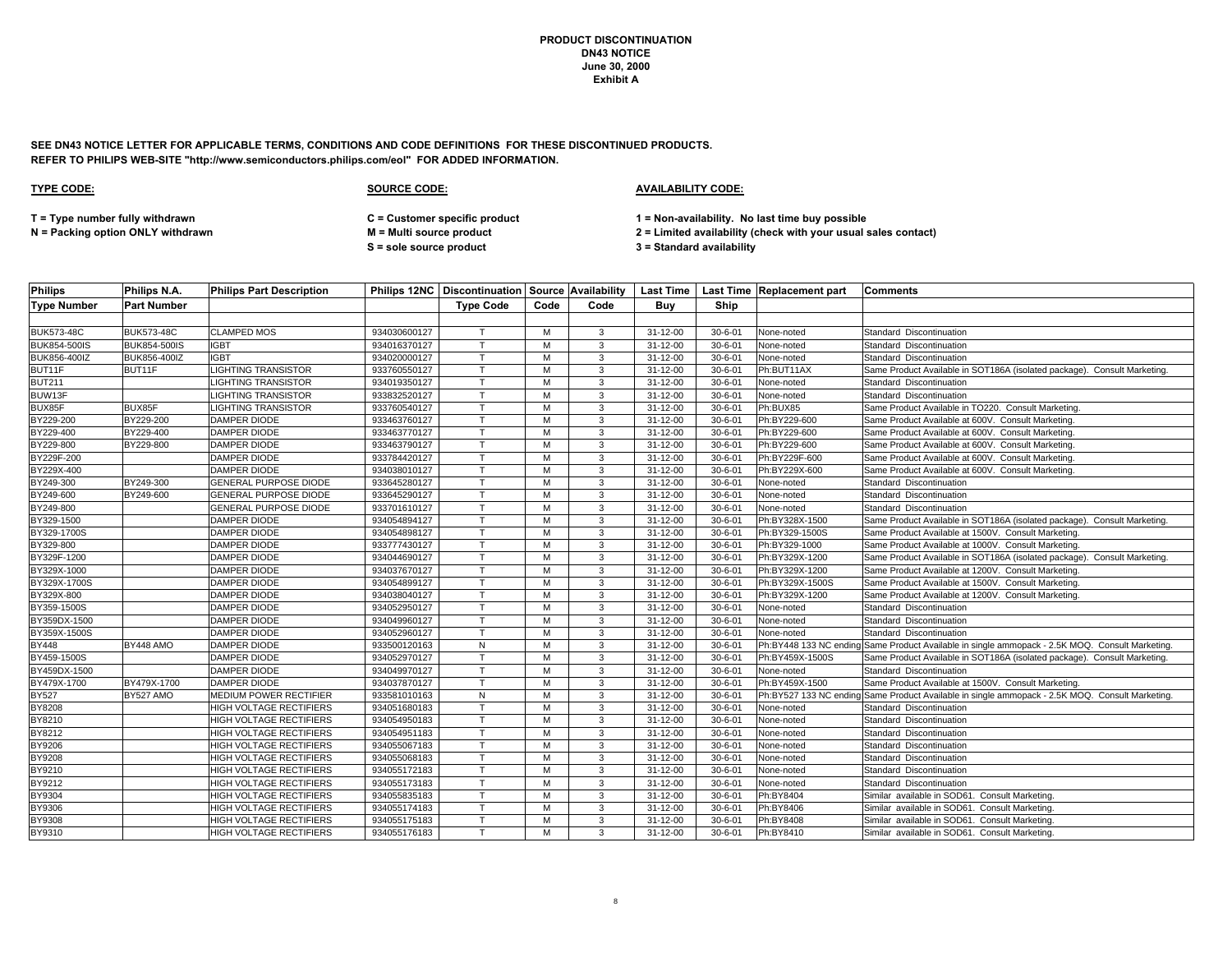**SEE DN43 NOTICE LETTER FOR APPLICABLE TERMS, CONDITIONS AND CODE DEFINITIONS FOR THESE DISCONTINUED PRODUCTS. REFER TO PHILIPS WEB-SITE "http://www.semiconductors.philips.com/eol" FOR ADDED INFORMATION.**

| <b>Philips</b>     | Philips N.A.        | <b>Philips Part Description</b> |              | Philips 12NC   Discontinuation   Source   Availability |      |      |                |               | Last Time   Last Time   Replacement part | <b>Comments</b>                                                                                 |
|--------------------|---------------------|---------------------------------|--------------|--------------------------------------------------------|------|------|----------------|---------------|------------------------------------------|-------------------------------------------------------------------------------------------------|
| <b>Type Number</b> | <b>Part Number</b>  |                                 |              | <b>Type Code</b>                                       | Code | Code | Buv            | Ship          |                                          |                                                                                                 |
|                    |                     |                                 |              |                                                        |      |      |                |               |                                          |                                                                                                 |
| <b>BUK573-48C</b>  | <b>BUK573-48C</b>   | <b>CLAMPED MOS</b>              | 934030600127 | $\mathsf{T}$                                           | M    | 3    | 31-12-00       | $30 - 6 - 01$ | None-noted                               | Standard Discontinuation                                                                        |
| BUK854-500IS       | <b>BUK854-500IS</b> | <b>IGBT</b>                     | 934016370127 | $\mathsf{T}$                                           | M    | 3    | 31-12-00       | $30 - 6 - 01$ | None-noted                               | Standard Discontinuation                                                                        |
| BUK856-400IZ       | BUK856-400IZ        | <b>IGBT</b>                     | 934020000127 | $\mathsf{T}$                                           | M    | 3    | 31-12-00       | $30 - 6 - 01$ | None-noted                               | Standard Discontinuation                                                                        |
| BUT11F             | BUT11F              | <b>LIGHTING TRANSISTOR</b>      | 933760550127 | $\mathsf{T}$                                           | M    | 3    | 31-12-00       | $30 - 6 - 01$ | Ph:BUT11AX                               | Same Product Available in SOT186A (isolated package). Consult Marketing                         |
| <b>BUT211</b>      |                     | <b>LIGHTING TRANSISTOR</b>      | 934019350127 |                                                        | м    | 3    | 31-12-00       | $30 - 6 - 01$ | None-noted                               | Standard Discontinuation                                                                        |
| BUW13F             |                     | <b>LIGHTING TRANSISTOR</b>      | 933832520127 | T                                                      | M    | 3    | 31-12-00       | $30 - 6 - 01$ | None-noted                               | Standard Discontinuation                                                                        |
| BUX85F             | BUX85F              | LIGHTING TRANSISTOR             | 933760540127 | $\mathsf{T}$                                           | м    | 3    | 31-12-00       | $30 - 6 - 01$ | Ph:BUX85                                 | Same Product Available in TO220. Consult Marketing                                              |
| BY229-200          | BY229-200           | DAMPER DIODE                    | 933463760127 | $\mathsf{T}$                                           | M    | 3    | 31-12-00       | $30 - 6 - 01$ | Ph:BY229-600                             | Same Product Available at 600V. Consult Marketing.                                              |
| BY229-400          | BY229-400           | DAMPER DIODE                    | 933463770127 |                                                        | M    | 3    | $31 - 12 - 00$ | $30 - 6 - 01$ | Ph:BY229-600                             | Same Product Available at 600V. Consult Marketing.                                              |
| BY229-800          | BY229-800           | <b>DAMPER DIODE</b>             | 933463790127 | T                                                      | M    | 3    | 31-12-00       | $30 - 6 - 01$ | Ph:BY229-600                             | Same Product Available at 600V. Consult Marketing                                               |
| BY229F-200         |                     | DAMPER DIODE                    | 933784420127 | $\mathsf{T}$                                           | M    | 3    | 31-12-00       | $30 - 6 - 01$ | Ph:BY229F-600                            | Same Product Available at 600V. Consult Marketing.                                              |
| BY229X-400         |                     | DAMPER DIODE                    | 934038010127 | T                                                      | M    | 3    | 31-12-00       | $30 - 6 - 01$ | Ph:BY229X-600                            | Same Product Available at 600V. Consult Marketing.                                              |
| BY249-300          | BY249-300           | GENERAL PURPOSE DIODE           | 933645280127 | T                                                      | M    | 3    | 31-12-00       | $30 - 6 - 01$ | None-noted                               | Standard Discontinuation                                                                        |
| BY249-600          | BY249-600           | <b>GENERAL PURPOSE DIODE</b>    | 933645290127 | $\top$                                                 | м    | 3    | 31-12-00       | $30 - 6 - 01$ | None-noted                               | Standard Discontinuation                                                                        |
| BY249-800          |                     | GENERAL PURPOSE DIODE           | 933701610127 | T.                                                     | M    | 3    | 31-12-00       | $30 - 6 - 01$ | None-noted                               | Standard Discontinuation                                                                        |
| BY329-1500         |                     | DAMPER DIODE                    | 934054894127 | $\mathsf{T}$                                           | M    | 3    | 31-12-00       | $30 - 6 - 01$ | Ph:BY328X-1500                           | Same Product Available in SOT186A (isolated package). Consult Marketing.                        |
| BY329-1700S        |                     | DAMPER DIODE                    | 934054898127 | $\mathsf{T}$                                           | M    | 3    | $31 - 12 - 00$ | $30 - 6 - 01$ | Ph:BY329-1500S                           | Same Product Available at 1500V. Consult Marketing.                                             |
| BY329-800          |                     | DAMPER DIODE                    | 933777430127 | T.                                                     | M    | 3    | 31-12-00       | $30 - 6 - 01$ | Ph:BY329-1000                            | Same Product Available at 1000V. Consult Marketing.                                             |
| BY329F-1200        |                     | DAMPER DIODE                    | 934044690127 |                                                        | M    | 3    | 31-12-00       | $30 - 6 - 01$ | Ph:BY329X-1200                           | Same Product Available in SOT186A (isolated package). Consult Marketing.                        |
| BY329X-1000        |                     | DAMPER DIODE                    | 934037670127 | $\mathsf{T}$                                           | M    | 3    | 31-12-00       | $30 - 6 - 01$ | Ph:BY329X-1200                           | Same Product Available at 1200V. Consult Marketing.                                             |
| BY329X-1700S       |                     | DAMPER DIODE                    | 934054899127 | $\mathsf{T}$                                           | м    | 3    | 31-12-00       | $30 - 6 - 01$ | Ph:BY329X-1500S                          | Same Product Available at 1500V. Consult Marketing.                                             |
| BY329X-800         |                     | DAMPER DIODE                    | 934038040127 | T                                                      | M    | 3    | 31-12-00       | $30 - 6 - 01$ | Ph:BY329X-1200                           | Same Product Available at 1200V. Consult Marketing.                                             |
| BY359-1500S        |                     | <b>DAMPER DIODE</b>             | 934052950127 |                                                        | M    | 3    | 31-12-00       | $30 - 6 - 01$ | None-noted                               | Standard Discontinuation                                                                        |
| BY359DX-1500       |                     | DAMPER DIODE                    | 934049960127 | $\mathsf{T}$                                           | м    | 3    | 31-12-00       | $30 - 6 - 01$ | None-noted                               | Standard Discontinuation                                                                        |
| BY359X-1500S       |                     | DAMPER DIODE                    | 934052960127 | т                                                      | M    | 3    | 31-12-00       | $30 - 6 - 01$ | None-noted                               | Standard Discontinuation                                                                        |
| <b>BY448</b>       | BY448 AMO           | <b>DAMPER DIODE</b>             | 933500120163 | N                                                      | M    | 3    | 31-12-00       | $30 - 6 - 01$ |                                          | Ph:BY448 133 NC ending Same Product Available in single ammopack - 2.5K MOQ. Consult Marketing. |
| BY459-1500S        |                     | DAMPER DIODE                    | 934052970127 | $\mathsf{T}$                                           | M    | 3    | 31-12-00       | $30 - 6 - 01$ | Ph:BY459X-1500S                          | Same Product Available in SOT186A (isolated package). Consult Marketing.                        |
| BY459DX-1500       |                     | DAMPER DIODE                    | 934049970127 | $\mathsf{T}$                                           | м    | 3    | $31 - 12 - 00$ | $30 - 6 - 01$ | None-noted                               | Standard Discontinuation                                                                        |
| BY479X-1700        | BY479X-1700         | <b>DAMPER DIODE</b>             | 934037870127 | $\mathsf{T}$                                           | M    | 3    | 31-12-00       | $30 - 6 - 01$ | Ph:BY459X-1500                           | Same Product Available at 1500V. Consult Marketing.                                             |
| <b>BY527</b>       | BY527 AMO           | MEDIUM POWER RECTIFIER          | 933581010163 | ${\sf N}$                                              | M    | 3    | 31-12-00       | $30 - 6 - 01$ |                                          | Ph:BY527 133 NC ending Same Product Available in single ammopack - 2.5K MOQ. Consult Marketing. |
| BY8208             |                     | HIGH VOLTAGE RECTIFIERS         | 934051680183 | $\mathsf{T}$                                           | м    | 3    | $31 - 12 - 00$ | $30 - 6 - 01$ | None-noted                               | Standard Discontinuation                                                                        |
| BY8210             |                     | HIGH VOLTAGE RECTIFIERS         | 934054950183 | $\mathsf{T}$                                           | M    | 3    | 31-12-00       | $30 - 6 - 01$ | None-noted                               | Standard Discontinuation                                                                        |
| BY8212             |                     | HIGH VOLTAGE RECTIFIERS         | 934054951183 | $\mathsf{T}$                                           | M    | 3    | 31-12-00       | $30 - 6 - 01$ | None-noted                               | Standard Discontinuation                                                                        |
| BY9206             |                     | HIGH VOLTAGE RECTIFIERS         | 934055067183 |                                                        | M    | 3    | 31-12-00       | $30 - 6 - 01$ | None-noted                               | Standard Discontinuation                                                                        |
| BY9208             |                     | HIGH VOLTAGE RECTIFIERS         | 934055068183 | T                                                      | M    | 3    | 31-12-00       | $30 - 6 - 01$ | None-noted                               | Standard Discontinuation                                                                        |
| BY9210             |                     | HIGH VOLTAGE RECTIFIERS         | 934055172183 | $\mathsf{T}$                                           | M    | 3    | 31-12-00       | $30 - 6 - 01$ | None-noted                               | Standard Discontinuation                                                                        |
| BY9212             |                     | HIGH VOLTAGE RECTIFIERS         | 934055173183 | $\mathsf{T}$                                           | M    | 3    | 31-12-00       | $30 - 6 - 01$ | None-noted                               | Standard Discontinuation                                                                        |
| BY9304             |                     | HIGH VOLTAGE RECTIFIERS         | 934055835183 | T                                                      | M    | 3    | $31 - 12 - 00$ | $30 - 6 - 01$ | Ph:BY8404                                | Similar available in SOD61. Consult Marketing.                                                  |
| <b>BY9306</b>      |                     | HIGH VOLTAGE RECTIFIERS         | 934055174183 | T.                                                     | M    | 3    | 31-12-00       | $30 - 6 - 01$ | Ph:BY8406                                | Similar available in SOD61. Consult Marketing.                                                  |
| BY9308             |                     | HIGH VOLTAGE RECTIFIERS         | 934055175183 | $\mathsf{T}$                                           | м    | 3    | 31-12-00       | $30 - 6 - 01$ | Ph:BY8408                                | Similar available in SOD61. Consult Marketing.                                                  |
| BY9310             |                     | HIGH VOLTAGE RECTIFIERS         | 934055176183 | T                                                      | м    | 3    | 31-12-00       | $30 - 6 - 01$ | Ph:BY8410                                | Similar available in SOD61. Consult Marketing.                                                  |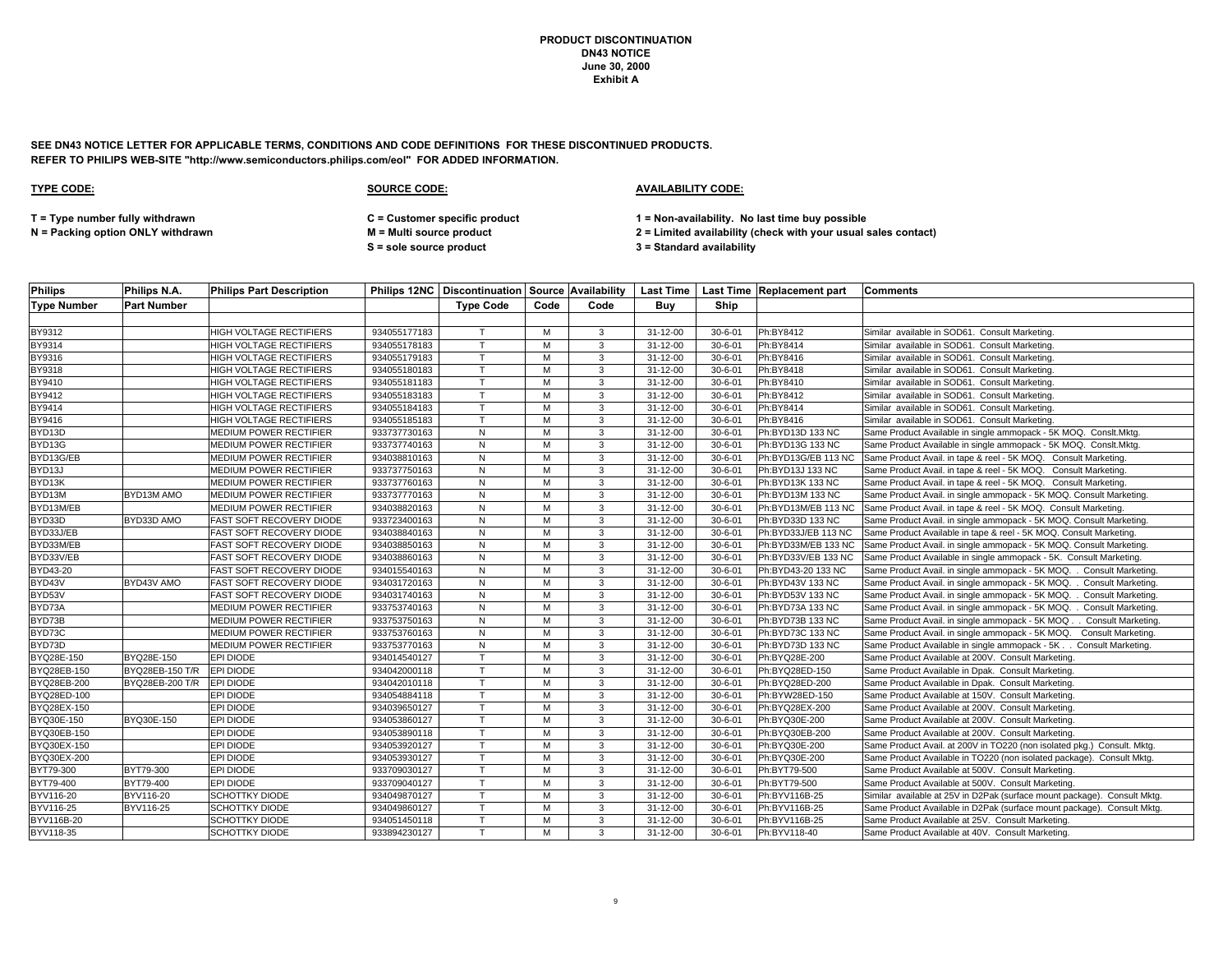**SEE DN43 NOTICE LETTER FOR APPLICABLE TERMS, CONDITIONS AND CODE DEFINITIONS FOR THESE DISCONTINUED PRODUCTS. REFER TO PHILIPS WEB-SITE "http://www.semiconductors.philips.com/eol" FOR ADDED INFORMATION.**

# **TYPE CODE: SOURCE CODE: AVAILABILITY CODE:**

**T = Type number fully withdrawn C = Customer specific product 1 = Non-availability. No last time buy possible**

**N = Packing option ONLY withdrawn M = Multi source product 2 = Limited availability (check with your usual sales contact)**

**S = sole source product 3 = Standard availability**

| <b>Philips</b>     | Philips N.A.       | <b>Philips Part Description</b> |              |                  |      |      |                |               | Philips 12NC Discontinuation Source Availability Last Time Last Time Replacement part | <b>Comments</b>                                                          |
|--------------------|--------------------|---------------------------------|--------------|------------------|------|------|----------------|---------------|---------------------------------------------------------------------------------------|--------------------------------------------------------------------------|
| <b>Type Number</b> | <b>Part Number</b> |                                 |              | <b>Type Code</b> | Code | Code | Buv            | <b>Ship</b>   |                                                                                       |                                                                          |
|                    |                    |                                 |              |                  |      |      |                |               |                                                                                       |                                                                          |
| BY9312             |                    | <b>HIGH VOLTAGE RECTIFIERS</b>  | 934055177183 |                  | M    | 3    | $31 - 12 - 00$ | $30 - 6 - 01$ | Ph:BY8412                                                                             | Similar available in SOD61. Consult Marketing                            |
| BY9314             |                    | HIGH VOLTAGE RECTIFIERS         | 934055178183 |                  | M    | 3    | 31-12-00       | $30 - 6 - 01$ | Ph:BY8414                                                                             | Similar available in SOD61. Consult Marketing                            |
| BY9316             |                    | HIGH VOLTAGE RECTIFIERS         | 934055179183 |                  | M    | 3    | $31 - 12 - 00$ | $30 - 6 - 01$ | Ph:BY8416                                                                             | Similar available in SOD61. Consult Marketing                            |
| BY9318             |                    | HIGH VOLTAGE RECTIFIERS         | 934055180183 |                  | M    | 3    | $31 - 12 - 00$ | $30 - 6 - 01$ | Ph:BY8418                                                                             | Similar available in SOD61. Consult Marketing                            |
| BY9410             |                    | HIGH VOLTAGE RECTIFIERS         | 934055181183 |                  | M    | 3    | 31-12-00       | $30 - 6 - 01$ | Ph:BY8410                                                                             | Similar available in SOD61. Consult Marketing                            |
| BY9412             |                    | HIGH VOLTAGE RECTIFIERS         | 934055183183 |                  | M    | 3    | 31-12-00       | $30 - 6 - 01$ | Ph:BY8412                                                                             | Similar available in SOD61. Consult Marketing                            |
| BY9414             |                    | <b>HIGH VOLTAGE RECTIFIERS</b>  | 934055184183 |                  | м    | 3    | $31 - 12 - 00$ | $30 - 6 - 01$ | Ph:BY8414                                                                             | Similar available in SOD61. Consult Marketing                            |
| BY9416             |                    | HIGH VOLTAGE RECTIFIERS         | 934055185183 | $\mathsf{T}$     | M    | 3    | 31-12-00       | $30 - 6 - 01$ | Ph:BY8416                                                                             | Similar available in SOD61. Consult Marketing                            |
| BYD13D             |                    | MEDIUM POWER RECTIFIER          | 933737730163 | N                | M    | 3    | $31 - 12 - 00$ | $30 - 6 - 01$ | Ph:BYD13D 133 NC                                                                      | Same Product Available in single ammopack - 5K MOQ. Conslt.Mktg.         |
| BYD <sub>13G</sub> |                    | MEDIUM POWER RECTIFIER          | 933737740163 | ${\sf N}$        | M    | 3    | 31-12-00       | $30 - 6 - 01$ | Ph:BYD13G 133 NC                                                                      | Same Product Available in single ammopack - 5K MOQ. Conslt.Mktg.         |
| BYD13G/EB          |                    | MEDIUM POWER RECTIFIER          | 934038810163 | N                | M    | 3    | 31-12-00       | $30 - 6 - 01$ | Ph:BYD13G/EB 113 NC                                                                   | Same Product Avail. in tape & reel - 5K MOQ. Consult Marketing.          |
| BYD13J             |                    | MEDIUM POWER RECTIFIER          | 933737750163 | $\mathsf{N}$     | M    | 3    | $31 - 12 - 00$ | $30 - 6 - 01$ | Ph:BYD13J 133 NC                                                                      | Same Product Avail. in tape & reel - 5K MOQ. Consult Marketing.          |
| BYD13K             |                    | MEDIUM POWER RECTIFIER          | 933737760163 | N                | M    | 3    | 31-12-00       | $30 - 6 - 01$ | Ph:BYD13K 133 NC                                                                      | Same Product Avail. in tape & reel - 5K MOQ. Consult Marketing.          |
| BYD13M             | BYD13M AMO         | <b>MEDIUM POWER RECTIFIER</b>   | 933737770163 | $\mathsf{N}$     | M    | 3    | $31 - 12 - 00$ | $30 - 6 - 01$ | Ph:BYD13M 133 NC                                                                      | Same Product Avail. in single ammopack - 5K MOQ. Consult Marketing.      |
| BYD13M/EB          |                    | MEDIUM POWER RECTIFIER          | 934038820163 | ${\sf N}$        | M    | 3    | 31-12-00       | $30 - 6 - 01$ | Ph:BYD13M/EB 113 NC                                                                   | Same Product Avail. in tape & reel - 5K MOQ. Consult Marketing.          |
| BYD33D             | BYD33D AMO         | FAST SOFT RECOVERY DIODE        | 933723400163 | $\overline{N}$   | M    | 3    | $31 - 12 - 00$ | $30 - 6 - 01$ | Ph:BYD33D 133 NC                                                                      | Same Product Avail. in single ammopack - 5K MOQ. Consult Marketing.      |
| BYD33J/EB          |                    | FAST SOFT RECOVERY DIODE        | 934038840163 | $\mathsf{N}$     | M    | 3    | 31-12-00       | $30 - 6 - 01$ | Ph:BYD33J/EB 113 NC                                                                   | Same Product Available in tape & reel - 5K MOQ. Consult Marketing.       |
| BYD33M/EB          |                    | FAST SOFT RECOVERY DIODE        | 934038850163 | ${\sf N}$        | M    | 3    | 31-12-00       | $30 - 6 - 01$ | Ph:BYD33M/EB 133 NC                                                                   | Same Product Avail. in single ammopack - 5K MOQ. Consult Marketing.      |
| BYD33V/EB          |                    | FAST SOFT RECOVERY DIODE        | 934038860163 | $\mathsf{N}$     | M    | 3    | 31-12-00       | $30 - 6 - 01$ | Ph:BYD33V/EB 133 NC                                                                   | Same Product Available in single ammopack - 5K. Consult Marketing.       |
| BYD43-20           |                    | <b>FAST SOFT RECOVERY DIODE</b> | 934015540163 | $\mathsf{N}$     | M    | 3    | 31-12-00       | $30 - 6 - 01$ | Ph:BYD43-20 133 NC                                                                    | Same Product Avail. in single ammopack - 5K MOQ. . Consult Marketing.    |
| BYD43V             | BYD43V AMO         | FAST SOFT RECOVERY DIODE        | 934031720163 | $\mathsf{N}$     | M    | 3    | $31 - 12 - 00$ | $30 - 6 - 01$ | Ph:BYD43V 133 NC                                                                      | Same Product Avail. in single ammopack - 5K MOQ. . Consult Marketing.    |
| BYD53V             |                    | FAST SOFT RECOVERY DIODE        | 934031740163 | ${\sf N}$        | M    | 3    | $31 - 12 - 00$ | $30 - 6 - 01$ | Ph:BYD53V 133 NC                                                                      | Same Product Avail. in single ammopack - 5K MOQ. . Consult Marketing.    |
| BYD73A             |                    | MEDIUM POWER RECTIFIER          | 933753740163 | N                | M    | 3    | $31 - 12 - 00$ | $30 - 6 - 01$ | Ph:BYD73A 133 NC                                                                      | Same Product Avail. in single ammopack - 5K MOQ. . Consult Marketing.    |
| BYD73B             |                    | MEDIUM POWER RECTIFIER          | 933753750163 | N                | м    | 3    | 31-12-00       | $30 - 6 - 01$ | Ph:BYD73B 133 NC                                                                      | Same Product Avail. in single ammopack - 5K MOQ Consult Marketing.       |
| BYD73C             |                    | MEDIUM POWER RECTIFIER          | 933753760163 | $\mathsf{N}$     | M    | 3    | 31-12-00       | $30 - 6 - 01$ | Ph:BYD73C 133 NC                                                                      | Same Product Avail. in single ammopack - 5K MOQ. Consult Marketing.      |
| BYD73D             |                    | MEDIUM POWER RECTIFIER          | 933753770163 | ${\sf N}$        | M    | 3    | 31-12-00       | $30 - 6 - 01$ | Ph:BYD73D 133 NC                                                                      | Same Product Available in single ammopack - 5K Consult Marketing.        |
| BYQ28E-150         | BYQ28E-150         | <b>EPI DIODE</b>                | 934014540127 | $\mathsf{T}$     | M    | 3    | $31 - 12 - 00$ | $30 - 6 - 01$ | Ph:BYQ28E-200                                                                         | Same Product Available at 200V. Consult Marketing.                       |
| BYQ28EB-150        | BYQ28EB-150 T/R    | EPI DIODE                       | 934042000118 |                  | M    | 3    | 31-12-00       | $30 - 6 - 01$ | Ph:BYQ28ED-150                                                                        | Same Product Available in Dpak. Consult Marketing.                       |
| BYQ28EB-200        | BYQ28EB-200 T/R    | EPI DIODE                       | 934042010118 | $\mathsf{T}$     | M    | 3    | $31 - 12 - 00$ | $30 - 6 - 01$ | Ph:BYQ28ED-200                                                                        | Same Product Available in Dpak. Consult Marketing.                       |
| BYQ28ED-100        |                    | EPI DIODE                       | 934054884118 | $\mathsf{T}$     | м    | 3    | 31-12-00       | $30 - 6 - 01$ | Ph:BYW28ED-150                                                                        | Same Product Available at 150V. Consult Marketing.                       |
| BYQ28EX-150        |                    | <b>EPI DIODE</b>                | 934039650127 | $\mathsf{T}$     | м    | 3    | 31-12-00       | $30 - 6 - 01$ | Ph:BYQ28EX-200                                                                        | Same Product Available at 200V. Consult Marketing.                       |
| BYQ30E-150         | BYQ30E-150         | <b>EPI DIODE</b>                | 934053860127 | $\mathsf{T}$     | M    | 3    | 31-12-00       | $30 - 6 - 01$ | Ph:BYQ30E-200                                                                         | Same Product Available at 200V. Consult Marketing.                       |
| BYQ30EB-150        |                    | <b>EPI DIODE</b>                | 934053890118 |                  | M    | 3    | 31-12-00       | $30 - 6 - 01$ | Ph:BYQ30EB-200                                                                        | Same Product Available at 200V. Consult Marketing.                       |
| BYQ30EX-150        |                    | EPI DIODE                       | 934053920127 |                  | м    | 3    | 31-12-00       | $30 - 6 - 01$ | Ph:BYQ30E-200                                                                         | Same Product Avail. at 200V in TO220 (non isolated pkg.) Consult. Mktg.  |
| BYQ30EX-200        |                    | <b>EPI DIODE</b>                | 934053930127 | $\mathbf \tau$   | M    | 3    | 31-12-00       | $30 - 6 - 01$ | Ph:BYQ30E-200                                                                         | Same Product Available in TO220 (non isolated package). Consult Mktg.    |
| BYT79-300          | BYT79-300          | <b>EPI DIODE</b>                | 933709030127 |                  | M    | 3    | 31-12-00       | $30 - 6 - 01$ | Ph:BYT79-500                                                                          | Same Product Available at 500V. Consult Marketing.                       |
| BYT79-400          | BYT79-400          | <b>EPI DIODE</b>                | 933709040127 | $\mathsf{T}$     | M    | 3    | 31-12-00       | $30 - 6 - 01$ | Ph:BYT79-500                                                                          | Same Product Available at 500V. Consult Marketing.                       |
| BYV116-20          | BYV116-20          | SCHOTTKY DIODE                  | 934049870127 | $\mathbf \tau$   | M    | 3    | 31-12-00       | $30 - 6 - 01$ | Ph:BYV116B-25                                                                         | Similar available at 25V in D2Pak (surface mount package). Consult Mktg. |
| BYV116-25          | BYV116-25          | <b>SCHOTTKY DIODE</b>           | 934049860127 |                  | M    | 3    | 31-12-00       | $30 - 6 - 01$ | Ph:BYV116B-25                                                                         | Same Product Available in D2Pak (surface mount package). Consult Mktg.   |
| BYV116B-20         |                    | <b>SCHOTTKY DIODE</b>           | 934051450118 | $\mathsf{T}$     | M    | 3    | 31-12-00       | $30 - 6 - 01$ | Ph:BYV116B-25                                                                         | Same Product Available at 25V. Consult Marketing.                        |
| BYV118-35          |                    | <b>SCHOTTKY DIODE</b>           | 933894230127 | T.               | м    | 3    | $31 - 12 - 00$ | $30 - 6 - 01$ | Ph:BYV118-40                                                                          | Same Product Available at 40V. Consult Marketing.                        |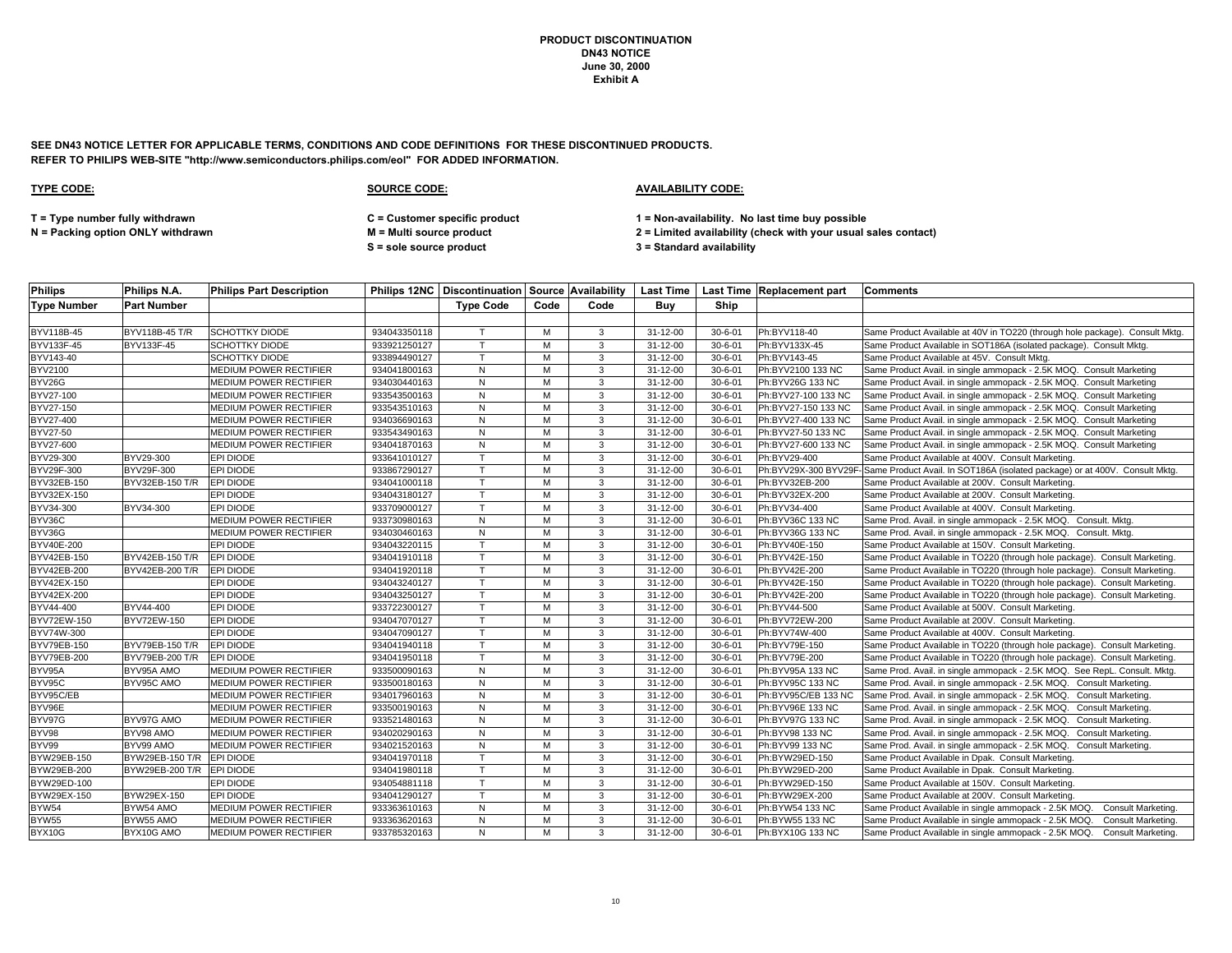**SEE DN43 NOTICE LETTER FOR APPLICABLE TERMS, CONDITIONS AND CODE DEFINITIONS FOR THESE DISCONTINUED PRODUCTS. REFER TO PHILIPS WEB-SITE "http://www.semiconductors.philips.com/eol" FOR ADDED INFORMATION.**

| <b>Philips</b>     | Philips N.A.       | lPhilips Part Description     |              |                  |      |              |                |               | <b>Philips 12NC   Discontinuation   Source   Availability   Last Time   Last Time   Replacement part</b> | <b>Comments</b>                                                                                  |
|--------------------|--------------------|-------------------------------|--------------|------------------|------|--------------|----------------|---------------|----------------------------------------------------------------------------------------------------------|--------------------------------------------------------------------------------------------------|
| <b>Type Number</b> | <b>Part Number</b> |                               |              | <b>Type Code</b> | Code | Code         | Buv            | Ship          |                                                                                                          |                                                                                                  |
|                    |                    |                               |              |                  |      |              |                |               |                                                                                                          |                                                                                                  |
| BYV118B-45         | BYV118B-45 T/R     | <b>SCHOTTKY DIODE</b>         | 934043350118 |                  | M    | 3            | 31-12-00       | $30 - 6 - 01$ | Ph:BYV118-40                                                                                             | Same Product Available at 40V in TO220 (through hole package). Consult Mktg.                     |
| BYV133F-45         | BYV133F-45         | <b>SCHOTTKY DIODE</b>         | 933921250127 | $\mathbf \tau$   | M    | 3            | 31-12-00       | $30 - 6 - 01$ | Ph:BYV133X-45                                                                                            | Same Product Available in SOT186A (isolated package). Consult Mktg                               |
| BYV143-40          |                    | <b>SCHOTTKY DIODE</b>         | 933894490127 | T.               | M    | 3            | 31-12-00       | $30 - 6 - 01$ | Ph:BYV143-45                                                                                             | Same Product Available at 45V. Consult Mktg.                                                     |
| BYV2100            |                    | MEDIUM POWER RECTIFIER        | 934041800163 | N                | М    | 3            | 31-12-00       | $30 - 6 - 01$ | Ph:BYV2100 133 NC                                                                                        | Same Product Avail. in single ammopack - 2.5K MOQ. Consult Marketing                             |
| BYV26G             |                    | MEDIUM POWER RECTIFIER        | 934030440163 | N                | M    | 3            | 31-12-00       | $30 - 6 - 01$ | Ph:BYV26G 133 NC                                                                                         | Same Product Avail. in single ammopack - 2.5K MOQ. Consult Marketing                             |
| BYV27-100          |                    | MEDIUM POWER RECTIFIER        | 933543500163 | N                | M    | 3            | 31-12-00       | $30 - 6 - 01$ | Ph:BYV27-100 133 NC                                                                                      | Same Product Avail. in single ammopack - 2.5K MOQ. Consult Marketing                             |
| BYV27-150          |                    | <b>MEDIUM POWER RECTIFIER</b> | 933543510163 | N                | M    | 3            | 31-12-00       | $30 - 6 - 01$ | Ph:BYV27-150 133 NC                                                                                      | Same Product Avail, in single ammopack - 2.5K MOQ. Consult Marketing                             |
| BYV27-400          |                    | <b>MEDIUM POWER RECTIFIER</b> | 934036690163 | N                | M    | 3            | 31-12-00       | $30 - 6 - 01$ | Ph:BYV27-400 133 NC                                                                                      | Same Product Avail. in single ammopack - 2.5K MOQ. Consult Marketing                             |
| BYV27-50           |                    | MEDIUM POWER RECTIFIER        | 933543490163 | N                | M    | 3            | 31-12-00       | $30 - 6 - 01$ | Ph:BYV27-50 133 NC                                                                                       | Same Product Avail. in single ammopack - 2.5K MOQ. Consult Marketing                             |
| BYV27-600          |                    | MEDIUM POWER RECTIFIER        | 934041870163 | N                | M    | 3            | 31-12-00       | $30 - 6 - 01$ | Ph:BYV27-600 133 NC                                                                                      | Same Product Avail. in single ammopack - 2.5K MOQ. Consult Marketing                             |
| BYV29-300          | BYV29-300          | <b>EPI DIODE</b>              | 933641010127 | $\mathsf{T}$     | M    | 3            | 31-12-00       | $30 - 6 - 01$ | Ph:BYV29-400                                                                                             | Same Product Available at 400V. Consult Marketing.                                               |
| BYV29F-300         | BYV29F-300         | <b>EPI DIODE</b>              | 933867290127 | T                | M    | 3            | 31-12-00       | $30 - 6 - 01$ |                                                                                                          | Ph:BYV29X-300 BYV29F-Same Product Avail. In SOT186A (isolated package) or at 400V. Consult Mktg. |
| BYV32EB-150        | BYV32EB-150 T/R    | <b>EPI DIODE</b>              | 934041000118 | $\mathsf{T}$     | M    | 3            | 31-12-00       | $30 - 6 - 01$ | Ph:BYV32EB-200                                                                                           | Same Product Available at 200V. Consult Marketing.                                               |
| BYV32EX-150        |                    | <b>EPI DIODE</b>              | 934043180127 | $\mathsf{T}$     | M    | 3            | 31-12-00       | $30 - 6 - 01$ | Ph:BYV32EX-200                                                                                           | Same Product Available at 200V. Consult Marketing.                                               |
| BYV34-300          | BYV34-300          | EPI DIODE                     | 933709000127 |                  | M    | $\mathbf{3}$ | 31-12-00       | $30 - 6 - 01$ | Ph:BYV34-400                                                                                             | Same Product Available at 400V. Consult Marketing.                                               |
| BYV36C             |                    | MEDIUM POWER RECTIFIER        | 933730980163 | N                | M    | 3            | 31-12-00       | $30 - 6 - 01$ | Ph:BYV36C 133 NC                                                                                         | Same Prod. Avail. in single ammopack - 2.5K MOQ. Consult. Mktg.                                  |
| BYV36G             |                    | MEDIUM POWER RECTIFIER        | 934030460163 | N                | M    | 3            | 31-12-00       | $30 - 6 - 01$ | Ph:BYV36G 133 NC                                                                                         | Same Prod. Avail. in single ammopack - 2.5K MOQ. Consult. Mktg.                                  |
| BYV40E-200         |                    | <b>EPI DIODE</b>              | 934043220115 | $\mathsf{T}$     | M    | 3            | 31-12-00       | $30 - 6 - 01$ | Ph:BYV40E-150                                                                                            | Same Product Available at 150V. Consult Marketing.                                               |
| BYV42EB-150        | BYV42EB-150 T/R    | EPI DIODE                     | 934041910118 | T                | M    | 3            | $31 - 12 - 00$ | $30 - 6 - 01$ | Ph:BYV42E-150                                                                                            | Same Product Available in TO220 (through hole package). Consult Marketing                        |
| BYV42EB-200        | BYV42EB-200 T/R    | <b>EPI DIODE</b>              | 934041920118 |                  | M    | 3            | 31-12-00       | $30 - 6 - 01$ | Ph:BYV42E-200                                                                                            | Same Product Available in TO220 (through hole package). Consult Marketing                        |
| BYV42EX-150        |                    | <b>EPI DIODE</b>              | 934043240127 |                  | м    | 3            | 31-12-00       | $30 - 6 - 01$ | Ph:BYV42E-150                                                                                            | Same Product Available in TO220 (through hole package). Consult Marketing.                       |
| <b>BYV42EX-200</b> |                    | <b>EPI DIODE</b>              | 934043250127 | $\mathsf{T}$     | M    | 3            | $31 - 12 - 00$ | $30 - 6 - 01$ | Ph:BYV42E-200                                                                                            | Same Product Available in TO220 (through hole package). Consult Marketing                        |
| BYV44-400          | BYV44-400          | <b>EPI DIODE</b>              | 933722300127 | $\mathsf{T}$     | M    | 3            | 31-12-00       | $30 - 6 - 01$ | Ph:BYV44-500                                                                                             | Same Product Available at 500V. Consult Marketing.                                               |
| BYV72EW-150        | BYV72EW-150        | <b>EPI DIODE</b>              | 934047070127 | T                | M    | 3            | 31-12-00       | $30 - 6 - 01$ | Ph:BYV72EW-200                                                                                           | Same Product Available at 200V. Consult Marketing.                                               |
| BYV74W-300         |                    | <b>EPI DIODE</b>              | 934047090127 |                  | M    | 3            | 31-12-00       | $30 - 6 - 01$ | Ph:BYV74W-400                                                                                            | Same Product Available at 400V. Consult Marketing.                                               |
| <b>BYV79EB-150</b> | BYV79EB-150 T/R    | <b>EPI DIODE</b>              | 934041940118 | $\mathsf{T}$     | M    | 3            | $31 - 12 - 00$ | $30 - 6 - 01$ | Ph:BYV79E-150                                                                                            | Same Product Available in TO220 (through hole package). Consult Marketing.                       |
| BYV79EB-200        | BYV79EB-200 T/R    | EPI DIODE                     | 934041950118 | $\mathsf{T}$     | M    | 3            | 31-12-00       | $30 - 6 - 01$ | Ph:BYV79E-200                                                                                            | Same Product Available in TO220 (through hole package). Consult Marketing                        |
| BYV95A             | BYV95A AMO         | <b>MEDIUM POWER RECTIFIER</b> | 933500090163 | N                | M    | 3            | 31-12-00       | $30 - 6 - 01$ | Ph:BYV95A 133 NC                                                                                         | Same Prod. Avail. in single ammopack - 2.5K MOQ. See RepL. Consult. Mktg.                        |
| BYV95C             | BYV95C AMO         | MEDIUM POWER RECTIFIER        | 933500180163 | N                | M    | 3            | 31-12-00       | $30 - 6 - 01$ | Ph:BYV95C 133 NC                                                                                         | Same Prod. Avail. in single ammopack - 2.5K MOQ. Consult Marketing.                              |
| BYV95C/EB          |                    | MEDIUM POWER RECTIFIER        | 934017960163 | N                | M    | 3            | 31-12-00       | $30 - 6 - 01$ | Ph:BYV95C/EB 133 NC                                                                                      | Same Prod. Avail. in single ammopack - 2.5K MOQ. Consult Marketing.                              |
| BYV96E             |                    | MEDIUM POWER RECTIFIER        | 933500190163 | N                | M    | $\mathbf{3}$ | $31 - 12 - 00$ | $30 - 6 - 01$ | Ph:BYV96E 133 NC                                                                                         | Same Prod. Avail. in single ammopack - 2.5K MOQ. Consult Marketing.                              |
| BYV97G             | BYV97G AMO         | <b>MEDIUM POWER RECTIFIER</b> | 933521480163 | N                | м    | 3            | 31-12-00       | $30 - 6 - 01$ | Ph:BYV97G 133 NC                                                                                         | Same Prod. Avail. in single ammopack - 2.5K MOQ. Consult Marketing.                              |
| BYV98              | BYV98 AMO          | <b>MEDIUM POWER RECTIFIER</b> | 934020290163 | N                | M    | 3            | 31-12-00       | $30 - 6 - 01$ | Ph:BYV98 133 NC                                                                                          | Same Prod. Avail. in single ammopack - 2.5K MOQ. Consult Marketing.                              |
| BYV99              | BYV99 AMO          | <b>MEDIUM POWER RECTIFIER</b> | 934021520163 | N                | M    | 3            | 31-12-00       | $30 - 6 - 01$ | Ph:BYV99 133 NC                                                                                          | Same Prod. Avail. in single ammopack - 2.5K MOQ. Consult Marketing.                              |
| BYW29EB-150        | BYW29EB-150 T/R    | <b>EPI DIODE</b>              | 934041970118 | $\mathsf{T}$     | M    | 3            | 31-12-00       | $30 - 6 - 01$ | Ph:BYW29ED-150                                                                                           | Same Product Available in Dpak. Consult Marketing.                                               |
| BYW29EB-200        | BYW29EB-200 T/R    | EPI DIODE                     | 934041980118 |                  | M    | $\mathbf{3}$ | 31-12-00       | $30 - 6 - 01$ | Ph:BYW29ED-200                                                                                           | Same Product Available in Dpak. Consult Marketing.                                               |
| BYW29ED-100        |                    | <b>EPI DIODE</b>              | 934054881118 | $\mathsf{T}$     | M    | 3            | 31-12-00       | $30 - 6 - 01$ | Ph:BYW29ED-150                                                                                           | Same Product Available at 150V. Consult Marketing                                                |
| BYW29EX-150        | BYW29EX-150        | <b>EPI DIODE</b>              | 934041290127 | $\mathsf{T}$     | M    | 3            | 31-12-00       | $30 - 6 - 01$ | Ph:BYW29EX-200                                                                                           | Same Product Available at 200V. Consult Marketing                                                |
| BYW54              | BYW54 AMO          | <b>MEDIUM POWER RECTIFIER</b> | 933363610163 | N                | M    | 3            | 31-12-00       | $30 - 6 - 01$ | Ph:BYW54 133 NC                                                                                          | Same Product Available in single ammopack - 2.5K MOQ.<br><b>Consult Marketing</b>                |
| <b>BYW55</b>       | BYW55 AMO          | <b>MEDIUM POWER RECTIFIER</b> | 933363620163 | N                | M    | 3            | 31-12-00       | $30 - 6 - 01$ | Ph:BYW55 133 NC                                                                                          | Same Product Available in single ammopack - 2.5K MOQ.<br>Consult Marketing.                      |
| BYX10G             | BYX10G AMO         | <b>MEDIUM POWER RECTIFIER</b> | 933785320163 | N                | M    | 3            | 31-12-00       | $30 - 6 - 01$ | Ph:BYX10G 133 NC                                                                                         | Same Product Available in single ammopack - 2.5K MOQ. Consult Marketing.                         |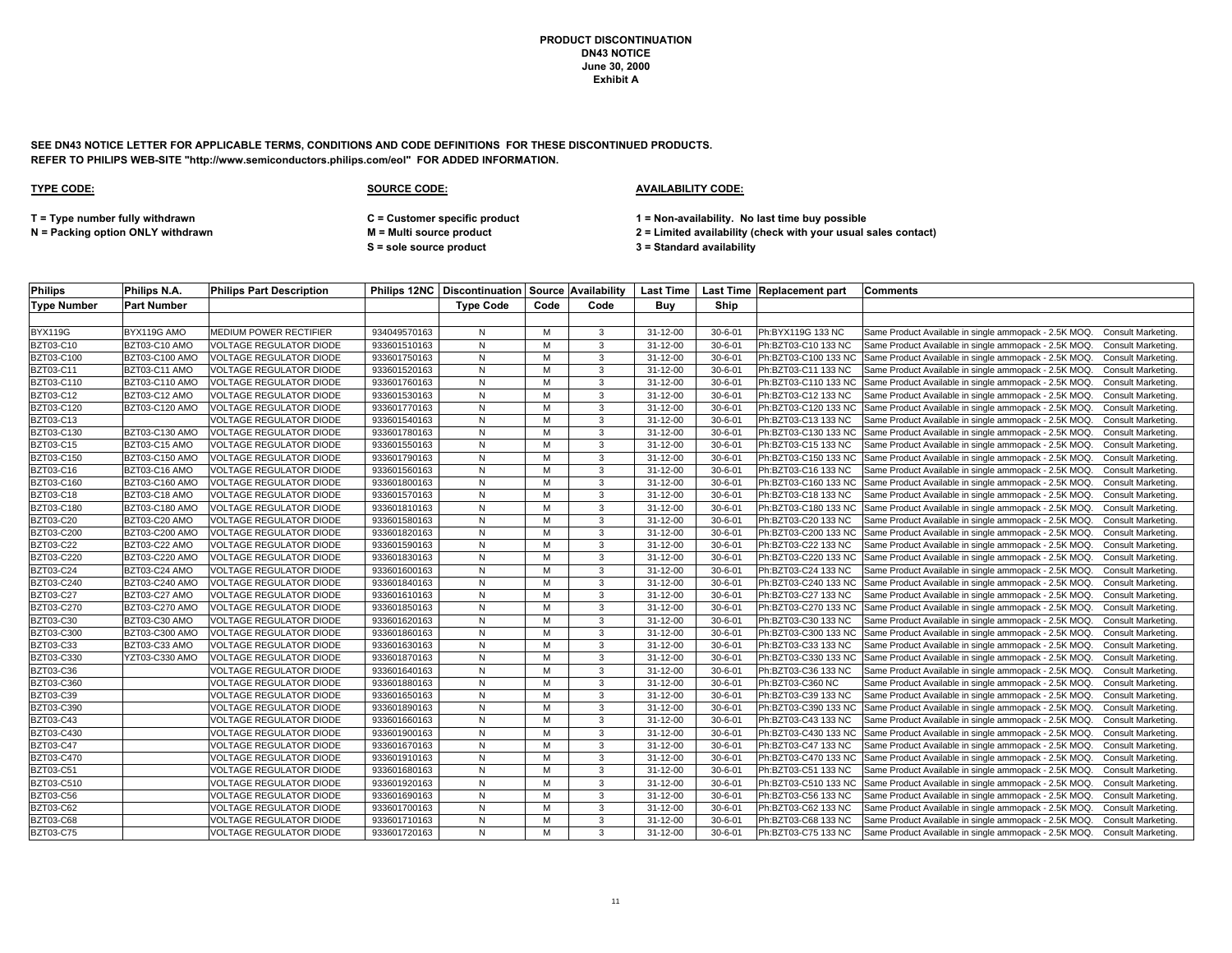**SEE DN43 NOTICE LETTER FOR APPLICABLE TERMS, CONDITIONS AND CODE DEFINITIONS FOR THESE DISCONTINUED PRODUCTS. REFER TO PHILIPS WEB-SITE "http://www.semiconductors.philips.com/eol" FOR ADDED INFORMATION.**

| <b>Philips</b>     | Philips N.A.       | <b>Philips Part Description</b> |              | <b>Philips 12NC   Discontinuation   Source   Availability</b> |      |      | Last Time      |               | Last Time Replacement part | <b>Comments</b>                                                                   |
|--------------------|--------------------|---------------------------------|--------------|---------------------------------------------------------------|------|------|----------------|---------------|----------------------------|-----------------------------------------------------------------------------------|
| <b>Type Number</b> | <b>Part Number</b> |                                 |              | <b>Type Code</b>                                              | Code | Code | Buv            | Ship          |                            |                                                                                   |
|                    |                    |                                 |              |                                                               |      |      |                |               |                            |                                                                                   |
| <b>BYX119G</b>     | BYX119G AMO        | MEDIUM POWER RECTIFIER          | 934049570163 | N                                                             | M    | 3    | 31-12-00       | $30 - 6 - 01$ | Ph:BYX119G 133 NC          | Same Product Available in single ammopack - 2.5K MOQ.<br>Consult Marketing.       |
| <b>BZT03-C10</b>   | BZT03-C10 AMO      | <b>VOLTAGE REGULATOR DIODE</b>  | 933601510163 | N                                                             | M    | 3    | 31-12-00       | $30 - 6 - 01$ | Ph:BZT03-C10 133 NC        | Same Product Available in single ammopack - 2.5K MOQ.<br>Consult Marketing.       |
| BZT03-C100         | BZT03-C100 AMO     | <b>VOLTAGE REGULATOR DIODE</b>  | 933601750163 | N                                                             | M    | 3    | 31-12-00       | $30 - 6 - 01$ | Ph:BZT03-C100 133 NC       | Same Product Available in single ammopack - 2.5K MOQ.<br>Consult Marketing.       |
| BZT03-C11          | BZT03-C11 AMO      | <b>VOLTAGE REGULATOR DIODE</b>  | 933601520163 | N                                                             | M    | 3    | 31-12-00       | $30 - 6 - 01$ | Ph:BZT03-C11 133 NC        | Same Product Available in single ammopack - 2.5K MOQ.<br>Consult Marketing.       |
| BZT03-C110         | BZT03-C110 AMO     | VOLTAGE REGULATOR DIODE         | 933601760163 | N                                                             | M    | 3    | 31-12-00       | $30 - 6 - 01$ | Ph:BZT03-C110 133 NC       | Same Product Available in single ammopack - 2.5K MOQ.<br>Consult Marketing.       |
| <b>BZT03-C12</b>   | BZT03-C12 AMO      | <b>VOLTAGE REGULATOR DIODE</b>  | 933601530163 | N                                                             | M    | 3    | 31-12-00       | $30 - 6 - 01$ | Ph:BZT03-C12 133 NC        | Same Product Available in single ammopack - 2.5K MOQ.<br><b>Consult Marketing</b> |
| BZT03-C120         | BZT03-C120 AMO     | <b>VOLTAGE REGULATOR DIODE</b>  | 933601770163 | N                                                             | M    | 3    | 31-12-00       | $30 - 6 - 01$ | Ph:BZT03-C120 133 NC       | Same Product Available in single ammopack - 2.5K MOQ.<br>Consult Marketing        |
| BZT03-C13          |                    | <b>VOLTAGE REGULATOR DIODE</b>  | 933601540163 | N                                                             | M    | 3    | $31 - 12 - 00$ | $30 - 6 - 01$ | Ph:BZT03-C13 133 NC        | Same Product Available in single ammopack - 2.5K MOQ.<br>Consult Marketing.       |
| BZT03-C130         | BZT03-C130 AMO     | <b>VOLTAGE REGULATOR DIODE</b>  | 933601780163 | N                                                             | M    | 3    | 31-12-00       | $30 - 6 - 01$ | Ph:BZT03-C130 133 NC       | Same Product Available in single ammopack - 2.5K MOQ.<br>Consult Marketing.       |
| BZT03-C15          | BZT03-C15 AMO      | <b>VOLTAGE REGULATOR DIODE</b>  | 933601550163 | N                                                             | M    | 3    | 31-12-00       | $30 - 6 - 01$ | Ph:BZT03-C15 133 NC        | Same Product Available in single ammopack - 2.5K MOQ.<br>Consult Marketing.       |
| BZT03-C150         | BZT03-C150 AMO     | <b>VOLTAGE REGULATOR DIODE</b>  | 933601790163 | N                                                             | M    | 3    | 31-12-00       | $30 - 6 - 01$ | Ph:BZT03-C150 133 NC       | Same Product Available in single ammopack - 2.5K MOQ.<br>Consult Marketing.       |
| <b>BZT03-C16</b>   | BZT03-C16 AMO      | <b>VOLTAGE REGULATOR DIODE</b>  | 933601560163 | N                                                             | M    | 3    | 31-12-00       | $30 - 6 - 01$ | Ph:BZT03-C16 133 NC        | Same Product Available in single ammopack - 2.5K MOQ.<br>Consult Marketing        |
| BZT03-C160         | BZT03-C160 AMO     | <b>VOLTAGE REGULATOR DIODE</b>  | 933601800163 | N                                                             | M    | 3    | 31-12-00       | $30 - 6 - 01$ | Ph:BZT03-C160 133 NC       | Same Product Available in single ammopack - 2.5K MOQ.<br><b>Consult Marketing</b> |
| BZT03-C18          | BZT03-C18 AMO      | <b>VOLTAGE REGULATOR DIODE</b>  | 933601570163 | N                                                             | M    | 3    | 31-12-00       | $30 - 6 - 01$ | Ph:BZT03-C18 133 NC        | Same Product Available in single ammopack - 2.5K MOQ.<br>Consult Marketing.       |
| <b>BZT03-C180</b>  | BZT03-C180 AMO     | <b>VOLTAGE REGULATOR DIODE</b>  | 933601810163 | N                                                             | M    | 3    | 31-12-00       | $30 - 6 - 01$ | Ph:BZT03-C180 133 NC       | Same Product Available in single ammopack - 2.5K MOQ.<br>Consult Marketing.       |
| <b>BZT03-C20</b>   | BZT03-C20 AMO      | <b>VOLTAGE REGULATOR DIODE</b>  | 933601580163 | N                                                             | M    | 3    | 31-12-00       | $30 - 6 - 01$ | Ph:BZT03-C20 133 NC        | Same Product Available in single ammopack - 2.5K MOQ.<br>Consult Marketing.       |
| BZT03-C200         | BZT03-C200 AMO     | <b>VOLTAGE REGULATOR DIODE</b>  | 933601820163 | N                                                             | M    | 3    | 31-12-00       | $30 - 6 - 01$ | Ph:BZT03-C200 133 NC       | Same Product Available in single ammopack - 2.5K MOQ.<br>Consult Marketing        |
| BZT03-C22          | BZT03-C22 AMO      | <b>VOLTAGE REGULATOR DIODE</b>  | 933601590163 | N                                                             | M    | 3    | 31-12-00       | $30 - 6 - 01$ | Ph:BZT03-C22 133 NC        | Same Product Available in single ammopack - 2.5K MOQ.<br>Consult Marketing.       |
| BZT03-C220         | BZT03-C220 AMO     | <b>VOLTAGE REGULATOR DIODE</b>  | 933601830163 | N                                                             | M    | 3    | 31-12-00       | $30 - 6 - 01$ | Ph:BZT03-C220 133 NC       | Same Product Available in single ammopack - 2.5K MOQ.<br>Consult Marketing        |
| <b>BZT03-C24</b>   | BZT03-C24 AMO      | <b>VOLTAGE REGULATOR DIODE</b>  | 933601600163 | N                                                             | M    | 3    | 31-12-00       | $30 - 6 - 01$ | Ph:BZT03-C24 133 NC        | Same Product Available in single ammopack - 2.5K MOQ.<br><b>Consult Marketing</b> |
| BZT03-C240         | BZT03-C240 AMO     | <b>VOLTAGE REGULATOR DIODE</b>  | 933601840163 | N                                                             | м    | 3    | 31-12-00       | $30 - 6 - 01$ | Ph:BZT03-C240 133 NC       | Same Product Available in single ammopack - 2.5K MOQ.<br>Consult Marketing.       |
| <b>BZT03-C27</b>   | BZT03-C27 AMO      | <b>VOLTAGE REGULATOR DIODE</b>  | 933601610163 | N                                                             | M    | 3    | $31 - 12 - 00$ | $30 - 6 - 01$ | Ph:BZT03-C27 133 NC        | Same Product Available in single ammopack - 2.5K MOQ.<br>Consult Marketing.       |
| <b>BZT03-C270</b>  | BZT03-C270 AMO     | <b>VOLTAGE REGULATOR DIODE</b>  | 933601850163 | N                                                             | M    | 3    | 31-12-00       | $30 - 6 - 01$ | Ph:BZT03-C270 133 NC       | Same Product Available in single ammopack - 2.5K MOQ.<br>Consult Marketing.       |
| BZT03-C30          | BZT03-C30 AMO      | <b>VOLTAGE REGULATOR DIODE</b>  | 933601620163 | N                                                             | M    | 3    | 31-12-00       | $30 - 6 - 01$ | Ph:BZT03-C30 133 NC        | Same Product Available in single ammopack - 2.5K MOQ.<br>Consult Marketing.       |
| BZT03-C300         | BZT03-C300 AMO     | <b>VOLTAGE REGULATOR DIODE</b>  | 933601860163 | N                                                             | м    | 3    | 31-12-00       | $30 - 6 - 01$ | Ph:BZT03-C300 133 NC       | Same Product Available in single ammopack - 2.5K MOQ.<br>Consult Marketing.       |
| BZT03-C33          | BZT03-C33 AMO      | <b>VOLTAGE REGULATOR DIODE</b>  | 933601630163 | N                                                             | M    | 3    | 31-12-00       | $30 - 6 - 01$ | Ph:BZT03-C33 133 NC        | Same Product Available in single ammopack - 2.5K MOQ.<br><b>Consult Marketing</b> |
| BZT03-C330         | YZT03-C330 AMO     | <b>VOLTAGE REGULATOR DIODE</b>  | 933601870163 | N                                                             | M    | 3    | 31-12-00       | $30 - 6 - 01$ | Ph:BZT03-C330 133 NC       | Same Product Available in single ammopack - 2.5K MOQ.<br><b>Consult Marketing</b> |
| BZT03-C36          |                    | VOLTAGE REGULATOR DIODE         | 933601640163 | N                                                             | M    | 3    | $31 - 12 - 00$ | $30 - 6 - 01$ | Ph:BZT03-C36 133 NC        | Same Product Available in single ammopack - 2.5K MOQ.<br>Consult Marketing.       |
| BZT03-C360         |                    | <b>VOLTAGE REGULATOR DIODE</b>  | 933601880163 | N                                                             | м    | 3    | 31-12-00       | $30 - 6 - 01$ | Ph:BZT03-C360 NC           | Same Product Available in single ammopack - 2.5K MOQ.<br><b>Consult Marketing</b> |
| <b>BZT03-C39</b>   |                    | <b>VOLTAGE REGULATOR DIODE</b>  | 933601650163 | N                                                             | M    | 3    | 31-12-00       | $30 - 6 - 01$ | Ph:BZT03-C39 133 NC        | Same Product Available in single ammopack - 2.5K MOQ.<br>Consult Marketing.       |
| BZT03-C390         |                    | <b>VOLTAGE REGULATOR DIODE</b>  | 933601890163 | N                                                             | M    | 3    | $31 - 12 - 00$ | $30 - 6 - 01$ | Ph:BZT03-C390 133 NC       | Same Product Available in single ammopack - 2.5K MOQ.<br>Consult Marketing.       |
| <b>BZT03-C43</b>   |                    | <b>VOLTAGE REGULATOR DIODE</b>  | 933601660163 | N                                                             | м    | 3    | 31-12-00       | $30 - 6 - 01$ | Ph:BZT03-C43 133 NC        | Same Product Available in single ammopack - 2.5K MOQ.<br><b>Consult Marketing</b> |
| BZT03-C430         |                    | VOLTAGE REGULATOR DIODE         | 933601900163 | N                                                             | M    | 3    | 31-12-00       | $30 - 6 - 01$ | Ph:BZT03-C430 133 NC       | Same Product Available in single ammopack - 2.5K MOQ.<br>Consult Marketing.       |
| <b>BZT03-C47</b>   |                    | VOLTAGE REGULATOR DIODE         | 933601670163 | N                                                             | M    | 3    | 31-12-00       | $30 - 6 - 01$ | Ph:BZT03-C47 133 NC        | Same Product Available in single ammopack - 2.5K MOQ.<br>Consult Marketing.       |
| BZT03-C470         |                    | VOLTAGE REGULATOR DIODE         | 933601910163 | N                                                             | M    | 3    | 31-12-00       | $30 - 6 - 01$ | Ph:BZT03-C470 133 NC       | Same Product Available in single ammopack - 2.5K MOQ.<br>Consult Marketing.       |
| <b>BZT03-C51</b>   |                    | VOLTAGE REGULATOR DIODE         | 933601680163 | N                                                             | M    | 3    | 31-12-00       | $30 - 6 - 01$ | Ph:BZT03-C51 133 NC        | Same Product Available in single ammopack - 2.5K MOQ.<br>Consult Marketing.       |
| BZT03-C510         |                    | VOLTAGE REGULATOR DIODE         | 933601920163 | N                                                             | M    | 3    | 31-12-00       | $30 - 6 - 01$ | Ph:BZT03-C510 133 NC       | Same Product Available in single ammopack - 2.5K MOQ.<br>Consult Marketing        |
| BZT03-C56          |                    | <b>/OLTAGE REGULATOR DIODE</b>  | 933601690163 | N                                                             | M    | 3    | 31-12-00       | $30 - 6 - 01$ | Ph:BZT03-C56 133 NC        | Same Product Available in single ammopack - 2.5K MOQ.<br>Consult Marketing.       |
| <b>BZT03-C62</b>   |                    | VOLTAGE REGULATOR DIODE         | 933601700163 | N                                                             | M    | 3    | 31-12-00       | $30 - 6 - 01$ | Ph:BZT03-C62 133 NC        | Same Product Available in single ammopack - 2.5K MOQ.<br><b>Consult Marketing</b> |
| <b>BZT03-C68</b>   |                    | VOLTAGE REGULATOR DIODE         | 933601710163 | N                                                             | M    | 3    | 31-12-00       | $30 - 6 - 01$ | Ph:BZT03-C68 133 NC        | Same Product Available in single ammopack - 2.5K MOQ.<br><b>Consult Marketing</b> |
| BZT03-C75          |                    | <b>VOLTAGE REGULATOR DIODE</b>  | 933601720163 | N                                                             | M    | 3    | $31 - 12 - 00$ | $30 - 6 - 01$ | Ph:BZT03-C75 133 NC        | Same Product Available in single ammopack - 2.5K MOQ. Consult Marketing.          |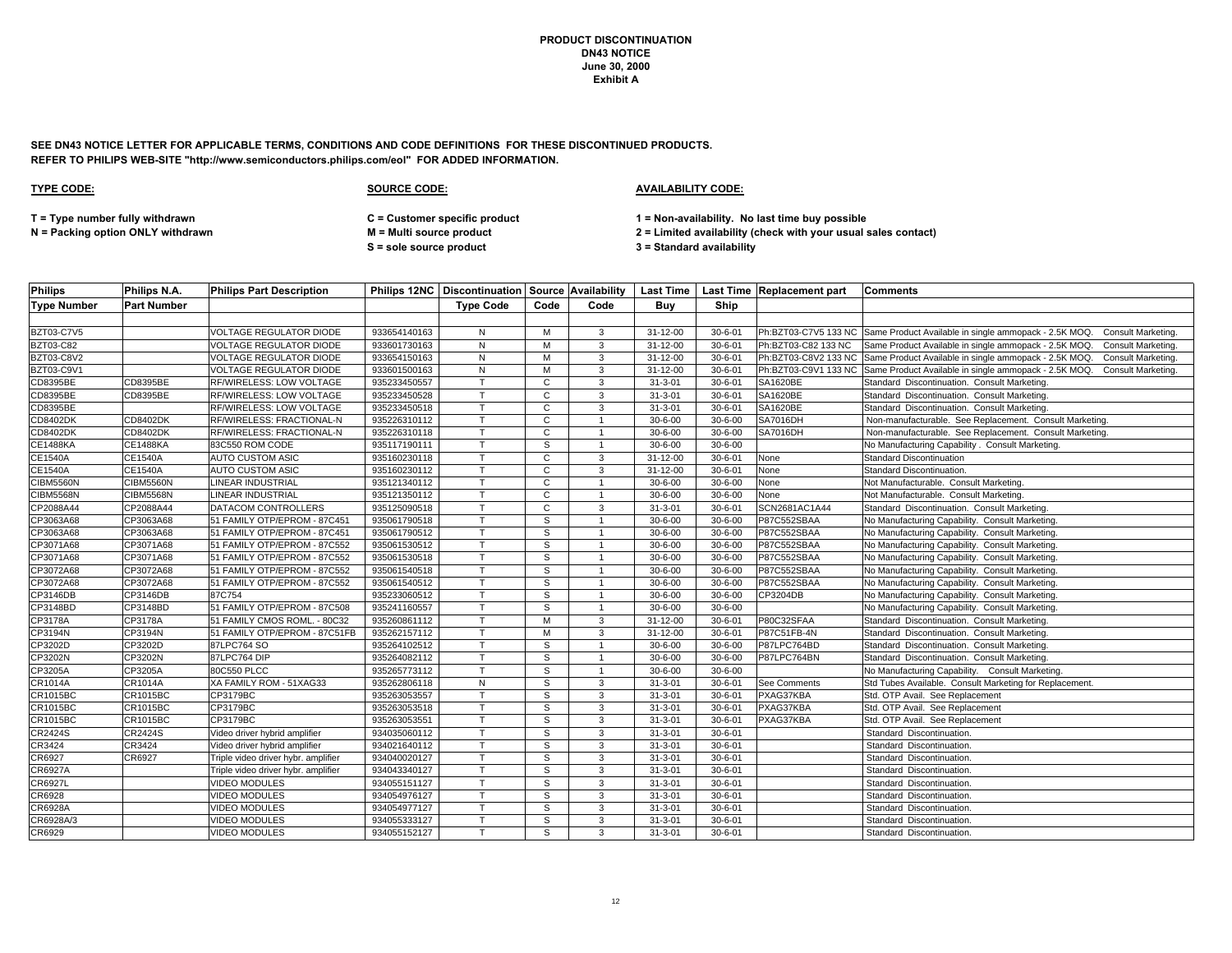**SEE DN43 NOTICE LETTER FOR APPLICABLE TERMS, CONDITIONS AND CODE DEFINITIONS FOR THESE DISCONTINUED PRODUCTS. REFER TO PHILIPS WEB-SITE "http://www.semiconductors.philips.com/eol" FOR ADDED INFORMATION.**

| <b>Philips</b>     | Philips N.A.       | <b>Philips Part Description</b>     |              |                  |              |                |                |               | Philips 12NC   Discontinuation   Source   Availability   Last Time   Last Time   Replacement part   Comments |                                                                                               |
|--------------------|--------------------|-------------------------------------|--------------|------------------|--------------|----------------|----------------|---------------|--------------------------------------------------------------------------------------------------------------|-----------------------------------------------------------------------------------------------|
| <b>Type Number</b> | <b>Part Number</b> |                                     |              | <b>Type Code</b> | Code         | Code           | Buv            | Ship          |                                                                                                              |                                                                                               |
|                    |                    |                                     |              |                  |              |                |                |               |                                                                                                              |                                                                                               |
| <b>BZT03-C7V5</b>  |                    | <b>VOLTAGE REGULATOR DIODE</b>      | 933654140163 | N                | M            | 3              | $31 - 12 - 00$ | $30 - 6 - 01$ |                                                                                                              | Ph:BZT03-C7V5 133 NC Same Product Available in single ammopack - 2.5K MOQ. Consult Marketing. |
| BZT03-C82          |                    | <b>VOLTAGE REGULATOR DIODE</b>      | 933601730163 | N                | M            | 3              | 31-12-00       | $30 - 6 - 01$ | Ph:BZT03-C82 133 NC                                                                                          | Same Product Available in single ammopack - 2.5K MOQ. Consult Marketing.                      |
| <b>BZT03-C8V2</b>  |                    | <b>VOLTAGE REGULATOR DIODE</b>      | 933654150163 | N                | M            | 3              | 31-12-00       | $30 - 6 - 01$ |                                                                                                              | Ph:BZT03-C8V2 133 NC Same Product Available in single ammopack - 2.5K MOQ. Consult Marketing. |
| <b>BZT03-C9V1</b>  |                    | <b>VOLTAGE REGULATOR DIODE</b>      | 933601500163 | N                | M            | 3              | 31-12-00       | $30 - 6 - 01$ |                                                                                                              | Ph:BZT03-C9V1 133 NC Same Product Available in single ammopack - 2.5K MOQ. Consult Marketing. |
| CD8395BE           | CD8395BE           | RF/WIRELESS: LOW VOLTAGE            | 935233450557 | T.               | $\mathbf{C}$ | 3              | $31 - 3 - 01$  | $30 - 6 - 01$ | SA1620BE                                                                                                     | Standard Discontinuation. Consult Marketing.                                                  |
| CD8395BE           | CD8395BE           | RF/WIRELESS: LOW VOLTAGE            | 935233450528 | T.               | $\mathbf{C}$ | 3              | $31 - 3 - 01$  | $30 - 6 - 01$ | SA1620BE                                                                                                     | Standard Discontinuation. Consult Marketing.                                                  |
| CD8395BE           |                    | RF/WIRELESS: LOW VOLTAGE            | 935233450518 | T.               | $\mathbf{C}$ | 3              | $31 - 3 - 01$  | $30 - 6 - 01$ | <b>SA1620BE</b>                                                                                              | Standard Discontinuation. Consult Marketing.                                                  |
| CD8402DK           | CD8402DK           | RF/WIRELESS: FRACTIONAL-N           | 935226310112 | $\mathsf{T}$     | $\mathbf{C}$ |                | $30 - 6 - 00$  | $30 - 6 - 00$ | <b>SA7016DH</b>                                                                                              | Non-manufacturable. See Replacement. Consult Marketing.                                       |
| <b>CD8402DK</b>    | <b>CD8402DK</b>    | RF/WIRELESS: FRACTIONAL-N           | 935226310118 | $\mathsf{T}$     | C            |                | $30 - 6 - 00$  | $30 - 6 - 00$ | <b>SA7016DH</b>                                                                                              | Non-manufacturable. See Replacement. Consult Marketing.                                       |
| <b>CE1488KA</b>    | <b>CE1488KA</b>    | 83C550 ROM CODE                     | 935117190111 | T.               | S.           |                | $30 - 6 - 00$  | $30 - 6 - 00$ |                                                                                                              | No Manufacturing Capability . Consult Marketing.                                              |
| <b>CE1540A</b>     | CE1540A            | AUTO CUSTOM ASIC                    | 935160230118 | T.               | $\mathbf{C}$ | 3              | 31-12-00       | $30 - 6 - 01$ | None                                                                                                         | <b>Standard Discontinuation</b>                                                               |
| CE1540A            | CE1540A            | <b>AUTO CUSTOM ASIC</b>             | 935160230112 | $\mathsf{T}$     | $\mathbf{C}$ | 3              | 31-12-00       | $30 - 6 - 01$ | None                                                                                                         | Standard Discontinuation.                                                                     |
| <b>CIBM5560N</b>   | <b>CIBM5560N</b>   | LINEAR INDUSTRIAL                   | 935121340112 | T.               | $\mathbf{C}$ | $\overline{1}$ | $30 - 6 - 00$  | $30 - 6 - 00$ | None                                                                                                         | Not Manufacturable. Consult Marketing.                                                        |
| <b>CIBM5568N</b>   | <b>CIBM5568N</b>   | <b>LINEAR INDUSTRIAL</b>            | 935121350112 | T.               | C            |                | $30 - 6 - 00$  | $30 - 6 - 00$ | None                                                                                                         | Not Manufacturable. Consult Marketing.                                                        |
| CP2088A44          | CP2088A44          | DATACOM CONTROLLERS                 | 935125090518 | $\mathsf{T}$     | $\mathbf{C}$ | 3              | $31 - 3 - 01$  | $30 - 6 - 01$ | SCN2681AC1A44                                                                                                | Standard Discontinuation. Consult Marketing.                                                  |
| CP3063A68          | CP3063A68          | 51 FAMILY OTP/EPROM - 87C451        | 935061790518 | T.               | S            | $\overline{1}$ | $30 - 6 - 00$  | $30 - 6 - 00$ | P87C552SBAA                                                                                                  | No Manufacturing Capability. Consult Marketing.                                               |
| CP3063A68          | CP3063A68          | 51 FAMILY OTP/EPROM - 87C451        | 935061790512 | $\mathsf{T}$     | s            |                | $30 - 6 - 00$  | $30 - 6 - 00$ | P87C552SBAA                                                                                                  | No Manufacturing Capability. Consult Marketing.                                               |
| CP3071A68          | CP3071A68          | 51 FAMILY OTP/EPROM - 87C552        | 935061530512 |                  | S            |                | $30 - 6 - 00$  | $30 - 6 - 00$ | P87C552SBAA                                                                                                  | No Manufacturing Capability. Consult Marketing.                                               |
| CP3071A68          | CP3071A68          | 51 FAMILY OTP/EPROM - 87C552        | 935061530518 | T.               | S            |                | $30 - 6 - 00$  | $30 - 6 - 00$ | P87C552SBAA                                                                                                  | No Manufacturing Capability. Consult Marketing.                                               |
| CP3072A68          | CP3072A68          | 51 FAMILY OTP/EPROM - 87C552        | 935061540518 | $\mathsf{T}$     | S            |                | $30 - 6 - 00$  | $30 - 6 - 00$ | P87C552SBAA                                                                                                  | No Manufacturing Capability. Consult Marketing.                                               |
| CP3072A68          | CP3072A68          | 51 FAMILY OTP/EPROM - 87C552        | 935061540512 | $\mathsf{T}$     | s            |                | $30 - 6 - 00$  | $30 - 6 - 00$ | P87C552SBAA                                                                                                  | No Manufacturing Capability. Consult Marketing.                                               |
| CP3146DB           | CP3146DB           | 87C754                              | 935233060512 | T.               | s            |                | $30 - 6 - 00$  | $30 - 6 - 00$ | CP3204DB                                                                                                     | No Manufacturing Capability. Consult Marketing.                                               |
| CP3148BD           | CP3148BD           | 51 FAMILY OTP/EPROM - 87C508        | 935241160557 | T.               | S.           |                | $30 - 6 - 00$  | $30 - 6 - 00$ |                                                                                                              | No Manufacturing Capability. Consult Marketing.                                               |
| CP3178A            | CP3178A            | 51 FAMILY CMOS ROML. - 80C32        | 935260861112 | T.               | M            | 3              | 31-12-00       | $30 - 6 - 01$ | P80C32SFAA                                                                                                   | Standard Discontinuation. Consult Marketing.                                                  |
| CP3194N            | CP3194N            | 51 FAMILY OTP/EPROM - 87C51FB       | 935262157112 |                  | М            | 3              | 31-12-00       | $30 - 6 - 01$ | P87C51FB-4N                                                                                                  | Standard Discontinuation. Consult Marketing.                                                  |
| CP3202D            | CP3202D            | 87LPC764 SO                         | 935264102512 | T.               | S            | $\overline{1}$ | $30 - 6 - 00$  | $30 - 6 - 00$ | P87LPC764BD                                                                                                  | Standard Discontinuation. Consult Marketing.                                                  |
| CP3202N            | CP3202N            | 87LPC764 DIP                        | 935264082112 | T.               | S            |                | $30 - 6 - 00$  | $30 - 6 - 00$ | P87LPC764BN                                                                                                  | Standard Discontinuation. Consult Marketing.                                                  |
| CP3205A            | CP3205A            | 80C550 PLCC                         | 935265773112 |                  | S.           |                | $30 - 6 - 00$  | $30 - 6 - 00$ |                                                                                                              | No Manufacturing Capability. Consult Marketing.                                               |
| CR1014A            | CR1014A            | XA FAMILY ROM - 51XAG33             | 935262806118 | N                | S            | 3              | $31 - 3 - 01$  | $30 - 6 - 01$ | See Comments                                                                                                 | Std Tubes Available. Consult Marketing for Replacement.                                       |
| <b>CR1015BC</b>    | CR1015BC           | CP3179BC                            | 935263053557 |                  | s            | 3              | $31 - 3 - 01$  | $30 - 6 - 01$ | PXAG37KBA                                                                                                    | Std. OTP Avail. See Replacement                                                               |
| CR1015BC           | CR1015BC           | CP3179BC                            | 935263053518 |                  | S.           | 3              | $31 - 3 - 01$  | $30 - 6 - 01$ | PXAG37KBA                                                                                                    | Std. OTP Avail. See Replacement                                                               |
| <b>CR1015BC</b>    | CR1015BC           | <b>CP3179BC</b>                     | 935263053551 | T.               | S            | 3              | $31 - 3 - 01$  | $30 - 6 - 01$ | PXAG37KBA                                                                                                    | Std. OTP Avail. See Replacement                                                               |
| CR2424S            | CR2424S            | Video driver hybrid amplifier       | 934035060112 | $\mathsf{T}$     | s            | 3              | $31 - 3 - 01$  | $30 - 6 - 01$ |                                                                                                              | Standard Discontinuation.                                                                     |
| CR3424             | CR3424             | Video driver hybrid amplifier       | 934021640112 |                  | S            | 3              | $31 - 3 - 01$  | $30 - 6 - 01$ |                                                                                                              | Standard Discontinuation.                                                                     |
| CR6927             | CR6927             | Triple video driver hybr. amplifier | 934040020127 | T.               | S            | 3              | $31 - 3 - 01$  | $30 - 6 - 01$ |                                                                                                              | Standard Discontinuation.                                                                     |
| CR6927A            |                    | Triple video driver hybr. amplifier | 934043340127 | T.               | S            | 3              | $31 - 3 - 01$  | $30 - 6 - 01$ |                                                                                                              | Standard Discontinuation.                                                                     |
| CR6927L            |                    | VIDEO MODULES                       | 934055151127 | T                | S.           | 3              | $31 - 3 - 01$  | $30 - 6 - 01$ |                                                                                                              | Standard Discontinuation.                                                                     |
| CR6928             |                    | <b>VIDEO MODULES</b>                | 934054976127 | $\mathsf{T}$     | S            | 3              | $31 - 3 - 01$  | $30 - 6 - 01$ |                                                                                                              | Standard Discontinuation.                                                                     |
| CR6928A            |                    | <b>VIDEO MODULES</b>                | 934054977127 | T.               | S.           | 3              | $31 - 3 - 01$  | $30 - 6 - 01$ |                                                                                                              | Standard Discontinuation.                                                                     |
| CR6928A/3          |                    | VIDEO MODULES                       | 934055333127 | T.               | S.           | 3              | $31 - 3 - 01$  | $30 - 6 - 01$ |                                                                                                              | Standard Discontinuation.                                                                     |
| CR6929             |                    | VIDEO MODULES                       | 934055152127 | T.               | S.           | 3              | $31 - 3 - 01$  | $30 - 6 - 01$ |                                                                                                              | Standard Discontinuation.                                                                     |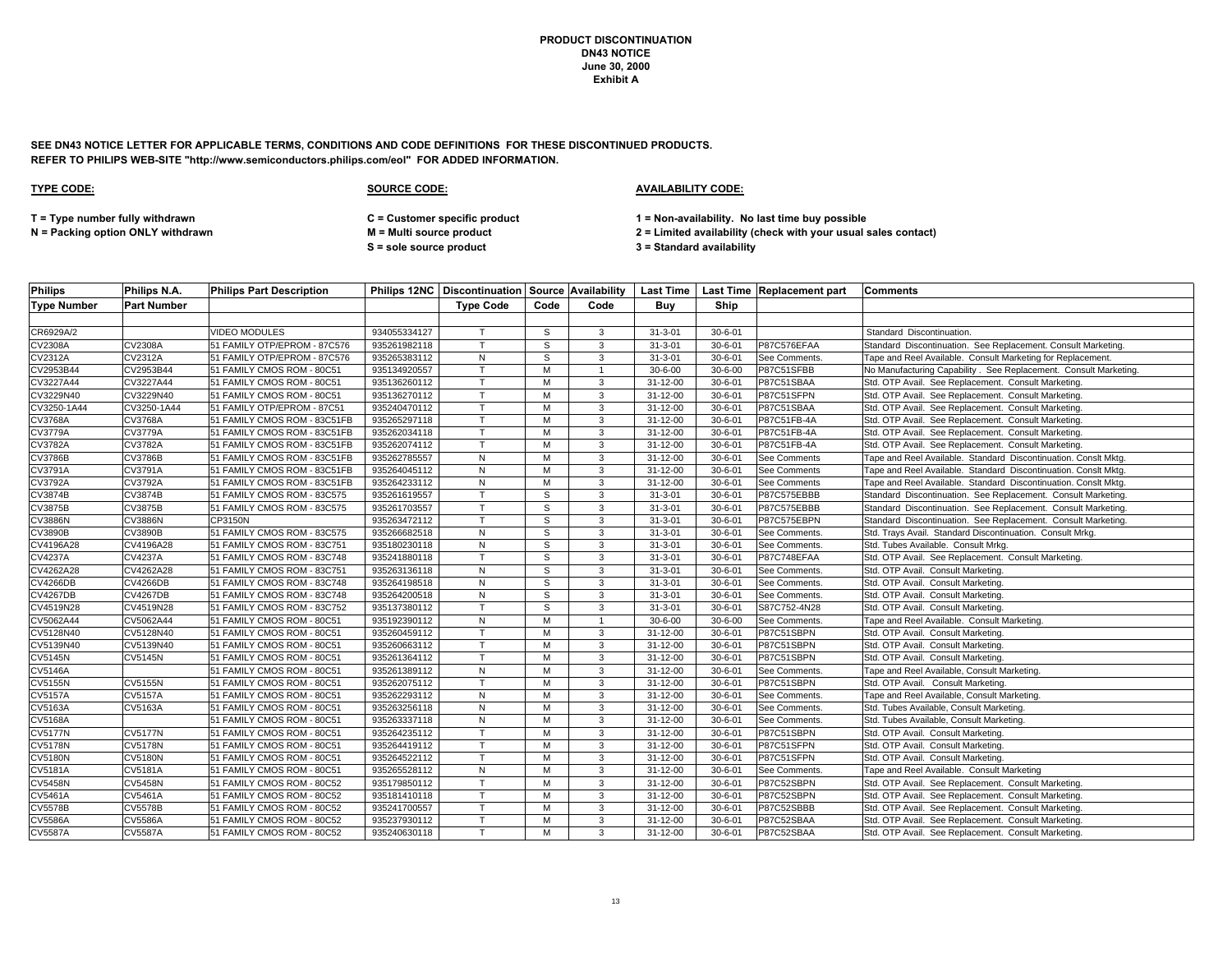**SEE DN43 NOTICE LETTER FOR APPLICABLE TERMS, CONDITIONS AND CODE DEFINITIONS FOR THESE DISCONTINUED PRODUCTS. REFER TO PHILIPS WEB-SITE "http://www.semiconductors.philips.com/eol" FOR ADDED INFORMATION.**

## **TYPE CODE: SOURCE CODE: AVAILABILITY CODE:**

**T = Type number fully withdrawn C = Customer specific product 1 = Non-availability. No last time buy possible**

**S = sole source product 3 = Standard availability**

| <b>Philips</b>     | Philips N.A.       | <b>Philips Part Description</b> |              |                  |      |      |                |               | Philips 12NC   Discontinuation   Source   Availability   Last Time   Last Time   Replacement part | <b>Comments</b>                                                   |
|--------------------|--------------------|---------------------------------|--------------|------------------|------|------|----------------|---------------|---------------------------------------------------------------------------------------------------|-------------------------------------------------------------------|
| <b>Type Number</b> | <b>Part Number</b> |                                 |              | <b>Type Code</b> | Code | Code | Buv            | Ship          |                                                                                                   |                                                                   |
|                    |                    |                                 |              |                  |      |      |                |               |                                                                                                   |                                                                   |
| CR6929A/2          |                    | <b>VIDEO MODULES</b>            | 934055334127 | т                | S    | 3    | $31 - 3 - 01$  | $30 - 6 - 01$ |                                                                                                   | Standard Discontinuation.                                         |
| CV2308A            | <b>CV2308A</b>     | 51 FAMILY OTP/EPROM - 87C576    | 935261982118 | $\mathsf{T}$     | S    | 3    | $31 - 3 - 01$  | $30 - 6 - 01$ | P87C576EFAA                                                                                       | Standard Discontinuation. See Replacement. Consult Marketing.     |
| <b>CV2312A</b>     | CV2312A            | 51 FAMILY OTP/EPROM - 87C576    | 935265383112 | N                | S    | 3    | $31 - 3 - 01$  | $30 - 6 - 01$ | See Comments.                                                                                     | Tape and Reel Available. Consult Marketing for Replacement.       |
| CV2953B44          | CV2953B44          | 51 FAMILY CMOS ROM - 80C51      | 935134920557 | $\mathsf{T}$     | M    |      | $30 - 6 - 00$  | $30 - 6 - 00$ | P87C51SFBB                                                                                        | No Manufacturing Capability . See Replacement. Consult Marketing. |
| CV3227A44          | CV3227A44          | 51 FAMILY CMOS ROM - 80C51      | 935136260112 | T.               | M    | 3    | 31-12-00       | $30 - 6 - 01$ | P87C51SBAA                                                                                        | Std. OTP Avail. See Replacement. Consult Marketing.               |
| CV3229N40          | CV3229N40          | 51 FAMILY CMOS ROM - 80C51      | 935136270112 | T                | M    | 3    | 31-12-00       | $30 - 6 - 01$ | P87C51SFPN                                                                                        | Std. OTP Avail. See Replacement. Consult Marketing.               |
| CV3250-1A44        | CV3250-1A44        | 51 FAMILY OTP/EPROM - 87C51     | 935240470112 | т                | M    | 3    | 31-12-00       | $30 - 6 - 01$ | P87C51SBAA                                                                                        | Std. OTP Avail. See Replacement. Consult Marketing.               |
| CV3768A            | <b>CV3768A</b>     | 51 FAMILY CMOS ROM - 83C51FB    | 935265297118 | $\mathsf{T}$     | M    | 3    | 31-12-00       | $30 - 6 - 01$ | P87C51FB-4A                                                                                       | Std. OTP Avail. See Replacement. Consult Marketing.               |
| <b>CV3779A</b>     | <b>CV3779A</b>     | 51 FAMILY CMOS ROM - 83C51FB    | 935262034118 | $\mathsf{T}$     | м    | 3    | 31-12-00       | $30 - 6 - 01$ | P87C51FB-4A                                                                                       | Std. OTP Avail. See Replacement. Consult Marketing.               |
| CV3782A            | <b>CV3782A</b>     | 51 FAMILY CMOS ROM - 83C51FB    | 935262074112 | T.               | M    | 3    | 31-12-00       | $30 - 6 - 01$ | P87C51FB-4A                                                                                       | Std. OTP Avail. See Replacement. Consult Marketing.               |
| <b>CV3786B</b>     | <b>CV3786B</b>     | 51 FAMILY CMOS ROM - 83C51FB    | 935262785557 | N                | M    | 3    | 31-12-00       | $30 - 6 - 01$ | <b>See Comments</b>                                                                               | Tape and Reel Available. Standard Discontinuation. Conslt Mktg.   |
| CV3791A            | CV3791A            | 51 FAMILY CMOS ROM - 83C51FB    | 935264045112 | N                | M    | 3    | 31-12-00       | $30 - 6 - 01$ | See Comments                                                                                      | Tape and Reel Available. Standard Discontinuation. Conslt Mktg.   |
| CV3792A            | CV3792A            | 51 FAMILY CMOS ROM - 83C51FB    | 935264233112 | ${\sf N}$        | M    | 3    | 31-12-00       | $30 - 6 - 01$ | <b>See Comments</b>                                                                               | Tape and Reel Available. Standard Discontinuation. Conslt Mktg.   |
| CV3874B            | CV3874B            | 51 FAMILY CMOS ROM - 83C575     | 935261619557 | T                | S    | 3    | $31 - 3 - 01$  | $30 - 6 - 01$ | P87C575EBBB                                                                                       | Standard Discontinuation. See Replacement. Consult Marketing.     |
| <b>CV3875B</b>     | CV3875B            | 51 FAMILY CMOS ROM - 83C575     | 935261703557 | $\mathsf{T}$     | S    | 3    | $31 - 3 - 01$  | $30 - 6 - 01$ | P87C575EBBB                                                                                       | Standard Discontinuation. See Replacement. Consult Marketing.     |
| <b>CV3886N</b>     | <b>CV3886N</b>     | CP3150N                         | 935263472112 | $\mathsf{T}$     | S    | 3    | $31 - 3 - 01$  | $30 - 6 - 01$ | P87C575EBPN                                                                                       | Standard Discontinuation. See Replacement. Consult Marketing.     |
| CV3890B            | <b>CV3890B</b>     | 51 FAMILY CMOS ROM - 83C575     | 935266682518 | N                | s    | 3    | $31 - 3 - 01$  | $30 - 6 - 01$ | See Comments.                                                                                     | Std. Trays Avail. Standard Discontinuation. Consult Mrkg.         |
| CV4196A28          | CV4196A28          | 51 FAMILY CMOS ROM - 83C751     | 935180230118 | ${\sf N}$        | S    | 3    | $31 - 3 - 01$  | $30 - 6 - 01$ | See Comments.                                                                                     | Std. Tubes Available. Consult Mrkg.                               |
| <b>CV4237A</b>     | <b>CV4237A</b>     | 51 FAMILY CMOS ROM - 83C748     | 935241880118 | T                | S    | 3    | $31 - 3 - 01$  | $30 - 6 - 01$ | P87C748EFAA                                                                                       | Std. OTP Avail. See Replacement. Consult Marketing.               |
| CV4262A28          | CV4262A28          | 51 FAMILY CMOS ROM - 83C751     | 935263136118 | N                | S    | 3    | $31 - 3 - 01$  | $30 - 6 - 01$ | See Comments.                                                                                     | Std. OTP Avail. Consult Marketing.                                |
| <b>CV4266DB</b>    | <b>CV4266DB</b>    | 51 FAMILY CMOS ROM - 83C748     | 935264198518 | ${\sf N}$        | s    | 3    | $31 - 3 - 01$  | $30 - 6 - 01$ | See Comments.                                                                                     | Std. OTP Avail. Consult Marketing.                                |
| <b>CV4267DB</b>    | <b>CV4267DB</b>    | 51 FAMILY CMOS ROM - 83C748     | 935264200518 | ${\sf N}$        | S    | 3    | $31 - 3 - 01$  | $30 - 6 - 01$ | See Comments.                                                                                     | Std. OTP Avail. Consult Marketing.                                |
| CV4519N28          | CV4519N28          | 51 FAMILY CMOS ROM - 83C752     | 935137380112 | $\mathsf{T}$     | S    | 3    | $31 - 3 - 01$  | $30 - 6 - 01$ | S87C752-4N28                                                                                      | Std. OTP Avail. Consult Marketing.                                |
| CV5062A44          | CV5062A44          | 51 FAMILY CMOS ROM - 80C51      | 935192390112 | ${\sf N}$        | M    | -1   | $30 - 6 - 00$  | $30 - 6 - 00$ | See Comments.                                                                                     | Tape and Reel Available. Consult Marketing.                       |
| CV5128N40          | CV5128N40          | 51 FAMILY CMOS ROM - 80C51      | 935260459112 | T                | M    | 3    | 31-12-00       | $30 - 6 - 01$ | P87C51SBPN                                                                                        | Std. OTP Avail. Consult Marketing.                                |
| CV5139N40          | CV5139N40          | 51 FAMILY CMOS ROM - 80C51      | 935260663112 | $\mathsf{T}$     | M    | 3    | $31 - 12 - 00$ | $30 - 6 - 01$ | P87C51SBPN                                                                                        | Std. OTP Avail. Consult Marketing.                                |
| <b>CV5145N</b>     | <b>CV5145N</b>     | 51 FAMILY CMOS ROM - 80C51      | 935261364112 | $\mathsf{T}$     | M    | 3    | 31-12-00       | $30 - 6 - 01$ | P87C51SBPN                                                                                        | Std. OTP Avail. Consult Marketing.                                |
| <b>CV5146A</b>     |                    | 51 FAMILY CMOS ROM - 80C51      | 935261389112 | N                | M    | 3    | 31-12-00       | $30 - 6 - 01$ | See Comments.                                                                                     | Tape and Reel Available, Consult Marketing.                       |
| <b>CV5155N</b>     | <b>CV5155N</b>     | 51 FAMILY CMOS ROM - 80C51      | 935262075112 | T                | M    | 3    | $31 - 12 - 00$ | $30 - 6 - 01$ | P87C51SBPN                                                                                        | Std. OTP Avail. Consult Marketing.                                |
| <b>CV5157A</b>     | <b>CV5157A</b>     | 51 FAMILY CMOS ROM - 80C51      | 935262293112 | ${\sf N}$        | M    | 3    | 31-12-00       | $30 - 6 - 01$ | See Comments.                                                                                     | Tape and Reel Available, Consult Marketing.                       |
| CV5163A            | CV5163A            | 51 FAMILY CMOS ROM - 80C51      | 935263256118 | ${\sf N}$        | M    | 3    | 31-12-00       | $30 - 6 - 01$ | See Comments.                                                                                     | Std. Tubes Available, Consult Marketing.                          |
| <b>CV5168A</b>     |                    | 51 FAMILY CMOS ROM - 80C51      | 935263337118 | $\overline{N}$   | M    | 3    | 31-12-00       | $30 - 6 - 01$ | <b>See Comments</b>                                                                               | Std. Tubes Available, Consult Marketing.                          |
| <b>CV5177N</b>     | <b>CV5177N</b>     | 51 FAMILY CMOS ROM - 80C51      | 935264235112 | $\mathsf{T}$     | M    | 3    | 31-12-00       | $30 - 6 - 01$ | P87C51SBPN                                                                                        | Std. OTP Avail. Consult Marketing.                                |
| <b>CV5178N</b>     | <b>CV5178N</b>     | 51 FAMILY CMOS ROM - 80C51      | 935264419112 | T                | M    | 3    | 31-12-00       | $30 - 6 - 01$ | P87C51SFPN                                                                                        | Std. OTP Avail. Consult Marketing.                                |
| <b>CV5180N</b>     | <b>CV5180N</b>     | 51 FAMILY CMOS ROM - 80C51      | 935264522112 | T                | M    | 3    | $31 - 12 - 00$ | $30 - 6 - 01$ | P87C51SFPN                                                                                        | Std. OTP Avail. Consult Marketing.                                |
| CV5181A            | <b>CV5181A</b>     | 51 FAMILY CMOS ROM - 80C51      | 935265528112 | N                | M    | 3    | $31 - 12 - 00$ | $30 - 6 - 01$ | See Comments.                                                                                     | Tape and Reel Available. Consult Marketing                        |
| <b>CV5458N</b>     | <b>CV5458N</b>     | 51 FAMILY CMOS ROM - 80C52      | 935179850112 | T.               | м    | 3    | 31-12-00       | $30 - 6 - 01$ | P87C52SBPN                                                                                        | Std. OTP Avail. See Replacement. Consult Marketing.               |
| <b>CV5461A</b>     | <b>CV5461A</b>     | 51 FAMILY CMOS ROM - 80C52      | 935181410118 |                  | M    | 3    | 31-12-00       | $30 - 6 - 01$ | P87C52SBPN                                                                                        | Std. OTP Avail. See Replacement. Consult Marketing.               |
| <b>CV5578B</b>     | <b>CV5578B</b>     | 51 FAMILY CMOS ROM - 80C52      | 935241700557 | T.               | м    | 3    | $31 - 12 - 00$ | $30 - 6 - 01$ | P87C52SBBB                                                                                        | Std. OTP Avail. See Replacement. Consult Marketing.               |
| <b>CV5586A</b>     | <b>CV5586A</b>     | 51 FAMILY CMOS ROM - 80C52      | 935237930112 | T.               | M    | 3    | 31-12-00       | $30 - 6 - 01$ | P87C52SBAA                                                                                        | Std. OTP Avail. See Replacement. Consult Marketing.               |
| <b>CV5587A</b>     | <b>CV5587A</b>     | 51 FAMILY CMOS ROM - 80C52      | 935240630118 | T.               | M    | 3    | 31-12-00       | $30 - 6 - 01$ | P87C52SBAA                                                                                        | Std. OTP Avail. See Replacement. Consult Marketing.               |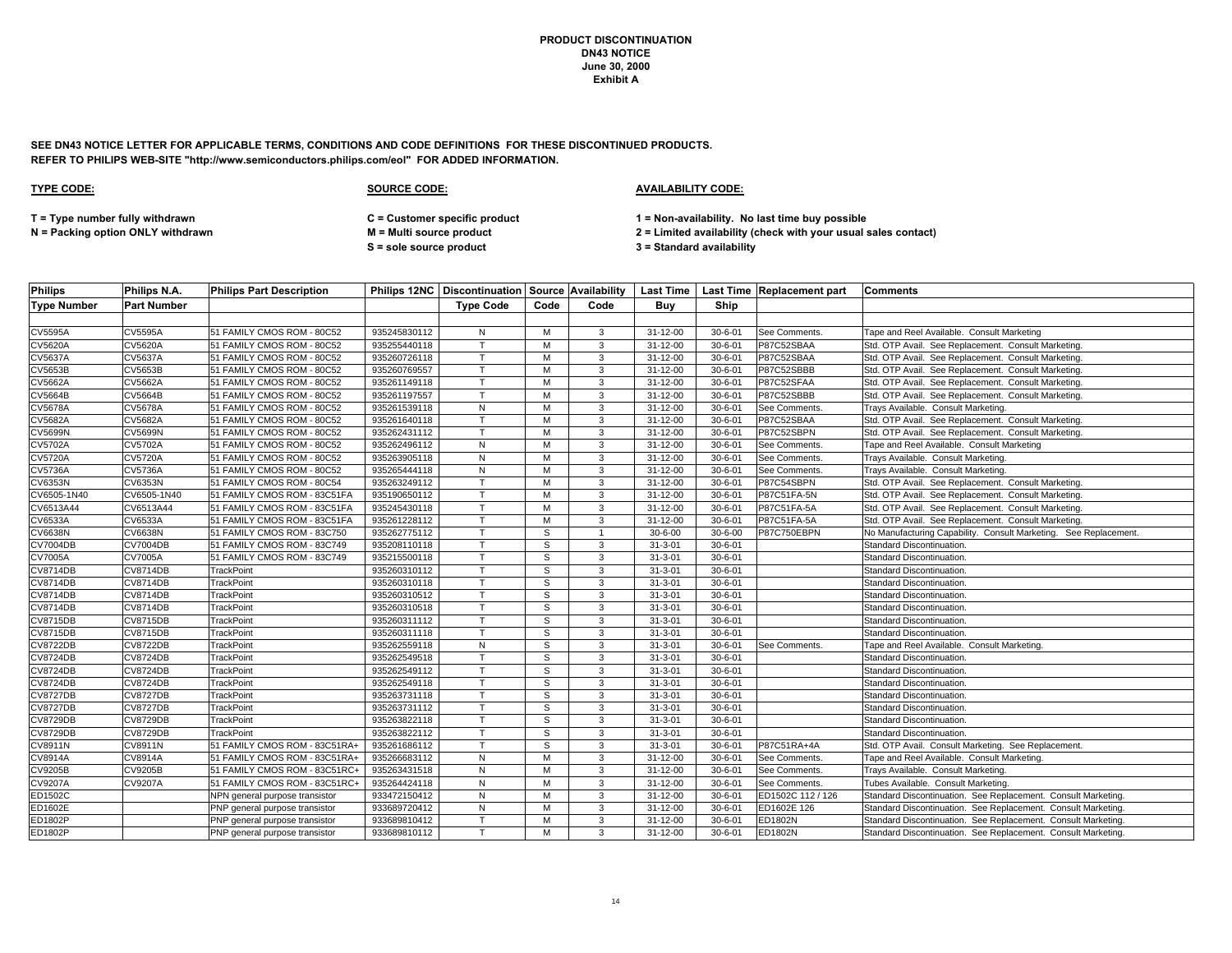**SEE DN43 NOTICE LETTER FOR APPLICABLE TERMS, CONDITIONS AND CODE DEFINITIONS FOR THESE DISCONTINUED PRODUCTS. REFER TO PHILIPS WEB-SITE "http://www.semiconductors.philips.com/eol" FOR ADDED INFORMATION.**

# **TYPE CODE: SOURCE CODE: AVAILABILITY CODE:**

**T = Type number fully withdrawn C = Customer specific product 1 = Non-availability. No last time buy possible**

**S = sole source product 3 = Standard availability**

| <b>Philips</b>     | Philips N.A.    | <b>Philips Part Description</b> |              |                  |      |                |                |               | Philips 12NC   Discontinuation   Source   Availability   Last Time   Last Time   Replacement part | <b>Comments</b>                                                  |
|--------------------|-----------------|---------------------------------|--------------|------------------|------|----------------|----------------|---------------|---------------------------------------------------------------------------------------------------|------------------------------------------------------------------|
| <b>Type Number</b> | Part Number     |                                 |              | <b>Type Code</b> | Code | Code           | Buv            | Ship          |                                                                                                   |                                                                  |
|                    |                 |                                 |              |                  |      |                |                |               |                                                                                                   |                                                                  |
| <b>CV5595A</b>     | <b>CV5595A</b>  | 51 FAMILY CMOS ROM - 80C52      | 935245830112 | N                | м    | 3              | $31 - 12 - 00$ | $30 - 6 - 01$ | See Comments.                                                                                     | Tape and Reel Available. Consult Marketing                       |
| <b>CV5620A</b>     | <b>CV5620A</b>  | 51 FAMILY CMOS ROM - 80C52      | 935255440118 | T                | м    | 3              | 31-12-00       | $30 - 6 - 01$ | P87C52SBAA                                                                                        | Std. OTP Avail. See Replacement. Consult Marketing.              |
| <b>CV5637A</b>     | <b>CV5637A</b>  | 51 FAMILY CMOS ROM - 80C52      | 935260726118 | $\mathsf{T}$     | M    | 3              | $31 - 12 - 00$ | $30 - 6 - 01$ | P87C52SBAA                                                                                        | Std. OTP Avail. See Replacement. Consult Marketing.              |
| <b>CV5653B</b>     | <b>CV5653B</b>  | 51 FAMILY CMOS ROM - 80C52      | 935260769557 | T                | M    | 3              | 31-12-00       | $30 - 6 - 01$ | P87C52SBBB                                                                                        | Std. OTP Avail. See Replacement. Consult Marketing.              |
| <b>CV5662A</b>     | CV5662A         | 51 FAMILY CMOS ROM - 80C52      | 935261149118 | $\mathsf{T}$     | м    | $\mathbf{3}$   | 31-12-00       | $30 - 6 - 01$ | P87C52SFAA                                                                                        | Std. OTP Avail. See Replacement. Consult Marketing.              |
| <b>CV5664B</b>     | <b>CV5664B</b>  | 51 FAMILY CMOS ROM - 80C52      | 935261197557 | $\mathsf{T}$     | M    | 3              | $31 - 12 - 00$ | $30 - 6 - 01$ | P87C52SBBB                                                                                        | Std. OTP Avail. See Replacement. Consult Marketing.              |
| <b>CV5678A</b>     | <b>CV5678A</b>  | 51 FAMILY CMOS ROM - 80C52      | 935261539118 | N                | M    | 3              | 31-12-00       | $30 - 6 - 01$ | See Comments.                                                                                     | Trays Available. Consult Marketing.                              |
| <b>CV5682A</b>     | <b>CV5682A</b>  | 51 FAMILY CMOS ROM - 80C52      | 935261640118 | $\mathsf{T}$     | M    | 3              | 31-12-00       | $30 - 6 - 01$ | P87C52SBAA                                                                                        | Std. OTP Avail. See Replacement. Consult Marketing.              |
| <b>CV5699N</b>     | <b>CV5699N</b>  | 51 FAMILY CMOS ROM - 80C52      | 935262431112 | $\mathsf{T}$     | м    | 3              | $31 - 12 - 00$ | $30 - 6 - 01$ | P87C52SBPN                                                                                        | Std. OTP Avail. See Replacement. Consult Marketing.              |
| CV5702A            | <b>CV5702A</b>  | 51 FAMILY CMOS ROM - 80C52      | 935262496112 | N                | M    | $\mathbf{3}$   | 31-12-00       | $30 - 6 - 01$ | See Comments.                                                                                     | Tape and Reel Available. Consult Marketing                       |
| <b>CV5720A</b>     | <b>CV5720A</b>  | 51 FAMILY CMOS ROM - 80C52      | 935263905118 | N                | M    | 3              | 31-12-00       | $30 - 6 - 01$ | See Comments.                                                                                     | Trays Available. Consult Marketing.                              |
| <b>CV5736A</b>     | <b>CV5736A</b>  | 51 FAMILY CMOS ROM - 80C52      | 935265444118 | N                | M    | 3              | $31 - 12 - 00$ | $30 - 6 - 01$ | See Comments.                                                                                     | Trays Available. Consult Marketing.                              |
| <b>CV6353N</b>     | <b>CV6353N</b>  | 51 FAMILY CMOS ROM - 80C54      | 935263249112 | $\mathsf{T}$     | M    | $\mathbf{3}$   | 31-12-00       | $30 - 6 - 01$ | P87C54SBPN                                                                                        | Std. OTP Avail. See Replacement. Consult Marketing.              |
| CV6505-1N40        | CV6505-1N40     | 51 FAMILY CMOS ROM - 83C51FA    | 935190650112 | T                | м    | 3              | 31-12-00       | $30 - 6 - 01$ | P87C51FA-5N                                                                                       | Std. OTP Avail. See Replacement. Consult Marketing.              |
| CV6513A44          | CV6513A44       | 51 FAMILY CMOS ROM - 83C51FA    | 935245430118 | $\mathsf{T}$     | м    | 3              | 31-12-00       | $30 - 6 - 01$ | P87C51FA-5A                                                                                       | Std. OTP Avail. See Replacement. Consult Marketing.              |
| CV6533A            | CV6533A         | 51 FAMILY CMOS ROM - 83C51FA    | 935261228112 | $\mathsf{T}$     | M    | 3              | 31-12-00       | $30 - 6 - 01$ | P87C51FA-5A                                                                                       | Std. OTP Avail. See Replacement. Consult Marketing.              |
| <b>CV6638N</b>     | <b>CV6638N</b>  | 51 FAMILY CMOS ROM - 83C750     | 935262775112 | $\mathsf{T}$     | S    |                | $30 - 6 - 00$  | $30 - 6 - 00$ | P87C750EBPN                                                                                       | No Manufacturing Capability. Consult Marketing. See Replacement. |
| <b>CV7004DB</b>    | <b>CV7004DB</b> | 51 FAMILY CMOS ROM - 83C749     | 935208110118 |                  | S    | 3              | $31 - 3 - 01$  | $30 - 6 - 01$ |                                                                                                   | Standard Discontinuation.                                        |
| <b>CV7005A</b>     | <b>CV7005A</b>  | 51 FAMILY CMOS ROM - 83C749     | 935215500118 | T                | S    | $\mathbf{3}$   | $31 - 3 - 01$  | $30 - 6 - 01$ |                                                                                                   | Standard Discontinuation.                                        |
| <b>CV8714DB</b>    | <b>CV8714DB</b> | TrackPoint                      | 935260310112 | T                | S    | 3              | $31 - 3 - 01$  | $30 - 6 - 01$ |                                                                                                   | Standard Discontinuation.                                        |
| <b>CV8714DB</b>    | <b>CV8714DB</b> | <b>TrackPoint</b>               | 935260310118 | $\mathsf{T}$     | S    | 3              | $31 - 3 - 01$  | $30 - 6 - 01$ |                                                                                                   | Standard Discontinuation.                                        |
| <b>CV8714DB</b>    | <b>CV8714DB</b> | TrackPoint                      | 935260310512 | T                | S    | 3              | $31 - 3 - 01$  | $30 - 6 - 01$ |                                                                                                   | Standard Discontinuation.                                        |
| <b>CV8714DB</b>    | <b>CV8714DB</b> | TrackPoint                      | 935260310518 | $\top$           | S    | 3              | $31 - 3 - 01$  | $30 - 6 - 01$ |                                                                                                   | Standard Discontinuation.                                        |
| <b>CV8715DB</b>    | <b>CV8715DB</b> | TrackPoint                      | 935260311112 | T.               | S    | 3              | $31 - 3 - 01$  | $30 - 6 - 01$ |                                                                                                   | Standard Discontinuation.                                        |
| <b>CV8715DB</b>    | <b>CV8715DB</b> | TrackPoint                      | 935260311118 | $\mathsf{T}$     | S    | 3              | $31 - 3 - 01$  | $30 - 6 - 01$ |                                                                                                   | Standard Discontinuation.                                        |
| <b>CV8722DB</b>    | <b>CV8722DB</b> | <b>TrackPoint</b>               | 935262559118 | N                | S    | 3              | $31 - 3 - 01$  | $30 - 6 - 01$ | See Comments.                                                                                     | Tape and Reel Available. Consult Marketing.                      |
| <b>CV8724DB</b>    | <b>CV8724DB</b> | TrackPoint                      | 935262549518 | $\mathsf{T}$     | S    | 3              | $31 - 3 - 01$  | $30 - 6 - 01$ |                                                                                                   | Standard Discontinuation.                                        |
| <b>CV8724DB</b>    | <b>CV8724DB</b> | TrackPoint                      | 935262549112 | T                | S    | 3              | $31 - 3 - 01$  | $30 - 6 - 01$ |                                                                                                   | Standard Discontinuation.                                        |
| <b>CV8724DB</b>    | <b>CV8724DB</b> | TrackPoint                      | 935262549118 | T                | S    | 3              | $31 - 3 - 01$  | $30 - 6 - 01$ |                                                                                                   | Standard Discontinuation.                                        |
| <b>CV8727DB</b>    | <b>CV8727DB</b> | <b>TrackPoint</b>               | 935263731118 |                  | s    | 3              | $31 - 3 - 01$  | $30 - 6 - 01$ |                                                                                                   | Standard Discontinuation.                                        |
| <b>CV8727DB</b>    | <b>CV8727DB</b> | <b>TrackPoint</b>               | 935263731112 | T.               | S    | $\mathbf{3}$   | $31 - 3 - 01$  | $30 - 6 - 01$ |                                                                                                   | Standard Discontinuation.                                        |
| <b>CV8729DB</b>    | <b>CV8729DB</b> | TrackPoint                      | 935263822118 | $\mathsf{T}$     | S    | $\overline{3}$ | $31 - 3 - 01$  | $30 - 6 - 01$ |                                                                                                   | Standard Discontinuation.                                        |
| <b>CV8729DB</b>    | <b>CV8729DB</b> | TrackPoint                      | 935263822112 | $\mathsf{T}$     | s    | 3              | $31 - 3 - 01$  | $30 - 6 - 01$ |                                                                                                   | Standard Discontinuation.                                        |
| CV8911N            | <b>CV8911N</b>  | 51 FAMILY CMOS ROM - 83C51RA+   | 935261686112 | $\mathsf{T}$     | S    | 3              | $31 - 3 - 01$  | $30 - 6 - 01$ | P87C51RA+4A                                                                                       | Std. OTP Avail. Consult Marketing. See Replacement.              |
| CV8914A            | CV8914A         | 51 FAMILY CMOS ROM - 83C51RA-   | 935266683112 | N                | M    | 3              | $31 - 12 - 00$ | $30 - 6 - 01$ | See Comments.                                                                                     | Tape and Reel Available. Consult Marketing.                      |
| <b>CV9205B</b>     | CV9205B         | 51 FAMILY CMOS ROM - 83C51RC+   | 935263431518 | $\mathsf{N}$     | M    | 3              | $31 - 12 - 00$ | $30 - 6 - 01$ | See Comments.                                                                                     | Trays Available. Consult Marketing.                              |
| <b>CV9207A</b>     | <b>CV9207A</b>  | 51 FAMILY CMOS ROM - 83C51RC+   | 935264424118 | N                | м    | 3              | 31-12-00       | $30 - 6 - 01$ | See Comments.                                                                                     | Tubes Available. Consult Marketing.                              |
| ED1502C            |                 | NPN general purpose transistor  | 933472150412 | N                | M    | 3              | 31-12-00       | $30 - 6 - 01$ | ED1502C 112 / 126                                                                                 | Standard Discontinuation. See Replacement. Consult Marketing.    |
| ED1602E            |                 | PNP general purpose transistor  | 933689720412 | N                | м    | 3              | $31 - 12 - 00$ | $30 - 6 - 01$ | ED1602E 126                                                                                       | Standard Discontinuation. See Replacement. Consult Marketing.    |
| ED1802P            |                 | PNP general purpose transistor  | 933689810412 | $\mathsf{T}$     | м    | 3              | $31 - 12 - 00$ | $30 - 6 - 01$ | ED1802N                                                                                           | Standard Discontinuation. See Replacement. Consult Marketing.    |
| ED1802P            |                 | PNP general purpose transistor  | 933689810112 |                  | М    | $\mathbf{3}$   | 31-12-00       | $30 - 6 - 01$ | ED1802N                                                                                           | Standard Discontinuation. See Replacement. Consult Marketing.    |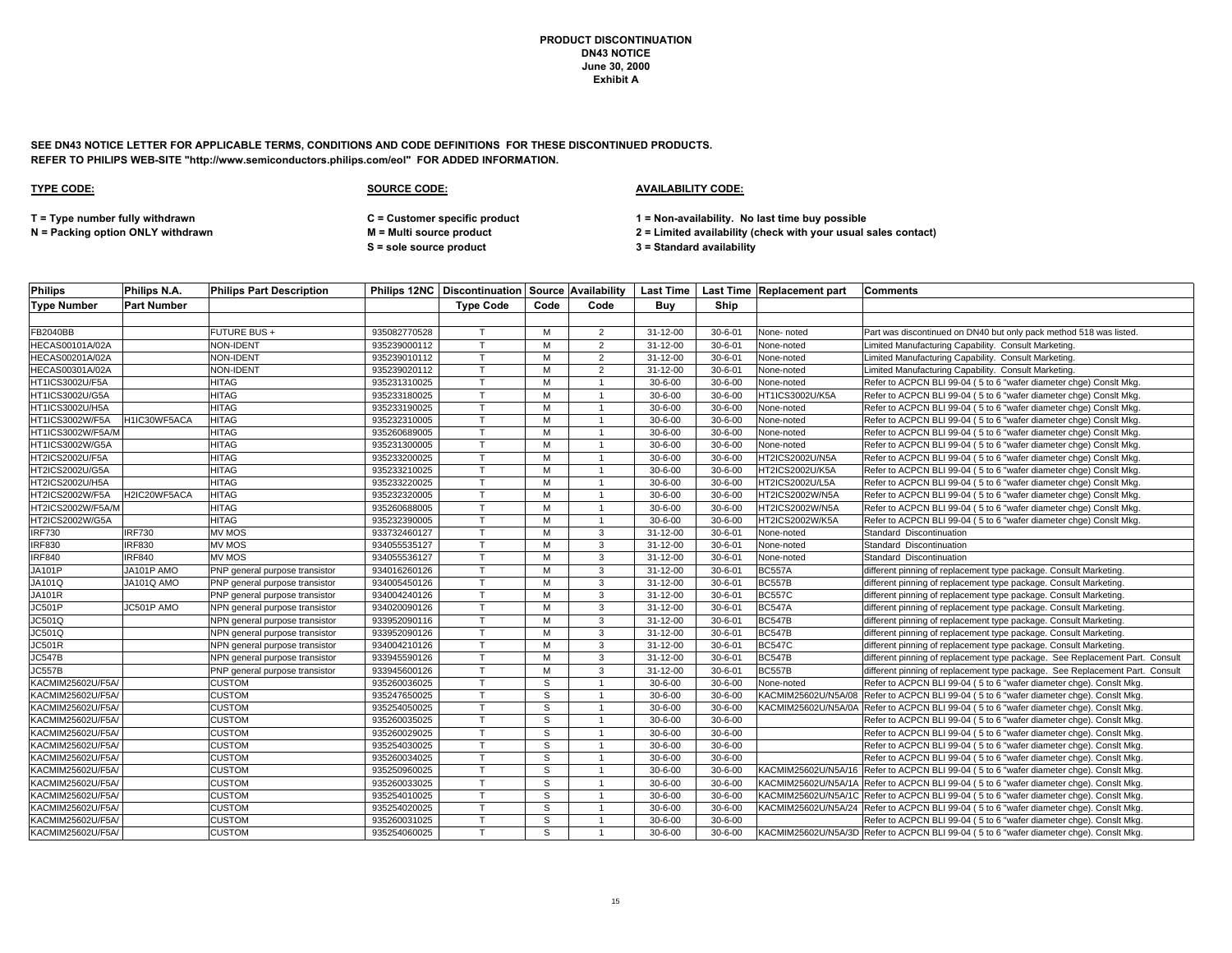**SEE DN43 NOTICE LETTER FOR APPLICABLE TERMS, CONDITIONS AND CODE DEFINITIONS FOR THESE DISCONTINUED PRODUCTS. REFER TO PHILIPS WEB-SITE "http://www.semiconductors.philips.com/eol" FOR ADDED INFORMATION.**

| <b>Philips</b>         | Philips N.A.       | <b>Philips Part Description</b> |              |                  |      |                         |                |               | Philips 12NC   Discontinuation   Source   Availability   Last Time   Last Time   Replacement part   Comments |                                                                                         |
|------------------------|--------------------|---------------------------------|--------------|------------------|------|-------------------------|----------------|---------------|--------------------------------------------------------------------------------------------------------------|-----------------------------------------------------------------------------------------|
| <b>Type Number</b>     | <b>Part Number</b> |                                 |              | <b>Type Code</b> | Code | Code                    | Buv            | Ship          |                                                                                                              |                                                                                         |
|                        |                    |                                 |              |                  |      |                         |                |               |                                                                                                              |                                                                                         |
| <b>FB2040BB</b>        |                    | FUTURE BUS +                    | 935082770528 |                  | м    | 2                       | $31 - 12 - 00$ | $30 - 6 - 01$ | None-noted                                                                                                   | Part was discontinued on DN40 but only pack method 518 was listed.                      |
| <b>HECAS00101A/02A</b> |                    | <b>NON-IDENT</b>                | 935239000112 |                  | M    | $\overline{2}$          | $31 - 12 - 00$ | $30 - 6 - 01$ | None-noted                                                                                                   | Limited Manufacturing Capability. Consult Marketing.                                    |
| <b>HECAS00201A/02A</b> |                    | <b>NON-IDENT</b>                | 935239010112 |                  | M    | $\overline{2}$          | 31-12-00       | $30 - 6 - 01$ | None-noted                                                                                                   | Limited Manufacturing Capability. Consult Marketing.                                    |
| HECAS00301A/02A        |                    | NON-IDENT                       | 935239020112 |                  | M    | $\overline{2}$          | 31-12-00       | $30 - 6 - 01$ | None-noted                                                                                                   | Limited Manufacturing Capability. Consult Marketing.                                    |
| HT1ICS3002U/F5A        |                    | HITAG                           | 935231310025 |                  | м    | $\overline{1}$          | $30 - 6 - 00$  | $30 - 6 - 00$ | None-noted                                                                                                   | Refer to ACPCN BLI 99-04 (5 to 6 "wafer diameter chge) Consit Mkg.                      |
| HT1ICS3002U/G5A        |                    | <b>HITAG</b>                    | 935233180025 |                  | M    | $\overline{1}$          | $30 - 6 - 00$  | $30 - 6 - 00$ | HT1ICS3002U/K5A                                                                                              | Refer to ACPCN BLI 99-04 (5 to 6 "wafer diameter chge) Consit Mkg.                      |
| HT1ICS3002U/H5A        |                    | HITAG                           | 935233190025 |                  | M    |                         | $30 - 6 - 00$  | $30 - 6 - 00$ | None-noted                                                                                                   | Refer to ACPCN BLI 99-04 (5 to 6 "wafer diameter chge) ConsIt Mkg.                      |
| HT1ICS3002W/F5A        | H1IC30WF5ACA       | <b>HITAG</b>                    | 935232310005 |                  | M    | $\overline{1}$          | $30 - 6 - 00$  | $30 - 6 - 00$ | None-noted                                                                                                   | Refer to ACPCN BLI 99-04 (5 to 6 "wafer diameter chge) ConsIt Mkg.                      |
| HT1ICS3002W/F5A/M      |                    | <b>HITAG</b>                    | 935260689005 |                  | M    | $\overline{1}$          | $30 - 6 - 00$  | $30 - 6 - 00$ | None-noted                                                                                                   | Refer to ACPCN BLI 99-04 (5 to 6 "wafer diameter chge) Consit Mkg.                      |
| HT1ICS3002W/G5A        |                    | <b>HITAG</b>                    | 935231300005 |                  | M    | -1                      | $30 - 6 - 00$  | $30 - 6 - 00$ | None-noted                                                                                                   | Refer to ACPCN BLI 99-04 (5 to 6 "wafer diameter chge) Consit Mkg.                      |
| HT2ICS2002U/F5A        |                    | <b>HITAG</b>                    | 935233200025 |                  | M    | $\overline{1}$          | $30 - 6 - 00$  | $30 - 6 - 00$ | HT2ICS2002U/N5A                                                                                              | Refer to ACPCN BLI 99-04 (5 to 6 "wafer diameter chge) Consit Mkg.                      |
| HT2ICS2002U/G5A        |                    | <b>HITAG</b>                    | 935233210025 |                  | M    |                         | $30 - 6 - 00$  | $30 - 6 - 00$ | HT2ICS2002U/K5A                                                                                              | Refer to ACPCN BLI 99-04 (5 to 6 "wafer diameter chge) Consit Mkg.                      |
| HT2ICS2002U/H5A        |                    | <b>HITAG</b>                    | 935233220025 |                  | M    | $\overline{1}$          | $30 - 6 - 00$  | $30 - 6 - 00$ | HT2ICS2002U/L5A                                                                                              | Refer to ACPCN BLI 99-04 (5 to 6 "wafer diameter chge) Consit Mkg.                      |
| HT2ICS2002W/F5A        | H2IC20WF5ACA       | HITAG                           | 935232320005 |                  | м    | $\overline{\mathbf{1}}$ | $30 - 6 - 00$  | $30 - 6 - 00$ | HT2ICS2002W/N5A                                                                                              | Refer to ACPCN BLI 99-04 (5 to 6 "wafer diameter chge) Consit Mkg.                      |
| HT2ICS2002W/F5A/M      |                    | <b>HITAG</b>                    | 935260688005 |                  | M    |                         | $30 - 6 - 00$  | $30 - 6 - 00$ | HT2ICS2002W/N5A                                                                                              | Refer to ACPCN BLI 99-04 (5 to 6 "wafer diameter chge) Consit Mkg.                      |
| HT2ICS2002W/G5A        |                    | <b>HITAG</b>                    | 935232390005 |                  | м    | $\overline{1}$          | $30 - 6 - 00$  | $30 - 6 - 00$ | HT2ICS2002W/K5A                                                                                              | Refer to ACPCN BLI 99-04 (5 to 6 "wafer diameter chge) Consit Mkg.                      |
| <b>IRF730</b>          | <b>IRF730</b>      | MV MOS                          | 933732460127 |                  | м    | 3                       | 31-12-00       | $30 - 6 - 01$ | None-noted                                                                                                   | Standard Discontinuation                                                                |
| <b>IRF830</b>          | <b>IRF830</b>      | <b>MV MOS</b>                   | 934055535127 |                  | M    | 3                       | 31-12-00       | $30 - 6 - 01$ | None-noted                                                                                                   | Standard Discontinuation                                                                |
| <b>IRF840</b>          | <b>IRF840</b>      | <b>MV MOS</b>                   | 934055536127 |                  | M    | $\mathbf{3}$            | 31-12-00       | $30 - 6 - 01$ | None-noted                                                                                                   | Standard Discontinuation                                                                |
| <b>JA101P</b>          | JA101P AMO         | PNP general purpose transistor  | 934016260126 |                  | M    | 3                       | $31 - 12 - 00$ | $30 - 6 - 01$ | <b>BC557A</b>                                                                                                | different pinning of replacement type package. Consult Marketing.                       |
| JA101Q                 | JA101Q AMO         | PNP general purpose transistor  | 934005450126 |                  | M    | 3                       | 31-12-00       | $30 - 6 - 01$ | <b>BC557B</b>                                                                                                | different pinning of replacement type package. Consult Marketing.                       |
| <b>JA101R</b>          |                    | PNP general purpose transistor  | 934004240126 |                  | м    | 3                       | $31 - 12 - 00$ | $30 - 6 - 01$ | <b>BC557C</b>                                                                                                | different pinning of replacement type package. Consult Marketing.                       |
| JC501P                 | JC501P AMO         | NPN general purpose transistor  | 934020090126 |                  | М    | 3                       | $31 - 12 - 00$ | $30 - 6 - 01$ | <b>BC547A</b>                                                                                                | different pinning of replacement type package. Consult Marketing.                       |
| JC501Q                 |                    | NPN general purpose transistor  | 933952090116 |                  | M    | 3                       | 31-12-00       | $30 - 6 - 01$ | <b>BC547B</b>                                                                                                | different pinning of replacement type package. Consult Marketing.                       |
| <b>JC501Q</b>          |                    | NPN general purpose transistor  | 933952090126 |                  | М    | 3                       | $31 - 12 - 00$ | $30 - 6 - 01$ | <b>BC547B</b>                                                                                                | different pinning of replacement type package. Consult Marketing.                       |
| <b>JC501R</b>          |                    | NPN general purpose transistor  | 934004210126 |                  | M    | 3                       | 31-12-00       | $30 - 6 - 01$ | <b>BC547C</b>                                                                                                | different pinning of replacement type package. Consult Marketing.                       |
| <b>JC547B</b>          |                    | NPN general purpose transistor  | 933945590126 |                  | M    | $\mathbf{3}$            | 31-12-00       | $30 - 6 - 01$ | <b>BC547B</b>                                                                                                | different pinning of replacement type package. See Replacement Part. Consult            |
| JC557B                 |                    | PNP general purpose transistor  | 933945600126 |                  | M    | 3                       | 31-12-00       | $30 - 6 - 01$ | <b>BC557B</b>                                                                                                | different pinning of replacement type package. See Replacement Part. Consult            |
| KACMIM25602U/F5A/      |                    | <b>CUSTOM</b>                   | 935260036025 |                  | S    | $\overline{1}$          | $30 - 6 - 00$  | $30 - 6 - 00$ | None-noted                                                                                                   | Refer to ACPCN BLI 99-04 (5 to 6 "wafer diameter chge). Consit Mkg.                     |
| KACMIM25602U/F5A/      |                    | <b>CUSTOM</b>                   | 935247650025 |                  | S.   | $\overline{\mathbf{1}}$ | $30 - 6 - 00$  | $30 - 6 - 00$ |                                                                                                              | KACMIM25602U/N5A/08 Refer to ACPCN BLI 99-04 (5 to 6 "wafer diameter chge). Conslt Mkg. |
| KACMIM25602U/F5A/      |                    | <b>CUSTOM</b>                   | 935254050025 |                  | S    |                         | $30 - 6 - 00$  | $30 - 6 - 00$ |                                                                                                              | KACMIM25602U/N5A/0A Refer to ACPCN BLI 99-04 (5 to 6 "wafer diameter chge). Consit Mkg. |
| KACMIM25602U/F5A/      |                    | <b>CUSTOM</b>                   | 935260035025 |                  | S    | $\overline{1}$          | $30 - 6 - 00$  | $30 - 6 - 00$ |                                                                                                              | Refer to ACPCN BLI 99-04 (5 to 6 "wafer diameter chge). Consit Mkg.                     |
| KACMIM25602U/F5A/      |                    | <b>CUSTOM</b>                   | 935260029025 |                  | S    |                         | $30 - 6 - 00$  | $30 - 6 - 00$ |                                                                                                              | Refer to ACPCN BLI 99-04 (5 to 6 "wafer diameter chge). Consit Mkg.                     |
| KACMIM25602U/F5A/      |                    | <b>CUSTOM</b>                   | 935254030025 |                  | S    | $\overline{\mathbf{1}}$ | $30 - 6 - 00$  | $30 - 6 - 00$ |                                                                                                              | Refer to ACPCN BLI 99-04 (5 to 6 "wafer diameter chge). Consit Mkg.                     |
| KACMIM25602U/F5A/      |                    | <b>CUSTOM</b>                   | 935260034025 |                  | S    | $\overline{1}$          | $30 - 6 - 00$  | $30 - 6 - 00$ |                                                                                                              | Refer to ACPCN BLI 99-04 (5 to 6 "wafer diameter chge). Consit Mkg.                     |
| KACMIM25602U/F5A/      |                    | <b>CUSTOM</b>                   | 935250960025 |                  | S    |                         | $30 - 6 - 00$  | $30 - 6 - 00$ |                                                                                                              | KACMIM25602U/N5A/16 Refer to ACPCN BLI 99-04 (5 to 6 "wafer diameter chge). Consit Mkg. |
| KACMIM25602U/F5A/      |                    | <b>CUSTOM</b>                   | 935260033025 |                  | S    | $\overline{1}$          | $30 - 6 - 00$  | $30 - 6 - 00$ |                                                                                                              | KACMIM25602U/N5A/1A Refer to ACPCN BLI 99-04 (5 to 6 "wafer diameter chge). Consit Mkg. |
| KACMIM25602U/F5A/      |                    | <b>CUSTOM</b>                   | 935254010025 |                  | S    | $\overline{1}$          | $30 - 6 - 00$  | $30 - 6 - 00$ |                                                                                                              | KACMIM25602U/N5A/1C Refer to ACPCN BLI 99-04 (5 to 6 "wafer diameter chge). Consit Mkg. |
| KACMIM25602U/F5A/      |                    | <b>CUSTOM</b>                   | 935254020025 |                  | S.   | $\overline{1}$          | $30 - 6 - 00$  | $30 - 6 - 00$ |                                                                                                              | KACMIM25602U/N5A/24 Refer to ACPCN BLI 99-04 (5 to 6 "wafer diameter chge). Consit Mkg. |
| KACMIM25602U/F5A/      |                    | <b>CUSTOM</b>                   | 935260031025 |                  | S    | -1                      | $30 - 6 - 00$  | $30 - 6 - 00$ |                                                                                                              | Refer to ACPCN BLI 99-04 (5 to 6 "wafer diameter chge). Consit Mkg.                     |
| KACMIM25602U/F5A/      |                    | <b>CUSTOM</b>                   | 935254060025 |                  | S.   |                         | $30 - 6 - 00$  | $30 - 6 - 00$ |                                                                                                              | KACMIM25602U/N5A/3D Refer to ACPCN BLI 99-04 (5 to 6 "wafer diameter chge). Consit Mkg. |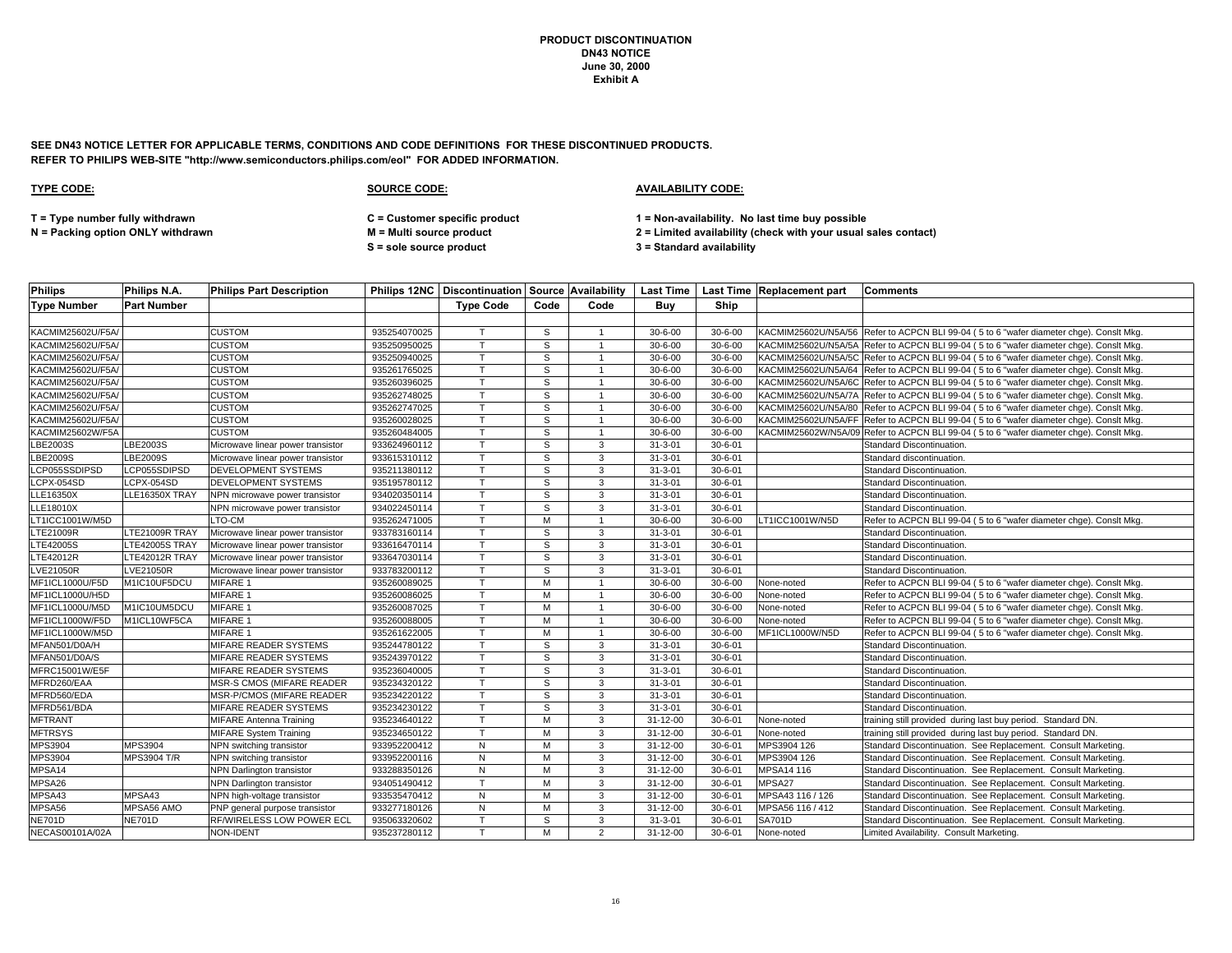**SEE DN43 NOTICE LETTER FOR APPLICABLE TERMS, CONDITIONS AND CODE DEFINITIONS FOR THESE DISCONTINUED PRODUCTS. REFER TO PHILIPS WEB-SITE "http://www.semiconductors.philips.com/eol" FOR ADDED INFORMATION.**

| <b>Philips</b>     | Philips N.A.       | Philips Part Description          |              |                  |      |                         |                |               | <b>Philips 12NC   Discontinuation   Source   Availability   Last Time   Last Time   Replacement part</b> | <b>Comments</b>                                                                         |
|--------------------|--------------------|-----------------------------------|--------------|------------------|------|-------------------------|----------------|---------------|----------------------------------------------------------------------------------------------------------|-----------------------------------------------------------------------------------------|
| <b>Type Number</b> | <b>Part Number</b> |                                   |              | <b>Type Code</b> | Code | Code                    | Buy            | Ship          |                                                                                                          |                                                                                         |
|                    |                    |                                   |              |                  |      |                         |                |               |                                                                                                          |                                                                                         |
| KACMIM25602U/F5A/  |                    | <b>CUSTOM</b>                     | 935254070025 |                  | S    |                         | $30 - 6 - 00$  | $30 - 6 - 00$ |                                                                                                          | KACMIM25602U/N5A/56 Refer to ACPCN BLI 99-04 (5 to 6 "wafer diameter chge). Conslt Mkg. |
| KACMIM25602U/F5A/  |                    | <b>CUSTOM</b>                     | 935250950025 | $\mathbf \tau$   | S    |                         | $30 - 6 - 00$  | $30 - 6 - 00$ |                                                                                                          | KACMIM25602U/N5A/5A Refer to ACPCN BLI 99-04 (5 to 6 "wafer diameter chge). Consit Mkg. |
| KACMIM25602U/F5A/  |                    | <b>CUSTOM</b>                     | 935250940025 | $\mathsf{T}$     | S    | -1                      | $30 - 6 - 00$  | $30 - 6 - 00$ |                                                                                                          | KACMIM25602U/N5A/5C Refer to ACPCN BLI 99-04 (5 to 6 "wafer diameter chge). Consit Mkg. |
| KACMIM25602U/F5A/  |                    | <b>CUSTOM</b>                     | 935261765025 |                  | S    | $\overline{1}$          | $30 - 6 - 00$  | $30 - 6 - 00$ |                                                                                                          | KACMIM25602U/N5A/64 Refer to ACPCN BLI 99-04 (5 to 6 "wafer diameter chge). Consit Mkg. |
| KACMIM25602U/F5A/  |                    | <b>CUSTOM</b>                     | 935260396025 |                  | S    |                         | $30 - 6 - 00$  | $30 - 6 - 00$ |                                                                                                          | KACMIM25602U/N5A/6C Refer to ACPCN BLI 99-04 (5 to 6 "wafer diameter chge). Consit Mkg. |
| KACMIM25602U/F5A/  |                    | <b>CUSTOM</b>                     | 935262748025 | T                | S    | $\overline{1}$          | $30 - 6 - 00$  | $30 - 6 - 00$ |                                                                                                          | KACMIM25602U/N5A/7A Refer to ACPCN BLI 99-04 (5 to 6 "wafer diameter chge). Consit Mkg. |
| KACMIM25602U/F5A/  |                    | CUSTOM                            | 935262747025 |                  | S    | $\overline{1}$          | $30 - 6 - 00$  | $30 - 6 - 00$ |                                                                                                          | KACMIM25602U/N5A/80 Refer to ACPCN BLI 99-04 (5 to 6 "wafer diameter chge). Consit Mkg. |
| KACMIM25602U/F5A/  |                    | <b>CUSTOM</b>                     | 935260028025 | $\mathsf{T}$     | S    | $\overline{\mathbf{1}}$ | $30 - 6 - 00$  | $30 - 6 - 00$ |                                                                                                          | KACMIM25602U/N5A/FF Refer to ACPCN BLI 99-04 (5 to 6 "wafer diameter chge). Consit Mkg. |
| KACMIM25602W/F5A   |                    | <b>CUSTOM</b>                     | 935260484005 | $\mathsf{T}$     | S    | $\overline{1}$          | $30 - 6 - 00$  | $30 - 6 - 00$ |                                                                                                          | KACMIM25602W/N5A/09 Refer to ACPCN BLI 99-04 (5 to 6 "wafer diameter chge). Conslt Mkg  |
| LBE2003S           | LBE2003S           | Microwave linear power transistor | 933624960112 |                  | S    | 3                       | $31 - 3 - 01$  | $30 - 6 - 01$ |                                                                                                          | Standard Discontinuation.                                                               |
| LBE2009S           | LBE2009S           | Microwave linear power transistor | 933615310112 |                  | S    | 3                       | $31 - 3 - 01$  | $30 - 6 - 01$ |                                                                                                          | Standard discontinuation.                                                               |
| LCP055SSDIPSD      | LCP055SDIPSD       | <b>DEVELOPMENT SYSTEMS</b>        | 935211380112 | $\mathbf \tau$   | S    | 3                       | $31 - 3 - 01$  | $30 - 6 - 01$ |                                                                                                          | Standard Discontinuation.                                                               |
| LCPX-054SD         | LCPX-054SD         | <b>DEVELOPMENT SYSTEMS</b>        | 935195780112 |                  | S    | 3                       | $31 - 3 - 01$  | $30 - 6 - 01$ |                                                                                                          | Standard Discontinuation.                                                               |
| LLE16350X          | LLE16350X TRAY     | NPN microwave power transistor    | 934020350114 |                  | S    | 3                       | $31 - 3 - 01$  | $30 - 6 - 01$ |                                                                                                          | Standard Discontinuation.                                                               |
| LLE18010X          |                    | NPN microwave power transistor    | 934022450114 | $\tau$           | S    | 3                       | $31 - 3 - 01$  | $30 - 6 - 01$ |                                                                                                          | Standard Discontinuation.                                                               |
| LT1ICC1001W/M5D    |                    | LTO-CM                            | 935262471005 |                  | M    | -1                      | $30 - 6 - 00$  | $30 - 6 - 00$ | LT1ICC1001W/N5D                                                                                          | Refer to ACPCN BLI 99-04 (5 to 6 "wafer diameter chge). Consit Mkg.                     |
| LTE21009R          | LTE21009R TRAY     | Microwave linear power transistor | 933783160114 | $\mathsf{T}$     | S    | 3                       | $31 - 3 - 01$  | $30 - 6 - 01$ |                                                                                                          | Standard Discontinuation.                                                               |
| LTE42005S          | LTE42005S TRAY     | Microwave linear power transistor | 933616470114 | $\mathbf \tau$   | S    | 3                       | $31 - 3 - 01$  | $30 - 6 - 01$ |                                                                                                          | Standard Discontinuation.                                                               |
| LTE42012R          | LTE42012R TRAY     | Microwave linear power transistor | 933647030114 | $\mathbf \tau$   | S    | 3                       | $31 - 3 - 01$  | $30 - 6 - 01$ |                                                                                                          | Standard Discontinuation.                                                               |
| LVE21050R          | LVE21050R          | Microwave linear power transistor | 933783200112 |                  | S    | 3                       | $31 - 3 - 01$  | $30 - 6 - 01$ |                                                                                                          | Standard Discontinuation.                                                               |
| MF1ICL1000U/F5D    | M1IC10UF5DCU       | MIFARE 1                          | 935260089025 |                  | м    |                         | $30 - 6 - 00$  | $30 - 6 - 00$ | None-noted                                                                                               | Refer to ACPCN BLI 99-04 (5 to 6 "wafer diameter chge). Consit Mkg.                     |
| MF1ICL1000U/H5D    |                    | MIFARE 1                          | 935260086025 | T                | M    | $\overline{1}$          | $30 - 6 - 00$  | $30 - 6 - 00$ | None-noted                                                                                               | Refer to ACPCN BLI 99-04 (5 to 6 "wafer diameter chge). Consit Mkg.                     |
| MF1ICL1000U/M5D    | M1IC10UM5DCU       | MIFARE 1                          | 935260087025 |                  | M    |                         | $30 - 6 - 00$  | $30 - 6 - 00$ | None-noted                                                                                               | Refer to ACPCN BLI 99-04 (5 to 6 "wafer diameter chge). ConsIt Mkg.                     |
| MF1ICL1000W/F5D    | M1ICL10WF5CA       | MIFARE 1                          | 935260088005 | $\mathsf{T}$     | M    |                         | $30 - 6 - 00$  | $30 - 6 - 00$ | None-noted                                                                                               | Refer to ACPCN BLI 99-04 (5 to 6 "wafer diameter chge). ConsIt Mkg.                     |
| MF1ICL1000W/M5D    |                    | MIFARE 1                          | 935261622005 | $\mathsf{T}$     | M    | $\overline{1}$          | $30 - 6 - 00$  | $30 - 6 - 00$ | MF1ICL1000W/N5D                                                                                          | Refer to ACPCN BLI 99-04 (5 to 6 "wafer diameter chge). Consit Mkg.                     |
| MFAN501/D0A/H      |                    | MIFARE READER SYSTEMS             | 935244780122 |                  | S    | 3                       | $31 - 3 - 01$  | $30 - 6 - 01$ |                                                                                                          | Standard Discontinuation.                                                               |
| MFAN501/D0A/S      |                    | MIFARE READER SYSTEMS             | 935243970122 | $\mathbf \tau$   | S    | 3                       | $31 - 3 - 01$  | $30 - 6 - 01$ |                                                                                                          | Standard Discontinuation.                                                               |
| MFRC15001W/E5F     |                    | MIFARE READER SYSTEMS             | 935236040005 | $\tau$           | S    | 3                       | $31 - 3 - 01$  | $30 - 6 - 01$ |                                                                                                          | Standard Discontinuation.                                                               |
| MFRD260/EAA        |                    | MSR-S CMOS (MIFARE READER         | 935234320122 | $\mathsf{T}$     | S    | 3                       | $31 - 3 - 01$  | $30 - 6 - 01$ |                                                                                                          | Standard Discontinuation.                                                               |
| MFRD560/EDA        |                    | MSR-P/CMOS (MIFARE READER         | 935234220122 | $\mathsf{T}$     | S    | 3                       | $31 - 3 - 01$  | $30 - 6 - 01$ |                                                                                                          | Standard Discontinuation.                                                               |
| MFRD561/BDA        |                    | MIFARE READER SYSTEMS             | 935234230122 |                  | S    | 3                       | $31 - 3 - 01$  | $30 - 6 - 01$ |                                                                                                          | Standard Discontinuation.                                                               |
| <b>MFTRANT</b>     |                    | <b>MIFARE Antenna Training</b>    | 935234640122 | $\mathbf \tau$   | м    | 3                       | $31 - 12 - 00$ | $30 - 6 - 01$ | None-noted                                                                                               | training still provided during last buy period. Standard DN.                            |
| <b>MFTRSYS</b>     |                    | <b>MIFARE System Training</b>     | 935234650122 | $\mathbf \tau$   | M    | 3                       | 31-12-00       | $30 - 6 - 01$ | None-noted                                                                                               | training still provided during last buy period. Standard DN.                            |
| MPS3904            | <b>MPS3904</b>     | NPN switching transistor          | 933952200412 | N                | M    | 3                       | 31-12-00       | $30 - 6 - 01$ | MPS3904 126                                                                                              | Standard Discontinuation. See Replacement. Consult Marketing.                           |
| MPS3904            | MPS3904 T/R        | NPN switching transistor          | 933952200116 | N                | M    | 3                       | 31-12-00       | $30 - 6 - 01$ | MPS3904 126                                                                                              | Standard Discontinuation. See Replacement. Consult Marketing.                           |
| MPSA14             |                    | <b>NPN Darlington transistor</b>  | 933288350126 | N                | M    | 3                       | 31-12-00       | $30 - 6 - 01$ | MPSA14 116                                                                                               | Standard Discontinuation. See Replacement. Consult Marketing.                           |
| MPSA26             |                    | NPN Darlington transistor         | 934051490412 | T                | M    | 3                       | 31-12-00       | $30 - 6 - 01$ | MPSA27                                                                                                   | Standard Discontinuation. See Replacement. Consult Marketing.                           |
| MPSA43             | MPSA43             | NPN high-voltage transistor       | 933535470412 | $\mathsf{N}$     | M    | 3                       | $31 - 12 - 00$ | $30 - 6 - 01$ | MPSA43 116 / 126                                                                                         | Standard Discontinuation. See Replacement. Consult Marketing.                           |
| MPSA56             | MPSA56 AMO         | PNP general purpose transistor    | 933277180126 | N                | M    | 3                       | 31-12-00       | $30 - 6 - 01$ | MPSA56 116 / 412                                                                                         | Standard Discontinuation. See Replacement. Consult Marketing.                           |
| <b>NE701D</b>      | <b>NE701D</b>      | RF/WIRELESS LOW POWER ECL         | 935063320602 | $\mathsf{T}$     | S    | 3                       | $31 - 3 - 01$  | $30 - 6 - 01$ | <b>SA701D</b>                                                                                            | Standard Discontinuation. See Replacement. Consult Marketing.                           |
| NECAS00101A/02A    |                    | <b>NON-IDENT</b>                  | 935237280112 | T                | м    | 2                       | $31 - 12 - 00$ | $30 - 6 - 01$ | None-noted                                                                                               | Limited Availability. Consult Marketing.                                                |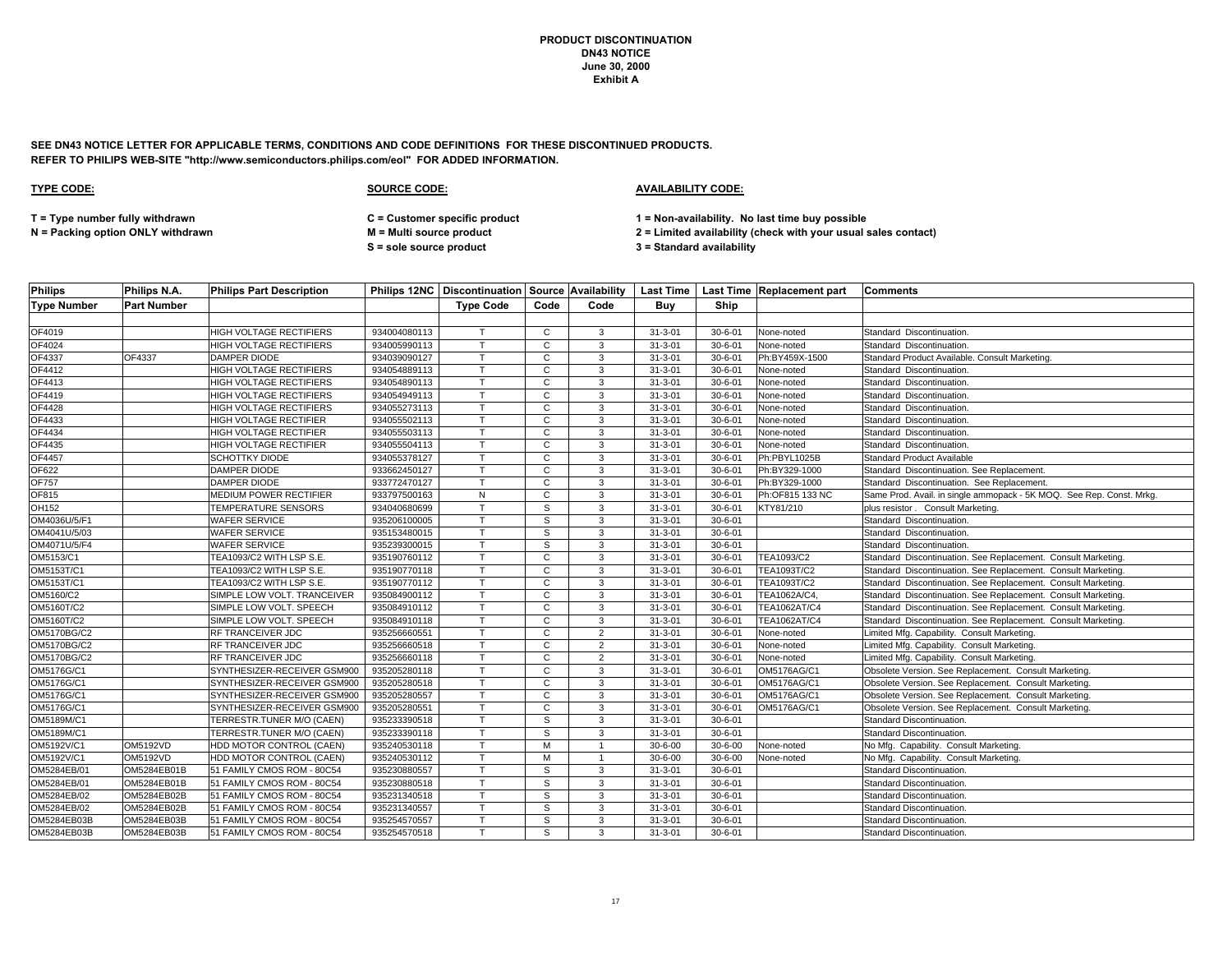**SEE DN43 NOTICE LETTER FOR APPLICABLE TERMS, CONDITIONS AND CODE DEFINITIONS FOR THESE DISCONTINUED PRODUCTS. REFER TO PHILIPS WEB-SITE "http://www.semiconductors.philips.com/eol" FOR ADDED INFORMATION.**

### **TYPE CODE: SOURCE CODE: AVAILABILITY CODE:**

**T = Type number fully withdrawn C = Customer specific product 1 = Non-availability. No last time buy possible**

**S = sole source product 3 = Standard availability**

| <b>Philips</b>     | Philips N.A.       | <b>Philips Part Description</b> |              |                  |              |                |               |               | Philips 12NC   Discontinuation   Source   Availability   Last Time   Last Time   Replacement part | <b>Comments</b>                                                      |
|--------------------|--------------------|---------------------------------|--------------|------------------|--------------|----------------|---------------|---------------|---------------------------------------------------------------------------------------------------|----------------------------------------------------------------------|
| <b>Type Number</b> | <b>Part Number</b> |                                 |              | <b>Type Code</b> | Code         | Code           | Buy           | Ship          |                                                                                                   |                                                                      |
|                    |                    |                                 |              |                  |              |                |               |               |                                                                                                   |                                                                      |
| OF4019             |                    | HIGH VOLTAGE RECTIFIERS         | 934004080113 |                  | $\mathbf{C}$ | 3              | $31 - 3 - 01$ | $30 - 6 - 01$ | None-noted                                                                                        | Standard Discontinuation.                                            |
| OF4024             |                    | HIGH VOLTAGE RECTIFIERS         | 934005990113 |                  | C            | 3              | $31 - 3 - 01$ | $30 - 6 - 01$ | None-noted                                                                                        | Standard Discontinuation.                                            |
| OF4337             | OF4337             | <b>DAMPER DIODE</b>             | 934039090127 |                  | C            | 3              | $31 - 3 - 01$ | $30 - 6 - 01$ | Ph:BY459X-1500                                                                                    | Standard Product Available. Consult Marketing.                       |
| OF4412             |                    | <b>HIGH VOLTAGE RECTIFIERS</b>  | 934054889113 | т                | $\mathbf{C}$ | 3              | $31 - 3 - 01$ | $30 - 6 - 01$ | None-noted                                                                                        | Standard Discontinuation.                                            |
| OF4413             |                    | HIGH VOLTAGE RECTIFIERS         | 934054890113 |                  | C            | 3              | $31 - 3 - 01$ | $30 - 6 - 01$ | None-noted                                                                                        | Standard Discontinuation.                                            |
| OF4419             |                    | HIGH VOLTAGE RECTIFIERS         | 934054949113 |                  | $\mathsf{C}$ | 3              | $31 - 3 - 01$ | $30 - 6 - 01$ | None-noted                                                                                        | Standard Discontinuation.                                            |
| OF4428             |                    | HIGH VOLTAGE RECTIFIERS         | 934055273113 |                  | C            | 3              | $31 - 3 - 01$ | $30 - 6 - 01$ | None-noted                                                                                        | Standard Discontinuation.                                            |
| OF4433             |                    | HIGH VOLTAGE RECTIFIER          | 934055502113 |                  | C            | 3              | $31 - 3 - 01$ | $30 - 6 - 01$ | None-noted                                                                                        | Standard Discontinuation.                                            |
| OF4434             |                    | HIGH VOLTAGE RECTIFIER          | 934055503113 |                  | C            | 3              | $31 - 3 - 01$ | $30 - 6 - 01$ | None-noted                                                                                        | Standard Discontinuation.                                            |
| OF4435             |                    | HIGH VOLTAGE RECTIFIER          | 934055504113 | $\mathsf{T}$     | $\mathsf{C}$ | 3              | $31 - 3 - 01$ | $30 - 6 - 01$ | None-noted                                                                                        | Standard Discontinuation.                                            |
| OF4457             |                    | SCHOTTKY DIODE                  | 934055378127 |                  | C            | 3              | $31 - 3 - 01$ | $30 - 6 - 01$ | Ph:PBYL1025B                                                                                      | <b>Standard Product Available</b>                                    |
| OF622              |                    | <b>DAMPER DIODE</b>             | 933662450127 |                  | $\mathbf{C}$ | 3              | $31 - 3 - 01$ | $30 - 6 - 01$ | Ph:BY329-1000                                                                                     | Standard Discontinuation. See Replacement.                           |
| OF757              |                    | <b>DAMPER DIODE</b>             | 933772470127 | $\mathsf{T}$     | C            | 3              | $31 - 3 - 01$ | $30 - 6 - 01$ | Ph:BY329-1000                                                                                     | Standard Discontinuation. See Replacement.                           |
| OF815              |                    | MEDIUM POWER RECTIFIER          | 933797500163 | ${\sf N}$        | C            | 3              | $31 - 3 - 01$ | $30 - 6 - 01$ | Ph:OF815 133 NC                                                                                   | Same Prod. Avail. in single ammopack - 5K MOQ. See Rep. Const. Mrkg. |
| OH152              |                    | <b>TEMPERATURE SENSORS</b>      | 934040680699 | $\mathsf{T}$     | S            | 3              | $31 - 3 - 01$ | $30 - 6 - 01$ | KTY81/210                                                                                         | plus resistor. Consult Marketing.                                    |
| OM4036U/5/F1       |                    | <b>WAFER SERVICE</b>            | 935206100005 | Ŧ                | s            | 3              | $31 - 3 - 01$ | $30 - 6 - 01$ |                                                                                                   | Standard Discontinuation.                                            |
| OM4041U/5/03       |                    | WAFER SERVICE                   | 935153480015 |                  | S            | 3              | $31 - 3 - 01$ | $30 - 6 - 01$ |                                                                                                   | Standard Discontinuation.                                            |
| OM4071U/5/F4       |                    | WAFER SERVICE                   | 935239300015 | $\mathsf{T}$     | s            | 3              | $31 - 3 - 01$ | $30 - 6 - 01$ |                                                                                                   | Standard Discontinuation.                                            |
| OM5153/C1          |                    | TEA1093/C2 WITH LSP S.E.        | 935190760112 |                  | C            | 3              | $31 - 3 - 01$ | $30 - 6 - 01$ | TEA1093/C2                                                                                        | Standard Discontinuation. See Replacement. Consult Marketing.        |
| OM5153T/C1         |                    | TEA1093/C2 WITH LSP S.E.        | 935190770118 |                  | $\mathsf C$  | 3              | $31 - 3 - 01$ | $30 - 6 - 01$ | TEA1093T/C2                                                                                       | Standard Discontinuation. See Replacement. Consult Marketing.        |
| OM5153T/C1         |                    | TEA1093/C2 WITH LSP S.E.        | 935190770112 |                  | C            | 3              | $31 - 3 - 01$ | $30 - 6 - 01$ | <b>TEA1093T/C2</b>                                                                                | Standard Discontinuation. See Replacement. Consult Marketing.        |
| OM5160/C2          |                    | SIMPLE LOW VOLT. TRANCEIVER     | 935084900112 |                  | C            | 3              | $31 - 3 - 01$ | $30 - 6 - 01$ | TEA1062A/C4,                                                                                      | Standard Discontinuation. See Replacement. Consult Marketing.        |
| OM5160T/C2         |                    | SIMPLE LOW VOLT. SPEECH         | 935084910112 |                  | C            | 3              | $31 - 3 - 01$ | $30 - 6 - 01$ | <b>TEA1062AT/C4</b>                                                                               | Standard Discontinuation. See Replacement. Consult Marketing.        |
| OM5160T/C2         |                    | SIMPLE LOW VOLT. SPEECH         | 935084910118 | $\mathsf{T}$     | C            | 3              | $31 - 3 - 01$ | $30 - 6 - 01$ | <b>TEA1062AT/C4</b>                                                                               | Standard Discontinuation. See Replacement. Consult Marketing.        |
| OM5170BG/C2        |                    | RF TRANCEIVER JDC               | 935256660551 |                  | C            | $\overline{2}$ | $31 - 3 - 01$ | $30 - 6 - 01$ | None-noted                                                                                        | Limited Mfg. Capability. Consult Marketing.                          |
| OM5170BG/C2        |                    | RF TRANCEIVER JDC               | 935256660518 | $\mathsf{T}$     | $\mathsf{C}$ | $\overline{2}$ | $31 - 3 - 01$ | $30 - 6 - 01$ | None-noted                                                                                        | Limited Mfg. Capability. Consult Marketing.                          |
| OM5170BG/C2        |                    | RF TRANCEIVER JDC               | 935256660118 |                  | C            | 2              | $31 - 3 - 01$ | $30 - 6 - 01$ | None-noted                                                                                        | Limited Mfg. Capability. Consult Marketing.                          |
| OM5176G/C1         |                    | SYNTHESIZER-RECEIVER GSM900     | 935205280118 |                  | C            | 3              | $31 - 3 - 01$ | $30 - 6 - 01$ | OM5176AG/C1                                                                                       | Obsolete Version. See Replacement. Consult Marketing.                |
| OM5176G/C1         |                    | SYNTHESIZER-RECEIVER GSM900     | 935205280518 | $\mathsf{T}$     | C            | 3              | $31 - 3 - 01$ | $30 - 6 - 01$ | OM5176AG/C1                                                                                       | Obsolete Version. See Replacement. Consult Marketing.                |
| OM5176G/C1         |                    | SYNTHESIZER-RECEIVER GSM900     | 935205280557 |                  | C            | 3              | $31 - 3 - 01$ | $30 - 6 - 01$ | OM5176AG/C1                                                                                       | Obsolete Version. See Replacement. Consult Marketing.                |
| OM5176G/C1         |                    | SYNTHESIZER-RECEIVER GSM900     | 935205280551 | $\mathsf{T}$     | $\mathbf{C}$ | 3              | $31 - 3 - 01$ | $30 - 6 - 01$ | OM5176AG/C1                                                                                       | Obsolete Version. See Replacement. Consult Marketing.                |
| OM5189M/C1         |                    | TERRESTR.TUNER M/O (CAEN)       | 935233390518 |                  | s            | 3              | $31 - 3 - 01$ | $30 - 6 - 01$ |                                                                                                   | Standard Discontinuation.                                            |
| OM5189M/C1         |                    | TERRESTR.TUNER M/O (CAEN)       | 935233390118 |                  | s            | 3              | $31 - 3 - 01$ | $30 - 6 - 01$ |                                                                                                   | Standard Discontinuation.                                            |
| OM5192V/C1         | OM5192VD           | HDD MOTOR CONTROL (CAEN)        | 935240530118 |                  | м            |                | $30 - 6 - 00$ | $30 - 6 - 00$ | None-noted                                                                                        | No Mfg. Capability. Consult Marketing.                               |
| OM5192V/C1         | <b>OM5192VD</b>    | HDD MOTOR CONTROL (CAEN)        | 935240530112 | T                | M            | $\overline{1}$ | $30 - 6 - 00$ | $30 - 6 - 00$ | None-noted                                                                                        | No Mfg. Capability. Consult Marketing.                               |
| OM5284EB/01        | OM5284EB01B        | 51 FAMILY CMOS ROM - 80C54      | 935230880557 |                  | s            | 3              | $31 - 3 - 01$ | $30 - 6 - 01$ |                                                                                                   | Standard Discontinuation.                                            |
| OM5284EB/01        | OM5284EB01B        | 51 FAMILY CMOS ROM - 80C54      | 935230880518 | $\mathsf{T}$     | S            | 3              | $31 - 3 - 01$ | $30 - 6 - 01$ |                                                                                                   | Standard Discontinuation.                                            |
| OM5284EB/02        | OM5284EB02B        | 51 FAMILY CMOS ROM - 80C54      | 935231340518 | $\mathsf{T}$     | $\mathsf{s}$ | 3              | $31 - 3 - 01$ | $30 - 6 - 01$ |                                                                                                   | Standard Discontinuation.                                            |
| OM5284EB/02        | OM5284EB02B        | 51 FAMILY CMOS ROM - 80C54      | 935231340557 |                  | S            | 3              | $31 - 3 - 01$ | $30 - 6 - 01$ |                                                                                                   | Standard Discontinuation.                                            |
| OM5284EB03B        | OM5284EB03B        | 51 FAMILY CMOS ROM - 80C54      | 935254570557 |                  | S            | 3              | $31 - 3 - 01$ | $30 - 6 - 01$ |                                                                                                   | Standard Discontinuation.                                            |
| OM5284EB03B        | OM5284EB03B        | 51 FAMILY CMOS ROM - 80C54      | 935254570518 | T.               | S            | 3              | $31 - 3 - 01$ | $30 - 6 - 01$ |                                                                                                   | Standard Discontinuation.                                            |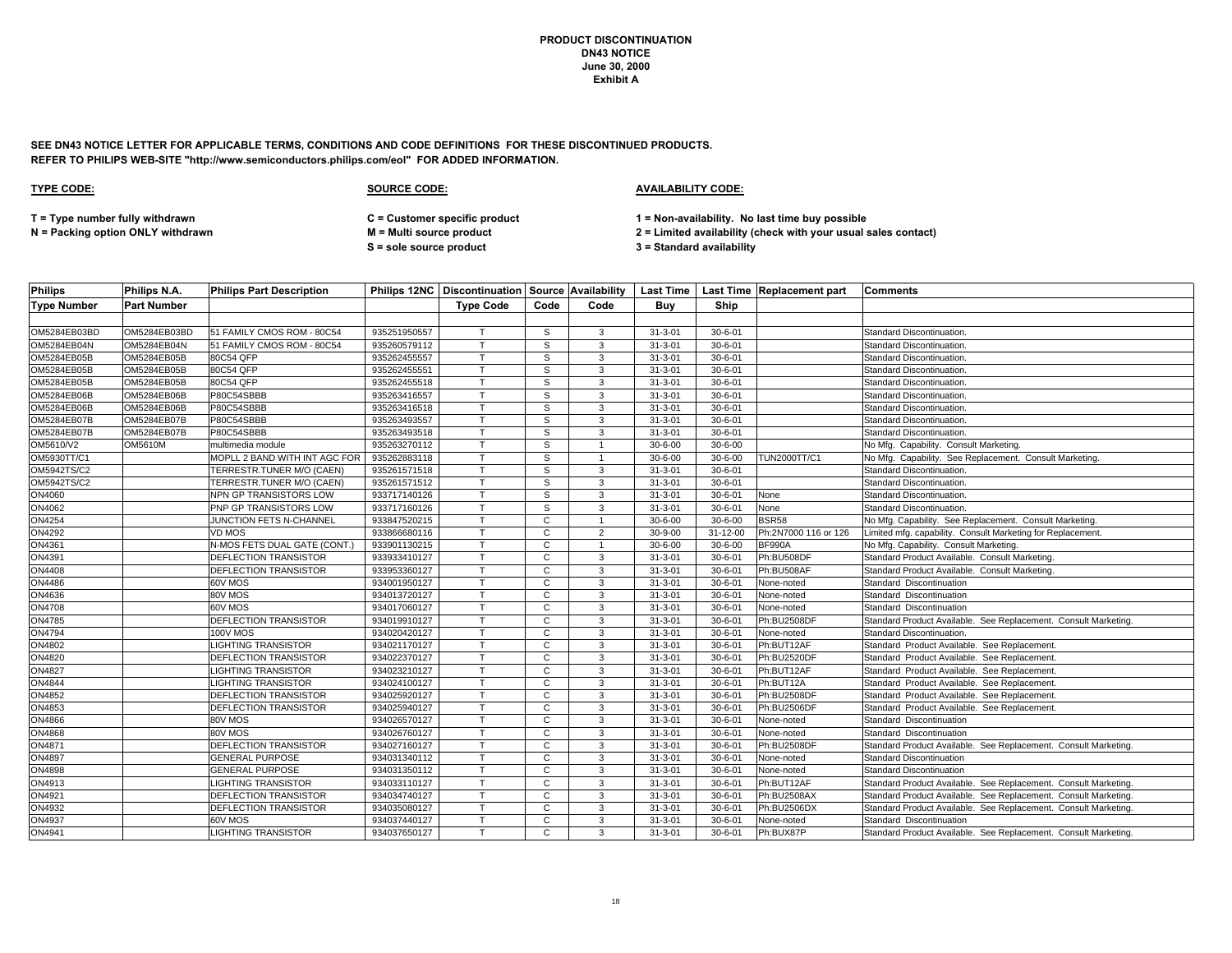**SEE DN43 NOTICE LETTER FOR APPLICABLE TERMS, CONDITIONS AND CODE DEFINITIONS FOR THESE DISCONTINUED PRODUCTS. REFER TO PHILIPS WEB-SITE "http://www.semiconductors.philips.com/eol" FOR ADDED INFORMATION.**

### **TYPE CODE: SOURCE CODE: AVAILABILITY CODE:**

**T = Type number fully withdrawn C = Customer specific product 1 = Non-availability. No last time buy possible**

**N = Packing option ONLY withdrawn M = Multi source product 2 = Limited availability (check with your usual sales contact)**

**S = sole source product 3 = Standard availability**

| <b>Philips</b>     | Philips N.A.       | <b>Philips Part Description</b> |              |                  |                |                |               |               | Philips 12NC   Discontinuation   Source   Availability   Last Time   Last Time   Replacement part | <b>Comments</b>                                                 |
|--------------------|--------------------|---------------------------------|--------------|------------------|----------------|----------------|---------------|---------------|---------------------------------------------------------------------------------------------------|-----------------------------------------------------------------|
| <b>Type Number</b> | <b>Part Number</b> |                                 |              | <b>Type Code</b> | Code           | Code           | Buy           | <b>Ship</b>   |                                                                                                   |                                                                 |
|                    |                    |                                 |              |                  |                |                |               |               |                                                                                                   |                                                                 |
| OM5284EB03BD       | OM5284EB03BD       | 51 FAMILY CMOS ROM - 80C54      | 935251950557 | $\mathsf{T}$     | S              | $\mathbf{3}$   | $31 - 3 - 01$ | $30 - 6 - 01$ |                                                                                                   | Standard Discontinuation.                                       |
| OM5284EB04N        | OM5284EB04N        | 51 FAMILY CMOS ROM - 80C54      | 935260579112 | Т                | S              | 3              | $31 - 3 - 01$ | $30 - 6 - 01$ |                                                                                                   | Standard Discontinuation.                                       |
| OM5284EB05B        | OM5284EB05B        | 80C54 QFP                       | 935262455557 | $\mathsf{T}$     | S              | 3              | $31 - 3 - 01$ | $30 - 6 - 01$ |                                                                                                   | Standard Discontinuation.                                       |
| OM5284EB05B        | OM5284EB05B        | 80C54 QFP                       | 935262455551 | $\mathsf{T}$     | S              | 3              | $31 - 3 - 01$ | $30 - 6 - 01$ |                                                                                                   | Standard Discontinuation.                                       |
| OM5284EB05B        | OM5284EB05B        | 80C54 QFP                       | 935262455518 |                  | S              | 3              | $31 - 3 - 01$ | $30 - 6 - 01$ |                                                                                                   | Standard Discontinuation.                                       |
| OM5284EB06B        | OM5284EB06B        | P80C54SBBB                      | 935263416557 | $\mathsf{T}$     | S              | 3              | $31 - 3 - 01$ | $30 - 6 - 01$ |                                                                                                   | Standard Discontinuation.                                       |
| OM5284EB06B        | OM5284EB06B        | P80C54SBBB                      | 935263416518 |                  | S              | 3              | $31 - 3 - 01$ | $30 - 6 - 01$ |                                                                                                   | Standard Discontinuation.                                       |
| OM5284EB07B        | OM5284EB07B        | P80C54SBBB                      | 935263493557 | $\mathsf{T}$     | S              | 3              | $31 - 3 - 01$ | $30 - 6 - 01$ |                                                                                                   | Standard Discontinuation.                                       |
| OM5284EB07B        | OM5284EB07B        | P80C54SBBB                      | 935263493518 |                  | S              | 3              | $31 - 3 - 01$ | $30 - 6 - 01$ |                                                                                                   | Standard Discontinuation.                                       |
| OM5610/V2          | <b>OM5610M</b>     | multimedia module               | 935263270112 | $\mathsf{T}$     | S.             |                | $30 - 6 - 00$ | $30 - 6 - 00$ |                                                                                                   | No Mfg. Capability. Consult Marketing.                          |
| OM5930TT/C1        |                    | MOPLL 2 BAND WITH INT AGC FOR   | 935262883118 | $\mathsf{T}$     | S              | $\overline{1}$ | $30 - 6 - 00$ | $30 - 6 - 00$ | TUN2000TT/C1                                                                                      | No Mfg. Capability. See Replacement. Consult Marketing.         |
| OM5942TS/C2        |                    | TERRESTR.TUNER M/O (CAEN)       | 935261571518 | T                | S              | 3              | $31 - 3 - 01$ | $30 - 6 - 01$ |                                                                                                   | Standard Discontinuation.                                       |
| OM5942TS/C2        |                    | TERRESTR.TUNER M/O (CAEN)       | 935261571512 | T                | S              | 3              | $31 - 3 - 01$ | $30 - 6 - 01$ |                                                                                                   | Standard Discontinuation.                                       |
| ON4060             |                    | NPN GP TRANSISTORS LOW          | 933717140126 |                  | S              | 3              | $31 - 3 - 01$ | $30 - 6 - 01$ | None                                                                                              | Standard Discontinuation.                                       |
| ON4062             |                    | PNP GP TRANSISTORS LOW          | 933717160126 | T                | S              | 3              | $31 - 3 - 01$ | $30 - 6 - 01$ | None                                                                                              | Standard Discontinuation.                                       |
| ON4254             |                    | JUNCTION FETS N-CHANNEL         | 933847520215 |                  | C              |                | $30 - 6 - 00$ | $30 - 6 - 00$ | BSR58                                                                                             | No Mfg. Capability. See Replacement. Consult Marketing.         |
| ON4292             |                    | VD MOS                          | 933866680116 | T                | $\mathbf{C}$   | $\overline{2}$ | $30 - 9 - 00$ | 31-12-00      | Ph:2N7000 116 or 126                                                                              | Limited mfg. capability. Consult Marketing for Replacement.     |
| ON4361             |                    | N-MOS FETS DUAL GATE (CONT.)    | 933901130215 | $\mathsf{T}$     | C              |                | $30 - 6 - 00$ | $30 - 6 - 00$ | <b>BF990A</b>                                                                                     | No Mfg. Capability. Consult Marketing.                          |
| ON4391             |                    | DEFLECTION TRANSISTOR           | 933933410127 |                  | C              | 3              | $31 - 3 - 01$ | $30 - 6 - 01$ | Ph:BU508DF                                                                                        | Standard Product Available. Consult Marketing.                  |
| <b>ON4408</b>      |                    | DEFLECTION TRANSISTOR           | 933953360127 | $\mathsf{T}$     | C              | $\mathbf{3}$   | $31 - 3 - 01$ | $30 - 6 - 01$ | Ph:BU508AF                                                                                        | Standard Product Available. Consult Marketing.                  |
| ON4486             |                    | 60V MOS                         | 934001950127 | т                | C              | 3              | $31 - 3 - 01$ | $30 - 6 - 01$ | None-noted                                                                                        | Standard Discontinuation                                        |
| ON4636             |                    | 80V MOS                         | 934013720127 | $\mathsf{T}$     | C              | 3              | $31 - 3 - 01$ | $30 - 6 - 01$ | None-noted                                                                                        | Standard Discontinuation                                        |
| <b>ON4708</b>      |                    | 60V MOS                         | 934017060127 |                  | C              | 3              | $31 - 3 - 01$ | $30 - 6 - 01$ | None-noted                                                                                        | Standard Discontinuation                                        |
| ON4785             |                    | DEFLECTION TRANSISTOR           | 934019910127 | $\mathsf{T}$     | C              | 3              | $31 - 3 - 01$ | $30 - 6 - 01$ | Ph:BU2508DF                                                                                       | Standard Product Available. See Replacement. Consult Marketing. |
| <b>ON4794</b>      |                    | <b>100V MOS</b>                 | 934020420127 |                  | $\overline{c}$ | 3              | $31 - 3 - 01$ | $30 - 6 - 01$ | None-noted                                                                                        | Standard Discontinuation.                                       |
| ON4802             |                    | <b>LIGHTING TRANSISTOR</b>      | 934021170127 | $\mathsf{T}$     | C              | $\mathbf{3}$   | $31 - 3 - 01$ | $30 - 6 - 01$ | Ph:BUT12AF                                                                                        | Standard Product Available. See Replacement                     |
| ON4820             |                    | DEFLECTION TRANSISTOR           | 934022370127 | T                | C              | 3              | $31 - 3 - 01$ | $30 - 6 - 01$ | Ph:BU2520DF                                                                                       | Standard Product Available. See Replacement.                    |
| <b>ON4827</b>      |                    | <b>LIGHTING TRANSISTOR</b>      | 934023210127 |                  | C              | 3              | $31 - 3 - 01$ | $30 - 6 - 01$ | Ph:BUT12AF                                                                                        | Standard Product Available. See Replacement                     |
| <b>ON4844</b>      |                    | <b>LIGHTING TRANSISTOR</b>      | 934024100127 | $\mathsf{T}$     | $\mathbf{C}$   | $\mathbf{3}$   | $31 - 3 - 01$ | $30 - 6 - 01$ | Ph:BUT12A                                                                                         | Standard Product Available. See Replacement                     |
| <b>ON4852</b>      |                    | DEFLECTION TRANSISTOR           | 934025920127 |                  | C              | 3              | $31 - 3 - 01$ | $30 - 6 - 01$ | Ph:BU2508DF                                                                                       | Standard Product Available. See Replacement                     |
| ON4853             |                    | DEFLECTION TRANSISTOR           | 934025940127 | $\mathsf{T}$     | C              | 3              | $31 - 3 - 01$ | $30 - 6 - 01$ | Ph:BU2506DF                                                                                       | Standard Product Available. See Replacement                     |
| ON4866             |                    | 80V MOS                         | 934026570127 | T                | C              | $\mathbf{3}$   | $31 - 3 - 01$ | $30 - 6 - 01$ | None-noted                                                                                        | Standard Discontinuation                                        |
| <b>ON4868</b>      |                    | 80V MOS                         | 934026760127 |                  | C              | 3              | $31 - 3 - 01$ | $30 - 6 - 01$ | None-noted                                                                                        | Standard Discontinuation                                        |
| <b>ON4871</b>      |                    | <b>DEFLECTION TRANSISTOR</b>    | 934027160127 |                  | $\mathbf{C}$   | 3              | $31 - 3 - 01$ | $30 - 6 - 01$ | Ph:BU2508DF                                                                                       | Standard Product Available. See Replacement. Consult Marketing. |
| <b>ON4897</b>      |                    | <b>GENERAL PURPOSE</b>          | 934031340112 | $\mathsf{T}$     | $\mathsf{C}$   | $\mathbf{3}$   | $31 - 3 - 01$ | $30 - 6 - 01$ | None-noted                                                                                        | <b>Standard Discontinuation</b>                                 |
| ON4898             |                    | <b>GENERAL PURPOSE</b>          | 934031350112 | Т                | C              | 3              | $31 - 3 - 01$ | $30 - 6 - 01$ | None-noted                                                                                        | <b>Standard Discontinuation</b>                                 |
| ON4913             |                    | <b>LIGHTING TRANSISTOR</b>      | 934033110127 | $\mathsf{T}$     | C              | 3              | $31 - 3 - 01$ | $30 - 6 - 01$ | Ph:BUT12AF                                                                                        | Standard Product Available. See Replacement. Consult Marketing. |
| ON4921             |                    | DEFLECTION TRANSISTOR           | 934034740127 | $\mathsf{T}$     | C              | $\mathbf{3}$   | $31 - 3 - 01$ | $30 - 6 - 01$ | Ph:BU2508AX                                                                                       | Standard Product Available. See Replacement. Consult Marketing. |
| ON4932             |                    | DEFLECTION TRANSISTOR           | 934035080127 |                  | C              | 3              | $31 - 3 - 01$ | $30 - 6 - 01$ | Ph:BU2506DX                                                                                       | Standard Product Available. See Replacement. Consult Marketing. |
| ON4937             |                    | 60V MOS                         | 934037440127 | T                | C              | 3              | $31 - 3 - 01$ | $30 - 6 - 01$ | None-noted                                                                                        | Standard Discontinuation                                        |
| ON4941             |                    | LIGHTING TRANSISTOR             | 934037650127 | T                | C              | 3              | $31 - 3 - 01$ | $30 - 6 - 01$ | Ph:BUX87P                                                                                         | Standard Product Available. See Replacement. Consult Marketing. |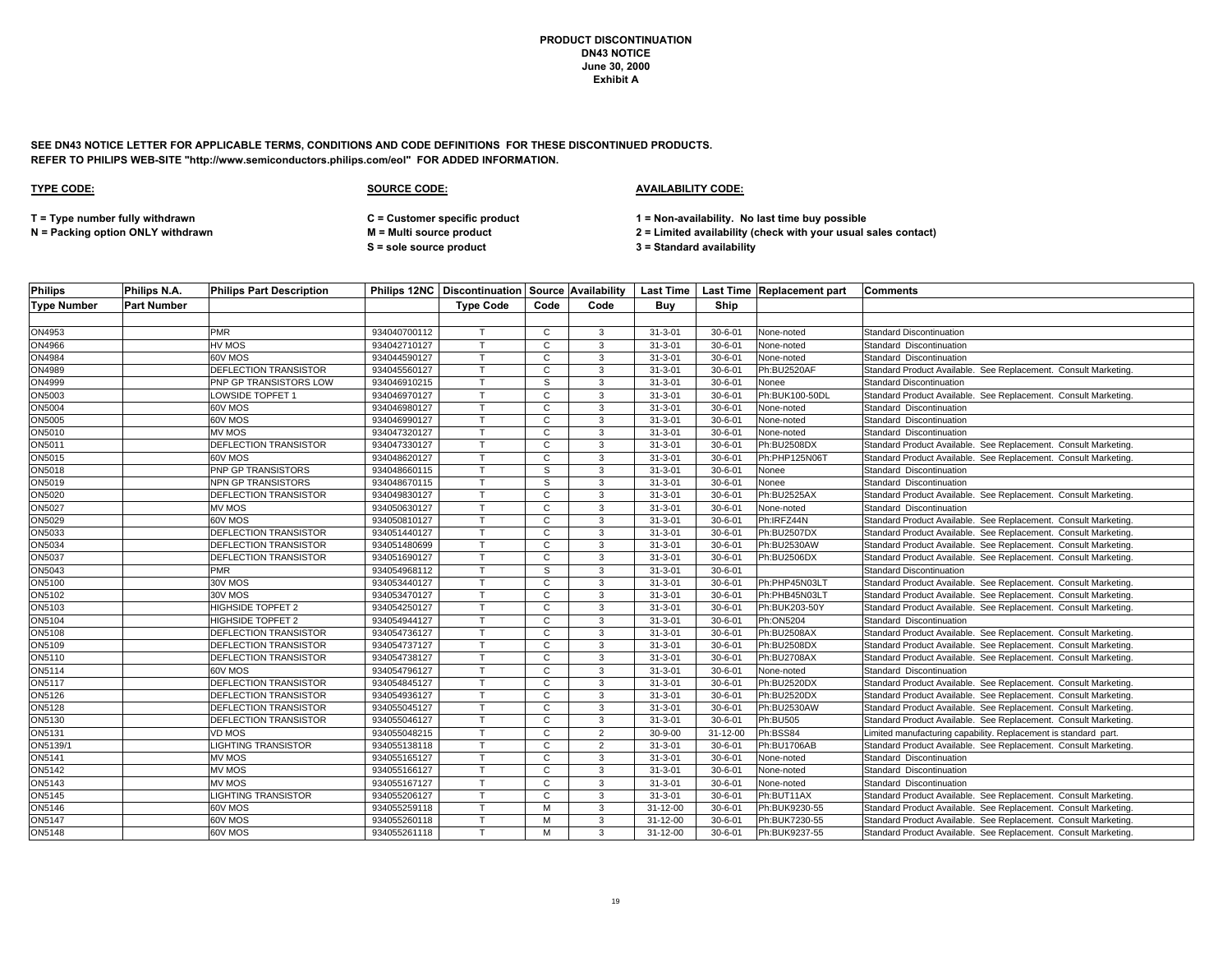**SEE DN43 NOTICE LETTER FOR APPLICABLE TERMS, CONDITIONS AND CODE DEFINITIONS FOR THESE DISCONTINUED PRODUCTS. REFER TO PHILIPS WEB-SITE "http://www.semiconductors.philips.com/eol" FOR ADDED INFORMATION.**

| <b>Philips</b>     | Philips N.A.       | <b>Philips Part Description</b> |              | Philips 12NC   Discontinuation   Source   Availability |              |                | <b>Last Time</b> |               | Last Time Replacement part | Comments                                                        |
|--------------------|--------------------|---------------------------------|--------------|--------------------------------------------------------|--------------|----------------|------------------|---------------|----------------------------|-----------------------------------------------------------------|
| <b>Type Number</b> | <b>Part Number</b> |                                 |              | <b>Type Code</b>                                       | Code         | Code           | Buy              | Ship          |                            |                                                                 |
|                    |                    |                                 |              |                                                        |              |                |                  |               |                            |                                                                 |
| ON4953             |                    | <b>PMR</b>                      | 934040700112 | $\top$                                                 | C            | 3              | $31 - 3 - 01$    | $30 - 6 - 01$ | None-noted                 | <b>Standard Discontinuation</b>                                 |
| ON4966             |                    | HV MOS                          | 934042710127 | T                                                      | C            | $\mathbf{3}$   | $31 - 3 - 01$    | $30 - 6 - 01$ | None-noted                 | Standard Discontinuation                                        |
| ON4984             |                    | 60V MOS                         | 934044590127 | $\mathsf{T}$                                           | $\mathbf{C}$ | 3              | $31 - 3 - 01$    | $30 - 6 - 01$ | None-noted                 | Standard Discontinuation                                        |
| ON4989             |                    | DEFLECTION TRANSISTOR           | 934045560127 | Т                                                      | C            | 3              | $31 - 3 - 01$    | $30 - 6 - 01$ | Ph:BU2520AF                | Standard Product Available. See Replacement. Consult Marketing. |
| ON4999             |                    | PNP GP TRANSISTORS LOW          | 934046910215 |                                                        | S            | 3              | $31 - 3 - 01$    | $30 - 6 - 01$ | Nonee                      | <b>Standard Discontinuation</b>                                 |
| <b>ON5003</b>      |                    | LOWSIDE TOPFET 1                | 934046970127 | $\mathsf{T}$                                           | C            | $\mathbf{3}$   | $31 - 3 - 01$    | $30 - 6 - 01$ | Ph:BUK100-50DL             | Standard Product Available. See Replacement. Consult Marketing  |
| <b>ON5004</b>      |                    | 60V MOS                         | 934046980127 | $\mathsf{T}$                                           | C            | 3              | $31 - 3 - 01$    | $30 - 6 - 01$ | None-noted                 | Standard Discontinuation                                        |
| ON5005             |                    | 60V MOS                         | 934046990127 | $\mathsf{T}$                                           | C            | 3              | $31 - 3 - 01$    | $30 - 6 - 01$ | None-noted                 | Standard Discontinuation                                        |
| ON5010             |                    | <b>MV MOS</b>                   | 934047320127 | $\mathsf{T}$                                           | $\mathbf{C}$ | 3              | $31 - 3 - 01$    | $30 - 6 - 01$ | None-noted                 | Standard Discontinuation                                        |
| ON5011             |                    | DEFLECTION TRANSISTOR           | 934047330127 | $\mathsf{T}$                                           | C            | 3              | $31 - 3 - 01$    | $30 - 6 - 01$ | Ph:BU2508DX                | Standard Product Available. See Replacement. Consult Marketing  |
| ON5015             |                    | 60V MOS                         | 934048620127 | $\mathsf{T}$                                           | C            | 3              | $31 - 3 - 01$    | $30 - 6 - 01$ | Ph:PHP125N06T              | Standard Product Available. See Replacement. Consult Marketing. |
| ON5018             |                    | PNP GP TRANSISTORS              | 934048660115 | T                                                      | S.           | $\mathbf{3}$   | $31 - 3 - 01$    | $30 - 6 - 01$ | Nonee                      | Standard Discontinuation                                        |
| ON5019             |                    | NPN GP TRANSISTORS              | 934048670115 | $\mathsf{T}$                                           | S.           | 3              | $31 - 3 - 01$    | $30 - 6 - 01$ | Nonee                      | Standard Discontinuation                                        |
| <b>ON5020</b>      |                    | DEFLECTION TRANSISTOR           | 934049830127 | $\mathsf{T}$                                           | C            | 3              | $31 - 3 - 01$    | $30 - 6 - 01$ | Ph:BU2525AX                | Standard Product Available. See Replacement. Consult Marketing. |
| ON5027             |                    | <b>MV MOS</b>                   | 934050630127 | $\mathsf{T}$                                           | C            | 3              | $31 - 3 - 01$    | $30 - 6 - 01$ | None-noted                 | Standard Discontinuation                                        |
| ON5029             |                    | 60V MOS                         | 934050810127 | T                                                      | C            | 3              | $31 - 3 - 01$    | $30 - 6 - 01$ | Ph:IRFZ44N                 | Standard Product Available. See Replacement. Consult Marketing  |
| <b>ON5033</b>      |                    | DEFLECTION TRANSISTOR           | 934051440127 |                                                        | $\mathsf{C}$ | 3              | $31 - 3 - 01$    | $30 - 6 - 01$ | Ph:BU2507DX                | Standard Product Available. See Replacement. Consult Marketing. |
| ON5034             |                    | DEFLECTION TRANSISTOR           | 934051480699 | $\mathsf{T}$                                           | C            | 3              | $31 - 3 - 01$    | $30 - 6 - 01$ | Ph:BU2530AW                | Standard Product Available. See Replacement. Consult Marketing  |
| <b>ON5037</b>      |                    | DEFLECTION TRANSISTOR           | 934051690127 | $\mathsf{T}$                                           | C            | 3              | $31 - 3 - 01$    | $30 - 6 - 01$ | Ph:BU2506DX                | Standard Product Available. See Replacement. Consult Marketing  |
| ON5043             |                    | <b>PMR</b>                      | 934054968112 | $\mathsf{T}$                                           | S            | 3              | $31 - 3 - 01$    | $30 - 6 - 01$ |                            | <b>Standard Discontinuation</b>                                 |
| ON5100             |                    | 30V MOS                         | 934053440127 | $\mathsf{T}$                                           | $\mathbf{C}$ | 3              | $31 - 3 - 01$    | $30 - 6 - 01$ | Ph:PHP45N03LT              | Standard Product Available. See Replacement. Consult Marketing  |
| ON5102             |                    | 30V MOS                         | 934053470127 | $\mathsf{T}$                                           | C            | 3              | $31 - 3 - 01$    | $30 - 6 - 01$ | Ph:PHB45N03LT              | Standard Product Available. See Replacement. Consult Marketing  |
| ON5103             |                    | HIGHSIDE TOPFET 2               | 934054250127 |                                                        | C            | 3              | $31 - 3 - 01$    | $30 - 6 - 01$ | Ph:BUK203-50Y              | Standard Product Available. See Replacement. Consult Marketing. |
| <b>ON5104</b>      |                    | HIGHSIDE TOPFET 2               | 934054944127 | $\mathsf{T}$                                           | $\mathbf{C}$ | $\mathbf{3}$   | $31 - 3 - 01$    | $30 - 6 - 01$ | Ph:ON5204                  | Standard Discontinuation                                        |
| <b>ON5108</b>      |                    | DEFLECTION TRANSISTOR           | 934054736127 | $\mathsf{T}$                                           | C            | 3              | $31 - 3 - 01$    | $30 - 6 - 01$ | Ph:BU2508AX                | Standard Product Available. See Replacement. Consult Marketing  |
| ON5109             |                    | DEFLECTION TRANSISTOR           | 934054737127 | $\mathsf{T}$                                           | C            | 3              | $31 - 3 - 01$    | $30 - 6 - 01$ | Ph:BU2508DX                | Standard Product Available. See Replacement. Consult Marketing. |
| ON5110             |                    | DEFLECTION TRANSISTOR           | 934054738127 | $\mathsf{T}$                                           | C            | 3              | $31 - 3 - 01$    | $30 - 6 - 01$ | Ph:BU2708AX                | Standard Product Available. See Replacement. Consult Marketing  |
| ON5114             |                    | 60V MOS                         | 934054796127 | $\mathsf{T}$                                           | C            | 3              | $31 - 3 - 01$    | $30 - 6 - 01$ | None-noted                 | Standard Discontinuation                                        |
| ON5117             |                    | DEFLECTION TRANSISTOR           | 934054845127 |                                                        | $\mathsf{C}$ | 3              | $31 - 3 - 01$    | $30 - 6 - 01$ | Ph:BU2520DX                | Standard Product Available. See Replacement. Consult Marketing. |
| ON5126             |                    | DEFLECTION TRANSISTOR           | 934054936127 | $\mathsf{T}$                                           | C            | 3              | $31 - 3 - 01$    | $30 - 6 - 01$ | Ph:BU2520DX                | Standard Product Available. See Replacement. Consult Marketing  |
| ON5128             |                    | <b>DEFLECTION TRANSISTOR</b>    | 934055045127 | $\mathsf{T}$                                           | C            | 3              | $31 - 3 - 01$    | $30 - 6 - 01$ | Ph:BU2530AW                | Standard Product Available. See Replacement. Consult Marketing  |
| ON5130             |                    | DEFLECTION TRANSISTOR           | 934055046127 | $\mathsf{T}$                                           | C            | 3              | $31 - 3 - 01$    | $30 - 6 - 01$ | Ph:BU505                   | Standard Product Available. See Replacement. Consult Marketing. |
| ON5131             |                    | VD MOS                          | 934055048215 | T.                                                     | C            | 2              | $30 - 9 - 00$    | 31-12-00      | Ph:BSS84                   | Limited manufacturing capability. Replacement is standard part. |
| ON5139/1           |                    | <b>LIGHTING TRANSISTOR</b>      | 934055138118 | т                                                      | C            | $\overline{2}$ | $31 - 3 - 01$    | $30 - 6 - 01$ | Ph:BU1706AB                | Standard Product Available. See Replacement. Consult Marketing  |
| ON5141             |                    | <b>MV MOS</b>                   | 934055165127 | $\mathsf{T}$                                           | C            | 3              | $31 - 3 - 01$    | $30 - 6 - 01$ | None-noted                 | Standard Discontinuation                                        |
| ON5142             |                    | <b>MV MOS</b>                   | 934055166127 | $\mathsf{T}$                                           | $\mathbf{C}$ | $\mathbf{3}$   | $31 - 3 - 01$    | $30 - 6 - 01$ | None-noted                 | Standard Discontinuation                                        |
| ON5143             |                    | <b>MV MOS</b>                   | 934055167127 | $\mathsf{T}$                                           | $\mathbf{C}$ | 3              | $31 - 3 - 01$    | $30 - 6 - 01$ | None-noted                 | Standard Discontinuation                                        |
| ON5145             |                    | <b>LIGHTING TRANSISTOR</b>      | 934055206127 | $\mathsf{T}$                                           | C            | 3              | $31 - 3 - 01$    | $30 - 6 - 01$ | Ph:BUT11AX                 | Standard Product Available. See Replacement. Consult Marketing. |
| <b>ON5146</b>      |                    | 60V MOS                         | 934055259118 | $\mathsf{T}$                                           | м            | 3              | $31 - 12 - 00$   | $30 - 6 - 01$ | Ph:BUK9230-55              | Standard Product Available. See Replacement. Consult Marketing  |
| <b>ON5147</b>      |                    | 60V MOS                         | 934055260118 | $\mathsf{T}$                                           | M            | 3              | $31 - 12 - 00$   | $30 - 6 - 01$ | Ph:BUK7230-55              | Standard Product Available. See Replacement. Consult Marketing  |
| <b>ON5148</b>      |                    | 60V MOS                         | 934055261118 | T.                                                     | м            | 3              | 31-12-00         | $30 - 6 - 01$ | Ph:BUK9237-55              | Standard Product Available. See Replacement. Consult Marketing. |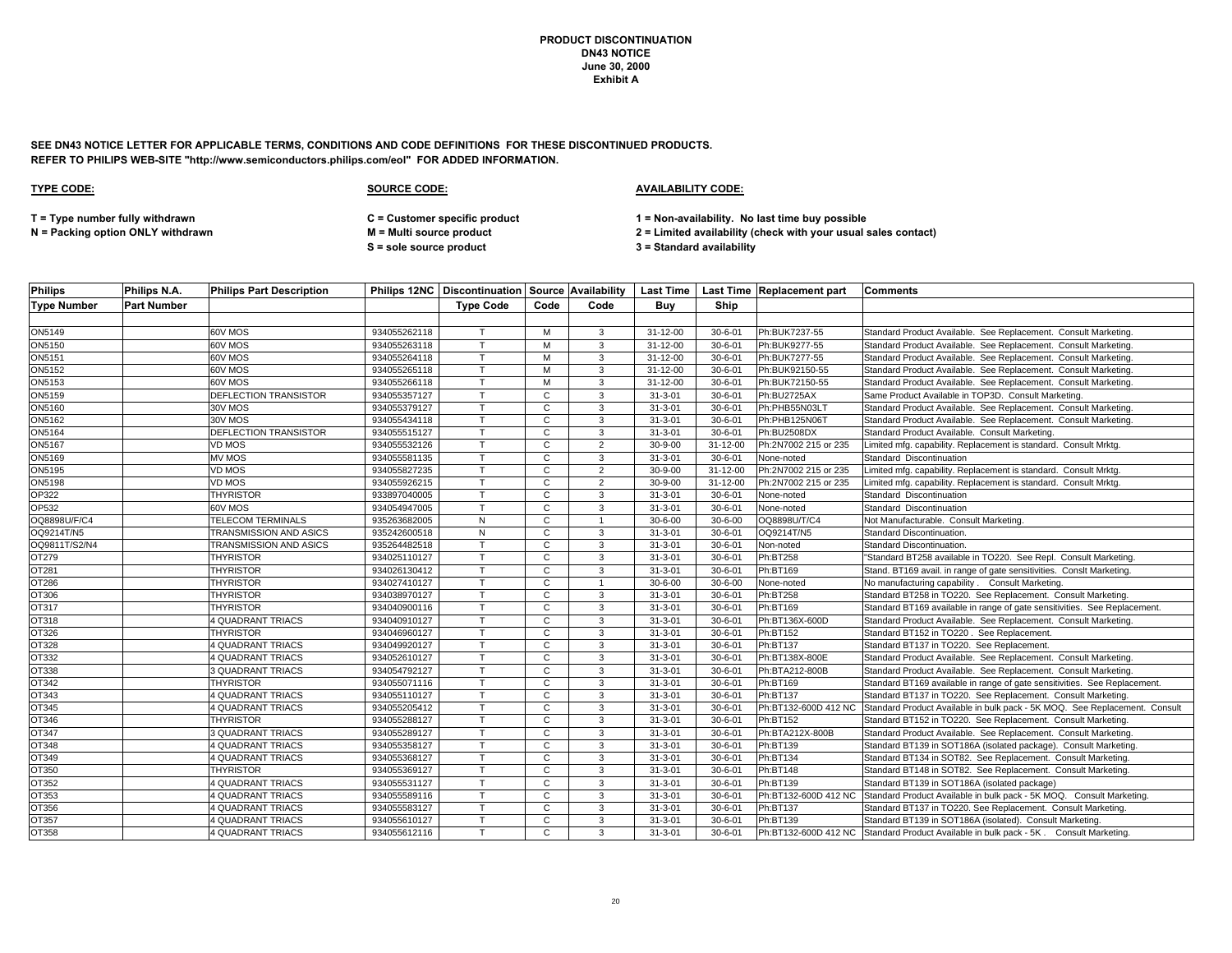**SEE DN43 NOTICE LETTER FOR APPLICABLE TERMS, CONDITIONS AND CODE DEFINITIONS FOR THESE DISCONTINUED PRODUCTS. REFER TO PHILIPS WEB-SITE "http://www.semiconductors.philips.com/eol" FOR ADDED INFORMATION.**

| <b>Philips</b>     | Philips N.A.       | <b>Philips Part Description</b> |              |                  |              |                |               |               | Philips 12NC   Discontinuation   Source   Availability   Last Time   Last Time   Replacement part   Comments |                                                                                                 |
|--------------------|--------------------|---------------------------------|--------------|------------------|--------------|----------------|---------------|---------------|--------------------------------------------------------------------------------------------------------------|-------------------------------------------------------------------------------------------------|
| <b>Type Number</b> | <b>Part Number</b> |                                 |              | <b>Type Code</b> | Code         | Code           | Buv           | Ship          |                                                                                                              |                                                                                                 |
|                    |                    |                                 |              |                  |              |                |               |               |                                                                                                              |                                                                                                 |
| ON5149             |                    | 60V MOS                         | 934055262118 | $\mathsf{T}$     | M            | 3              | 31-12-00      | $30 - 6 - 01$ | Ph:BUK7237-55                                                                                                | Standard Product Available. See Replacement. Consult Marketing.                                 |
| ON5150             |                    | 60V MOS                         | 934055263118 |                  | M            | 3              | 31-12-00      | $30 - 6 - 01$ | Ph:BUK9277-55                                                                                                | Standard Product Available. See Replacement. Consult Marketing.                                 |
| ON5151             |                    | 60V MOS                         | 934055264118 | T                | M            | 3              | 31-12-00      | $30 - 6 - 01$ | Ph:BUK7277-55                                                                                                | Standard Product Available. See Replacement. Consult Marketing.                                 |
| ON5152             |                    | 60V MOS                         | 934055265118 | $\mathsf{T}$     | M            | 3              | 31-12-00      | $30 - 6 - 01$ | Ph:BUK92150-55                                                                                               | Standard Product Available. See Replacement. Consult Marketing.                                 |
| ON5153             |                    | 60V MOS                         | 934055266118 | т                | M            | 3              | 31-12-00      | $30 - 6 - 01$ | Ph:BUK72150-55                                                                                               | Standard Product Available. See Replacement. Consult Marketing.                                 |
| ON5159             |                    | DEFLECTION TRANSISTOR           | 934055357127 | T                | C            | $\mathbf{3}$   | $31 - 3 - 01$ | $30 - 6 - 01$ | Ph:BU2725AX                                                                                                  | Same Product Available in TOP3D. Consult Marketing.                                             |
| ON5160             |                    | 30V MOS                         | 934055379127 |                  | C            | 3              | $31 - 3 - 01$ | $30 - 6 - 01$ | Ph:PHB55N03LT                                                                                                | Standard Product Available. See Replacement. Consult Marketing.                                 |
| ON5162             |                    | 30V MOS                         | 934055434118 | $\mathsf{T}$     | $\mathbf{C}$ | 3              | $31 - 3 - 01$ | $30 - 6 - 01$ | Ph:PHB125N06T                                                                                                | Standard Product Available. See Replacement. Consult Marketing.                                 |
| <b>ON5164</b>      |                    | DEFLECTION TRANSISTOR           | 934055515127 |                  | C            | 3              | $31 - 3 - 01$ | $30 - 6 - 01$ | Ph:BU2508DX                                                                                                  | Standard Product Available. Consult Marketing.                                                  |
| ON5167             |                    | VD MOS                          | 934055532126 |                  | C.           | 2              | $30 - 9 - 00$ | 31-12-00      | Ph:2N7002 215 or 235                                                                                         | Limited mfg. capability. Replacement is standard. Consult Mrktg.                                |
| ON5169             |                    | MV MOS                          | 934055581135 | т                | C            | 3              | $31 - 3 - 01$ | $30 - 6 - 01$ | None-noted                                                                                                   | Standard Discontinuation                                                                        |
| ON5195             |                    | VD MOS                          | 934055827235 |                  | C            | $\overline{2}$ | $30 - 9 - 00$ | 31-12-00      | Ph:2N7002 215 or 235                                                                                         | Limited mfg. capability. Replacement is standard. Consult Mrktg.                                |
| ON5198             |                    | VD MOS                          | 934055926215 | $\mathsf{T}$     | $\mathbf{C}$ | $\overline{2}$ | $30 - 9 - 00$ | 31-12-00      | Ph:2N7002 215 or 235                                                                                         | Limited mfg. capability. Replacement is standard. Consult Mrktg.                                |
| <b>OP322</b>       |                    | <b>THYRISTOR</b>                | 933897040005 |                  | C            | 3              | $31 - 3 - 01$ | $30 - 6 - 01$ | None-noted                                                                                                   | Standard Discontinuation                                                                        |
| OP532              |                    | 60V MOS                         | 934054947005 | $\mathsf{T}$     | C            | 3              | $31 - 3 - 01$ | $30 - 6 - 01$ | None-noted                                                                                                   | Standard Discontinuation                                                                        |
| OQ8898U/F/C4       |                    | <b>TELECOM TERMINALS</b>        | 935263682005 | N                | C            | $\overline{1}$ | $30 - 6 - 00$ | $30 - 6 - 00$ | OQ8898U/T/C4                                                                                                 | Not Manufacturable. Consult Marketing.                                                          |
| OQ9214T/N5         |                    | TRANSMISSION AND ASICS          | 935242600518 | N                | C            | 3              | $31 - 3 - 01$ | $30 - 6 - 01$ | OQ9214T/N5                                                                                                   | Standard Discontinuation.                                                                       |
| OQ9811T/S2/N4      |                    | TRANSMISSION AND ASICS          | 935264482518 |                  | C            | 3              | $31 - 3 - 01$ | $30 - 6 - 01$ | Non-noted                                                                                                    | Standard Discontinuation.                                                                       |
| OT279              |                    | <b>THYRISTOR</b>                | 934025110127 | T                | $\mathbf{C}$ | 3              | $31 - 3 - 01$ | $30 - 6 - 01$ | Ph:BT258                                                                                                     | "Standard BT258 available in TO220. See Repl. Consult Marketing.                                |
| OT281              |                    | <b>THYRISTOR</b>                | 934026130412 |                  | C            | 3              | $31 - 3 - 01$ | $30 - 6 - 01$ | Ph:BT169                                                                                                     | Stand. BT169 avail. in range of gate sensitivities. Conslt Marketing.                           |
| OT286              |                    | <b>THYRISTOR</b>                | 934027410127 |                  | C            | -1             | $30 - 6 - 00$ | $30 - 6 - 00$ | None-noted                                                                                                   | No manufacturing capability . Consult Marketing.                                                |
| OT306              |                    | <b>THYRISTOR</b>                | 934038970127 | T                | C            | 3              | $31 - 3 - 01$ | $30 - 6 - 01$ | Ph:BT258                                                                                                     | Standard BT258 in TO220. See Replacement. Consult Marketing.                                    |
| OT317              |                    | THYRISTOR                       | 934040900116 | T.               | C            | 3              | $31 - 3 - 01$ | $30 - 6 - 01$ | Ph:BT169                                                                                                     | Standard BT169 available in range of gate sensitivities. See Replacement.                       |
| OT318              |                    | <b>4 QUADRANT TRIACS</b>        | 934040910127 | T.               | C            | 3              | $31 - 3 - 01$ | $30 - 6 - 01$ | Ph:BT136X-600D                                                                                               | Standard Product Available. See Replacement. Consult Marketing.                                 |
| OT326              |                    | <b>THYRISTOR</b>                | 934046960127 |                  | C            | 3              | $31 - 3 - 01$ | $30 - 6 - 01$ | Ph:BT152                                                                                                     | Standard BT152 in TO220. See Replacement.                                                       |
| OT328              |                    | <b>4 QUADRANT TRIACS</b>        | 934049920127 | $\mathsf{T}$     | $\mathsf{C}$ | 3              | $31 - 3 - 01$ | $30 - 6 - 01$ | Ph:BT137                                                                                                     | Standard BT137 in TO220. See Replacement.                                                       |
| OT332              |                    | 4 QUADRANT TRIACS               | 934052610127 | $\mathsf{T}$     | C            | 3              | $31 - 3 - 01$ | $30 - 6 - 01$ | Ph:BT138X-800E                                                                                               | Standard Product Available. See Replacement. Consult Marketing.                                 |
| OT338              |                    | <b>3 QUADRANT TRIACS</b>        | 934054792127 | т                | $\mathbf{C}$ | 3              | $31 - 3 - 01$ | $30 - 6 - 01$ | Ph:BTA212-800B                                                                                               | Standard Product Available. See Replacement. Consult Marketing.                                 |
| OT342              |                    | <b>THYRISTOR</b>                | 934055071116 | T                | $\mathbf{C}$ | $\mathbf{3}$   | $31 - 3 - 01$ | $30 - 6 - 01$ | Ph:BT169                                                                                                     | Standard BT169 available in range of gate sensitivities. See Replacement.                       |
| OT343              |                    | <b>4 QUADRANT TRIACS</b>        | 934055110127 |                  | C            | 3              | $31 - 3 - 01$ | $30 - 6 - 01$ | Ph:BT137                                                                                                     | Standard BT137 in TO220. See Replacement. Consult Marketing.                                    |
| OT345              |                    | <b>4 QUADRANT TRIACS</b>        | 934055205412 | $\mathsf{T}$     | $\mathbf{C}$ | 3              | $31 - 3 - 01$ | $30 - 6 - 01$ |                                                                                                              | Ph:BT132-600D 412 NC Standard Product Available in bulk pack - 5K MOQ. See Replacement. Consult |
| OT346              |                    | <b>THYRISTOR</b>                | 934055288127 | $\mathbf \tau$   | C            | 3              | $31 - 3 - 01$ | $30 - 6 - 01$ | Ph:BT152                                                                                                     | Standard BT152 in TO220. See Replacement. Consult Marketing.                                    |
| OT347              |                    | <b>3 QUADRANT TRIACS</b>        | 934055289127 | $\mathsf{T}$     | $\mathsf{C}$ | 3              | $31 - 3 - 01$ | $30 - 6 - 01$ | Ph:BTA212X-800B                                                                                              | Standard Product Available. See Replacement. Consult Marketing.                                 |
| OT348              |                    | <b>4 QUADRANT TRIACS</b>        | 934055358127 | т                | C            | 3              | $31 - 3 - 01$ | $30 - 6 - 01$ | Ph:BT139                                                                                                     | Standard BT139 in SOT186A (isolated package). Consult Marketing.                                |
| OT349              |                    | <b>4 QUADRANT TRIACS</b>        | 934055368127 |                  | C            | 3              | $31 - 3 - 01$ | $30 - 6 - 01$ | Ph:BT134                                                                                                     | Standard BT134 in SOT82. See Replacement. Consult Marketing.                                    |
| OT350              |                    | <b>THYRISTOR</b>                | 934055369127 | $\mathsf{T}$     | $\mathbf{C}$ | 3              | $31 - 3 - 01$ | $30 - 6 - 01$ | Ph:BT148                                                                                                     | Standard BT148 in SOT82. See Replacement. Consult Marketing.                                    |
| OT352              |                    | <b>4 QUADRANT TRIACS</b>        | 934055531127 | $\mathsf{T}$     | $\mathbf{C}$ | 3              | $31 - 3 - 01$ | $30 - 6 - 01$ | Ph:BT139                                                                                                     | Standard BT139 in SOT186A (isolated package)                                                    |
| OT353              |                    | 4 QUADRANT TRIACS               | 934055589116 | $\mathsf{T}$     | $\mathbf{C}$ | 3              | $31 - 3 - 01$ | $30 - 6 - 01$ |                                                                                                              | Ph:BT132-600D 412 NC Standard Product Available in bulk pack - 5K MOQ. Consult Marketing.       |
| OT356              |                    | <b>4 QUADRANT TRIACS</b>        | 934055583127 | $\mathsf{T}$     | C            | 3              | $31 - 3 - 01$ | $30 - 6 - 01$ | Ph:BT137                                                                                                     | Standard BT137 in TO220. See Replacement. Consult Marketing.                                    |
| OT357              |                    | 4 QUADRANT TRIACS               | 934055610127 | T.               | C            | 3              | $31 - 3 - 01$ | $30 - 6 - 01$ | Ph:BT139                                                                                                     | Standard BT139 in SOT186A (isolated). Consult Marketing.                                        |
| OT358              |                    | <b>4 QUADRANT TRIACS</b>        | 934055612116 | $\mathsf{T}$     | $\mathbf{C}$ | 3              | $31 - 3 - 01$ | $30 - 6 - 01$ |                                                                                                              | Ph:BT132-600D 412 NC Standard Product Available in bulk pack - 5K. Consult Marketing.           |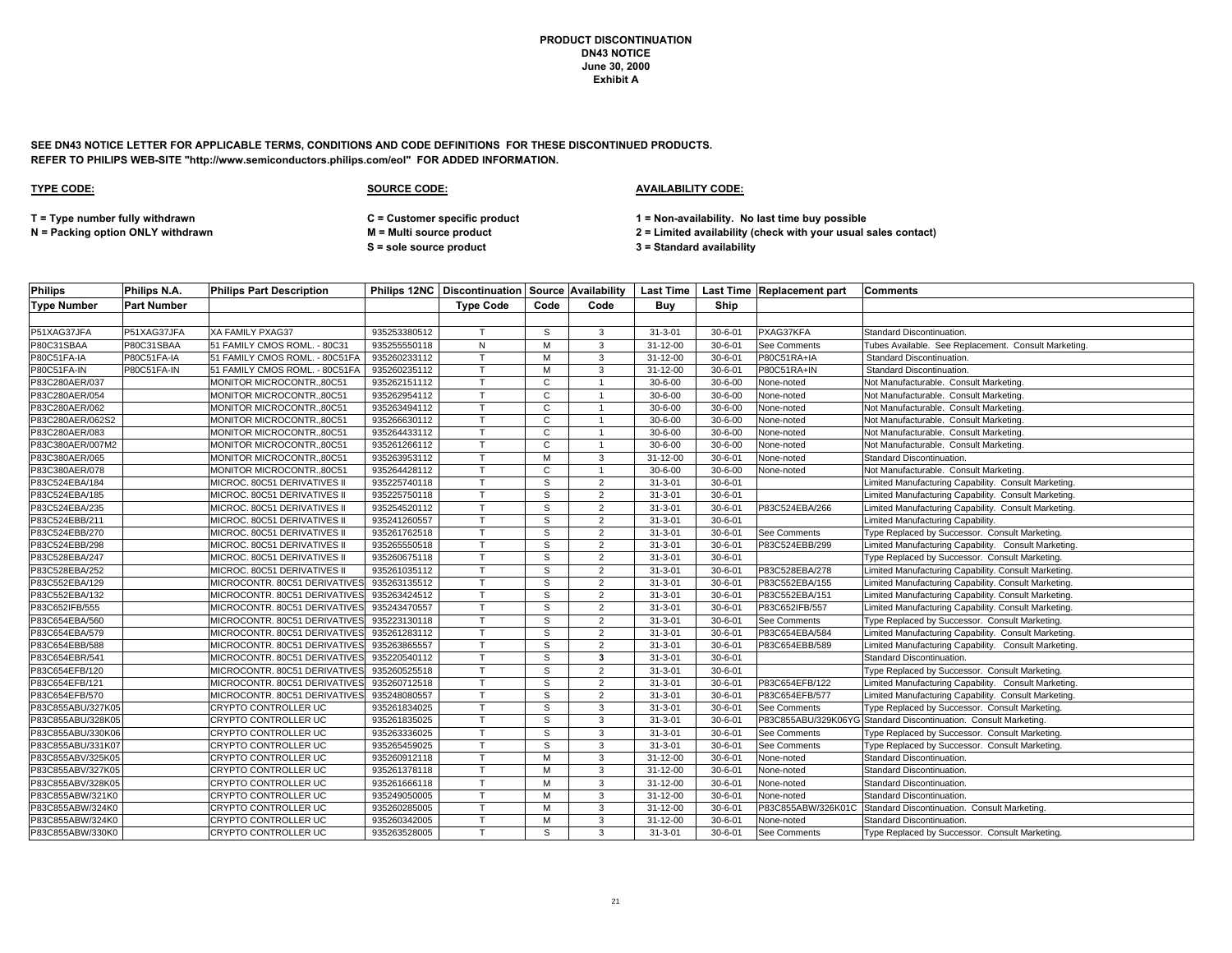**SEE DN43 NOTICE LETTER FOR APPLICABLE TERMS, CONDITIONS AND CODE DEFINITIONS FOR THESE DISCONTINUED PRODUCTS. REFER TO PHILIPS WEB-SITE "http://www.semiconductors.philips.com/eol" FOR ADDED INFORMATION.**

### **TYPE CODE: SOURCE CODE: AVAILABILITY CODE:**

**T = Type number fully withdrawn C = Customer specific product 1 = Non-availability. No last time buy possible**

**N = Packing option ONLY withdrawn M = Multi source product 2 = Limited availability (check with your usual sales contact)**

**S = sole source product 3 = Standard availability**

| <b>Philips</b>     | Philips N.A.       | <b>Philips Part Description</b> |              |                  |              |                |                |               | Philips 12NC   Discontinuation   Source   Availability   Last Time   Last Time   Replacement part | <b>Comments</b>                                                  |
|--------------------|--------------------|---------------------------------|--------------|------------------|--------------|----------------|----------------|---------------|---------------------------------------------------------------------------------------------------|------------------------------------------------------------------|
| <b>Type Number</b> | <b>Part Number</b> |                                 |              | <b>Type Code</b> | Code         | Code           | Buv            | Ship          |                                                                                                   |                                                                  |
|                    |                    |                                 |              |                  |              |                |                |               |                                                                                                   |                                                                  |
| P51XAG37JFA        | P51XAG37JFA        | <b>XA FAMILY PXAG37</b>         | 935253380512 |                  | S            | 3              | $31 - 3 - 01$  | $30 - 6 - 01$ | PXAG37KFA                                                                                         | Standard Discontinuation.                                        |
| P80C31SBAA         | P80C31SBAA         | 51 FAMILY CMOS ROML. - 80C31    | 935255550118 | N                | M            | 3              | 31-12-00       | $30 - 6 - 01$ | See Comments                                                                                      | Tubes Available. See Replacement. Consult Marketing.             |
| P80C51FA-IA        | P80C51FA-IA        | 51 FAMILY CMOS ROML. - 80C51FA  | 935260233112 | $\mathsf{T}$     | M            | 3              | 31-12-00       | $30 - 6 - 01$ | P80C51RA+IA                                                                                       | Standard Discontinuation.                                        |
| P80C51FA-IN        | P80C51FA-IN        | 51 FAMILY CMOS ROML. - 80C51FA  | 935260235112 |                  | M            | 3              | $31 - 12 - 00$ | $30 - 6 - 01$ | P80C51RA+IN                                                                                       | Standard Discontinuation.                                        |
| P83C280AER/037     |                    | MONITOR MICROCONTR., 80C51      | 935262151112 |                  | C            |                | $30 - 6 - 00$  | $30 - 6 - 00$ | None-noted                                                                                        | Not Manufacturable. Consult Marketing.                           |
| P83C280AER/054     |                    | MONITOR MICROCONTR., 80C51      | 935262954112 |                  | $\mathbf{C}$ |                | $30 - 6 - 00$  | $30 - 6 - 00$ | None-noted                                                                                        | Not Manufacturable. Consult Marketing.                           |
| P83C280AER/062     |                    | MONITOR MICROCONTR.,80C51       | 935263494112 |                  | C            |                | $30 - 6 - 00$  | $30 - 6 - 00$ | None-noted                                                                                        | Not Manufacturable. Consult Marketing.                           |
| P83C280AER/062S2   |                    | MONITOR MICROCONTR.,80C51       | 935266630112 |                  | C            |                | $30 - 6 - 00$  | $30 - 6 - 00$ | None-noted                                                                                        | Not Manufacturable. Consult Marketing.                           |
| P83C280AER/083     |                    | MONITOR MICROCONTR.,80C51       | 935264433112 |                  | C            |                | $30 - 6 - 00$  | $30 - 6 - 00$ | None-noted                                                                                        | Not Manufacturable. Consult Marketing.                           |
| P83C380AER/007M2   |                    | MONITOR MICROCONTR.,80C51       | 935261266112 |                  | $\mathbf{C}$ |                | $30 - 6 - 00$  | $30 - 6 - 00$ | None-noted                                                                                        | Not Manufacturable. Consult Marketing.                           |
| P83C380AER/065     |                    | MONITOR MICROCONTR.,80C51       | 935263953112 |                  | M            | 3              | 31-12-00       | $30 - 6 - 01$ | None-noted                                                                                        | Standard Discontinuation.                                        |
| P83C380AER/078     |                    | MONITOR MICROCONTR.,80C51       | 935264428112 |                  | C            |                | $30 - 6 - 00$  | $30 - 6 - 00$ | None-noted                                                                                        | Not Manufacturable. Consult Marketing.                           |
| P83C524EBA/184     |                    | MICROC. 80C51 DERIVATIVES II    | 935225740118 | $\mathsf{T}$     | S            | $\overline{2}$ | $31 - 3 - 01$  | $30 - 6 - 01$ |                                                                                                   | Limited Manufacturing Capability. Consult Marketing.             |
| P83C524EBA/185     |                    | MICROC. 80C51 DERIVATIVES II    | 935225750118 |                  | S            | $\overline{2}$ | $31 - 3 - 01$  | $30 - 6 - 01$ |                                                                                                   | Limited Manufacturing Capability. Consult Marketing.             |
| P83C524EBA/235     |                    | MICROC. 80C51 DERIVATIVES II    | 935254520112 |                  | S            | $\overline{2}$ | $31 - 3 - 01$  | $30 - 6 - 01$ | P83C524EBA/266                                                                                    | Limited Manufacturing Capability. Consult Marketing.             |
| P83C524EBB/211     |                    | MICROC. 80C51 DERIVATIVES II    | 935241260557 |                  | S            | $\overline{2}$ | $31 - 3 - 01$  | $30 - 6 - 01$ |                                                                                                   | Limited Manufacturing Capability.                                |
| P83C524EBB/270     |                    | MICROC. 80C51 DERIVATIVES II    | 935261762518 |                  | S            | 2              | $31 - 3 - 01$  | $30 - 6 - 01$ | See Comments                                                                                      | Type Replaced by Successor. Consult Marketing.                   |
| P83C524EBB/298     |                    | MICROC. 80C51 DERIVATIVES II    | 935265550518 |                  | S            | $\overline{2}$ | $31 - 3 - 01$  | $30 - 6 - 01$ | P83C524EBB/299                                                                                    | Limited Manufacturing Capability. Consult Marketing.             |
| P83C528EBA/247     |                    | MICROC. 80C51 DERIVATIVES II    | 935260675118 |                  | S            | 2              | $31 - 3 - 01$  | $30 - 6 - 01$ |                                                                                                   | Type Replaced by Successor. Consult Marketing.                   |
| P83C528EBA/252     |                    | MICROC. 80C51 DERIVATIVES II    | 935261035112 |                  | S            | $\overline{2}$ | $31 - 3 - 01$  | $30 - 6 - 01$ | P83C528EBA/278                                                                                    | Limited Manufacturing Capability. Consult Marketing.             |
| P83C552EBA/129     |                    | MICROCONTR. 80C51 DERIVATIVE    | 935263135512 |                  | S            | $\overline{2}$ | $31 - 3 - 01$  | $30 - 6 - 01$ | P83C552EBA/155                                                                                    | Limited Manufacturing Capability. Consult Marketing.             |
| P83C552EBA/132     |                    | MICROCONTR. 80C51 DERIVATIVE    | 935263424512 |                  | S            | $\overline{2}$ | $31 - 3 - 01$  | $30 - 6 - 01$ | P83C552EBA/151                                                                                    | Limited Manufacturing Capability. Consult Marketing.             |
| P83C652IFB/555     |                    | MICROCONTR. 80C51 DERIVATIVE    | 935243470557 |                  | S            | $\overline{2}$ | $31 - 3 - 01$  | $30 - 6 - 01$ | P83C652IFB/557                                                                                    | Limited Manufacturing Capability. Consult Marketing.             |
| P83C654EBA/560     |                    | MICROCONTR. 80C51 DERIVATIVE    | 935223130118 |                  | S            | $\overline{2}$ | $31 - 3 - 01$  | $30 - 6 - 01$ | See Comments                                                                                      | Type Replaced by Successor. Consult Marketing.                   |
| P83C654EBA/579     |                    | MICROCONTR. 80C51 DERIVATIVE    | 935261283112 |                  | S            | $\overline{2}$ | $31 - 3 - 01$  | $30 - 6 - 01$ | P83C654EBA/584                                                                                    | Limited Manufacturing Capability. Consult Marketing.             |
| P83C654EBB/588     |                    | MICROCONTR. 80C51 DERIVATIVE    | 935263865557 |                  | S            | $\overline{2}$ | $31 - 3 - 01$  | $30 - 6 - 01$ | P83C654EBB/589                                                                                    | Limited Manufacturing Capability. Consult Marketing.             |
| P83C654EBR/541     |                    | MICROCONTR. 80C51 DERIVATIVE    | 935220540112 |                  | S            | 3              | $31 - 3 - 01$  | $30 - 6 - 01$ |                                                                                                   | Standard Discontinuation.                                        |
| P83C654EFB/120     |                    | MICROCONTR. 80C51 DERIVATIVE    | 935260525518 |                  | S            | $\overline{2}$ | $31 - 3 - 01$  | $30 - 6 - 01$ |                                                                                                   | Type Replaced by Successor. Consult Marketing.                   |
| P83C654EFB/121     |                    | MICROCONTR. 80C51 DERIVATIVE    | 935260712518 |                  | S            | 2              | $31 - 3 - 01$  | $30 - 6 - 01$ | P83C654EFB/122                                                                                    | Limited Manufacturing Capability. Consult Marketing.             |
| P83C654EFB/570     |                    | MICROCONTR. 80C51 DERIVATIVES   | 935248080557 |                  | S            | $\overline{2}$ | $31 - 3 - 01$  | $30 - 6 - 01$ | P83C654EFB/577                                                                                    | Limited Manufacturing Capability. Consult Marketing.             |
| P83C855ABU/327K05  |                    | CRYPTO CONTROLLER UC            | 935261834025 |                  | S            | 3              | $31 - 3 - 01$  | $30 - 6 - 01$ | See Comments                                                                                      | Type Replaced by Successor. Consult Marketing.                   |
| P83C855ABU/328K05  |                    | CRYPTO CONTROLLER UC            | 935261835025 |                  | s            | 3              | $31 - 3 - 01$  | $30 - 6 - 01$ |                                                                                                   | P83C855ABU/329K06YG Standard Discontinuation. Consult Marketing. |
| P83C855ABU/330K06  |                    | CRYPTO CONTROLLER UC            | 935263336025 |                  | S            | 3              | $31 - 3 - 01$  | $30 - 6 - 01$ | See Comments                                                                                      | Type Replaced by Successor. Consult Marketing.                   |
| P83C855ABU/331K07  |                    | CRYPTO CONTROLLER UC            | 935265459025 |                  | S            | 3              | $31 - 3 - 01$  | $30 - 6 - 01$ | See Comments                                                                                      | Type Replaced by Successor. Consult Marketing.                   |
| P83C855ABV/325K05  |                    | CRYPTO CONTROLLER UC            | 935260912118 |                  | M            | 3              | $31 - 12 - 00$ | $30 - 6 - 01$ | None-noted                                                                                        | Standard Discontinuation.                                        |
| P83C855ABV/327K05  |                    | CRYPTO CONTROLLER UC            | 935261378118 |                  | M            | 3              | 31-12-00       | $30 - 6 - 01$ | None-noted                                                                                        | Standard Discontinuation.                                        |
| P83C855ABV/328K05  |                    | CRYPTO CONTROLLER UC            | 935261666118 |                  | м            | 3              | 31-12-00       | $30 - 6 - 01$ | None-noted                                                                                        | Standard Discontinuation.                                        |
| P83C855ABW/321K0   |                    | CRYPTO CONTROLLER UC            | 935249050005 |                  | M            | 3              | 31-12-00       | $30 - 6 - 01$ | None-noted                                                                                        | Standard Discontinuation.                                        |
| P83C855ABW/324K0   |                    | CRYPTO CONTROLLER UC            | 935260285005 |                  | м            | 3              | $31 - 12 - 00$ | $30 - 6 - 01$ | P83C855ABW/326K01C                                                                                | Standard Discontinuation. Consult Marketing.                     |
| P83C855ABW/324K0   |                    | <b>CRYPTO CONTROLLER UC</b>     | 935260342005 |                  | м            | 3              | 31-12-00       | $30 - 6 - 01$ | None-noted                                                                                        | Standard Discontinuation.                                        |
| P83C855ABW/330K0   |                    | CRYPTO CONTROLLER UC            | 935263528005 |                  | S            | 3              | $31 - 3 - 01$  | $30 - 6 - 01$ | See Comments                                                                                      | Type Replaced by Successor. Consult Marketing.                   |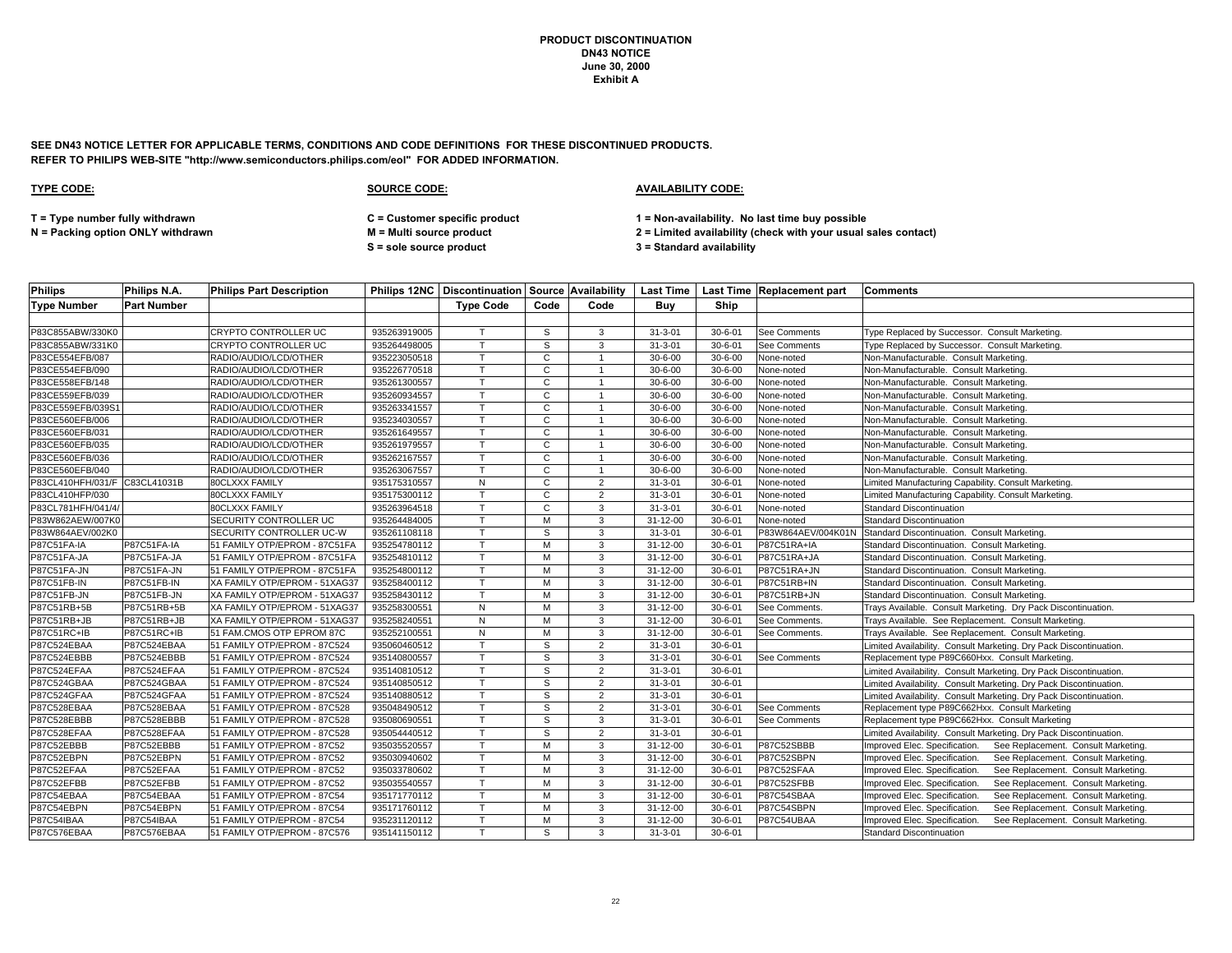**SEE DN43 NOTICE LETTER FOR APPLICABLE TERMS, CONDITIONS AND CODE DEFINITIONS FOR THESE DISCONTINUED PRODUCTS. REFER TO PHILIPS WEB-SITE "http://www.semiconductors.philips.com/eol" FOR ADDED INFORMATION.**

### **TYPE CODE: SOURCE CODE: AVAILABILITY CODE:**

**T = Type number fully withdrawn C = Customer specific product 1 = Non-availability. No last time buy possible**

**S = sole source product 3 = Standard availability**

| <b>Philips</b>                | Philips N.A.       | <b>Philips Part Description</b> |              |                  |              |                |                |               | Philips 12NC   Discontinuation   Source   Availability   Last Time   Last Time   Replacement part | <b>Comments</b>                                                      |
|-------------------------------|--------------------|---------------------------------|--------------|------------------|--------------|----------------|----------------|---------------|---------------------------------------------------------------------------------------------------|----------------------------------------------------------------------|
| <b>Type Number</b>            | <b>Part Number</b> |                                 |              | <b>Type Code</b> | Code         | Code           | Buy            | Ship          |                                                                                                   |                                                                      |
|                               |                    |                                 |              |                  |              |                |                |               |                                                                                                   |                                                                      |
| P83C855ABW/330K0              |                    | CRYPTO CONTROLLER UC            | 935263919005 |                  | S            | 3              | $31 - 3 - 01$  | $30 - 6 - 01$ | See Comments                                                                                      | Type Replaced by Successor. Consult Marketing.                       |
| P83C855ABW/331K0              |                    | CRYPTO CONTROLLER UC            | 935264498005 | $\mathsf{T}$     | S.           | 3              | $31 - 3 - 01$  | $30 - 6 - 01$ | See Comments                                                                                      | Type Replaced by Successor. Consult Marketing.                       |
| P83CE554EFB/087               |                    | RADIO/AUDIO/LCD/OTHER           | 935223050518 | T                | $\mathsf{C}$ | $\overline{1}$ | $30 - 6 - 00$  | $30 - 6 - 00$ | None-noted                                                                                        | Non-Manufacturable. Consult Marketing.                               |
| P83CE554EFB/090               |                    | RADIO/AUDIO/LCD/OTHER           | 935226770518 | $\mathsf{T}$     | C            |                | $30 - 6 - 00$  | $30 - 6 - 00$ | None-noted                                                                                        | Non-Manufacturable. Consult Marketing.                               |
| P83CE558EFB/148               |                    | RADIO/AUDIO/LCD/OTHER           | 935261300557 |                  | C            |                | $30 - 6 - 00$  | $30 - 6 - 00$ | None-noted                                                                                        | Non-Manufacturable. Consult Marketing.                               |
| P83CE559EFB/039               |                    | RADIO/AUDIO/LCD/OTHER           | 935260934557 | $\mathsf{T}$     | C            | $\overline{1}$ | $30 - 6 - 00$  | $30 - 6 - 00$ | None-noted                                                                                        | Non-Manufacturable. Consult Marketing.                               |
| P83CE559EFB/039S1             |                    | RADIO/AUDIO/LCD/OTHER           | 935263341557 |                  | C            |                | $30 - 6 - 00$  | $30 - 6 - 00$ | None-noted                                                                                        | Non-Manufacturable. Consult Marketing.                               |
| P83CE560EFB/006               |                    | RADIO/AUDIO/LCD/OTHER           | 935234030557 | $\mathsf{T}$     | C            |                | $30 - 6 - 00$  | $30 - 6 - 00$ | None-noted                                                                                        | Non-Manufacturable. Consult Marketing.                               |
| P83CE560EFB/031               |                    | RADIO/AUDIO/LCD/OTHER           | 935261649557 | $\mathsf{T}$     | $\mathbf{C}$ |                | $30 - 6 - 00$  | $30 - 6 - 00$ | None-noted                                                                                        | Non-Manufacturable. Consult Marketing.                               |
| P83CE560EFB/035               |                    | RADIO/AUDIO/LCD/OTHER           | 935261979557 |                  | C            |                | $30 - 6 - 00$  | $30 - 6 - 00$ | None-noted                                                                                        | Non-Manufacturable. Consult Marketing.                               |
| P83CE560EFB/036               |                    | RADIO/AUDIO/LCD/OTHER           | 935262167557 | $\mathsf{T}$     | $\mathbf{C}$ |                | $30 - 6 - 00$  | $30 - 6 - 00$ | None-noted                                                                                        | Non-Manufacturable. Consult Marketing.                               |
| P83CE560EFB/040               |                    | RADIO/AUDIO/LCD/OTHER           | 935263067557 | $\mathbf \tau$   | C            |                | $30 - 6 - 00$  | $30 - 6 - 00$ | None-noted                                                                                        | Non-Manufacturable. Consult Marketing.                               |
| P83CL410HFH/031/F C83CL41031B |                    | 80CLXXX FAMILY                  | 935175310557 | N                | $\mathbf{C}$ | 2              | $31 - 3 - 01$  | $30 - 6 - 01$ | None-noted                                                                                        | Limited Manufacturing Capability. Consult Marketing.                 |
| P83CL410HFP/030               |                    | 80CLXXX FAMILY                  | 935175300112 | $\mathsf{T}$     | C            | $\overline{2}$ | $31 - 3 - 01$  | $30 - 6 - 01$ | None-noted                                                                                        | Limited Manufacturing Capability. Consult Marketing.                 |
| P83CL781HFH/041/4/            |                    | 80CLXXX FAMILY                  | 935263964518 | $\tau$           | C            | 3              | $31 - 3 - 01$  | $30 - 6 - 01$ | None-noted                                                                                        | <b>Standard Discontinuation</b>                                      |
| P83W862AEW/007K0              |                    | SECURITY CONTROLLER UC          | 935264484005 |                  | M            | 3              | 31-12-00       | $30 - 6 - 01$ | None-noted                                                                                        | Standard Discontinuation                                             |
| P83W864AEV/002K0              |                    | SECURITY CONTROLLER UC-W        | 935261108118 | $\mathsf{T}$     | S.           | 3              | $31 - 3 - 01$  | $30 - 6 - 01$ | P83W864AEV/004K01N                                                                                | Standard Discontinuation. Consult Marketing                          |
| P87C51FA-IA                   | P87C51FA-IA        | 51 FAMILY OTP/EPROM - 87C51FA   | 935254780112 |                  | M            | 3              | 31-12-00       | $30 - 6 - 01$ | P87C51RA+IA                                                                                       | Standard Discontinuation. Consult Marketing.                         |
| P87C51FA-JA                   | P87C51FA-JA        | 51 FAMILY OTP/EPROM - 87C51FA   | 935254810112 | $\mathsf{T}$     | M            | 3              | 31-12-00       | $30 - 6 - 01$ | P87C51RA+JA                                                                                       | Standard Discontinuation. Consult Marketing.                         |
| P87C51FA-JN                   | P87C51FA-JN        | 51 FAMILY OTP/EPROM - 87C51FA   | 935254800112 |                  | M            | 3              | 31-12-00       | $30 - 6 - 01$ | P87C51RA+JN                                                                                       | Standard Discontinuation. Consult Marketing.                         |
| P87C51FB-IN                   | P87C51FB-IN        | XA FAMILY OTP/EPROM - 51XAG37   | 935258400112 |                  | M            | 3              | 31-12-00       | $30 - 6 - 01$ | P87C51RB+IN                                                                                       | Standard Discontinuation. Consult Marketing.                         |
| P87C51FB-JN                   | P87C51FB-JN        | XA FAMILY OTP/EPROM - 51XAG37   | 935258430112 | $\mathsf{T}$     | M            | 3              | 31-12-00       | $30 - 6 - 01$ | P87C51RB+JN                                                                                       | Standard Discontinuation. Consult Marketing.                         |
| P87C51RB+5B                   | P87C51RB+5B        | XA FAMILY OTP/EPROM - 51XAG37   | 935258300551 | N                | м            | 3              | 31-12-00       | $30 - 6 - 01$ | See Comments.                                                                                     | Trays Available. Consult Marketing. Dry Pack Discontinuation.        |
| P87C51RB+JB                   | P87C51RB+JB        | XA FAMILY OTP/EPROM - 51XAG37   | 935258240551 | $\mathsf{N}$     | M            | 3              | 31-12-00       | $30 - 6 - 01$ | See Comments.                                                                                     | Trays Available. See Replacement. Consult Marketing.                 |
| P87C51RC+IB                   | P87C51RC+IB        | 51 FAM.CMOS OTP EPROM 87C       | 935252100551 | $\mathsf{N}$     | M            | 3              | 31-12-00       | $30 - 6 - 01$ | See Comments.                                                                                     | Trays Available. See Replacement. Consult Marketing                  |
| P87C524EBAA                   | P87C524EBAA        | 51 FAMILY OTP/EPROM - 87C524    | 935060460512 |                  | S            | $\overline{2}$ | $31 - 3 - 01$  | $30 - 6 - 01$ |                                                                                                   | Limited Availability. Consult Marketing. Dry Pack Discontinuation.   |
| P87C524EBBB                   | P87C524EBBB        | 51 FAMILY OTP/EPROM - 87C524    | 935140800557 |                  | S.           | 3              | $31 - 3 - 01$  | $30 - 6 - 01$ | See Comments                                                                                      | Replacement type P89C660Hxx. Consult Marketing.                      |
| P87C524EFAA                   | P87C524EFAA        | 51 FAMILY OTP/EPROM - 87C524    | 935140810512 | $\mathsf{T}$     | <sub>S</sub> | 2              | $31 - 3 - 01$  | $30 - 6 - 01$ |                                                                                                   | Limited Availability. Consult Marketing. Dry Pack Discontinuation    |
| P87C524GBAA                   | P87C524GBAA        | 51 FAMILY OTP/EPROM - 87C524    | 935140850512 |                  | S            | $\overline{2}$ | $31 - 3 - 01$  | $30 - 6 - 01$ |                                                                                                   | Limited Availability. Consult Marketing. Dry Pack Discontinuation.   |
| P87C524GFAA                   | P87C524GFAA        | 51 FAMILY OTP/EPROM - 87C524    | 935140880512 |                  | S.           | $\overline{2}$ | $31 - 3 - 01$  | $30 - 6 - 01$ |                                                                                                   | Limited Availability. Consult Marketing. Dry Pack Discontinuation.   |
| P87C528EBAA                   | P87C528EBAA        | 51 FAMILY OTP/EPROM - 87C528    | 935048490512 |                  | S            | 2              | $31 - 3 - 01$  | $30 - 6 - 01$ | See Comments                                                                                      | Replacement type P89C662Hxx. Consult Marketing                       |
| P87C528EBBB                   | P87C528EBBB        | 51 FAMILY OTP/EPROM - 87C528    | 935080690551 |                  | S            | 3              | $31 - 3 - 01$  | $30 - 6 - 01$ | See Comments                                                                                      | Replacement type P89C662Hxx. Consult Marketing                       |
| P87C528EFAA                   | P87C528EFAA        | 51 FAMILY OTP/EPROM - 87C528    | 935054440512 |                  | S            | 2              | $31 - 3 - 01$  | $30 - 6 - 01$ |                                                                                                   | Limited Availability. Consult Marketing. Dry Pack Discontinuation.   |
| P87C52EBBB                    | P87C52EBBB         | 51 FAMILY OTP/EPROM - 87C52     | 935035520557 |                  | м            | 3              | 31-12-00       | $30 - 6 - 01$ | P87C52SBBB                                                                                        | Improved Elec. Specification.<br>See Replacement. Consult Marketing. |
| P87C52EBPN                    | P87C52EBPN         | 51 FAMILY OTP/EPROM - 87C52     | 935030940602 |                  | M            | 3              | 31-12-00       | $30 - 6 - 01$ | P87C52SBPN                                                                                        | Improved Elec. Specification.<br>See Replacement. Consult Marketing. |
| P87C52EFAA                    | P87C52EFAA         | 51 FAMILY OTP/EPROM - 87C52     | 935033780602 | $\mathsf{T}$     | M            | 3              | 31-12-00       | $30 - 6 - 01$ | P87C52SFAA                                                                                        | Improved Elec. Specification.<br>See Replacement. Consult Marketing. |
| P87C52EFBB                    | P87C52EFBB         | 51 FAMILY OTP/EPROM - 87C52     | 935035540557 |                  | M            | $\mathcal{R}$  | 31-12-00       | $30 - 6 - 01$ | P87C52SFBB                                                                                        | Improved Elec. Specification.<br>See Replacement. Consult Marketing. |
| P87C54EBAA                    | P87C54EBAA         | 51 FAMILY OTP/EPROM - 87C54     | 935171770112 |                  | M            | 3              | $31 - 12 - 00$ | $30 - 6 - 01$ | P87C54SBAA                                                                                        | Improved Elec. Specification.<br>See Replacement. Consult Marketing. |
| P87C54EBPN                    | P87C54EBPN         | 51 FAMILY OTP/EPROM - 87C54     | 935171760112 |                  | M            | 3              | 31-12-00       | $30 - 6 - 01$ | P87C54SBPN                                                                                        | Improved Elec. Specification.<br>See Replacement. Consult Marketing  |
| P87C54IBAA                    | P87C54IBAA         | 51 FAMILY OTP/EPROM - 87C54     | 935231120112 |                  | м            | 3              | 31-12-00       | $30 - 6 - 01$ | P87C54UBAA                                                                                        | Improved Elec. Specification.<br>See Replacement. Consult Marketing  |
| P87C576EBAA                   | P87C576EBAA        | 51 FAMILY OTP/EPROM - 87C576    | 935141150112 | $\mathsf{T}$     | S            | 3              | $31 - 3 - 01$  | $30 - 6 - 01$ |                                                                                                   | <b>Standard Discontinuation</b>                                      |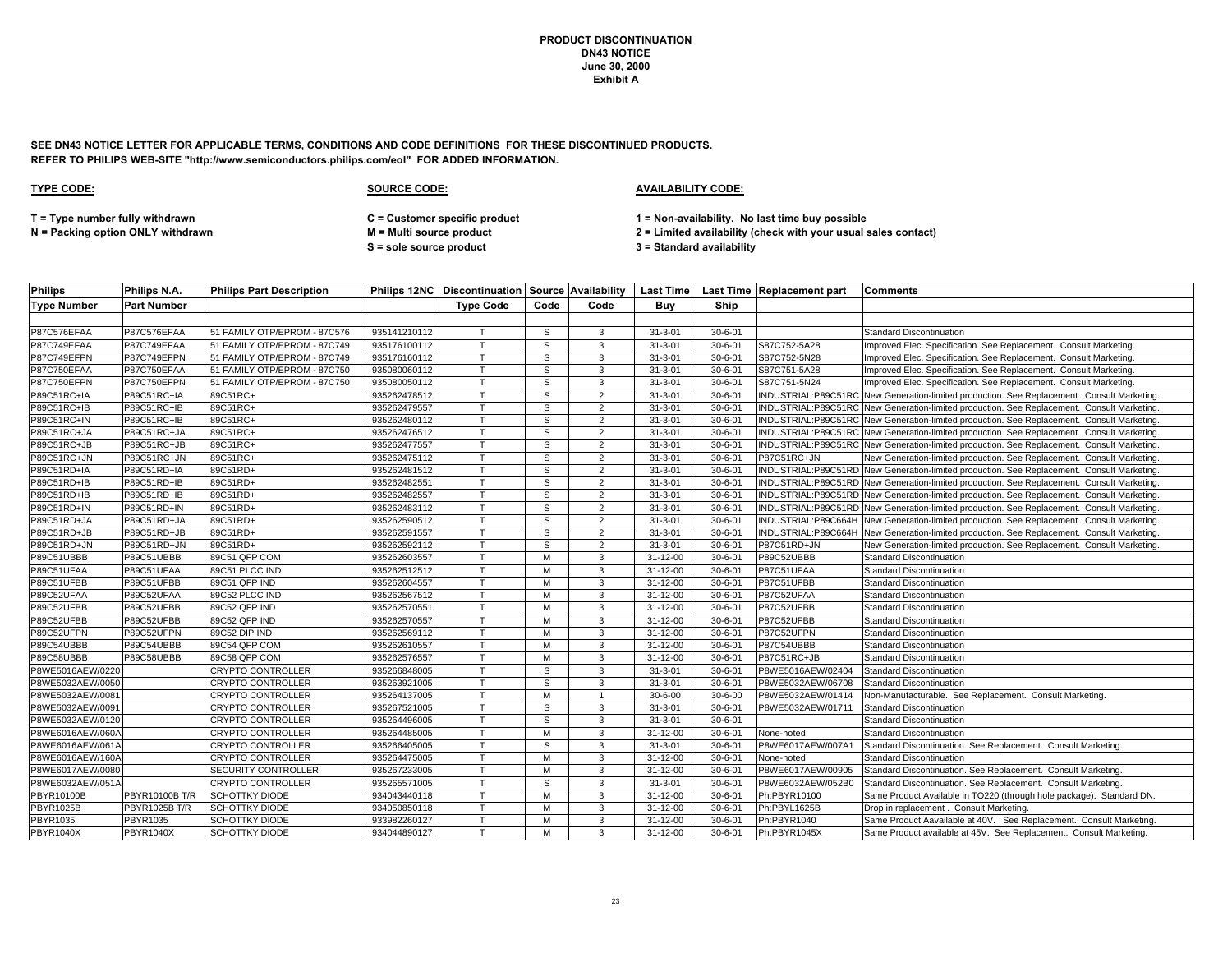**SEE DN43 NOTICE LETTER FOR APPLICABLE TERMS, CONDITIONS AND CODE DEFINITIONS FOR THESE DISCONTINUED PRODUCTS. REFER TO PHILIPS WEB-SITE "http://www.semiconductors.philips.com/eol" FOR ADDED INFORMATION.**

| <b>Philips</b>     | Philips N.A.       | <b>Philips Part Description</b> |              |                  |      |                |                |               | Philips 12NC   Discontinuation   Source   Availability   Last Time   Last Time   Replacement part | <b>Comments</b>                                                                            |
|--------------------|--------------------|---------------------------------|--------------|------------------|------|----------------|----------------|---------------|---------------------------------------------------------------------------------------------------|--------------------------------------------------------------------------------------------|
| <b>Type Number</b> | <b>Part Number</b> |                                 |              | <b>Type Code</b> | Code | Code           | Buv            | Ship          |                                                                                                   |                                                                                            |
|                    |                    |                                 |              |                  |      |                |                |               |                                                                                                   |                                                                                            |
| P87C576EFAA        | P87C576EFAA        | 51 FAMILY OTP/EPROM - 87C576    | 935141210112 |                  | S    | 3              | $31 - 3 - 01$  | $30 - 6 - 01$ |                                                                                                   | <b>Standard Discontinuation</b>                                                            |
| P87C749EFAA        | P87C749EFAA        | 51 FAMILY OTP/EPROM - 87C749    | 935176100112 | $\mathsf{T}$     | S    | 3              | $31 - 3 - 01$  | $30 - 6 - 01$ | S87C752-5A28                                                                                      | Improved Elec. Specification. See Replacement. Consult Marketing.                          |
| P87C749EFPN        | P87C749EFPN        | 51 FAMILY OTP/EPROM - 87C749    | 935176160112 | T.               | S    | 3              | $31 - 3 - 01$  | $30 - 6 - 01$ | S87C752-5N28                                                                                      | Improved Elec. Specification. See Replacement. Consult Marketing.                          |
| P87C750EFAA        | P87C750EFAA        | 51 FAMILY OTP/EPROM - 87C750    | 935080060112 | T.               | S.   | 3              | $31 - 3 - 01$  | $30 - 6 - 01$ | S87C751-5A28                                                                                      | Improved Elec. Specification. See Replacement. Consult Marketing.                          |
| P87C750EFPN        | P87C750EFPN        | 51 FAMILY OTP/EPROM - 87C750    | 935080050112 |                  | S    | 3              | $31 - 3 - 01$  | $30 - 6 - 01$ | S87C751-5N24                                                                                      | Improved Elec. Specification. See Replacement. Consult Marketing.                          |
| P89C51RC+IA        | P89C51RC+IA        | 89C51RC+                        | 935262478512 | $\mathsf{T}$     | S    | $\overline{2}$ | $31 - 3 - 01$  | $30 - 6 - 01$ |                                                                                                   | INDUSTRIAL:P89C51RC New Generation-limited production. See Replacement. Consult Marketing. |
| P89C51RC+IB        | P89C51RC+IB        | 89C51RC+                        | 935262479557 | T.               | S    | $\overline{2}$ | $31 - 3 - 01$  | $30 - 6 - 01$ |                                                                                                   | INDUSTRIAL:P89C51RC New Generation-limited production. See Replacement. Consult Marketing. |
| P89C51RC+IN        | P89C51RC+IB        | 89C51RC+                        | 935262480112 | $\mathsf{T}$     | S.   | $\overline{2}$ | $31 - 3 - 01$  | $30 - 6 - 01$ |                                                                                                   | INDUSTRIAL:P89C51RC New Generation-limited production. See Replacement. Consult Marketing. |
| P89C51RC+JA        | P89C51RC+JA        | 89C51RC+                        | 935262476512 | T                | s    | $\overline{2}$ | $31 - 3 - 01$  | $30 - 6 - 01$ |                                                                                                   | INDUSTRIAL:P89C51RC New Generation-limited production. See Replacement. Consult Marketing. |
| P89C51RC+JB        | P89C51RC+JB        | 89C51RC+                        | 935262477557 |                  | S    | $\overline{2}$ | $31 - 3 - 01$  | $30 - 6 - 01$ |                                                                                                   | INDUSTRIAL:P89C51RC New Generation-limited production. See Replacement. Consult Marketing. |
| P89C51RC+JN        | P89C51RC+JN        | 89C51RC+                        | 935262475112 |                  | S.   | $\overline{2}$ | $31 - 3 - 01$  | $30 - 6 - 01$ | P87C51RC+JN                                                                                       | New Generation-limited production. See Replacement. Consult Marketing.                     |
| P89C51RD+IA        | P89C51RD+IA        | 89C51RD+                        | 935262481512 | T                | S    | 2              | $31 - 3 - 01$  | $30 - 6 - 01$ |                                                                                                   | INDUSTRIAL:P89C51RD New Generation-limited production. See Replacement. Consult Marketing. |
| P89C51RD+IB        | P89C51RD+IB        | 89C51RD+                        | 935262482551 | T                | S    | $\overline{2}$ | $31 - 3 - 01$  | $30 - 6 - 01$ |                                                                                                   | INDUSTRIAL:P89C51RD New Generation-limited production. See Replacement. Consult Marketing. |
| P89C51RD+IB        | P89C51RD+IB        | 89C51RD+                        | 935262482557 | $\mathsf{T}$     | S    | $\overline{2}$ | $31 - 3 - 01$  | $30 - 6 - 01$ |                                                                                                   | INDUSTRIAL:P89C51RD New Generation-limited production. See Replacement. Consult Marketing. |
| P89C51RD+IN        | P89C51RD+IN        | 89C51RD+                        | 935262483112 | $\mathsf{T}$     | S    | 2              | $31 - 3 - 01$  | $30 - 6 - 01$ |                                                                                                   | INDUSTRIAL:P89C51RD New Generation-limited production. See Replacement. Consult Marketing. |
| P89C51RD+JA        | P89C51RD+JA        | 89C51RD+                        | 935262590512 |                  | S    | $\overline{2}$ | $31 - 3 - 01$  | $30 - 6 - 01$ |                                                                                                   | INDUSTRIAL:P89C664H New Generation-limited production. See Replacement. Consult Marketing. |
| P89C51RD+JB        | P89C51RD+JB        | 89C51RD+                        | 935262591557 | T                | S    | $\overline{2}$ | $31 - 3 - 01$  | $30 - 6 - 01$ |                                                                                                   | INDUSTRIAL:P89C664H New Generation-limited production. See Replacement. Consult Marketing. |
| P89C51RD+JN        | P89C51RD+JN        | 89C51RD+                        | 935262592112 | $\mathsf{T}$     | S    | 2              | $31 - 3 - 01$  | $30 - 6 - 01$ | P87C51RD+JN                                                                                       | New Generation-limited production. See Replacement. Consult Marketing.                     |
| P89C51UBBB         | P89C51UBBB         | 89C51 QFP COM                   | 935262603557 | $\mathsf{T}$     | M    | 3              | 31-12-00       | $30 - 6 - 01$ | P89C52UBBB                                                                                        | <b>Standard Discontinuation</b>                                                            |
| P89C51UFAA         | P89C51UFAA         | 89C51 PLCC IND                  | 935262512512 | T.               | М    | 3              | 31-12-00       | $30 - 6 - 01$ | P87C51UFAA                                                                                        | <b>Standard Discontinuation</b>                                                            |
| P89C51UFBB         | P89C51UFBB         | 89C51 QFP IND                   | 935262604557 |                  | M    | 3              | 31-12-00       | $30 - 6 - 01$ | P87C51UFBB                                                                                        | <b>Standard Discontinuation</b>                                                            |
| P89C52UFAA         | P89C52UFAA         | 89C52 PLCC IND                  | 935262567512 | $\mathsf{T}$     | M    | 3              | 31-12-00       | $30 - 6 - 01$ | P87C52UFAA                                                                                        | <b>Standard Discontinuation</b>                                                            |
| P89C52UFBB         | P89C52UFBB         | 89C52 QFP IND                   | 935262570551 |                  | M    | 3              | 31-12-00       | $30 - 6 - 01$ | P87C52UFBB                                                                                        | <b>Standard Discontinuation</b>                                                            |
| P89C52UFBB         | P89C52UFBB         | 89C52 QFP IND                   | 935262570557 | T.               | M    | 3              | $31 - 12 - 00$ | $30 - 6 - 01$ | P87C52UFBB                                                                                        | <b>Standard Discontinuation</b>                                                            |
| P89C52UFPN         | P89C52UFPN         | 89C52 DIP IND                   | 935262569112 | $\mathsf{T}$     | M    | 3              | 31-12-00       | $30 - 6 - 01$ | P87C52UFPN                                                                                        | <b>Standard Discontinuation</b>                                                            |
| P89C54UBBB         | P89C54UBBB         | 89C54 QFP COM                   | 935262610557 | $\mathsf{T}$     | M    | 3              | 31-12-00       | $30 - 6 - 01$ | P87C54UBBB                                                                                        | <b>Standard Discontinuation</b>                                                            |
| P89C58UBBB         | P89C58UBBB         | 89C58 QFP COM                   | 935262576557 | $\mathsf{T}$     | M    | 3              | 31-12-00       | $30 - 6 - 01$ | P87C51RC+JB                                                                                       | <b>Standard Discontinuation</b>                                                            |
| P8WE5016AEW/0220   |                    | <b>CRYPTO CONTROLLER</b>        | 935266848005 | $\mathsf{\tau}$  | s    | 3              | $31 - 3 - 01$  | $30 - 6 - 01$ | P8WE5016AEW/02404                                                                                 | <b>Standard Discontinuation</b>                                                            |
| P8WE5032AEW/0050   |                    | <b>CRYPTO CONTROLLER</b>        | 935263921005 | $\mathsf{\tau}$  | S.   | 3              | $31 - 3 - 01$  | $30 - 6 - 01$ | P8WE5032AEW/06708                                                                                 | <b>Standard Discontinuation</b>                                                            |
| P8WE5032AEW/0081   |                    | <b>CRYPTO CONTROLLER</b>        | 935264137005 | T.               | M    |                | $30 - 6 - 00$  | $30 - 6 - 00$ | P8WE5032AEW/01414                                                                                 | Non-Manufacturable. See Replacement. Consult Marketing                                     |
| P8WE5032AEW/0091   |                    | <b>CRYPTO CONTROLLER</b>        | 935267521005 | $\mathsf{T}$     | S    | 3              | $31 - 3 - 01$  | $30 - 6 - 01$ | P8WE5032AEW/01711                                                                                 | <b>Standard Discontinuation</b>                                                            |
| P8WE5032AEW/0120   |                    | <b>CRYPTO CONTROLLER</b>        | 935264496005 | $\mathsf{T}$     | S    | 3              | $31 - 3 - 01$  | $30 - 6 - 01$ |                                                                                                   | <b>Standard Discontinuation</b>                                                            |
| P8WE6016AEW/060A   |                    | <b>CRYPTO CONTROLLER</b>        | 935264485005 | T                | M    | 3              | 31-12-00       | $30 - 6 - 01$ | None-noted                                                                                        | <b>Standard Discontinuation</b>                                                            |
| P8WE6016AEW/061A   |                    | <b>CRYPTO CONTROLLER</b>        | 935266405005 |                  | S    | 3              | $31 - 3 - 01$  | $30 - 6 - 01$ | P8WE6017AEW/007A1                                                                                 | Standard Discontinuation. See Replacement. Consult Marketing.                              |
| P8WE6016AEW/160A   |                    | <b>CRYPTO CONTROLLER</b>        | 935264475005 | T                | M    | 3              | 31-12-00       | $30 - 6 - 01$ | None-noted                                                                                        | <b>Standard Discontinuation</b>                                                            |
| P8WE6017AEW/0080   |                    | <b>SECURITY CONTROLLER</b>      | 935267233005 | $\mathsf{T}$     | M    | 3              | 31-12-00       | $30 - 6 - 01$ | P8WE6017AEW/00905                                                                                 | Standard Discontinuation. See Replacement. Consult Marketing.                              |
| P8WE6032AEW/051A   |                    | <b>CRYPTO CONTROLLER</b>        | 935265571005 | $\mathsf{T}$     | s    | 3              | $31 - 3 - 01$  | $30 - 6 - 01$ | P8WE6032AEW/052B0                                                                                 | Standard Discontinuation. See Replacement. Consult Marketing.                              |
| PBYR10100B         | PBYR10100B T/R     | <b>SCHOTTKY DIODE</b>           | 934043440118 | T                | M    | 3              | 31-12-00       | $30 - 6 - 01$ | Ph:PBYR10100                                                                                      | Same Product Available in TO220 (through hole package). Standard DN.                       |
| <b>PBYR1025B</b>   | PBYR1025B T/R      | <b>SCHOTTKY DIODE</b>           | 934050850118 | T.               | M    | 3              | $31 - 12 - 00$ | $30 - 6 - 01$ | Ph:PBYL1625B                                                                                      | Drop in replacement . Consult Marketing.                                                   |
| PBYR1035           | PBYR1035           | <b>SCHOTTKY DIODE</b>           | 933982260127 | T                | М    | 3              | 31-12-00       | $30 - 6 - 01$ | Ph:PBYR1040                                                                                       | Same Product Aavailable at 40V. See Replacement. Consult Marketing.                        |
| <b>PBYR1040X</b>   | <b>PBYR1040X</b>   | <b>SCHOTTKY DIODE</b>           | 934044890127 |                  | M    | $\mathbf{3}$   | 31-12-00       | $30 - 6 - 01$ | Ph:PBYR1045X                                                                                      | Same Product available at 45V. See Replacement. Consult Marketing.                         |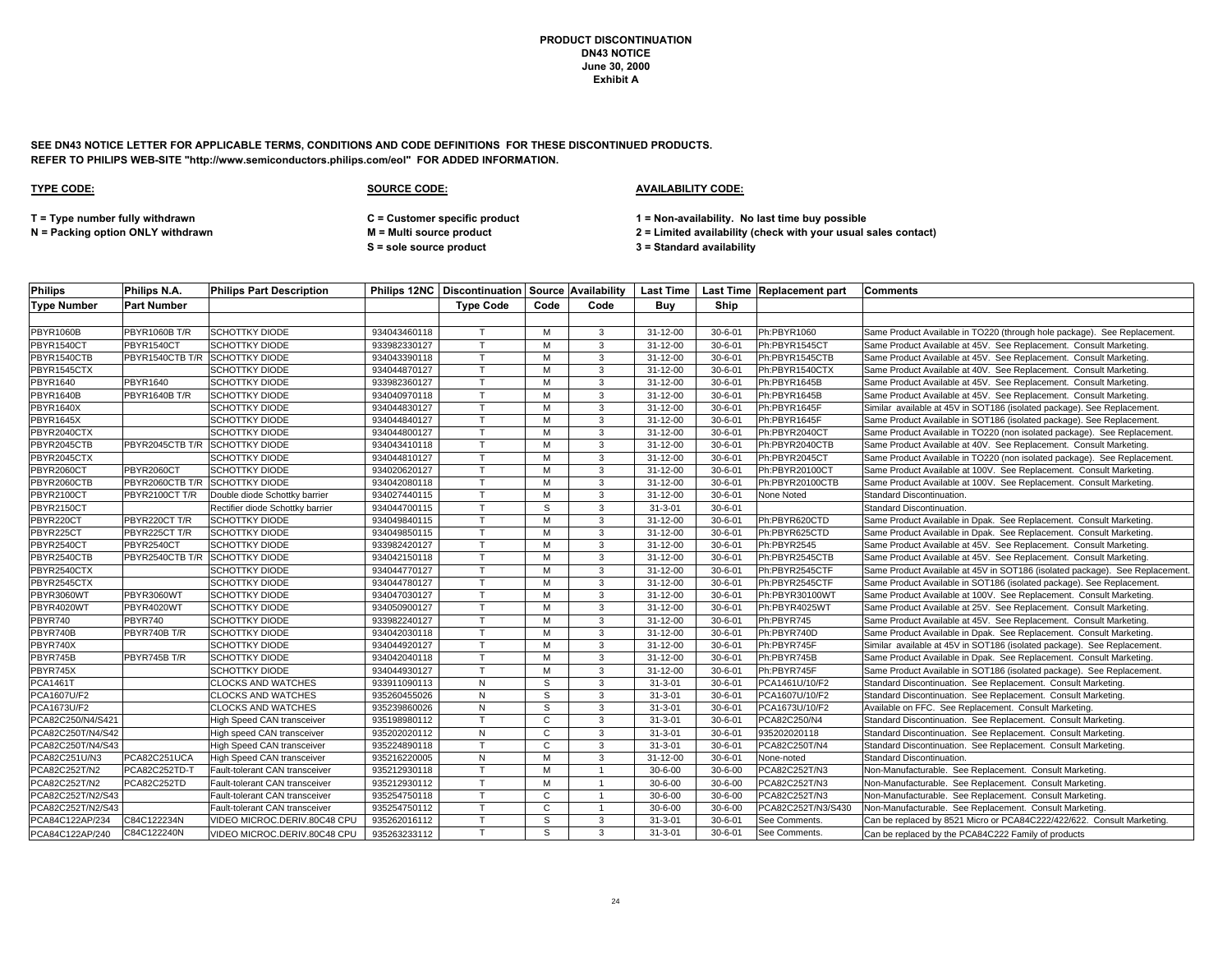**SEE DN43 NOTICE LETTER FOR APPLICABLE TERMS, CONDITIONS AND CODE DEFINITIONS FOR THESE DISCONTINUED PRODUCTS. REFER TO PHILIPS WEB-SITE "http://www.semiconductors.philips.com/eol" FOR ADDED INFORMATION.**

| <b>Philips</b>     | Philips N.A.                   | <b>Philips Part Description</b>  |              |                  |              |                |                |               | Philips 12NC   Discontinuation   Source   Availability   Last Time   Last Time   Replacement part | <b>Comments</b>                                                              |
|--------------------|--------------------------------|----------------------------------|--------------|------------------|--------------|----------------|----------------|---------------|---------------------------------------------------------------------------------------------------|------------------------------------------------------------------------------|
| <b>Type Number</b> | <b>Part Number</b>             |                                  |              | <b>Type Code</b> | Code         | Code           | Buv            | Ship          |                                                                                                   |                                                                              |
|                    |                                |                                  |              |                  |              |                |                |               |                                                                                                   |                                                                              |
| <b>PBYR1060B</b>   | <b>PBYR1060B T/R</b>           | <b>SCHOTTKY DIODE</b>            | 934043460118 | T                | M            | 3              | 31-12-00       | $30 - 6 - 01$ | Ph:PBYR1060                                                                                       | Same Product Available in TO220 (through hole package). See Replacement.     |
| PBYR1540CT         | PBYR1540CT                     | <b>SCHOTTKY DIODE</b>            | 933982330127 | $\mathsf{T}$     | M            | 3              | 31-12-00       | $30 - 6 - 01$ | Ph:PBYR1545CT                                                                                     | Same Product Available at 45V. See Replacement. Consult Marketing.           |
| PBYR1540CTB        | PBYR1540CTB T/R                | <b>SCHOTTKY DIODE</b>            | 934043390118 | T.               | M            | 3              | 31-12-00       | $30 - 6 - 01$ | Ph:PBYR1545CTB                                                                                    | Same Product Available at 45V. See Replacement. Consult Marketing.           |
| PBYR1545CTX        |                                | <b>SCHOTTKY DIODE</b>            | 934044870127 | T.               | M            | 3              | $31 - 12 - 00$ | $30 - 6 - 01$ | Ph:PBYR1540CTX                                                                                    | Same Product Available at 40V. See Replacement. Consult Marketing.           |
| PBYR1640           | PBYR1640                       | SCHOTTKY DIODE                   | 933982360127 | T.               | M            | 3              | 31-12-00       | $30 - 6 - 01$ | Ph:PBYR1645B                                                                                      | Same Product Available at 45V. See Replacement. Consult Marketing.           |
| PBYR1640B          | PBYR1640B T/R                  | <b>SCHOTTKY DIODE</b>            | 934040970118 | $\mathsf{T}$     | M            | 3              | 31-12-00       | $30 - 6 - 01$ | Ph:PBYR1645B                                                                                      | Same Product Available at 45V. See Replacement. Consult Marketing.           |
| <b>PBYR1640X</b>   |                                | <b>SCHOTTKY DIODE</b>            | 934044830127 |                  | M            | 3              | 31-12-00       | $30 - 6 - 01$ | Ph:PBYR1645F                                                                                      | Similar available at 45V in SOT186 (isolated package). See Replacement.      |
| <b>PBYR1645X</b>   |                                | SCHOTTKY DIODE                   | 934044840127 | T.               | M            | 3              | 31-12-00       | $30 - 6 - 01$ | Ph:PBYR1645F                                                                                      | Same Product Available in SOT186 (isolated package). See Replacement.        |
| PBYR2040CTX        |                                | <b>SCHOTTKY DIODE</b>            | 934044800127 | T.               | M            | 3              | 31-12-00       | $30 - 6 - 01$ | Ph:PBYR2040CT                                                                                     | Same Product Available in TO220 (non isolated package). See Replacement.     |
| PBYR2045CTB        | PBYR2045CTB T/R                | <b>SCHOTTKY DIODE</b>            | 934043410118 | T.               | M            | 3              | 31-12-00       | $30 - 6 - 01$ | Ph:PBYR2040CTB                                                                                    | Same Product Available at 40V. See Replacement. Consult Marketing.           |
| PBYR2045CTX        |                                | <b>SCHOTTKY DIODE</b>            | 934044810127 | T.               | M            | 3              | 31-12-00       | $30 - 6 - 01$ | Ph:PBYR2045CT                                                                                     | Same Product Available in TO220 (non isolated package). See Replacement.     |
| PBYR2060CT         | PBYR2060CT                     | <b>SCHOTTKY DIODE</b>            | 934020620127 |                  | M            | $\mathbf{3}$   | 31-12-00       | $30 - 6 - 01$ | Ph:PBYR20100CT                                                                                    | Same Product Available at 100V. See Replacement. Consult Marketing.          |
| PBYR2060CTB        | PBYR2060CTB T/R                | <b>SCHOTTKY DIODE</b>            | 934042080118 | T.               | M            | 3              | 31-12-00       | $30 - 6 - 01$ | Ph:PBYR20100CTB                                                                                   | Same Product Available at 100V. See Replacement. Consult Marketing.          |
| PBYR2100CT         | PBYR2100CT T/R                 | Double diode Schottky barrier    | 934027440115 | T.               | M            | 3              | $31 - 12 - 00$ | $30 - 6 - 01$ | None Noted                                                                                        | Standard Discontinuation.                                                    |
| PBYR2150CT         |                                | Rectifier diode Schottky barrier | 934044700115 | T.               | S.           | 3              | $31 - 3 - 01$  | $30 - 6 - 01$ |                                                                                                   | Standard Discontinuation.                                                    |
| PBYR220CT          | PBYR220CT T/R                  | <b>SCHOTTKY DIODE</b>            | 934049840115 | T.               | M            | 3              | $31 - 12 - 00$ | $30 - 6 - 01$ | Ph:PBYR620CTD                                                                                     | Same Product Available in Dpak. See Replacement. Consult Marketing.          |
| PBYR225CT          | PBYR225CT T/R                  | <b>SCHOTTKY DIODE</b>            | 934049850115 | $\mathsf{T}$     | M            | 3              | 31-12-00       | $30 - 6 - 01$ | Ph:PBYR625CTD                                                                                     | Same Product Available in Dpak. See Replacement. Consult Marketing.          |
| PBYR2540CT         | PBYR2540CT                     | SCHOTTKY DIODE                   | 933982420127 | T.               | M            | 3              | 31-12-00       | $30 - 6 - 01$ | Ph:PBYR2545                                                                                       | Same Product Available at 45V. See Replacement. Consult Marketing.           |
| PBYR2540CTB        | PBYR2540CTB T/R SCHOTTKY DIODE |                                  | 934042150118 | T.               | M            | $\mathbf{3}$   | 31-12-00       | $30 - 6 - 01$ | Ph:PBYR2545CTB                                                                                    | Same Product Available at 45V. See Replacement. Consult Marketing.           |
| PBYR2540CTX        |                                | <b>SCHOTTKY DIODE</b>            | 934044770127 | T.               | M            | 3              | 31-12-00       | $30 - 6 - 01$ | Ph:PBYR2545CTF                                                                                    | Same Product Available at 45V in SOT186 (isolated package). See Replacement. |
| PBYR2545CTX        |                                | SCHOTTKY DIODE                   | 934044780127 |                  | M            | 3              | 31-12-00       | $30 - 6 - 01$ | Ph:PBYR2545CTF                                                                                    | Same Product Available in SOT186 (isolated package). See Replacement.        |
| PBYR3060WT         | PBYR3060WT                     | <b>SCHOTTKY DIODE</b>            | 934047030127 | T.               | M            | 3              | 31-12-00       | $30 - 6 - 01$ | Ph:PBYR30100WT                                                                                    | Same Product Available at 100V. See Replacement. Consult Marketing.          |
| PBYR4020WT         | PBYR4020WT                     | <b>SCHOTTKY DIODE</b>            | 934050900127 | T.               | M            | 3              | $31 - 12 - 00$ | $30 - 6 - 01$ | Ph:PBYR4025WT                                                                                     | Same Product Available at 25V. See Replacement. Consult Marketing.           |
| PBYR740            | PBYR740                        | <b>SCHOTTKY DIODE</b>            | 933982240127 | T.               | M            | 3              | $31 - 12 - 00$ | $30 - 6 - 01$ | Ph:PBYR745                                                                                        | Same Product Available at 45V. See Replacement. Consult Marketing.           |
| PBYR740B           | PBYR740B T/R                   | <b>SCHOTTKY DIODE</b>            | 934042030118 | $\mathsf{T}$     | M            | 3              | 31-12-00       | $30 - 6 - 01$ | Ph:PBYR740D                                                                                       | Same Product Available in Dpak. See Replacement. Consult Marketing.          |
| PBYR740X           |                                | <b>SCHOTTKY DIODE</b>            | 934044920127 | $\mathsf{T}$     | M            | 3              | 31-12-00       | $30 - 6 - 01$ | Ph:PBYR745F                                                                                       | Similar available at 45V in SOT186 (isolated package). See Replacement.      |
| PBYR745B           | PBYR745B T/R                   | <b>SCHOTTKY DIODE</b>            | 934042040118 | $\mathsf{T}$     | M            | 3              | 31-12-00       | $30 - 6 - 01$ | Ph:PBYR745B                                                                                       | Same Product Available in Dpak. See Replacement. Consult Marketing.          |
| PBYR745X           |                                | <b>SCHOTTKY DIODE</b>            | 934044930127 | T.               | M            | 3              | $31 - 12 - 00$ | $30 - 6 - 01$ | Ph:PBYR745F                                                                                       | Same Product Available in SOT186 (isolated package). See Replacement.        |
| <b>PCA1461T</b>    |                                | <b>CLOCKS AND WATCHES</b>        | 933911090113 | N                | S.           | 3              | $31 - 3 - 01$  | $30 - 6 - 01$ | PCA1461U/10/F2                                                                                    | Standard Discontinuation. See Replacement. Consult Marketing.                |
| <b>PCA1607U/F2</b> |                                | CLOCKS AND WATCHES               | 935260455026 | N                | S            | 3              | $31 - 3 - 01$  | $30 - 6 - 01$ | PCA1607U/10/F2                                                                                    | Standard Discontinuation. See Replacement. Consult Marketing.                |
| PCA1673U/F2        |                                | <b>CLOCKS AND WATCHES</b>        | 935239860026 | N                | S.           | 3              | $31 - 3 - 01$  | $30 - 6 - 01$ | PCA1673U/10/F2                                                                                    | Available on FFC. See Replacement. Consult Marketing.                        |
| PCA82C250/N4/S421  |                                | High Speed CAN transceiver       | 935198980112 | T.               | $\mathbf{C}$ | 3              | $31 - 3 - 01$  | $30 - 6 - 01$ | PCA82C250/N4                                                                                      | Standard Discontinuation. See Replacement. Consult Marketing.                |
| PCA82C250T/N4/S42  |                                | High speed CAN transceiver       | 935202020112 | ${\sf N}$        | $\mathbf{C}$ | 3              | $31 - 3 - 01$  | $30 - 6 - 01$ | 935202020118                                                                                      | Standard Discontinuation. See Replacement. Consult Marketing.                |
| PCA82C250T/N4/S43  |                                | High Speed CAN transceiver       | 935224890118 | T.               | $\mathbf{C}$ | 3              | $31 - 3 - 01$  | $30 - 6 - 01$ | PCA82C250T/N4                                                                                     | Standard Discontinuation. See Replacement. Consult Marketing.                |
| PCA82C251U/N3      | PCA82C251UCA                   | High Speed CAN transceiver       | 935216220005 | ${\sf N}$        | M            | 3              | 31-12-00       | $30 - 6 - 01$ | None-noted                                                                                        | Standard Discontinuation.                                                    |
| PCA82C252T/N2      | PCA82C252TD-T                  | Fault-tolerant CAN transceiver   | 935212930118 | T.               | M            | $\overline{1}$ | $30 - 6 - 00$  | $30 - 6 - 00$ | PCA82C252T/N3                                                                                     | Non-Manufacturable. See Replacement. Consult Marketing.                      |
| PCA82C252T/N2      | PCA82C252TD                    | Fault-tolerant CAN transceiver   | 935212930112 | T.               | M            |                | $30 - 6 - 00$  | $30 - 6 - 00$ | PCA82C252T/N3                                                                                     | Non-Manufacturable. See Replacement. Consult Marketing.                      |
| PCA82C252T/N2/S43  |                                | Fault-tolerant CAN transceiver   | 935254750118 | T.               | $\mathsf{C}$ |                | $30 - 6 - 00$  | $30 - 6 - 00$ | PCA82C252T/N3                                                                                     | Non-Manufacturable. See Replacement. Consult Marketing.                      |
| PCA82C252T/N2/S43  |                                | Fault-tolerant CAN transceiver   | 935254750112 | T.               | $\mathbf{C}$ | $\overline{1}$ | $30 - 6 - 00$  | $30 - 6 - 00$ | PCA82C252T/N3/S430                                                                                | Non-Manufacturable. See Replacement. Consult Marketing.                      |
| PCA84C122AP/234    | C84C122234N                    | VIDEO MICROC.DERIV.80C48 CPU     | 935262016112 | T.               | S            | 3              | $31 - 3 - 01$  | $30 - 6 - 01$ | See Comments.                                                                                     | Can be replaced by 8521 Micro or PCA84C222/422/622. Consult Marketing.       |
| PCA84C122AP/240    | C84C122240N                    | VIDEO MICROC.DERIV.80C48 CPU     | 935263233112 | T.               | s,           | 3              | $31 - 3 - 01$  | $30 - 6 - 01$ | See Comments.                                                                                     | Can be replaced by the PCA84C222 Family of products                          |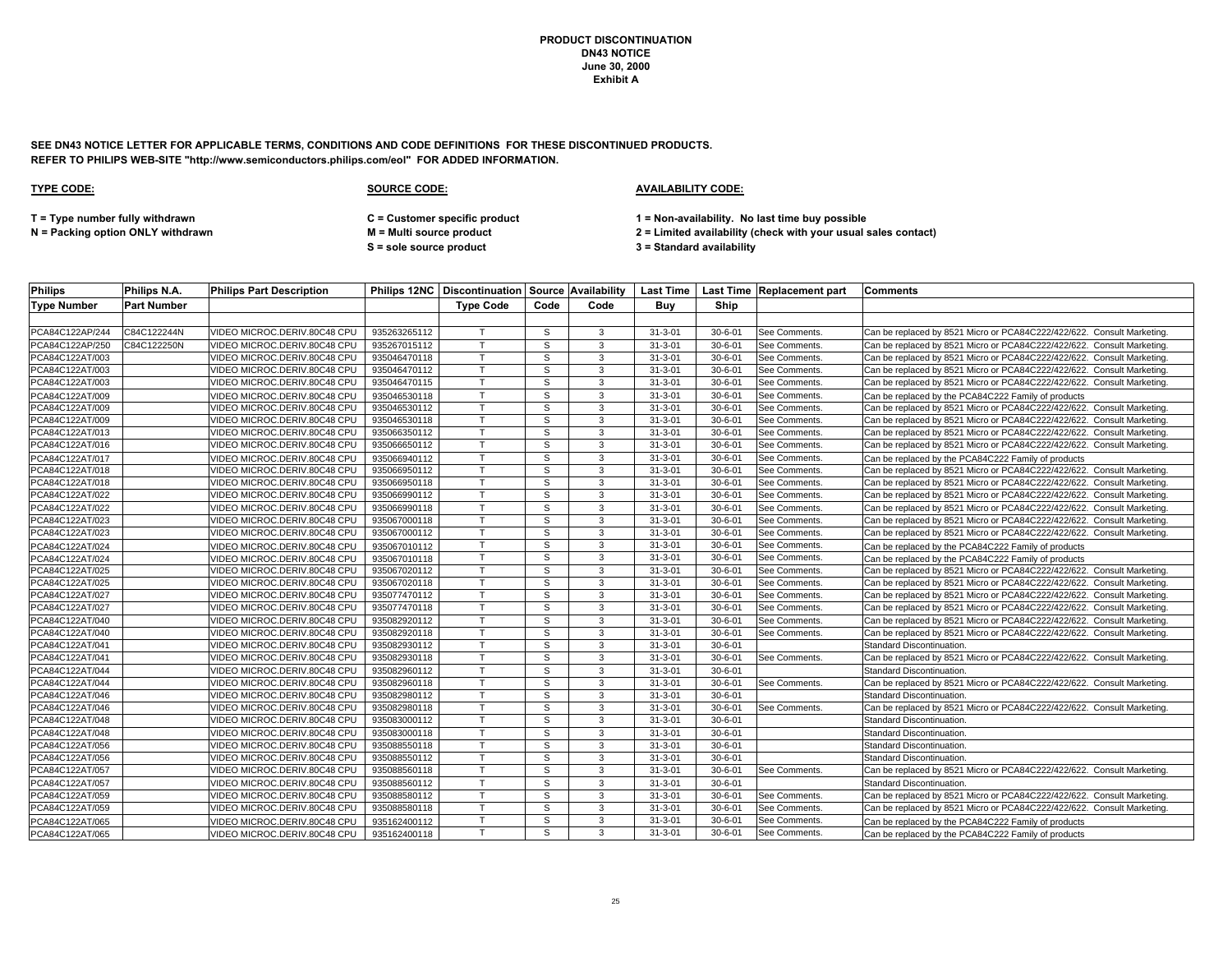**SEE DN43 NOTICE LETTER FOR APPLICABLE TERMS, CONDITIONS AND CODE DEFINITIONS FOR THESE DISCONTINUED PRODUCTS. REFER TO PHILIPS WEB-SITE "http://www.semiconductors.philips.com/eol" FOR ADDED INFORMATION.**

### **TYPE CODE: SOURCE CODE: AVAILABILITY CODE:**

**T = Type number fully withdrawn C = Customer specific product 1 = Non-availability. No last time buy possible**

**S = sole source product 3 = Standard availability**

| <b>Philips</b>     | Philips N.A.       | <b>Philips Part Description</b> |              | Philips 12NC   Discontinuation   Source   Availability |              |               |               |               | Last Time   Last Time   Replacement part | <b>Comments</b>                                                        |
|--------------------|--------------------|---------------------------------|--------------|--------------------------------------------------------|--------------|---------------|---------------|---------------|------------------------------------------|------------------------------------------------------------------------|
| <b>Type Number</b> | <b>Part Number</b> |                                 |              | <b>Type Code</b>                                       | Code         | Code          | Buv           | Ship          |                                          |                                                                        |
|                    |                    |                                 |              |                                                        |              |               |               |               |                                          |                                                                        |
| PCA84C122AP/244    | C84C122244N        | VIDEO MICROC.DERIV.80C48 CPU    | 935263265112 | $\mathsf{T}$                                           | S            | 3             | $31 - 3 - 01$ | $30 - 6 - 01$ | See Comments                             | Can be replaced by 8521 Micro or PCA84C222/422/622. Consult Marketing. |
| PCA84C122AP/250    | C84C122250N        | VIDEO MICROC.DERIV.80C48 CPU    | 935267015112 | $\mathsf{T}$                                           | S            | 3             | $31 - 3 - 01$ | $30 - 6 - 01$ | See Comments.                            | Can be replaced by 8521 Micro or PCA84C222/422/622. Consult Marketing. |
| PCA84C122AT/003    |                    | VIDEO MICROC.DERIV.80C48 CPU    | 935046470118 |                                                        | S            | $\mathcal{R}$ | $31 - 3 - 01$ | $30 - 6 - 01$ | See Comments.                            | Can be replaced by 8521 Micro or PCA84C222/422/622. Consult Marketing. |
| PCA84C122AT/003    |                    | VIDEO MICROC.DERIV.80C48 CPU    | 935046470112 | $\mathsf{T}$                                           | S            | 3             | $31 - 3 - 01$ | $30 - 6 - 01$ | <b>See Comments</b>                      | Can be replaced by 8521 Micro or PCA84C222/422/622. Consult Marketing. |
| PCA84C122AT/003    |                    | VIDEO MICROC.DERIV.80C48 CPU    | 935046470115 | $\mathsf{\tau}$                                        | S            | 3             | $31 - 3 - 01$ | $30 - 6 - 01$ | See Comments                             | Can be replaced by 8521 Micro or PCA84C222/422/622. Consult Marketing  |
| PCA84C122AT/009    |                    | /IDEO MICROC.DERIV.80C48 CPU    | 935046530118 |                                                        | S            | 3             | $31 - 3 - 01$ | $30 - 6 - 01$ | See Comments.                            | Can be replaced by the PCA84C222 Family of products                    |
| PCA84C122AT/009    |                    | VIDEO MICROC.DERIV.80C48 CPU    | 935046530112 | $\mathsf{T}$                                           | S            | 3             | $31 - 3 - 01$ | $30 - 6 - 01$ | See Comments                             | Can be replaced by 8521 Micro or PCA84C222/422/622. Consult Marketing  |
| PCA84C122AT/009    |                    | VIDEO MICROC.DERIV.80C48 CPU    | 935046530118 | $\mathsf{T}$                                           | S            | 3             | $31 - 3 - 01$ | $30 - 6 - 01$ | See Comments.                            | Can be replaced by 8521 Micro or PCA84C222/422/622. Consult Marketing. |
| PCA84C122AT/013    |                    | VIDEO MICROC.DERIV.80C48 CPU    | 935066350112 |                                                        | S            | 3             | $31 - 3 - 01$ | $30 - 6 - 01$ | See Comments.                            | Can be replaced by 8521 Micro or PCA84C222/422/622. Consult Marketing. |
| PCA84C122AT/016    |                    | VIDEO MICROC.DERIV.80C48 CPU    | 935066650112 | T                                                      | S            | 3             | $31 - 3 - 01$ | $30 - 6 - 01$ | See Comments                             | Can be replaced by 8521 Micro or PCA84C222/422/622. Consult Marketing  |
| PCA84C122AT/017    |                    | VIDEO MICROC.DERIV.80C48 CPU    | 935066940112 |                                                        | S            | 3             | $31 - 3 - 01$ | $30 - 6 - 01$ | See Comments.                            | Can be replaced by the PCA84C222 Family of products                    |
| PCA84C122AT/018    |                    | VIDEO MICROC.DERIV.80C48 CPU    | 935066950112 | $\mathsf{T}$                                           | S            | 3             | $31 - 3 - 01$ | $30 - 6 - 01$ | See Comments                             | Can be replaced by 8521 Micro or PCA84C222/422/622. Consult Marketing. |
| PCA84C122AT/018    |                    | VIDEO MICROC.DERIV.80C48 CPU    | 935066950118 | $\mathbf \tau$                                         | <sub>S</sub> | 3             | $31 - 3 - 01$ | $30 - 6 - 01$ | See Comments.                            | Can be replaced by 8521 Micro or PCA84C222/422/622. Consult Marketing. |
| PCA84C122AT/022    |                    | VIDEO MICROC.DERIV.80C48 CPU    | 935066990112 |                                                        | S            | 3             | $31 - 3 - 01$ | $30 - 6 - 01$ | See Comments.                            | Can be replaced by 8521 Micro or PCA84C222/422/622. Consult Marketing. |
| PCA84C122AT/022    |                    | VIDEO MICROC.DERIV.80C48 CPU    | 935066990118 | $\mathsf{T}$                                           | S            | $\mathcal{R}$ | $31 - 3 - 01$ | $30 - 6 - 01$ | See Comments                             | Can be replaced by 8521 Micro or PCA84C222/422/622. Consult Marketing  |
| PCA84C122AT/023    |                    | VIDEO MICROC.DERIV.80C48 CPU    | 935067000118 | $\mathbf \tau$                                         | S            | 3             | $31 - 3 - 01$ | $30 - 6 - 01$ | See Comments                             | Can be replaced by 8521 Micro or PCA84C222/422/622. Consult Marketing. |
| PCA84C122AT/023    |                    | VIDEO MICROC.DERIV.80C48 CPU    | 935067000112 |                                                        | S            | 3             | $31 - 3 - 01$ | $30 - 6 - 01$ | See Comments.                            | Can be replaced by 8521 Micro or PCA84C222/422/622. Consult Marketing. |
| PCA84C122AT/024    |                    | VIDEO MICROC.DERIV.80C48 CPU    | 935067010112 |                                                        | S            | 3             | $31 - 3 - 01$ | $30 - 6 - 01$ | See Comments                             | Can be replaced by the PCA84C222 Family of products                    |
| PCA84C122AT/024    |                    | /IDEO MICROC.DERIV.80C48 CPU    | 935067010118 |                                                        | S            | $\mathcal{R}$ | $31 - 3 - 01$ | $30 - 6 - 01$ | See Comments.                            | Can be replaced by the PCA84C222 Family of products                    |
| PCA84C122AT/025    |                    | VIDEO MICROC.DERIV.80C48 CPU    | 935067020112 | $\mathsf{T}$                                           | S            | 3             | $31 - 3 - 01$ | $30 - 6 - 01$ | See Comments.                            | Can be replaced by 8521 Micro or PCA84C222/422/622. Consult Marketing. |
| PCA84C122AT/025    |                    | VIDEO MICROC.DERIV.80C48 CPU    | 935067020118 | $\mathsf{T}$                                           | S            | 3             | $31 - 3 - 01$ | $30 - 6 - 01$ | See Comments.                            | Can be replaced by 8521 Micro or PCA84C222/422/622. Consult Marketing  |
| PCA84C122AT/027    |                    | VIDEO MICROC.DERIV.80C48 CPU    | 935077470112 |                                                        | S            | 3             | $31 - 3 - 01$ | $30 - 6 - 01$ | See Comments.                            | Can be replaced by 8521 Micro or PCA84C222/422/622. Consult Marketing. |
| PCA84C122AT/027    |                    | VIDEO MICROC.DERIV.80C48 CPU    | 935077470118 |                                                        | S            | 3             | $31 - 3 - 01$ | $30 - 6 - 01$ | See Comments                             | Can be replaced by 8521 Micro or PCA84C222/422/622. Consult Marketing. |
| PCA84C122AT/040    |                    | VIDEO MICROC.DERIV.80C48 CPU    | 935082920112 | $\mathbf \tau$                                         | S            | 3             | $31 - 3 - 01$ | $30 - 6 - 01$ | See Comments.                            | Can be replaced by 8521 Micro or PCA84C222/422/622. Consult Marketing. |
| PCA84C122AT/040    |                    | VIDEO MICROC.DERIV.80C48 CPU    | 935082920118 |                                                        | S            | 3             | $31 - 3 - 01$ | $30 - 6 - 01$ | See Comments.                            | Can be replaced by 8521 Micro or PCA84C222/422/622. Consult Marketing. |
| PCA84C122AT/041    |                    | VIDEO MICROC.DERIV.80C48 CPU    | 935082930112 | T                                                      | S            | 3             | $31 - 3 - 01$ | $30 - 6 - 01$ |                                          | Standard Discontinuation.                                              |
| PCA84C122AT/041    |                    | VIDEO MICROC.DERIV.80C48 CPU    | 935082930118 | $\mathsf{T}$                                           | S            | 3             | $31 - 3 - 01$ | $30 - 6 - 01$ | See Comments.                            | Can be replaced by 8521 Micro or PCA84C222/422/622. Consult Marketing. |
| PCA84C122AT/044    |                    | VIDEO MICROC.DERIV.80C48 CPU    | 935082960112 |                                                        | S            | 3             | $31 - 3 - 01$ | $30 - 6 - 01$ |                                          | Standard Discontinuation.                                              |
| PCA84C122AT/044    |                    | VIDEO MICROC.DERIV.80C48 CPU    | 935082960118 | T                                                      | S            | 3             | $31 - 3 - 01$ | $30 - 6 - 01$ | See Comments.                            | Can be replaced by 8521 Micro or PCA84C222/422/622. Consult Marketing  |
| PCA84C122AT/046    |                    | /IDEO MICROC.DERIV.80C48 CPU    | 935082980112 |                                                        | S            | 3             | $31 - 3 - 01$ | $30 - 6 - 01$ |                                          | Standard Discontinuation.                                              |
| PCA84C122AT/046    |                    | VIDEO MICROC.DERIV.80C48 CPU    | 935082980118 | $\mathsf{T}$                                           | S            | 3             | $31 - 3 - 01$ | $30 - 6 - 01$ | See Comments                             | Can be replaced by 8521 Micro or PCA84C222/422/622. Consult Marketing. |
| PCA84C122AT/048    |                    | VIDEO MICROC.DERIV.80C48 CPU    | 935083000112 | $\mathsf{T}$                                           | S            | 3             | $31 - 3 - 01$ | $30 - 6 - 01$ |                                          | Standard Discontinuation.                                              |
| PCA84C122AT/048    |                    | VIDEO MICROC.DERIV.80C48 CPU    | 935083000118 |                                                        | S            | 3             | $31 - 3 - 01$ | $30 - 6 - 01$ |                                          | Standard Discontinuation.                                              |
| PCA84C122AT/056    |                    | VIDEO MICROC.DERIV.80C48 CPU    | 935088550118 |                                                        | S            | 3             | $31 - 3 - 01$ | $30 - 6 - 01$ |                                          | Standard Discontinuation.                                              |
| PCA84C122AT/056    |                    | VIDEO MICROC.DERIV.80C48 CPU    | 935088550112 | $\mathsf{T}$                                           | <sub>S</sub> | 3             | $31 - 3 - 01$ | $30 - 6 - 01$ |                                          | Standard Discontinuation.                                              |
| PCA84C122AT/057    |                    | VIDEO MICROC.DERIV.80C48 CPU    | 935088560118 | $\top$                                                 | S            | 3             | $31 - 3 - 01$ | $30 - 6 - 01$ | See Comments.                            | Can be replaced by 8521 Micro or PCA84C222/422/622. Consult Marketing. |
| PCA84C122AT/057    |                    | VIDEO MICROC.DERIV.80C48 CPU    | 935088560112 | $\mathsf{T}$                                           | S            | 3             | $31 - 3 - 01$ | $30 - 6 - 01$ |                                          | <b>Standard Discontinuation</b>                                        |
| PCA84C122AT/059    |                    | VIDEO MICROC.DERIV.80C48 CPU    | 935088580112 | T                                                      | S            | 3             | $31 - 3 - 01$ | $30 - 6 - 01$ | See Comments.                            | Can be replaced by 8521 Micro or PCA84C222/422/622. Consult Marketing. |
| PCA84C122AT/059    |                    | VIDEO MICROC.DERIV.80C48 CPU    | 935088580118 |                                                        | S            | 3             | $31 - 3 - 01$ | $30 - 6 - 01$ | See Comments.                            | Can be replaced by 8521 Micro or PCA84C222/422/622. Consult Marketing. |
| PCA84C122AT/065    |                    | VIDEO MICROC.DERIV.80C48 CPU    | 935162400112 | T.                                                     | S.           | 3             | $31 - 3 - 01$ | $30 - 6 - 01$ | See Comments.                            | Can be replaced by the PCA84C222 Family of products                    |
| PCA84C122AT/065    |                    | VIDEO MICROC.DERIV.80C48 CPU    | 935162400118 |                                                        | S            | 3             | $31 - 3 - 01$ | $30 - 6 - 01$ | See Comments.                            | Can be replaced by the PCA84C222 Family of products                    |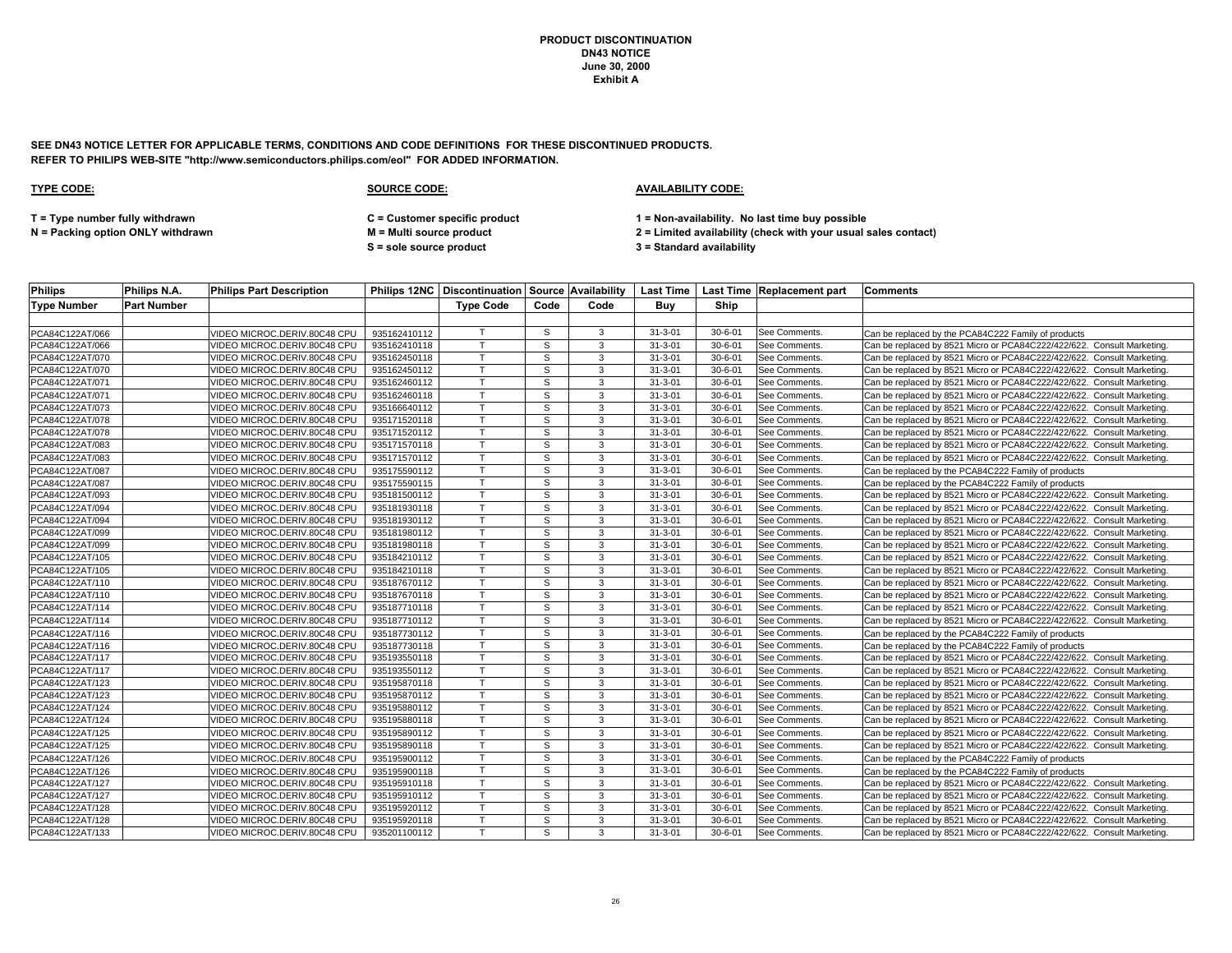**SEE DN43 NOTICE LETTER FOR APPLICABLE TERMS, CONDITIONS AND CODE DEFINITIONS FOR THESE DISCONTINUED PRODUCTS. REFER TO PHILIPS WEB-SITE "http://www.semiconductors.philips.com/eol" FOR ADDED INFORMATION.**

### **TYPE CODE: SOURCE CODE: AVAILABILITY CODE:**

**T = Type number fully withdrawn C = Customer specific product 1 = Non-availability. No last time buy possible**

**S = sole source product 3 = Standard availability**

| <b>Philips</b>     | Philips N.A.       | <b>Philips Part Description</b> |              |                  |      |      |               |               | Philips 12NC Discontinuation Source Availability   Last Time   Last Time   Replacement part   Comments |                                                                        |
|--------------------|--------------------|---------------------------------|--------------|------------------|------|------|---------------|---------------|--------------------------------------------------------------------------------------------------------|------------------------------------------------------------------------|
| <b>Type Number</b> | <b>Part Number</b> |                                 |              | <b>Type Code</b> | Code | Code | Buy           | Ship          |                                                                                                        |                                                                        |
|                    |                    |                                 |              |                  |      |      |               |               |                                                                                                        |                                                                        |
| PCA84C122AT/066    |                    | VIDEO MICROC.DERIV.80C48 CPU    | 935162410112 |                  | S.   | 3    | $31 - 3 - 01$ | $30 - 6 - 01$ | See Comments.                                                                                          | Can be replaced by the PCA84C222 Family of products                    |
| PCA84C122AT/066    |                    | /IDEO MICROC.DERIV.80C48 CPU    | 935162410118 | т                | S    | 3    | $31 - 3 - 01$ | $30 - 6 - 01$ | See Comments.                                                                                          | Can be replaced by 8521 Micro or PCA84C222/422/622. Consult Marketing. |
| PCA84C122AT/070    |                    | /IDEO MICROC.DERIV.80C48 CPU    | 935162450118 |                  | S    | 3    | $31 - 3 - 01$ | $30 - 6 - 01$ | See Comments.                                                                                          | Can be replaced by 8521 Micro or PCA84C222/422/622. Consult Marketing. |
| PCA84C122AT/070    |                    | VIDEO MICROC.DERIV.80C48 CPU    | 935162450112 | T.               | S    | 3    | $31 - 3 - 01$ | $30 - 6 - 01$ | See Comments                                                                                           | Can be replaced by 8521 Micro or PCA84C222/422/622. Consult Marketing. |
| PCA84C122AT/071    |                    | /IDEO MICROC.DERIV.80C48 CPU    | 935162460112 | $\mathsf{T}$     | S    | 3    | $31 - 3 - 01$ | $30 - 6 - 01$ | See Comments.                                                                                          | Can be replaced by 8521 Micro or PCA84C222/422/622. Consult Marketing. |
| PCA84C122AT/071    |                    | VIDEO MICROC.DERIV.80C48 CPU    | 935162460118 |                  | S    | 3    | $31 - 3 - 01$ | $30 - 6 - 01$ | See Comments.                                                                                          | Can be replaced by 8521 Micro or PCA84C222/422/622. Consult Marketing. |
| PCA84C122AT/073    |                    | /IDEO MICROC.DERIV.80C48 CPU    | 935166640112 |                  | S    | 3    | $31 - 3 - 01$ | $30 - 6 - 01$ | See Comments.                                                                                          | Can be replaced by 8521 Micro or PCA84C222/422/622. Consult Marketing. |
| PCA84C122AT/078    |                    | /IDEO MICROC.DERIV.80C48 CPU    | 935171520118 |                  | S    | 3    | $31 - 3 - 01$ | $30 - 6 - 01$ | See Comments.                                                                                          | Can be replaced by 8521 Micro or PCA84C222/422/622. Consult Marketing. |
| PCA84C122AT/078    |                    | VIDEO MICROC.DERIV.80C48 CPU    | 935171520112 |                  | S    | 3    | $31 - 3 - 01$ | $30 - 6 - 01$ | See Comments.                                                                                          | Can be replaced by 8521 Micro or PCA84C222/422/622. Consult Marketing. |
| PCA84C122AT/083    |                    | VIDEO MICROC.DERIV.80C48 CPU    | 935171570118 | T                | S    | 3    | $31 - 3 - 01$ | $30 - 6 - 01$ | See Comments.                                                                                          | Can be replaced by 8521 Micro or PCA84C222/422/622. Consult Marketing. |
| PCA84C122AT/083    |                    | VIDEO MICROC.DERIV.80C48 CPU    | 935171570112 | $\mathsf{T}$     | S    | 3    | $31 - 3 - 01$ | $30 - 6 - 01$ | See Comments.                                                                                          | Can be replaced by 8521 Micro or PCA84C222/422/622. Consult Marketing. |
| PCA84C122AT/087    |                    | VIDEO MICROC.DERIV.80C48 CPU    | 935175590112 | $\mathsf{T}$     | S    | 3    | $31 - 3 - 01$ | $30 - 6 - 01$ | See Comments.                                                                                          | Can be replaced by the PCA84C222 Family of products                    |
| PCA84C122AT/087    |                    | VIDEO MICROC.DERIV.80C48 CPU    | 935175590115 | $\mathsf{T}$     | S    | 3    | $31 - 3 - 01$ | $30 - 6 - 01$ | See Comments.                                                                                          | Can be replaced by the PCA84C222 Family of products                    |
| PCA84C122AT/093    |                    | /IDEO MICROC.DERIV.80C48 CPU    | 935181500112 |                  | s    | 3    | $31 - 3 - 01$ | $30 - 6 - 01$ | See Comments.                                                                                          | Can be replaced by 8521 Micro or PCA84C222/422/622. Consult Marketing. |
| PCA84C122AT/094    |                    | VIDEO MICROC.DERIV.80C48 CPU    | 935181930118 | $\mathsf{T}$     | S    | 3    | $31 - 3 - 01$ | $30 - 6 - 01$ | See Comments                                                                                           | Can be replaced by 8521 Micro or PCA84C222/422/622. Consult Marketing. |
| PCA84C122AT/094    |                    | VIDEO MICROC.DERIV.80C48 CPU    | 935181930112 | $\mathsf{\tau}$  | S    | 3    | $31 - 3 - 01$ | $30 - 6 - 01$ | See Comments                                                                                           | Can be replaced by 8521 Micro or PCA84C222/422/622. Consult Marketing. |
| PCA84C122AT/099    |                    | VIDEO MICROC.DERIV.80C48 CPU    | 935181980112 |                  | S    | 3    | $31 - 3 - 01$ | $30 - 6 - 01$ | See Comments.                                                                                          | Can be replaced by 8521 Micro or PCA84C222/422/622. Consult Marketing. |
| PCA84C122AT/099    |                    | /IDEO MICROC.DERIV.80C48 CPU    | 935181980118 | $\mathsf{T}$     | s    | 3    | $31 - 3 - 01$ | $30 - 6 - 01$ | See Comments.                                                                                          | Can be replaced by 8521 Micro or PCA84C222/422/622. Consult Marketing  |
| PCA84C122AT/105    |                    | /IDEO MICROC.DERIV.80C48 CPU    | 935184210112 |                  | S    | 3    | $31 - 3 - 01$ | $30 - 6 - 01$ | See Comments.                                                                                          | Can be replaced by 8521 Micro or PCA84C222/422/622. Consult Marketing. |
| PCA84C122AT/105    |                    | VIDEO MICROC.DERIV.80C48 CPU    | 935184210118 |                  | S    | 3    | $31 - 3 - 01$ | $30 - 6 - 01$ | See Comments                                                                                           | Can be replaced by 8521 Micro or PCA84C222/422/622. Consult Marketing. |
| PCA84C122AT/110    |                    | /IDEO MICROC.DERIV.80C48 CPU    | 935187670112 | т                | S    | 3    | $31 - 3 - 01$ | $30 - 6 - 01$ | See Comments.                                                                                          | Can be replaced by 8521 Micro or PCA84C222/422/622. Consult Marketing. |
| PCA84C122AT/110    |                    | /IDEO MICROC.DERIV.80C48 CPU    | 935187670118 |                  | S    | 3    | $31 - 3 - 01$ | $30 - 6 - 01$ | See Comments.                                                                                          | Can be replaced by 8521 Micro or PCA84C222/422/622. Consult Marketing. |
| PCA84C122AT/114    |                    | /IDEO MICROC.DERIV.80C48 CPU    | 935187710118 |                  | S    | 3    | $31 - 3 - 01$ | $30 - 6 - 01$ | See Comments.                                                                                          | Can be replaced by 8521 Micro or PCA84C222/422/622. Consult Marketing. |
| PCA84C122AT/114    |                    | /IDEO MICROC.DERIV.80C48 CPU    | 935187710112 | $\mathsf{T}$     | S.   | 3    | $31 - 3 - 01$ | $30 - 6 - 01$ | See Comments.                                                                                          | Can be replaced by 8521 Micro or PCA84C222/422/622. Consult Marketing. |
| PCA84C122AT/116    |                    | /IDEO MICROC.DERIV.80C48 CPU    | 935187730112 | т                | S    | 3    | $31 - 3 - 01$ | $30 - 6 - 01$ | See Comments.                                                                                          | Can be replaced by the PCA84C222 Family of products                    |
| PCA84C122AT/116    |                    | /IDEO MICROC.DERIV.80C48 CPU    | 935187730118 | $\mathsf{T}$     | S    | 3    | $31 - 3 - 01$ | $30 - 6 - 01$ | See Comments                                                                                           | Can be replaced by the PCA84C222 Family of products                    |
| PCA84C122AT/117    |                    | VIDEO MICROC.DERIV.80C48 CPU    | 935193550118 | $\mathsf{T}$     | s    | 3    | $31 - 3 - 01$ | $30 - 6 - 01$ | See Comments.                                                                                          | Can be replaced by 8521 Micro or PCA84C222/422/622. Consult Marketing. |
| PCA84C122AT/117    |                    | VIDEO MICROC.DERIV.80C48 CPU    | 935193550112 | $\mathsf{T}$     | S    | 3    | $31 - 3 - 01$ | $30 - 6 - 01$ | See Comments                                                                                           | Can be replaced by 8521 Micro or PCA84C222/422/622. Consult Marketing. |
| PCA84C122AT/123    |                    | /IDEO MICROC.DERIV.80C48 CPU    | 935195870118 | $\mathsf{T}$     | S    | 3    | $31 - 3 - 01$ | $30 - 6 - 01$ | <b>See Comments</b>                                                                                    | Can be replaced by 8521 Micro or PCA84C222/422/622. Consult Marketing. |
| PCA84C122AT/123    |                    | /IDEO MICROC.DERIV.80C48 CPU    | 935195870112 |                  | s    | 3    | $31 - 3 - 01$ | $30 - 6 - 01$ | See Comments.                                                                                          | Can be replaced by 8521 Micro or PCA84C222/422/622. Consult Marketing. |
| PCA84C122AT/124    |                    | /IDEO MICROC.DERIV.80C48 CPU    | 935195880112 | $\mathsf{T}$     | S    | 3    | $31 - 3 - 01$ | $30 - 6 - 01$ | See Comments                                                                                           | Can be replaced by 8521 Micro or PCA84C222/422/622. Consult Marketing. |
| PCA84C122AT/124    |                    | /IDEO MICROC.DERIV.80C48 CPU    | 935195880118 | $\mathsf{\tau}$  | S    | 3    | $31 - 3 - 01$ | $30 - 6 - 01$ | See Comments                                                                                           | Can be replaced by 8521 Micro or PCA84C222/422/622. Consult Marketing  |
| PCA84C122AT/125    |                    | VIDEO MICROC.DERIV.80C48 CPU    | 935195890112 | т                | S    | 3    | $31 - 3 - 01$ | $30 - 6 - 01$ | See Comments.                                                                                          | Can be replaced by 8521 Micro or PCA84C222/422/622. Consult Marketing. |
| PCA84C122AT/125    |                    | /IDEO MICROC.DERIV.80C48 CPU    | 935195890118 |                  | S    | 3    | $31 - 3 - 01$ | $30 - 6 - 01$ | See Comments                                                                                           | Can be replaced by 8521 Micro or PCA84C222/422/622. Consult Marketing  |
| PCA84C122AT/126    |                    | /IDEO MICROC.DERIV.80C48 CPU    | 935195900112 |                  | S    | 3    | $31 - 3 - 01$ | $30 - 6 - 01$ | See Comments.                                                                                          | Can be replaced by the PCA84C222 Family of products                    |
| PCA84C122AT/126    |                    | VIDEO MICROC.DERIV.80C48 CPU    | 935195900118 |                  | s    | 3    | $31 - 3 - 01$ | $30 - 6 - 01$ | See Comments.                                                                                          | Can be replaced by the PCA84C222 Family of products                    |
| PCA84C122AT/127    |                    | VIDEO MICROC.DERIV.80C48 CPU    | 935195910118 | $\mathsf{T}$     | S    | 3    | $31 - 3 - 01$ | $30 - 6 - 01$ | See Comments                                                                                           | Can be replaced by 8521 Micro or PCA84C222/422/622. Consult Marketing  |
| PCA84C122AT/127    |                    | /IDEO MICROC.DERIV.80C48 CPU    | 935195910112 |                  | S    | 3    | $31 - 3 - 01$ | $30 - 6 - 01$ | See Comments.                                                                                          | Can be replaced by 8521 Micro or PCA84C222/422/622. Consult Marketing. |
| PCA84C122AT/128    |                    | VIDEO MICROC.DERIV.80C48 CPU    | 935195920112 | $\mathsf{T}$     | S    | 3    | $31 - 3 - 01$ | $30 - 6 - 01$ | See Comments                                                                                           | Can be replaced by 8521 Micro or PCA84C222/422/622. Consult Marketing. |
| PCA84C122AT/128    |                    | /IDEO MICROC.DERIV.80C48 CPU    | 935195920118 | $\mathsf{T}$     | S    | 3    | $31 - 3 - 01$ | $30 - 6 - 01$ | See Comments.                                                                                          | Can be replaced by 8521 Micro or PCA84C222/422/622. Consult Marketing. |
| PCA84C122AT/133    |                    | VIDEO MICROC.DERIV.80C48 CPU    | 935201100112 |                  | S    | 3    | $31 - 3 - 01$ | $30 - 6 - 01$ | See Comments.                                                                                          | Can be replaced by 8521 Micro or PCA84C222/422/622. Consult Marketing. |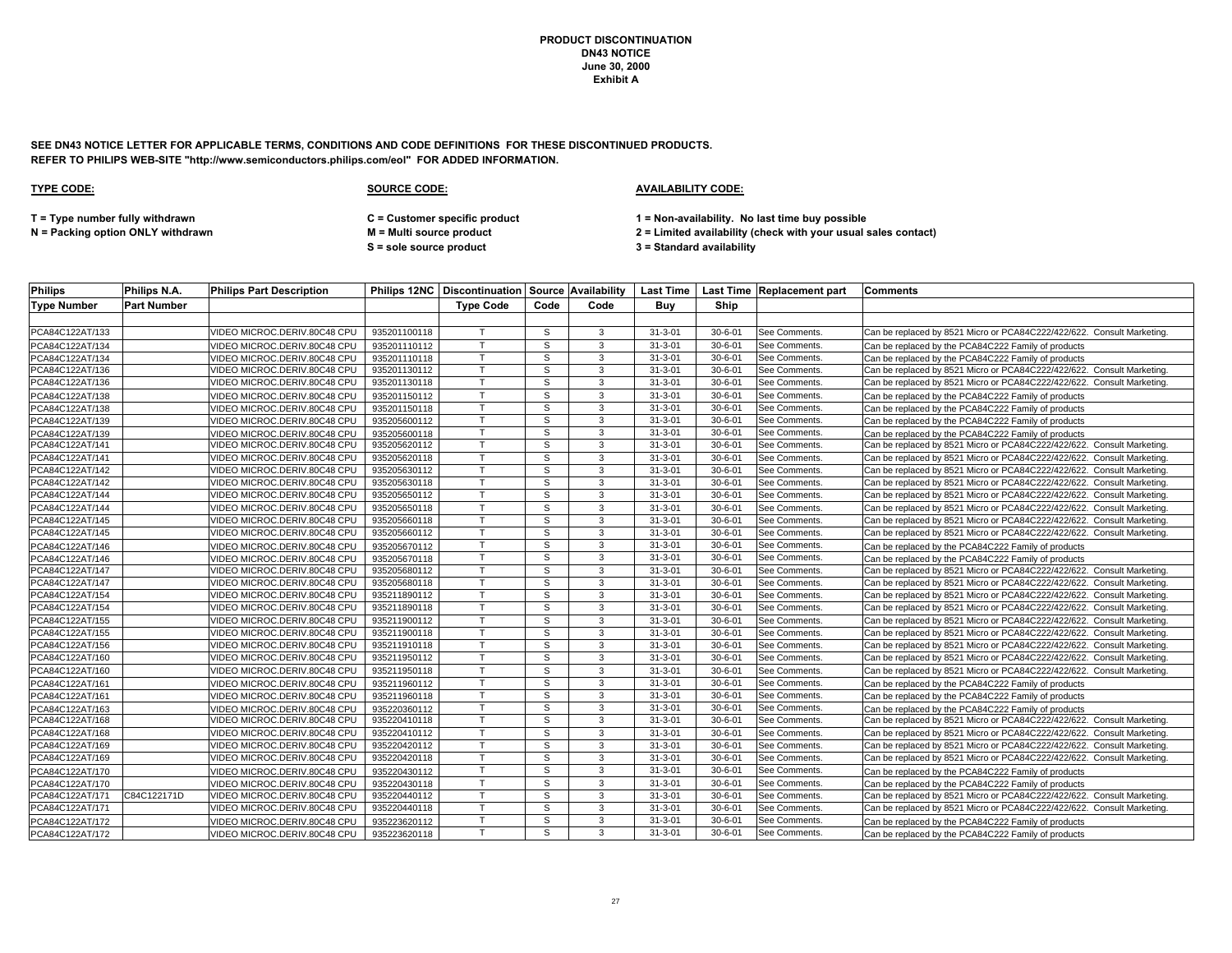**SEE DN43 NOTICE LETTER FOR APPLICABLE TERMS, CONDITIONS AND CODE DEFINITIONS FOR THESE DISCONTINUED PRODUCTS. REFER TO PHILIPS WEB-SITE "http://www.semiconductors.philips.com/eol" FOR ADDED INFORMATION.**

### **TYPE CODE: SOURCE CODE: AVAILABILITY CODE:**

**T = Type number fully withdrawn C = Customer specific product 1 = Non-availability. No last time buy possible**

**S = sole source product 3 = Standard availability**

| <b>Philips</b>     | Philips N.A.       | <b>Philips Part Description</b> |              |                  |      |      |               |               | Philips 12NC   Discontinuation   Source   Availability   Last Time   Last Time   Replacement part   Comments |                                                                        |
|--------------------|--------------------|---------------------------------|--------------|------------------|------|------|---------------|---------------|--------------------------------------------------------------------------------------------------------------|------------------------------------------------------------------------|
| <b>Type Number</b> | <b>Part Number</b> |                                 |              | <b>Type Code</b> | Code | Code | Buv           | Ship          |                                                                                                              |                                                                        |
|                    |                    |                                 |              |                  |      |      |               |               |                                                                                                              |                                                                        |
| PCA84C122AT/133    |                    | VIDEO MICROC.DERIV.80C48 CPU    | 935201100118 |                  | S    | 3    | $31 - 3 - 01$ | $30 - 6 - 01$ | See Comments.                                                                                                | Can be replaced by 8521 Micro or PCA84C222/422/622. Consult Marketing. |
| PCA84C122AT/134    |                    | VIDEO MICROC.DERIV.80C48 CPU    | 935201110112 |                  | S    | 3    | $31 - 3 - 01$ | $30 - 6 - 01$ | See Comments.                                                                                                | Can be replaced by the PCA84C222 Family of products                    |
| PCA84C122AT/134    |                    | VIDEO MICROC.DERIV.80C48 CPU    | 935201110118 |                  | S    | 3    | $31 - 3 - 01$ | $30 - 6 - 01$ | See Comments.                                                                                                | Can be replaced by the PCA84C222 Family of products                    |
| PCA84C122AT/136    |                    | VIDEO MICROC.DERIV.80C48 CPU    | 935201130112 |                  | S    | 3    | $31 - 3 - 01$ | $30 - 6 - 01$ | See Comments.                                                                                                | Can be replaced by 8521 Micro or PCA84C222/422/622. Consult Marketing. |
| PCA84C122AT/136    |                    | VIDEO MICROC.DERIV.80C48 CPU    | 935201130118 |                  | S    | 3    | $31 - 3 - 01$ | $30 - 6 - 01$ | See Comments.                                                                                                | Can be replaced by 8521 Micro or PCA84C222/422/622. Consult Marketing  |
| PCA84C122AT/138    |                    | VIDEO MICROC.DERIV.80C48 CPU    | 935201150112 |                  | S    | 3    | $31 - 3 - 01$ | $30 - 6 - 01$ | See Comments.                                                                                                | Can be replaced by the PCA84C222 Family of products                    |
| PCA84C122AT/138    |                    | VIDEO MICROC.DERIV.80C48 CPU    | 935201150118 |                  | S    | 3    | $31 - 3 - 01$ | $30 - 6 - 01$ | See Comments.                                                                                                | Can be replaced by the PCA84C222 Family of products                    |
| PCA84C122AT/139    |                    | VIDEO MICROC.DERIV.80C48 CPU    | 935205600112 |                  | S.   | 3    | $31 - 3 - 01$ | $30 - 6 - 01$ | See Comments.                                                                                                | Can be replaced by the PCA84C222 Family of products                    |
| PCA84C122AT/139    |                    | VIDEO MICROC.DERIV.80C48 CPU    | 935205600118 |                  | s    | 3    | $31 - 3 - 01$ | $30 - 6 - 01$ | See Comments.                                                                                                | Can be replaced by the PCA84C222 Family of products                    |
| PCA84C122AT/141    |                    | VIDEO MICROC.DERIV.80C48 CPU    | 935205620112 |                  | S    | 3    | $31 - 3 - 01$ | $30 - 6 - 01$ | See Comments.                                                                                                | Can be replaced by 8521 Micro or PCA84C222/422/622. Consult Marketing  |
| PCA84C122AT/141    |                    | VIDEO MICROC.DERIV.80C48 CPU    | 935205620118 |                  | s    | 3    | $31 - 3 - 01$ | $30 - 6 - 01$ | See Comments.                                                                                                | Can be replaced by 8521 Micro or PCA84C222/422/622. Consult Marketing  |
| PCA84C122AT/142    |                    | VIDEO MICROC.DERIV.80C48 CPU    | 935205630112 |                  | S    | 3    | $31 - 3 - 01$ | $30 - 6 - 01$ | See Comments.                                                                                                | Can be replaced by 8521 Micro or PCA84C222/422/622. Consult Marketing. |
| PCA84C122AT/142    |                    | VIDEO MICROC.DERIV.80C48 CPU    | 935205630118 |                  | S    | 3    | $31 - 3 - 01$ | $30 - 6 - 01$ | See Comments.                                                                                                | Can be replaced by 8521 Micro or PCA84C222/422/622. Consult Marketing. |
| PCA84C122AT/144    |                    | VIDEO MICROC.DERIV.80C48 CPU    | 935205650112 |                  | s    | 3    | $31 - 3 - 01$ | $30 - 6 - 01$ | See Comments.                                                                                                | Can be replaced by 8521 Micro or PCA84C222/422/622. Consult Marketing. |
| PCA84C122AT/144    |                    | VIDEO MICROC.DERIV.80C48 CPU    | 935205650118 |                  | S    | 3    | $31 - 3 - 01$ | $30 - 6 - 01$ | See Comments.                                                                                                | Can be replaced by 8521 Micro or PCA84C222/422/622. Consult Marketing. |
| PCA84C122AT/145    |                    | VIDEO MICROC.DERIV.80C48 CPU    | 935205660118 |                  | S    | 3    | $31 - 3 - 01$ | $30 - 6 - 01$ | See Comments.                                                                                                | Can be replaced by 8521 Micro or PCA84C222/422/622. Consult Marketing  |
| PCA84C122AT/145    |                    | VIDEO MICROC.DERIV.80C48 CPU    | 935205660112 |                  | S    | 3    | $31 - 3 - 01$ | $30 - 6 - 01$ | See Comments.                                                                                                | Can be replaced by 8521 Micro or PCA84C222/422/622. Consult Marketing. |
| PCA84C122AT/146    |                    | VIDEO MICROC.DERIV.80C48 CPU    | 935205670112 |                  | S    | 3    | $31 - 3 - 01$ | $30 - 6 - 01$ | See Comments.                                                                                                | Can be replaced by the PCA84C222 Family of products                    |
| PCA84C122AT/146    |                    | /IDEO MICROC.DERIV.80C48 CPU    | 935205670118 |                  | S    | 3    | $31 - 3 - 01$ | $30 - 6 - 01$ | See Comments.                                                                                                | Can be replaced by the PCA84C222 Family of products                    |
| PCA84C122AT/147    |                    | VIDEO MICROC.DERIV.80C48 CPU    | 935205680112 |                  | S    | 3    | $31 - 3 - 01$ | $30 - 6 - 01$ | See Comments.                                                                                                | Can be replaced by 8521 Micro or PCA84C222/422/622. Consult Marketing. |
| PCA84C122AT/147    |                    | VIDEO MICROC.DERIV.80C48 CPU    | 935205680118 |                  | S    | 3    | $31 - 3 - 01$ | $30 - 6 - 01$ | See Comments.                                                                                                | Can be replaced by 8521 Micro or PCA84C222/422/622. Consult Marketing. |
| PCA84C122AT/154    |                    | VIDEO MICROC.DERIV.80C48 CPU    | 935211890112 |                  | s    | 3    | $31 - 3 - 01$ | $30 - 6 - 01$ | See Comments.                                                                                                | Can be replaced by 8521 Micro or PCA84C222/422/622. Consult Marketing. |
| PCA84C122AT/154    |                    | VIDEO MICROC.DERIV.80C48 CPU    | 935211890118 |                  | S    | 3    | $31 - 3 - 01$ | $30 - 6 - 01$ | See Comments.                                                                                                | Can be replaced by 8521 Micro or PCA84C222/422/622. Consult Marketing. |
| PCA84C122AT/155    |                    | VIDEO MICROC.DERIV.80C48 CPU    | 935211900112 |                  | S.   | 3    | $31 - 3 - 01$ | $30 - 6 - 01$ | See Comments.                                                                                                | Can be replaced by 8521 Micro or PCA84C222/422/622. Consult Marketing. |
| PCA84C122AT/155    |                    | VIDEO MICROC.DERIV.80C48 CPU    | 935211900118 |                  | s    | 3    | $31 - 3 - 01$ | $30 - 6 - 01$ | See Comments.                                                                                                | Can be replaced by 8521 Micro or PCA84C222/422/622. Consult Marketing. |
| PCA84C122AT/156    |                    | VIDEO MICROC.DERIV.80C48 CPU    | 935211910118 |                  | S    | 3    | $31 - 3 - 01$ | $30 - 6 - 01$ | See Comments.                                                                                                | Can be replaced by 8521 Micro or PCA84C222/422/622. Consult Marketing  |
| PCA84C122AT/160    |                    | VIDEO MICROC.DERIV.80C48 CPU    | 935211950112 |                  | s    | 3    | $31 - 3 - 01$ | $30 - 6 - 01$ | See Comments.                                                                                                | Can be replaced by 8521 Micro or PCA84C222/422/622. Consult Marketing. |
| PCA84C122AT/160    |                    | VIDEO MICROC.DERIV.80C48 CPU    | 935211950118 |                  | S    | 3    | $31 - 3 - 01$ | $30 - 6 - 01$ | See Comments.                                                                                                | Can be replaced by 8521 Micro or PCA84C222/422/622. Consult Marketing. |
| PCA84C122AT/161    |                    | VIDEO MICROC.DERIV.80C48 CPU    | 935211960112 |                  | S    | 3    | $31 - 3 - 01$ | $30 - 6 - 01$ | See Comments.                                                                                                | Can be replaced by the PCA84C222 Family of products                    |
| PCA84C122AT/161    |                    | VIDEO MICROC.DERIV.80C48 CPU    | 935211960118 |                  | s    | 3    | $31 - 3 - 01$ | $30 - 6 - 01$ | See Comments.                                                                                                | Can be replaced by the PCA84C222 Family of products                    |
| PCA84C122AT/163    |                    | VIDEO MICROC.DERIV.80C48 CPU    | 935220360112 |                  | S    | 3    | $31 - 3 - 01$ | $30 - 6 - 01$ | See Comments.                                                                                                | Can be replaced by the PCA84C222 Family of products                    |
| PCA84C122AT/168    |                    | VIDEO MICROC.DERIV.80C48 CPU    | 935220410118 |                  | S    | 3    | $31 - 3 - 01$ | $30 - 6 - 01$ | See Comments.                                                                                                | Can be replaced by 8521 Micro or PCA84C222/422/622. Consult Marketing  |
| PCA84C122AT/168    |                    | VIDEO MICROC.DERIV.80C48 CPU    | 935220410112 |                  | S    | 3    | $31 - 3 - 01$ | $30 - 6 - 01$ | See Comments.                                                                                                | Can be replaced by 8521 Micro or PCA84C222/422/622. Consult Marketing. |
| PCA84C122AT/169    |                    | VIDEO MICROC.DERIV.80C48 CPU    | 935220420112 |                  | s    | 3    | $31 - 3 - 01$ | $30 - 6 - 01$ | See Comments.                                                                                                | Can be replaced by 8521 Micro or PCA84C222/422/622. Consult Marketing. |
| PCA84C122AT/169    |                    | VIDEO MICROC.DERIV.80C48 CPU    | 935220420118 |                  | S    | 3    | $31 - 3 - 01$ | $30 - 6 - 01$ | See Comments.                                                                                                | Can be replaced by 8521 Micro or PCA84C222/422/622. Consult Marketing  |
| PCA84C122AT/170    |                    | VIDEO MICROC.DERIV.80C48 CPU    | 935220430112 |                  | s    | 3    | $31 - 3 - 01$ | $30 - 6 - 01$ | See Comments.                                                                                                | Can be replaced by the PCA84C222 Family of products                    |
| PCA84C122AT/170    |                    | VIDEO MICROC.DERIV.80C48 CPU    | 935220430118 | $\mathsf{T}$     | S    | 3    | $31 - 3 - 01$ | $30 - 6 - 01$ | See Comments.                                                                                                | Can be replaced by the PCA84C222 Family of products                    |
| PCA84C122AT/171    | C84C122171D        | VIDEO MICROC.DERIV.80C48 CPU    | 935220440112 |                  | s    | 3    | $31 - 3 - 01$ | $30 - 6 - 01$ | See Comments.                                                                                                | Can be replaced by 8521 Micro or PCA84C222/422/622. Consult Marketing. |
| PCA84C122AT/171    |                    | VIDEO MICROC.DERIV.80C48 CPU    | 935220440118 |                  | S    | 3    | $31 - 3 - 01$ | $30 - 6 - 01$ | See Comments.                                                                                                | Can be replaced by 8521 Micro or PCA84C222/422/622. Consult Marketing. |
| PCA84C122AT/172    |                    | VIDEO MICROC.DERIV.80C48 CPU    | 935223620112 |                  | S    | 3    | $31 - 3 - 01$ | $30 - 6 - 01$ | See Comments.                                                                                                | Can be replaced by the PCA84C222 Family of products                    |
| PCA84C122AT/172    |                    | VIDEO MICROC.DERIV.80C48 CPU    | 935223620118 |                  | S    | 3    | $31 - 3 - 01$ | $30 - 6 - 01$ | See Comments.                                                                                                | Can be replaced by the PCA84C222 Family of products                    |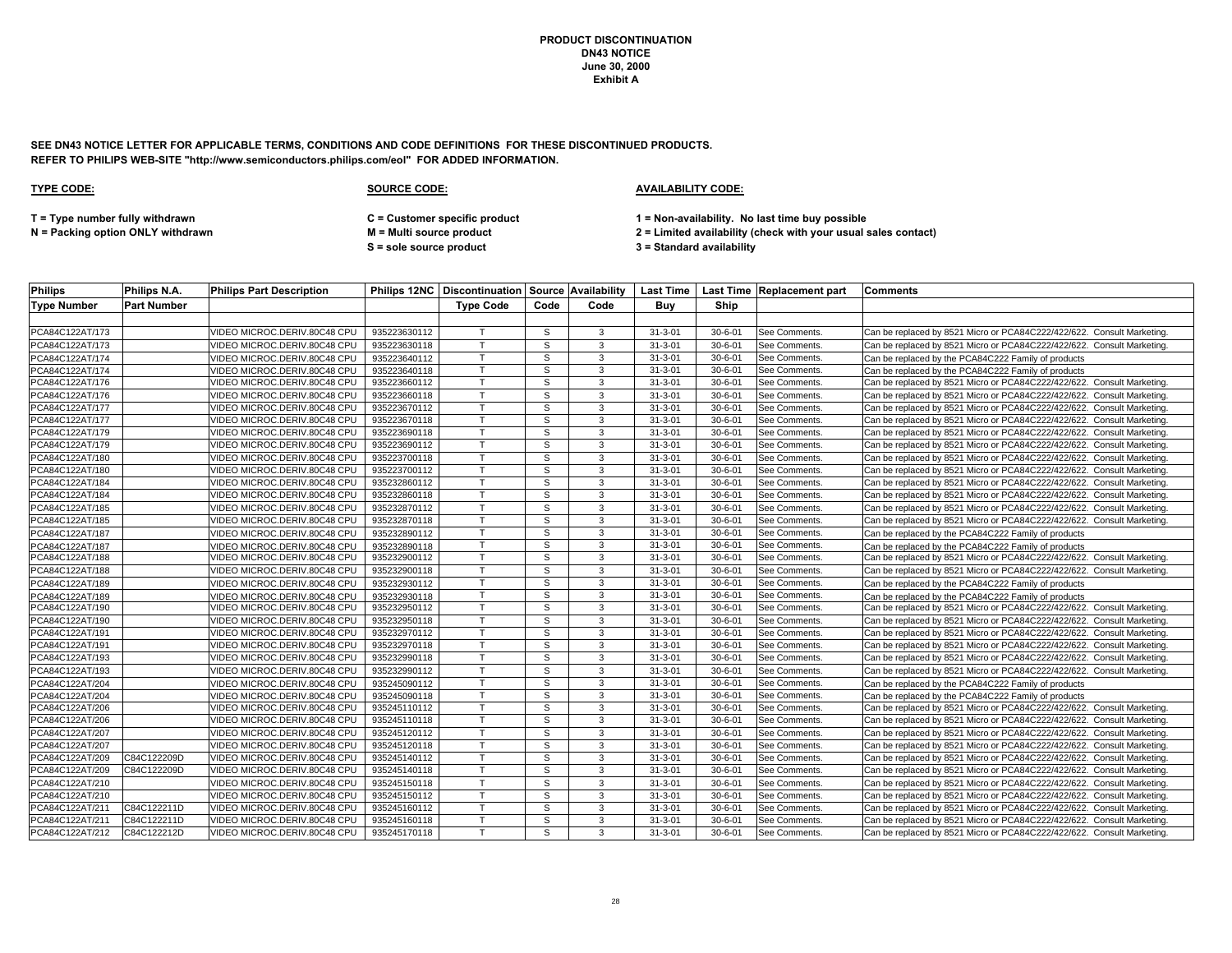**SEE DN43 NOTICE LETTER FOR APPLICABLE TERMS, CONDITIONS AND CODE DEFINITIONS FOR THESE DISCONTINUED PRODUCTS. REFER TO PHILIPS WEB-SITE "http://www.semiconductors.philips.com/eol" FOR ADDED INFORMATION.**

### **TYPE CODE: SOURCE CODE: AVAILABILITY CODE:**

**T = Type number fully withdrawn C = Customer specific product 1 = Non-availability. No last time buy possible**

**N = Packing option ONLY withdrawn M = Multi source product 2 = Limited availability (check with your usual sales contact)**

**S = sole source product 3 = Standard availability**

| <b>Philips</b>     | Philips N.A.       | <b>Philips Part Description</b> |              |                  |      |      |               |               | Philips 12NC Discontinuation Source Availability   Last Time   Last Time   Replacement part | <b>IComments</b>                                                       |
|--------------------|--------------------|---------------------------------|--------------|------------------|------|------|---------------|---------------|---------------------------------------------------------------------------------------------|------------------------------------------------------------------------|
| <b>Type Number</b> | <b>Part Number</b> |                                 |              | <b>Type Code</b> | Code | Code | Buy           | Ship          |                                                                                             |                                                                        |
|                    |                    |                                 |              |                  |      |      |               |               |                                                                                             |                                                                        |
| PCA84C122AT/173    |                    | VIDEO MICROC.DERIV.80C48 CPU    | 935223630112 |                  | S    | 3    | $31 - 3 - 01$ | $30 - 6 - 01$ | See Comments                                                                                | Can be replaced by 8521 Micro or PCA84C222/422/622. Consult Marketing  |
| PCA84C122AT/173    |                    | /IDEO MICROC.DERIV.80C48 CPU    | 935223630118 |                  | S    | 3    | $31 - 3 - 01$ | $30 - 6 - 01$ | See Comments.                                                                               | Can be replaced by 8521 Micro or PCA84C222/422/622. Consult Marketing. |
| PCA84C122AT/174    |                    | VIDEO MICROC.DERIV.80C48 CPU    | 935223640112 | T                | S    | 3    | $31 - 3 - 01$ | $30 - 6 - 01$ | See Comments.                                                                               | Can be replaced by the PCA84C222 Family of products                    |
| PCA84C122AT/174    |                    | VIDEO MICROC.DERIV.80C48 CPU    | 935223640118 | $\mathsf{T}$     | s    | 3    | $31 - 3 - 01$ | $30 - 6 - 01$ | See Comments.                                                                               | Can be replaced by the PCA84C222 Family of products                    |
| PCA84C122AT/176    |                    | VIDEO MICROC.DERIV.80C48 CPU    | 935223660112 | т                | S    | 3    | $31 - 3 - 01$ | $30 - 6 - 01$ | <b>See Comments</b>                                                                         | Can be replaced by 8521 Micro or PCA84C222/422/622. Consult Marketing. |
| PCA84C122AT/176    |                    | VIDEO MICROC.DERIV.80C48 CPU    | 935223660118 | T                | S    | 3    | $31 - 3 - 01$ | $30 - 6 - 01$ | See Comments                                                                                | Can be replaced by 8521 Micro or PCA84C222/422/622. Consult Marketing. |
| PCA84C122AT/177    |                    | /IDEO MICROC.DERIV.80C48 CPU    | 935223670112 |                  | S    | 3    | $31 - 3 - 01$ | $30 - 6 - 01$ | See Comments.                                                                               | Can be replaced by 8521 Micro or PCA84C222/422/622. Consult Marketing. |
| PCA84C122AT/177    |                    | VIDEO MICROC.DERIV.80C48 CPU    | 935223670118 | $\mathsf{T}$     | s    | 3    | $31 - 3 - 01$ | $30 - 6 - 01$ | <b>See Comments</b>                                                                         | Can be replaced by 8521 Micro or PCA84C222/422/622. Consult Marketing. |
| PCA84C122AT/179    |                    | VIDEO MICROC.DERIV.80C48 CPU    | 935223690118 | $\mathsf{T}$     | S    | 3    | $31 - 3 - 01$ | $30 - 6 - 01$ | See Comments.                                                                               | Can be replaced by 8521 Micro or PCA84C222/422/622. Consult Marketing. |
| PCA84C122AT/179    |                    | VIDEO MICROC.DERIV.80C48 CPU    | 935223690112 | $\mathsf{T}$     | S    | 3    | $31 - 3 - 01$ | $30 - 6 - 01$ | See Comments.                                                                               | Can be replaced by 8521 Micro or PCA84C222/422/622. Consult Marketing. |
| PCA84C122AT/180    |                    | /IDEO MICROC.DERIV.80C48 CPU    | 935223700118 | $\mathsf{T}$     | S    | 3    | $31 - 3 - 01$ | $30 - 6 - 01$ | See Comments                                                                                | Can be replaced by 8521 Micro or PCA84C222/422/622. Consult Marketing. |
| PCA84C122AT/180    |                    | /IDEO MICROC.DERIV.80C48 CPU    | 935223700112 |                  | S    | 3    | $31 - 3 - 01$ | $30 - 6 - 01$ | See Comments.                                                                               | Can be replaced by 8521 Micro or PCA84C222/422/622. Consult Marketing. |
| PCA84C122AT/184    |                    | VIDEO MICROC.DERIV.80C48 CPU    | 935232860112 | $\mathsf{T}$     | S    | 3    | $31 - 3 - 01$ | $30 - 6 - 01$ | See Comments                                                                                | Can be replaced by 8521 Micro or PCA84C222/422/622. Consult Marketing. |
| PCA84C122AT/184    |                    | /IDEO MICROC.DERIV.80C48 CPU    | 935232860118 |                  | S    | 3    | $31 - 3 - 01$ | $30 - 6 - 01$ | See Comments                                                                                | Can be replaced by 8521 Micro or PCA84C222/422/622. Consult Marketing  |
| PCA84C122AT/185    |                    | /IDEO MICROC.DERIV.80C48 CPU    | 935232870112 |                  | S    | 3    | $31 - 3 - 01$ | $30 - 6 - 01$ | See Comments.                                                                               | Can be replaced by 8521 Micro or PCA84C222/422/622. Consult Marketing. |
| PCA84C122AT/185    |                    | /IDEO MICROC.DERIV.80C48 CPU    | 935232870118 |                  | S    | 3    | $31 - 3 - 01$ | $30 - 6 - 01$ | See Comments                                                                                | Can be replaced by 8521 Micro or PCA84C222/422/622. Consult Marketing. |
| PCA84C122AT/187    |                    | /IDEO MICROC.DERIV.80C48 CPU    | 935232890112 | $\mathbf \tau$   | S    | 3    | $31 - 3 - 01$ | $30 - 6 - 01$ | <b>See Comments</b>                                                                         | Can be replaced by the PCA84C222 Family of products                    |
| PCA84C122AT/187    |                    | /IDEO MICROC.DERIV.80C48 CPU    | 935232890118 | т                | S    | 3    | $31 - 3 - 01$ | $30 - 6 - 01$ | See Comments.                                                                               | Can be replaced by the PCA84C222 Family of products                    |
| PCA84C122AT/188    |                    | VIDEO MICROC.DERIV.80C48 CPU    | 935232900112 | T                | S    | 3    | $31 - 3 - 01$ | $30 - 6 - 01$ | See Comments                                                                                | Can be replaced by 8521 Micro or PCA84C222/422/622. Consult Marketing  |
| PCA84C122AT/188    |                    | /IDEO MICROC.DERIV.80C48 CPU    | 935232900118 | $\mathsf{T}$     | s    | 3    | $31 - 3 - 01$ | $30 - 6 - 01$ | See Comments.                                                                               | Can be replaced by 8521 Micro or PCA84C222/422/622. Consult Marketing. |
| PCA84C122AT/189    |                    | /IDEO MICROC.DERIV.80C48 CPU    | 935232930112 |                  | S    | 3    | $31 - 3 - 01$ | $30 - 6 - 01$ | See Comments                                                                                | Can be replaced by the PCA84C222 Family of products                    |
| PCA84C122AT/189    |                    | /IDEO MICROC.DERIV.80C48 CPU    | 935232930118 | $\mathsf{T}$     | S    | 3    | $31 - 3 - 01$ | $30 - 6 - 01$ | <b>See Comments</b>                                                                         | Can be replaced by the PCA84C222 Family of products                    |
| PCA84C122AT/190    |                    | /IDEO MICROC.DERIV.80C48 CPU    | 935232950112 |                  | s    | 3    | $31 - 3 - 01$ | $30 - 6 - 01$ | See Comments.                                                                               | Can be replaced by 8521 Micro or PCA84C222/422/622. Consult Marketing. |
| PCA84C122AT/190    |                    | /IDEO MICROC.DERIV.80C48 CPU    | 935232950118 | $\mathsf{T}$     | S    | 3    | $31 - 3 - 01$ | $30 - 6 - 01$ | See Comments                                                                                | Can be replaced by 8521 Micro or PCA84C222/422/622. Consult Marketing. |
| PCA84C122AT/191    |                    | VIDEO MICROC.DERIV.80C48 CPU    | 935232970112 | $\mathbf \tau$   | S    | 3    | $31 - 3 - 01$ | $30 - 6 - 01$ | See Comments                                                                                | Can be replaced by 8521 Micro or PCA84C222/422/622. Consult Marketing. |
| PCA84C122AT/191    |                    | VIDEO MICROC.DERIV.80C48 CPU    | 935232970118 | $\mathsf{T}$     | S    | 3    | $31 - 3 - 01$ | $30 - 6 - 01$ | See Comments                                                                                | Can be replaced by 8521 Micro or PCA84C222/422/622. Consult Marketing. |
| PCA84C122AT/193    |                    | VIDEO MICROC.DERIV.80C48 CPU    | 935232990118 |                  | S    | 3    | $31 - 3 - 01$ | $30 - 6 - 01$ | <b>See Comments</b>                                                                         | Can be replaced by 8521 Micro or PCA84C222/422/622. Consult Marketing. |
| PCA84C122AT/193    |                    | VIDEO MICROC.DERIV.80C48 CPU    | 935232990112 |                  | S    | 3    | $31 - 3 - 01$ | $30 - 6 - 01$ | See Comments.                                                                               | Can be replaced by 8521 Micro or PCA84C222/422/622. Consult Marketing. |
| PCA84C122AT/204    |                    | VIDEO MICROC.DERIV.80C48 CPU    | 935245090112 | T.               | S    | 3    | $31 - 3 - 01$ | $30 - 6 - 01$ | See Comments.                                                                               | Can be replaced by the PCA84C222 Family of products                    |
| PCA84C122AT/204    |                    | /IDEO MICROC.DERIV.80C48 CPU    | 935245090118 |                  | S    | 3    | $31 - 3 - 01$ | $30 - 6 - 01$ | See Comments                                                                                | Can be replaced by the PCA84C222 Family of products                    |
| PCA84C122AT/206    |                    | /IDEO MICROC.DERIV.80C48 CPU    | 935245110112 | $\mathsf{T}$     | S    | 3    | $31 - 3 - 01$ | $30 - 6 - 01$ | See Comments.                                                                               | Can be replaced by 8521 Micro or PCA84C222/422/622. Consult Marketing. |
| PCA84C122AT/206    |                    | /IDEO MICROC.DERIV.80C48 CPU    | 935245110118 |                  | s    | 3    | $31 - 3 - 01$ | $30 - 6 - 01$ | See Comments                                                                                | Can be replaced by 8521 Micro or PCA84C222/422/622. Consult Marketing. |
| PCA84C122AT/207    |                    | VIDEO MICROC.DERIV.80C48 CPU    | 935245120112 | $\mathsf{T}$     | s    | 3    | $31 - 3 - 01$ | $30 - 6 - 01$ | See Comments.                                                                               | Can be replaced by 8521 Micro or PCA84C222/422/622. Consult Marketing. |
| PCA84C122AT/207    |                    | VIDEO MICROC.DERIV.80C48 CPU    | 935245120118 |                  | S    | 3    | $31 - 3 - 01$ | $30 - 6 - 01$ | See Comments.                                                                               | Can be replaced by 8521 Micro or PCA84C222/422/622. Consult Marketing. |
| PCA84C122AT/209    | C84C122209D        | VIDEO MICROC.DERIV.80C48 CPU    | 935245140112 | T                | S    | 3    | $31 - 3 - 01$ | $30 - 6 - 01$ | See Comments                                                                                | Can be replaced by 8521 Micro or PCA84C222/422/622. Consult Marketing  |
| PCA84C122AT/209    | C84C122209D        | VIDEO MICROC.DERIV.80C48 CPU    | 935245140118 | $\mathsf{T}$     | S    | 3    | $31 - 3 - 01$ | $30 - 6 - 01$ | See Comments.                                                                               | Can be replaced by 8521 Micro or PCA84C222/422/622. Consult Marketing. |
| PCA84C122AT/210    |                    | VIDEO MICROC.DERIV.80C48 CPU    | 935245150118 | $\mathsf{T}$     | S    | 3    | $31 - 3 - 01$ | $30 - 6 - 01$ | See Comments                                                                                | Can be replaced by 8521 Micro or PCA84C222/422/622. Consult Marketing. |
| PCA84C122AT/210    |                    | VIDEO MICROC.DERIV.80C48 CPU    | 935245150112 | T                | S    | 3    | $31 - 3 - 01$ | $30 - 6 - 01$ | See Comments.                                                                               | Can be replaced by 8521 Micro or PCA84C222/422/622. Consult Marketing. |
| PCA84C122AT/211    | C84C122211D        | VIDEO MICROC.DERIV.80C48 CPU    | 935245160112 |                  | s    | 3    | $31 - 3 - 01$ | $30 - 6 - 01$ | See Comments.                                                                               | Can be replaced by 8521 Micro or PCA84C222/422/622. Consult Marketing. |
| PCA84C122AT/211    | C84C122211D        | VIDEO MICROC.DERIV.80C48 CPU    | 935245160118 |                  | S    | 3    | $31 - 3 - 01$ | $30 - 6 - 01$ | See Comments                                                                                | Can be replaced by 8521 Micro or PCA84C222/422/622. Consult Marketing. |
| PCA84C122AT/212    | C84C122212D        | VIDEO MICROC.DERIV.80C48 CPU    | 935245170118 | T.               | S.   | 3    | $31 - 3 - 01$ | $30 - 6 - 01$ | <b>See Comments</b>                                                                         | Can be replaced by 8521 Micro or PCA84C222/422/622. Consult Marketing. |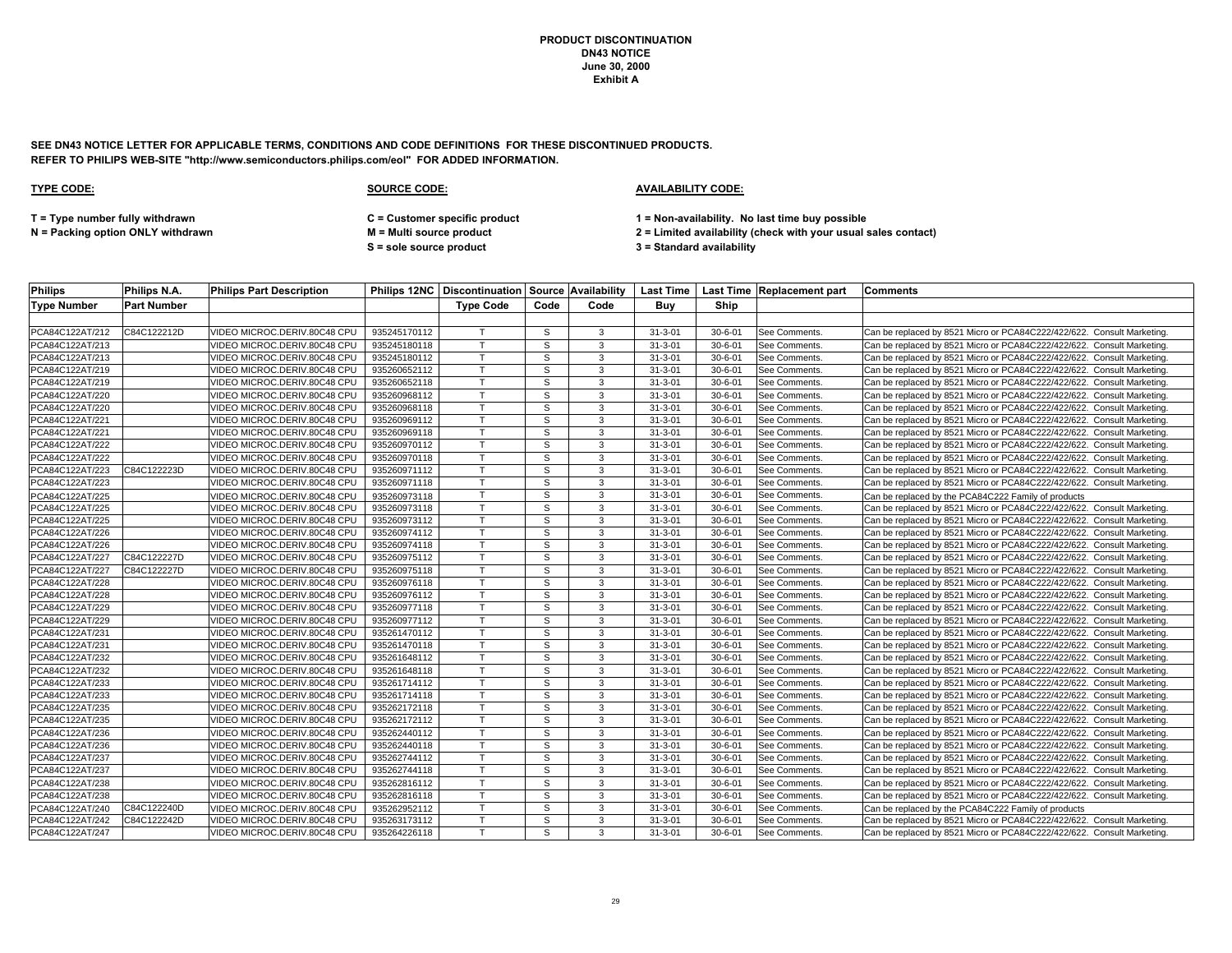**SEE DN43 NOTICE LETTER FOR APPLICABLE TERMS, CONDITIONS AND CODE DEFINITIONS FOR THESE DISCONTINUED PRODUCTS. REFER TO PHILIPS WEB-SITE "http://www.semiconductors.philips.com/eol" FOR ADDED INFORMATION.**

### **TYPE CODE: SOURCE CODE: AVAILABILITY CODE:**

**T = Type number fully withdrawn C = Customer specific product 1 = Non-availability. No last time buy possible**

**S = sole source product 3 = Standard availability**

| <b>Philips</b>     | Philips N.A.       | <b>Philips Part Description</b> |              | Philips 12NC   Discontinuation   Source   Availability |      |      |               |               | Last Time Last Time Replacement part | <b>Comments</b>                                                        |
|--------------------|--------------------|---------------------------------|--------------|--------------------------------------------------------|------|------|---------------|---------------|--------------------------------------|------------------------------------------------------------------------|
| <b>Type Number</b> | <b>Part Number</b> |                                 |              | <b>Type Code</b>                                       | Code | Code | Buv           | Ship          |                                      |                                                                        |
|                    |                    |                                 |              |                                                        |      |      |               |               |                                      |                                                                        |
| PCA84C122AT/212    | C84C122212D        | VIDEO MICROC.DERIV.80C48 CPU    | 935245170112 |                                                        | S.   | 3    | $31 - 3 - 01$ | $30 - 6 - 01$ | See Comments.                        | Can be replaced by 8521 Micro or PCA84C222/422/622. Consult Marketing. |
| PCA84C122AT/213    |                    | VIDEO MICROC.DERIV.80C48 CPU    | 935245180118 |                                                        | S    | 3    | $31 - 3 - 01$ | $30 - 6 - 01$ | See Comments.                        | Can be replaced by 8521 Micro or PCA84C222/422/622. Consult Marketing. |
| PCA84C122AT/213    |                    | /IDEO MICROC.DERIV.80C48 CPU    | 935245180112 |                                                        | S    | 3    | $31 - 3 - 01$ | $30 - 6 - 01$ | See Comments.                        | Can be replaced by 8521 Micro or PCA84C222/422/622. Consult Marketing. |
| PCA84C122AT/219    |                    | VIDEO MICROC.DERIV.80C48 CPU    | 935260652112 |                                                        | S    | 3    | $31 - 3 - 01$ | $30 - 6 - 01$ | See Comments                         | Can be replaced by 8521 Micro or PCA84C222/422/622. Consult Marketing. |
| PCA84C122AT/219    |                    | VIDEO MICROC.DERIV.80C48 CPU    | 935260652118 |                                                        | S.   | 3    | $31 - 3 - 01$ | $30 - 6 - 01$ | See Comments                         | Can be replaced by 8521 Micro or PCA84C222/422/622. Consult Marketing. |
| PCA84C122AT/220    |                    | VIDEO MICROC.DERIV.80C48 CPU    | 935260968112 |                                                        | S    | 3    | $31 - 3 - 01$ | $30 - 6 - 01$ | See Comments.                        | Can be replaced by 8521 Micro or PCA84C222/422/622. Consult Marketing. |
| PCA84C122AT/220    |                    | /IDEO MICROC.DERIV.80C48 CPU    | 935260968118 |                                                        | S    | 3    | $31 - 3 - 01$ | $30 - 6 - 01$ | See Comments                         | Can be replaced by 8521 Micro or PCA84C222/422/622. Consult Marketing. |
| PCA84C122AT/221    |                    | /IDEO MICROC.DERIV.80C48 CPU    | 935260969112 |                                                        | S    | 3    | $31 - 3 - 01$ | $30 - 6 - 01$ | See Comments.                        | Can be replaced by 8521 Micro or PCA84C222/422/622. Consult Marketing. |
| PCA84C122AT/221    |                    | VIDEO MICROC.DERIV.80C48 CPU    | 935260969118 |                                                        | S.   | 3    | $31 - 3 - 01$ | $30 - 6 - 01$ | See Comments.                        | Can be replaced by 8521 Micro or PCA84C222/422/622. Consult Marketing. |
| PCA84C122AT/222    |                    | VIDEO MICROC.DERIV.80C48 CPU    | 935260970112 | $\mathsf{T}$                                           | S    | 3    | $31 - 3 - 01$ | $30 - 6 - 01$ | See Comments.                        | Can be replaced by 8521 Micro or PCA84C222/422/622. Consult Marketing. |
| PCA84C122AT/222    |                    | VIDEO MICROC.DERIV.80C48 CPU    | 935260970118 |                                                        | S    | 3    | $31 - 3 - 01$ | $30 - 6 - 01$ | See Comments.                        | Can be replaced by 8521 Micro or PCA84C222/422/622. Consult Marketing. |
| PCA84C122AT/223    | C84C122223D        | VIDEO MICROC.DERIV.80C48 CPU    | 935260971112 |                                                        | S    | 3    | $31 - 3 - 01$ | $30 - 6 - 01$ | See Comments                         | Can be replaced by 8521 Micro or PCA84C222/422/622. Consult Marketing. |
| PCA84C122AT/223    |                    | VIDEO MICROC.DERIV.80C48 CPU    | 935260971118 | T.                                                     | S    | 3    | $31 - 3 - 01$ | $30 - 6 - 01$ | <b>See Comments</b>                  | Can be replaced by 8521 Micro or PCA84C222/422/622. Consult Marketing. |
| PCA84C122AT/225    |                    | VIDEO MICROC.DERIV.80C48 CPU    | 935260973118 |                                                        | S    | 3    | $31 - 3 - 01$ | $30 - 6 - 01$ | See Comments.                        | Can be replaced by the PCA84C222 Family of products                    |
| PCA84C122AT/225    |                    | VIDEO MICROC.DERIV.80C48 CPU    | 935260973118 |                                                        | S    | 3    | $31 - 3 - 01$ | $30 - 6 - 01$ | See Comments                         | Can be replaced by 8521 Micro or PCA84C222/422/622. Consult Marketing. |
| PCA84C122AT/225    |                    | VIDEO MICROC.DERIV.80C48 CPU    | 935260973112 |                                                        | S.   | 3    | $31 - 3 - 01$ | $30 - 6 - 01$ | See Comments                         | Can be replaced by 8521 Micro or PCA84C222/422/622. Consult Marketing. |
| PCA84C122AT/226    |                    | VIDEO MICROC.DERIV.80C48 CPU    | 935260974112 |                                                        | S.   | 3    | $31 - 3 - 01$ | $30 - 6 - 01$ | See Comments.                        | Can be replaced by 8521 Micro or PCA84C222/422/622. Consult Marketing. |
| PCA84C122AT/226    |                    | VIDEO MICROC.DERIV.80C48 CPU    | 935260974118 |                                                        | S    | 3    | $31 - 3 - 01$ | $30 - 6 - 01$ | See Comments.                        | Can be replaced by 8521 Micro or PCA84C222/422/622. Consult Marketing. |
| PCA84C122AT/227    | C84C122227D        | VIDEO MICROC.DERIV.80C48 CPU    | 935260975112 |                                                        | S    | 3    | $31 - 3 - 01$ | $30 - 6 - 01$ | See Comments                         | Can be replaced by 8521 Micro or PCA84C222/422/622. Consult Marketing. |
| PCA84C122AT/227    | C84C122227D        | VIDEO MICROC.DERIV.80C48 CPU    | 935260975118 |                                                        | S    | 3    | $31 - 3 - 01$ | $30 - 6 - 01$ | <b>See Comments</b>                  | Can be replaced by 8521 Micro or PCA84C222/422/622. Consult Marketing. |
| PCA84C122AT/228    |                    | VIDEO MICROC.DERIV.80C48 CPU    | 935260976118 |                                                        | S    | 3    | $31 - 3 - 01$ | $30 - 6 - 01$ | See Comments.                        | Can be replaced by 8521 Micro or PCA84C222/422/622. Consult Marketing. |
| PCA84C122AT/228    |                    | VIDEO MICROC.DERIV.80C48 CPU    | 935260976112 |                                                        | S    | 3    | $31 - 3 - 01$ | $30 - 6 - 01$ | See Comments.                        | Can be replaced by 8521 Micro or PCA84C222/422/622. Consult Marketing. |
| PCA84C122AT/229    |                    | /IDEO MICROC.DERIV.80C48 CPU    | 935260977118 |                                                        | S    | 3    | $31 - 3 - 01$ | $30 - 6 - 01$ | See Comments                         | Can be replaced by 8521 Micro or PCA84C222/422/622. Consult Marketing. |
| PCA84C122AT/229    |                    | VIDEO MICROC.DERIV.80C48 CPU    | 935260977112 |                                                        | S.   | 3    | $31 - 3 - 01$ | $30 - 6 - 01$ | See Comments.                        | Can be replaced by 8521 Micro or PCA84C222/422/622. Consult Marketing. |
| PCA84C122AT/231    |                    | VIDEO MICROC.DERIV.80C48 CPU    | 935261470112 |                                                        | S    | 3    | $31 - 3 - 01$ | $30 - 6 - 01$ | See Comments.                        | Can be replaced by 8521 Micro or PCA84C222/422/622. Consult Marketing. |
| PCA84C122AT/231    |                    | VIDEO MICROC.DERIV.80C48 CPU    | 935261470118 | $\mathsf{T}$                                           | S    | 3    | $31 - 3 - 01$ | $30 - 6 - 01$ | See Comments                         | Can be replaced by 8521 Micro or PCA84C222/422/622. Consult Marketing. |
| PCA84C122AT/232    |                    | VIDEO MICROC.DERIV.80C48 CPU    | 935261648112 |                                                        | S    | 3    | $31 - 3 - 01$ | $30 - 6 - 01$ | See Comments.                        | Can be replaced by 8521 Micro or PCA84C222/422/622. Consult Marketing. |
| PCA84C122AT/232    |                    | VIDEO MICROC.DERIV.80C48 CPU    | 935261648118 |                                                        | S    | 3    | $31 - 3 - 01$ | $30 - 6 - 01$ | See Comments                         | Can be replaced by 8521 Micro or PCA84C222/422/622. Consult Marketing. |
| PCA84C122AT/233    |                    | VIDEO MICROC.DERIV.80C48 CPU    | 935261714112 | $\mathsf{T}$                                           | S    | 3    | $31 - 3 - 01$ | $30 - 6 - 01$ | <b>See Comments</b>                  | Can be replaced by 8521 Micro or PCA84C222/422/622. Consult Marketing. |
| PCA84C122AT/233    |                    | VIDEO MICROC.DERIV.80C48 CPU    | 935261714118 |                                                        | S    | 3    | $31 - 3 - 01$ | $30 - 6 - 01$ | See Comments.                        | Can be replaced by 8521 Micro or PCA84C222/422/622. Consult Marketing. |
| PCA84C122AT/235    |                    | /IDEO MICROC.DERIV.80C48 CPU    | 935262172118 |                                                        | S    | 3    | $31 - 3 - 01$ | $30 - 6 - 01$ | <b>See Comments</b>                  | Can be replaced by 8521 Micro or PCA84C222/422/622. Consult Marketing. |
| PCA84C122AT/235    |                    | VIDEO MICROC.DERIV.80C48 CPU    | 935262172112 |                                                        | S    | 3    | $31 - 3 - 01$ | $30 - 6 - 01$ | See Comments                         | Can be replaced by 8521 Micro or PCA84C222/422/622. Consult Marketing. |
| PCA84C122AT/236    |                    | VIDEO MICROC.DERIV.80C48 CPU    | 935262440112 |                                                        | S    | 3    | $31 - 3 - 01$ | $30 - 6 - 01$ | See Comments.                        | Can be replaced by 8521 Micro or PCA84C222/422/622. Consult Marketing. |
| PCA84C122AT/236    |                    | /IDEO MICROC.DERIV.80C48 CPU    | 935262440118 |                                                        | S    | 3    | $31 - 3 - 01$ | $30 - 6 - 01$ | See Comments                         | Can be replaced by 8521 Micro or PCA84C222/422/622. Consult Marketing. |
| PCA84C122AT/237    |                    | /IDEO MICROC.DERIV.80C48 CPU    | 935262744112 |                                                        | S    | 3    | $31 - 3 - 01$ | $30 - 6 - 01$ | See Comments                         | Can be replaced by 8521 Micro or PCA84C222/422/622. Consult Marketing. |
| PCA84C122AT/237    |                    | VIDEO MICROC.DERIV.80C48 CPU    | 935262744118 |                                                        | S    | 3    | $31 - 3 - 01$ | $30 - 6 - 01$ | See Comments.                        | Can be replaced by 8521 Micro or PCA84C222/422/622. Consult Marketing. |
| PCA84C122AT/238    |                    | VIDEO MICROC.DERIV.80C48 CPU    | 935262816112 | T.                                                     | S    | 3    | $31 - 3 - 01$ | $30 - 6 - 01$ | <b>See Comments</b>                  | Can be replaced by 8521 Micro or PCA84C222/422/622. Consult Marketing. |
| PCA84C122AT/238    |                    | VIDEO MICROC.DERIV.80C48 CPU    | 935262816118 |                                                        | S    | 3    | $31 - 3 - 01$ | $30 - 6 - 01$ | See Comments.                        | Can be replaced by 8521 Micro or PCA84C222/422/622. Consult Marketing. |
| PCA84C122AT/240    | C84C122240D        | VIDEO MICROC.DERIV.80C48 CPU    | 935262952112 |                                                        | S    | 3    | $31 - 3 - 01$ | $30 - 6 - 01$ | <b>See Comments</b>                  | Can be replaced by the PCA84C222 Family of products                    |
| PCA84C122AT/242    | C84C122242D        | VIDEO MICROC.DERIV.80C48 CPU    | 935263173112 |                                                        | S.   | 3    | $31 - 3 - 01$ | $30 - 6 - 01$ | See Comments.                        | Can be replaced by 8521 Micro or PCA84C222/422/622. Consult Marketing. |
| PCA84C122AT/247    |                    | VIDEO MICROC.DERIV.80C48 CPU    | 935264226118 |                                                        | S.   | 3    | $31 - 3 - 01$ | $30 - 6 - 01$ | See Comments.                        | Can be replaced by 8521 Micro or PCA84C222/422/622. Consult Marketing. |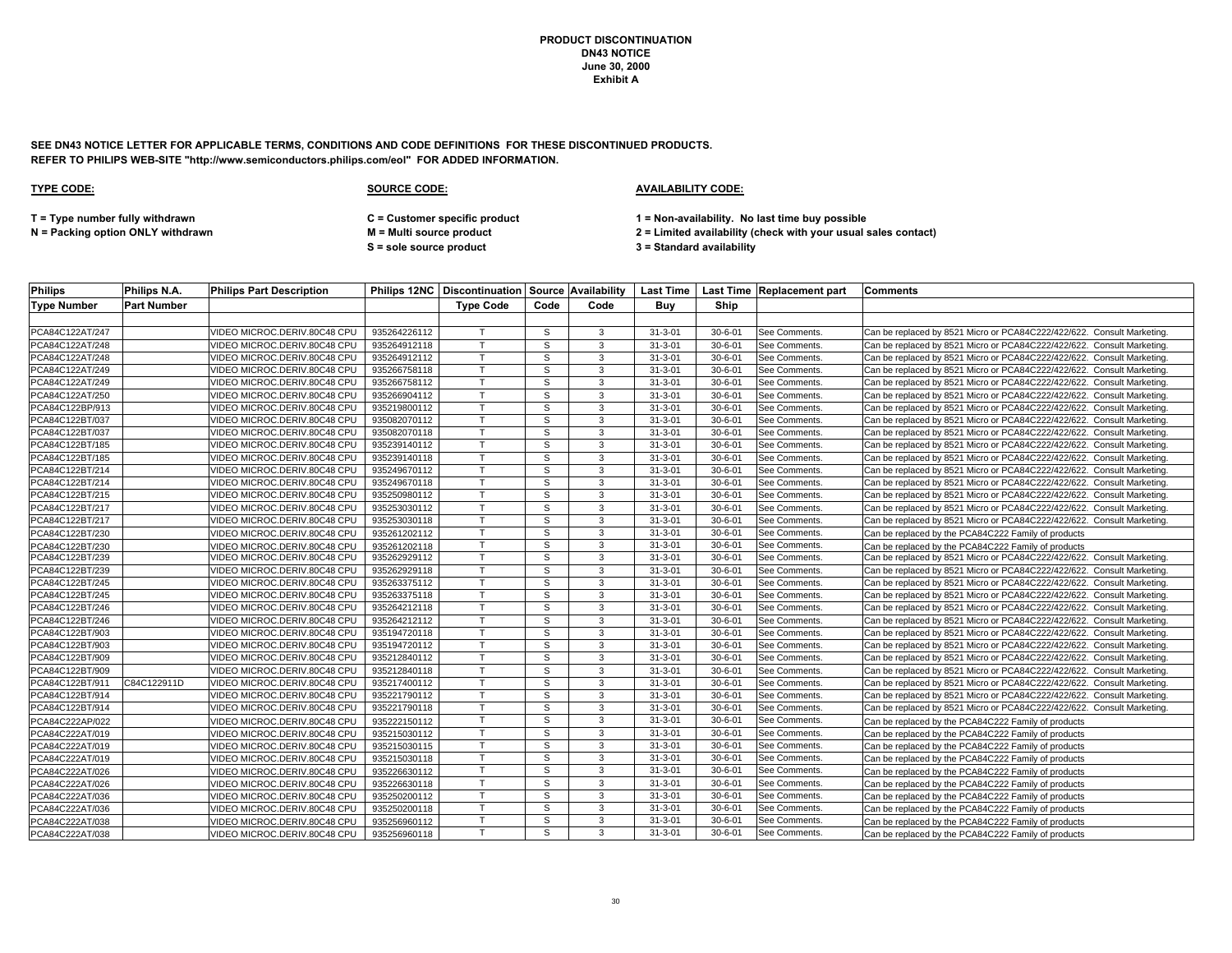**SEE DN43 NOTICE LETTER FOR APPLICABLE TERMS, CONDITIONS AND CODE DEFINITIONS FOR THESE DISCONTINUED PRODUCTS. REFER TO PHILIPS WEB-SITE "http://www.semiconductors.philips.com/eol" FOR ADDED INFORMATION.**

### **TYPE CODE: SOURCE CODE: AVAILABILITY CODE:**

**T = Type number fully withdrawn C = Customer specific product 1 = Non-availability. No last time buy possible**

**S = sole source product 3 = Standard availability**

| <b>Philips</b>     | Philips N.A.       | <b>Philips Part Description</b> |              |                  |      |      |               |               | Philips 12NC Discontinuation Source Availability   Last Time   Last Time   Replacement part | <b>Comments</b>                                                        |
|--------------------|--------------------|---------------------------------|--------------|------------------|------|------|---------------|---------------|---------------------------------------------------------------------------------------------|------------------------------------------------------------------------|
| <b>Type Number</b> | <b>Part Number</b> |                                 |              | <b>Type Code</b> | Code | Code | Buy           | Ship          |                                                                                             |                                                                        |
|                    |                    |                                 |              |                  |      |      |               |               |                                                                                             |                                                                        |
| PCA84C122AT/247    |                    | VIDEO MICROC.DERIV.80C48 CPU    | 935264226112 |                  | S    | 3    | $31 - 3 - 01$ | $30 - 6 - 01$ | <b>See Comments</b>                                                                         | Can be replaced by 8521 Micro or PCA84C222/422/622. Consult Marketing. |
| PCA84C122AT/248    |                    | VIDEO MICROC.DERIV.80C48 CPU    | 935264912118 | T.               | S    | 3    | $31 - 3 - 01$ | $30 - 6 - 01$ | See Comments.                                                                               | Can be replaced by 8521 Micro or PCA84C222/422/622. Consult Marketing  |
| PCA84C122AT/248    |                    | VIDEO MICROC.DERIV.80C48 CPU    | 935264912112 |                  | S    | 3    | $31 - 3 - 01$ | $30 - 6 - 01$ | See Comments.                                                                               | Can be replaced by 8521 Micro or PCA84C222/422/622. Consult Marketing. |
| PCA84C122AT/249    |                    | VIDEO MICROC.DERIV.80C48 CPU    | 935266758118 |                  | S    | 3    | $31 - 3 - 01$ | $30 - 6 - 01$ | See Comments.                                                                               | Can be replaced by 8521 Micro or PCA84C222/422/622. Consult Marketing. |
| PCA84C122AT/249    |                    | VIDEO MICROC.DERIV.80C48 CPU    | 935266758112 |                  | S    | 3    | $31 - 3 - 01$ | $30 - 6 - 01$ | See Comments.                                                                               | Can be replaced by 8521 Micro or PCA84C222/422/622. Consult Marketing  |
| PCA84C122AT/250    |                    | VIDEO MICROC.DERIV.80C48 CPU    | 935266904112 |                  | S    | 3    | $31 - 3 - 01$ | $30 - 6 - 01$ | See Comments.                                                                               | Can be replaced by 8521 Micro or PCA84C222/422/622. Consult Marketing. |
| PCA84C122BP/913    |                    | VIDEO MICROC.DERIV.80C48 CPU    | 935219800112 |                  | S    | 3    | $31 - 3 - 01$ | $30 - 6 - 01$ | See Comments.                                                                               | Can be replaced by 8521 Micro or PCA84C222/422/622. Consult Marketing  |
| PCA84C122BT/037    |                    | VIDEO MICROC.DERIV.80C48 CPU    | 935082070112 |                  | S    | 3    | $31 - 3 - 01$ | $30 - 6 - 01$ | See Comments.                                                                               | Can be replaced by 8521 Micro or PCA84C222/422/622. Consult Marketing  |
| PCA84C122BT/037    |                    | VIDEO MICROC.DERIV.80C48 CPU    | 935082070118 |                  | S    | 3    | $31 - 3 - 01$ | $30 - 6 - 01$ | See Comments.                                                                               | Can be replaced by 8521 Micro or PCA84C222/422/622. Consult Marketing. |
| PCA84C122BT/185    |                    | VIDEO MICROC.DERIV.80C48 CPU    | 935239140112 | T.               | S    | 3    | $31 - 3 - 01$ | $30 - 6 - 01$ | See Comments                                                                                | Can be replaced by 8521 Micro or PCA84C222/422/622. Consult Marketing  |
| PCA84C122BT/185    |                    | VIDEO MICROC.DERIV.80C48 CPU    | 935239140118 |                  | S    | 3    | $31 - 3 - 01$ | $30 - 6 - 01$ | See Comments.                                                                               | Can be replaced by 8521 Micro or PCA84C222/422/622. Consult Marketing  |
| PCA84C122BT/214    |                    | VIDEO MICROC.DERIV.80C48 CPU    | 935249670112 |                  | S    | 3    | $31 - 3 - 01$ | $30 - 6 - 01$ | See Comments.                                                                               | Can be replaced by 8521 Micro or PCA84C222/422/622. Consult Marketing  |
| PCA84C122BT/214    |                    | VIDEO MICROC.DERIV.80C48 CPU    | 935249670118 |                  | S    | 3    | $31 - 3 - 01$ | $30 - 6 - 01$ | See Comments.                                                                               | Can be replaced by 8521 Micro or PCA84C222/422/622. Consult Marketing  |
| PCA84C122BT/215    |                    | VIDEO MICROC.DERIV.80C48 CPU    | 935250980112 |                  | s    | 3    | $31 - 3 - 01$ | $30 - 6 - 01$ | See Comments.                                                                               | Can be replaced by 8521 Micro or PCA84C222/422/622. Consult Marketing  |
| PCA84C122BT/217    |                    | VIDEO MICROC.DERIV.80C48 CPU    | 935253030112 |                  | S    | 3    | $31 - 3 - 01$ | $30 - 6 - 01$ | See Comments.                                                                               | Can be replaced by 8521 Micro or PCA84C222/422/622. Consult Marketing  |
| PCA84C122BT/217    |                    | VIDEO MICROC.DERIV.80C48 CPU    | 935253030118 |                  | S    | 3    | $31 - 3 - 01$ | $30 - 6 - 01$ | <b>See Comments</b>                                                                         | Can be replaced by 8521 Micro or PCA84C222/422/622. Consult Marketing  |
| PCA84C122BT/230    |                    | VIDEO MICROC.DERIV.80C48 CPU    | 935261202112 |                  | S    | 3    | $31 - 3 - 01$ | $30 - 6 - 01$ | See Comments.                                                                               | Can be replaced by the PCA84C222 Family of products                    |
| PCA84C122BT/230    |                    | VIDEO MICROC.DERIV.80C48 CPU    | 935261202118 |                  | S    | 3    | $31 - 3 - 01$ | $30 - 6 - 01$ | See Comments.                                                                               | Can be replaced by the PCA84C222 Family of products                    |
| PCA84C122BT/239    |                    | VIDEO MICROC.DERIV.80C48 CPU    | 935262929112 |                  | S    | 3    | $31 - 3 - 01$ | $30 - 6 - 01$ | See Comments.                                                                               | Can be replaced by 8521 Micro or PCA84C222/422/622. Consult Marketing. |
| PCA84C122BT/239    |                    | VIDEO MICROC.DERIV.80C48 CPU    | 935262929118 |                  | S    | 3    | $31 - 3 - 01$ | $30 - 6 - 01$ | See Comments.                                                                               | Can be replaced by 8521 Micro or PCA84C222/422/622. Consult Marketing. |
| PCA84C122BT/245    |                    | VIDEO MICROC.DERIV.80C48 CPU    | 935263375112 |                  | S    | 3    | $31 - 3 - 01$ | $30 - 6 - 01$ | See Comments.                                                                               | Can be replaced by 8521 Micro or PCA84C222/422/622. Consult Marketing  |
| PCA84C122BT/245    |                    | VIDEO MICROC.DERIV.80C48 CPU    | 935263375118 |                  | S    | 3    | $31 - 3 - 01$ | $30 - 6 - 01$ | See Comments.                                                                               | Can be replaced by 8521 Micro or PCA84C222/422/622. Consult Marketing. |
| PCA84C122BT/246    |                    | VIDEO MICROC.DERIV.80C48 CPU    | 935264212118 |                  | S    | 3    | $31 - 3 - 01$ | $30 - 6 - 01$ | See Comments.                                                                               | Can be replaced by 8521 Micro or PCA84C222/422/622. Consult Marketing. |
| PCA84C122BT/246    |                    | VIDEO MICROC.DERIV.80C48 CPU    | 935264212112 |                  | S    | 3    | $31 - 3 - 01$ | $30 - 6 - 01$ | See Comments.                                                                               | Can be replaced by 8521 Micro or PCA84C222/422/622. Consult Marketing  |
| PCA84C122BT/903    |                    | VIDEO MICROC.DERIV.80C48 CPU    | 935194720118 |                  | S    | 3    | $31 - 3 - 01$ | $30 - 6 - 01$ | See Comments.                                                                               | Can be replaced by 8521 Micro or PCA84C222/422/622. Consult Marketing. |
| PCA84C122BT/903    |                    | VIDEO MICROC.DERIV.80C48 CPU    | 935194720112 |                  | S    | 3    | $31 - 3 - 01$ | $30 - 6 - 01$ | See Comments.                                                                               | Can be replaced by 8521 Micro or PCA84C222/422/622. Consult Marketing  |
| PCA84C122BT/909    |                    | VIDEO MICROC.DERIV.80C48 CPU    | 935212840112 |                  | S    | 3    | $31 - 3 - 01$ | $30 - 6 - 01$ | See Comments.                                                                               | Can be replaced by 8521 Micro or PCA84C222/422/622. Consult Marketing. |
| PCA84C122BT/909    |                    | VIDEO MICROC.DERIV.80C48 CPU    | 935212840118 |                  | S    | 3    | $31 - 3 - 01$ | $30 - 6 - 01$ | See Comments.                                                                               | Can be replaced by 8521 Micro or PCA84C222/422/622. Consult Marketing. |
| PCA84C122BT/911    | C84C122911D        | VIDEO MICROC.DERIV.80C48 CPU    | 935217400112 | $\mathsf{T}$     | S    | 3    | $31 - 3 - 01$ | $30 - 6 - 01$ | See Comments.                                                                               | Can be replaced by 8521 Micro or PCA84C222/422/622. Consult Marketing  |
| PCA84C122BT/914    |                    | VIDEO MICROC.DERIV.80C48 CPU    | 935221790112 |                  | S    | 3    | $31 - 3 - 01$ | $30 - 6 - 01$ | See Comments.                                                                               | Can be replaced by 8521 Micro or PCA84C222/422/622. Consult Marketing. |
| PCA84C122BT/914    |                    | VIDEO MICROC.DERIV.80C48 CPU    | 935221790118 |                  | s    | 3    | $31 - 3 - 01$ | $30 - 6 - 01$ | See Comments.                                                                               | Can be replaced by 8521 Micro or PCA84C222/422/622. Consult Marketing. |
| PCA84C222AP/022    |                    | VIDEO MICROC.DERIV.80C48 CPU    | 935222150112 |                  | S    | 3    | $31 - 3 - 01$ | $30 - 6 - 01$ | See Comments.                                                                               | Can be replaced by the PCA84C222 Family of products                    |
| PCA84C222AT/019    |                    | VIDEO MICROC.DERIV.80C48 CPU    | 935215030112 |                  | S    | 3    | $31 - 3 - 01$ | $30 - 6 - 01$ | See Comments.                                                                               | Can be replaced by the PCA84C222 Family of products                    |
| PCA84C222AT/019    |                    | VIDEO MICROC.DERIV.80C48 CPU    | 935215030115 |                  | S    | 3    | $31 - 3 - 01$ | $30 - 6 - 01$ | See Comments.                                                                               | Can be replaced by the PCA84C222 Family of products                    |
| PCA84C222AT/019    |                    | VIDEO MICROC.DERIV.80C48 CPU    | 935215030118 |                  | S    | 3    | $31 - 3 - 01$ | $30 - 6 - 01$ | See Comments.                                                                               | Can be replaced by the PCA84C222 Family of products                    |
| PCA84C222AT/026    |                    | VIDEO MICROC.DERIV.80C48 CPU    | 935226630112 | T                | S    | 3    | $31 - 3 - 01$ | $30 - 6 - 01$ | See Comments.                                                                               | Can be replaced by the PCA84C222 Family of products                    |
| PCA84C222AT/026    |                    | VIDEO MICROC.DERIV.80C48 CPU    | 935226630118 | T.               | S    | 3    | $31 - 3 - 01$ | $30 - 6 - 01$ | See Comments.                                                                               | Can be replaced by the PCA84C222 Family of products                    |
| PCA84C222AT/036    |                    | VIDEO MICROC.DERIV.80C48 CPU    | 935250200112 |                  | S    | 3    | $31 - 3 - 01$ | $30 - 6 - 01$ | See Comments.                                                                               | Can be replaced by the PCA84C222 Family of products                    |
| PCA84C222AT/036    |                    | VIDEO MICROC.DERIV.80C48 CPU    | 935250200118 |                  | S    | 3    | $31 - 3 - 01$ | $30 - 6 - 01$ | See Comments.                                                                               | Can be replaced by the PCA84C222 Family of products                    |
| PCA84C222AT/038    |                    | VIDEO MICROC.DERIV.80C48 CPU    | 935256960112 | $\mathsf{T}$     | S    | 3    | $31 - 3 - 01$ | $30 - 6 - 01$ | See Comments.                                                                               | Can be replaced by the PCA84C222 Family of products                    |
| PCA84C222AT/038    |                    | VIDEO MICROC.DERIV.80C48 CPU    | 935256960118 |                  | S    | 3    | $31 - 3 - 01$ | $30 - 6 - 01$ | See Comments.                                                                               | Can be replaced by the PCA84C222 Family of products                    |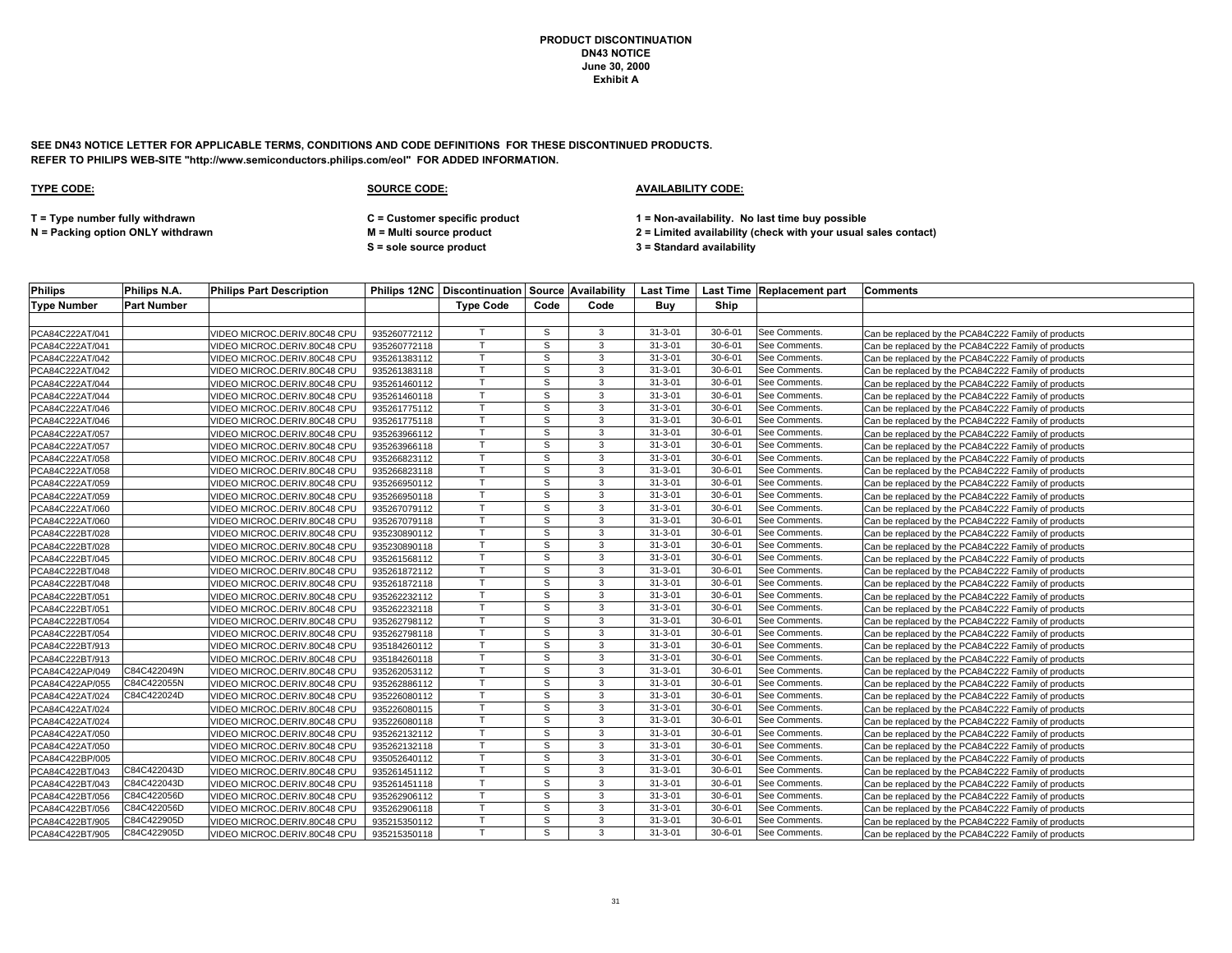**SEE DN43 NOTICE LETTER FOR APPLICABLE TERMS, CONDITIONS AND CODE DEFINITIONS FOR THESE DISCONTINUED PRODUCTS. REFER TO PHILIPS WEB-SITE "http://www.semiconductors.philips.com/eol" FOR ADDED INFORMATION.**

### **TYPE CODE: SOURCE CODE: AVAILABILITY CODE:**

**T = Type number fully withdrawn C = Customer specific product 1 = Non-availability. No last time buy possible**

**S = sole source product 3 = Standard availability**

| <b>Philips</b>     | Philips N.A.       | <b>Philips Part Description</b> |              |                  |              |      |               |               | Philips 12NC   Discontinuation   Source   Availability   Last Time   Last Time   Replacement part | <b>Comments</b>                                     |
|--------------------|--------------------|---------------------------------|--------------|------------------|--------------|------|---------------|---------------|---------------------------------------------------------------------------------------------------|-----------------------------------------------------|
| <b>Type Number</b> | <b>Part Number</b> |                                 |              | <b>Type Code</b> | Code         | Code | Buy           | Ship          |                                                                                                   |                                                     |
|                    |                    |                                 |              |                  |              |      |               |               |                                                                                                   |                                                     |
| PCA84C222AT/041    |                    | VIDEO MICROC.DERIV.80C48 CPU    | 935260772112 |                  | S            | 3    | $31 - 3 - 01$ | $30 - 6 - 01$ | See Comments.                                                                                     | Can be replaced by the PCA84C222 Family of products |
| PCA84C222AT/041    |                    | /IDEO MICROC.DERIV.80C48 CPU    | 935260772118 | $\mathsf{T}$     | S            | 3    | $31 - 3 - 01$ | $30 - 6 - 01$ | See Comments.                                                                                     | Can be replaced by the PCA84C222 Family of products |
| PCA84C222AT/042    |                    | /IDEO MICROC.DERIV.80C48 CPU    | 935261383112 |                  | S            | 3    | $31 - 3 - 01$ | $30 - 6 - 01$ | See Comments.                                                                                     | Can be replaced by the PCA84C222 Family of products |
| PCA84C222AT/042    |                    | VIDEO MICROC.DERIV.80C48 CPU    | 935261383118 | T                | S            | 3    | $31 - 3 - 01$ | $30 - 6 - 01$ | See Comments.                                                                                     | Can be replaced by the PCA84C222 Family of products |
| PCA84C222AT/044    |                    | VIDEO MICROC.DERIV.80C48 CPU    | 935261460112 | $\mathsf{T}$     | S            | 3    | $31 - 3 - 01$ | $30 - 6 - 01$ | See Comments.                                                                                     | Can be replaced by the PCA84C222 Family of products |
| PCA84C222AT/044    |                    | IDEO MICROC.DERIV.80C48 CPU     | 935261460118 |                  | s            | 3    | $31 - 3 - 01$ | $30 - 6 - 01$ | See Comments.                                                                                     | Can be replaced by the PCA84C222 Family of products |
| PCA84C222AT/046    |                    | VIDEO MICROC.DERIV.80C48 CPU    | 935261775112 |                  | S            | 3    | $31 - 3 - 01$ | $30 - 6 - 01$ | See Comments.                                                                                     | Can be replaced by the PCA84C222 Family of products |
| PCA84C222AT/046    |                    | IDEO MICROC.DERIV.80C48 CPU     | 935261775118 |                  | $\mathsf{s}$ | 3    | $31 - 3 - 01$ | $30 - 6 - 01$ | See Comments.                                                                                     | Can be replaced by the PCA84C222 Family of products |
| PCA84C222AT/057    |                    | /IDEO MICROC.DERIV.80C48 CPU    | 935263966112 |                  | S            | 3    | $31 - 3 - 01$ | $30 - 6 - 01$ | See Comments.                                                                                     | Can be replaced by the PCA84C222 Family of products |
| PCA84C222AT/057    |                    | /IDEO MICROC.DERIV.80C48 CPU    | 935263966118 | $\mathsf{T}$     | S            | 3    | $31 - 3 - 01$ | $30 - 6 - 01$ | See Comments.                                                                                     | Can be replaced by the PCA84C222 Family of products |
| PCA84C222AT/058    |                    | /IDEO MICROC.DERIV.80C48 CPU    | 935266823112 |                  | S            | 3    | $31 - 3 - 01$ | $30 - 6 - 01$ | See Comments.                                                                                     | Can be replaced by the PCA84C222 Family of products |
| PCA84C222AT/058    |                    | VIDEO MICROC.DERIV.80C48 CPU    | 935266823118 |                  | S            | 3    | $31 - 3 - 01$ | $30 - 6 - 01$ | See Comments.                                                                                     | Can be replaced by the PCA84C222 Family of products |
| PCA84C222AT/059    |                    | /IDEO MICROC.DERIV.80C48 CPU    | 935266950112 | T                | S            | 3    | $31 - 3 - 01$ | $30 - 6 - 01$ | See Comments.                                                                                     | Can be replaced by the PCA84C222 Family of products |
| PCA84C222AT/059    |                    | IDEO MICROC.DERIV.80C48 CPU     | 935266950118 |                  | s            | 3    | $31 - 3 - 01$ | $30 - 6 - 01$ | See Comments.                                                                                     | Can be replaced by the PCA84C222 Family of products |
| PCA84C222AT/060    |                    | /IDEO MICROC.DERIV.80C48 CPU    | 935267079112 |                  | S            | 3    | $31 - 3 - 01$ | $30 - 6 - 01$ | See Comments.                                                                                     | Can be replaced by the PCA84C222 Family of products |
| PCA84C222AT/060    |                    | VIDEO MICROC.DERIV.80C48 CPU    | 935267079118 | T.               | S            | 3    | $31 - 3 - 01$ | $30 - 6 - 01$ | See Comments.                                                                                     | Can be replaced by the PCA84C222 Family of products |
| PCA84C222BT/028    |                    | /IDEO MICROC.DERIV.80C48 CPU    | 935230890112 |                  | s            | 3    | $31 - 3 - 01$ | $30 - 6 - 01$ | See Comments.                                                                                     | Can be replaced by the PCA84C222 Family of products |
| PCA84C222BT/028    |                    | /IDEO MICROC.DERIV.80C48 CPU    | 935230890118 | $\mathsf{T}$     | S            | 3    | $31 - 3 - 01$ | $30 - 6 - 01$ | See Comments.                                                                                     | Can be replaced by the PCA84C222 Family of products |
| PCA84C222BT/045    |                    | /IDEO MICROC.DERIV.80C48 CPU    | 935261568112 | $\mathbf \tau$   | S            | 3    | $31 - 3 - 01$ | $30 - 6 - 01$ | See Comments.                                                                                     | Can be replaced by the PCA84C222 Family of products |
| PCA84C222BT/048    |                    | /IDEO MICROC.DERIV.80C48 CPU    | 935261872112 | T                | s            | 3    | $31 - 3 - 01$ | $30 - 6 - 01$ | See Comments.                                                                                     | Can be replaced by the PCA84C222 Family of products |
| PCA84C222BT/048    |                    | /IDEO MICROC.DERIV.80C48 CPU    | 935261872118 |                  | S            | 3    | $31 - 3 - 01$ | $30 - 6 - 01$ | See Comments.                                                                                     | Can be replaced by the PCA84C222 Family of products |
| PCA84C222BT/051    |                    | IDEO MICROC.DERIV.80C48 CPU     | 935262232112 | $\mathsf{T}$     | S            | 3    | $31 - 3 - 01$ | $30 - 6 - 01$ | See Comments.                                                                                     | Can be replaced by the PCA84C222 Family of products |
| PCA84C222BT/051    |                    | VIDEO MICROC.DERIV.80C48 CPU    | 935262232118 |                  | S            | 3    | $31 - 3 - 01$ | $30 - 6 - 01$ | See Comments.                                                                                     | Can be replaced by the PCA84C222 Family of products |
| PCA84C222BT/054    |                    | /IDEO MICROC.DERIV.80C48 CPU    | 935262798112 | T                | S            | 3    | $31 - 3 - 01$ | $30 - 6 - 01$ | See Comments.                                                                                     | Can be replaced by the PCA84C222 Family of products |
| PCA84C222BT/054    |                    | /IDEO MICROC.DERIV.80C48 CPU    | 935262798118 |                  | s            | 3    | $31 - 3 - 01$ | $30 - 6 - 01$ | See Comments.                                                                                     | Can be replaced by the PCA84C222 Family of products |
| PCA84C222BT/913    |                    | /IDEO MICROC.DERIV.80C48 CPU    | 935184260112 | $\mathsf{T}$     | s            | 3    | $31 - 3 - 01$ | $30 - 6 - 01$ | See Comments.                                                                                     | Can be replaced by the PCA84C222 Family of products |
| PCA84C222BT/913    |                    | /IDEO MICROC.DERIV.80C48 CPU    | 935184260118 |                  | S            | 3    | $31 - 3 - 01$ | $30 - 6 - 01$ | See Comments.                                                                                     | Can be replaced by the PCA84C222 Family of products |
| PCA84C422AP/049    | C84C422049N        | /IDEO MICROC.DERIV.80C48 CPU    | 935262053112 |                  | S            | 3    | $31 - 3 - 01$ | $30 - 6 - 01$ | See Comments.                                                                                     | Can be replaced by the PCA84C222 Family of products |
| PCA84C422AP/055    | C84C422055N        | VIDEO MICROC.DERIV.80C48 CPU    | 935262886112 | T                | S            | 3    | $31 - 3 - 01$ | $30 - 6 - 01$ | See Comments.                                                                                     | Can be replaced by the PCA84C222 Family of products |
| PCA84C422AT/024    | C84C422024D        | /IDEO MICROC.DERIV.80C48 CPU    | 935226080112 |                  | S            | 3    | $31 - 3 - 01$ | $30 - 6 - 01$ | See Comments.                                                                                     | Can be replaced by the PCA84C222 Family of products |
| PCA84C422AT/024    |                    | VIDEO MICROC.DERIV.80C48 CPU    | 935226080115 | T                | S            | 3    | $31 - 3 - 01$ | $30 - 6 - 01$ | See Comments.                                                                                     | Can be replaced by the PCA84C222 Family of products |
| PCA84C422AT/024    |                    | /IDEO MICROC.DERIV.80C48 CPU    | 935226080118 | $\mathsf{T}$     | S            | 3    | $31 - 3 - 01$ | $30 - 6 - 01$ | See Comments.                                                                                     | Can be replaced by the PCA84C222 Family of products |
| PCA84C422AT/050    |                    | /IDEO MICROC.DERIV.80C48 CPU    | 935262132112 |                  | s            | 3    | $31 - 3 - 01$ | $30 - 6 - 01$ | See Comments.                                                                                     | Can be replaced by the PCA84C222 Family of products |
| PCA84C422AT/050    |                    | VIDEO MICROC.DERIV.80C48 CPU    | 935262132118 |                  | S            | 3    | $31 - 3 - 01$ | $30 - 6 - 01$ | See Comments.                                                                                     | Can be replaced by the PCA84C222 Family of products |
| PCA84C422BP/005    |                    | VIDEO MICROC.DERIV.80C48 CPU    | 935052640112 | $\mathsf{T}$     | S            | 3    | $31 - 3 - 01$ | $30 - 6 - 01$ | See Comments.                                                                                     | Can be replaced by the PCA84C222 Family of products |
| PCA84C422BT/043    | C84C422043D        | /IDEO MICROC.DERIV.80C48 CPU    | 935261451112 |                  | s            | 3    | $31 - 3 - 01$ | $30 - 6 - 01$ | See Comments.                                                                                     | Can be replaced by the PCA84C222 Family of products |
| PCA84C422BT/043    | C84C422043D        | VIDEO MICROC.DERIV.80C48 CPU    | 935261451118 | $\mathsf{T}$     | S            | 3    | $31 - 3 - 01$ | $30 - 6 - 01$ | See Comments.                                                                                     | Can be replaced by the PCA84C222 Family of products |
| PCA84C422BT/056    | C84C422056D        | /IDEO MICROC.DERIV.80C48 CPU    | 935262906112 | $\mathsf{T}$     | S            | 3    | $31 - 3 - 01$ | $30 - 6 - 01$ | See Comments.                                                                                     | Can be replaced by the PCA84C222 Family of products |
| PCA84C422BT/056    | C84C422056D        | /IDEO MICROC.DERIV.80C48 CPU    | 935262906118 |                  | S            | 3    | $31 - 3 - 01$ | $30 - 6 - 01$ | See Comments.                                                                                     | Can be replaced by the PCA84C222 Family of products |
| PCA84C422BT/905    | C84C422905D        | /IDEO MICROC.DERIV.80C48 CPU    | 935215350112 | $\mathsf{T}$     | S            | 3    | $31 - 3 - 01$ | $30 - 6 - 01$ | See Comments.                                                                                     | Can be replaced by the PCA84C222 Family of products |
| PCA84C422BT/905    | C84C422905D        | VIDEO MICROC.DERIV.80C48 CPU    | 935215350118 | $\mathsf{T}$     | S            | 3    | $31 - 3 - 01$ | $30 - 6 - 01$ | See Comments.                                                                                     | Can be replaced by the PCA84C222 Family of products |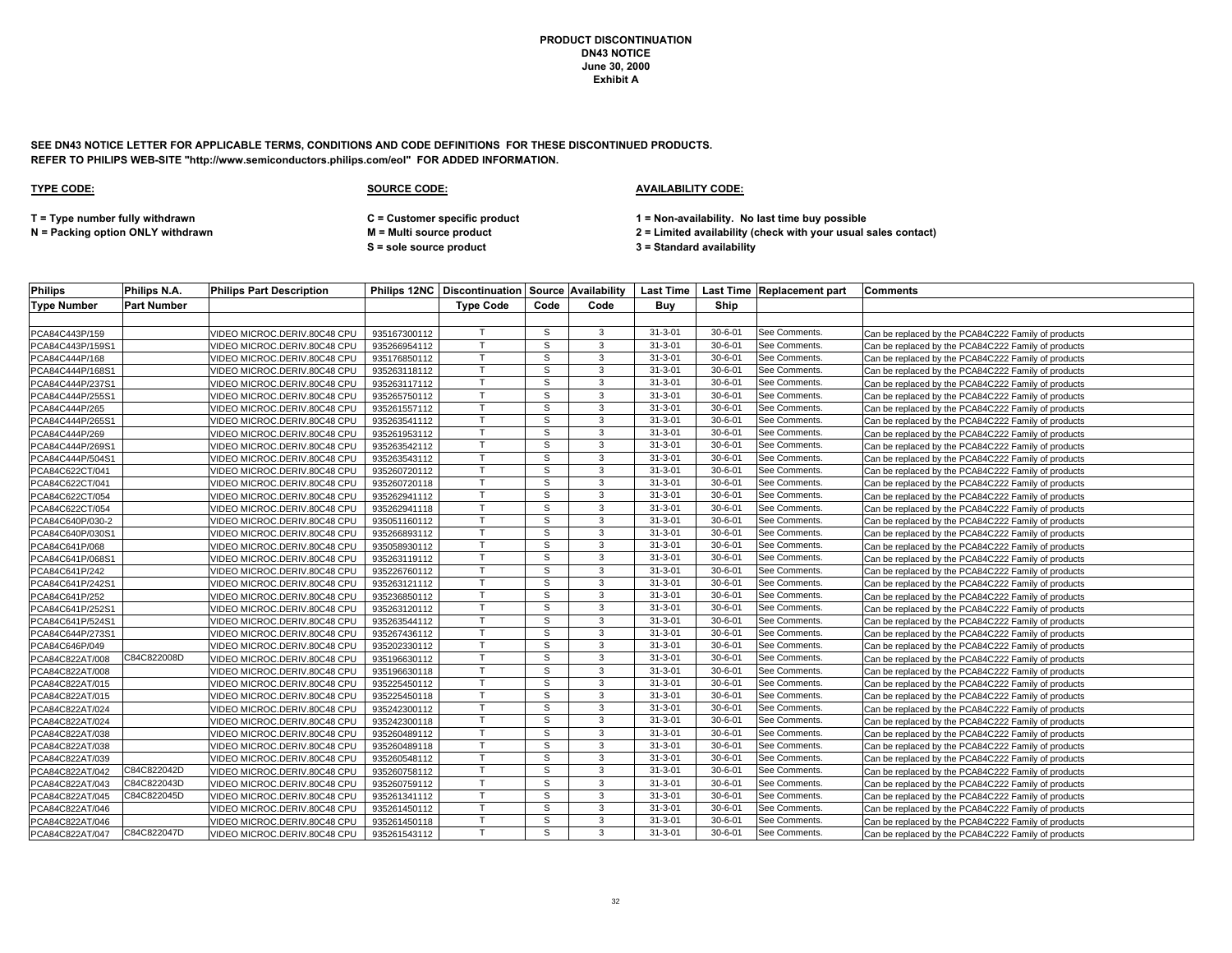**SEE DN43 NOTICE LETTER FOR APPLICABLE TERMS, CONDITIONS AND CODE DEFINITIONS FOR THESE DISCONTINUED PRODUCTS. REFER TO PHILIPS WEB-SITE "http://www.semiconductors.philips.com/eol" FOR ADDED INFORMATION.**

### **TYPE CODE: SOURCE CODE: AVAILABILITY CODE:**

**T = Type number fully withdrawn C = Customer specific product 1 = Non-availability. No last time buy possible**

**S = sole source product 3 = Standard availability**

| <b>Philips</b>              | Philips N.A.       | <b>Philips Part Description</b> |              |                  |      |      |               |               | Philips 12NC   Discontinuation   Source   Availability   Last Time   Last Time   Replacement part | <b>Comments</b>                                     |
|-----------------------------|--------------------|---------------------------------|--------------|------------------|------|------|---------------|---------------|---------------------------------------------------------------------------------------------------|-----------------------------------------------------|
| <b>Type Number</b>          | <b>Part Number</b> |                                 |              | <b>Type Code</b> | Code | Code | Buy           | Ship          |                                                                                                   |                                                     |
|                             |                    |                                 |              |                  |      |      |               |               |                                                                                                   |                                                     |
| PCA84C443P/159              |                    | VIDEO MICROC.DERIV.80C48 CPU    | 935167300112 |                  | S    | 3    | $31 - 3 - 01$ | $30 - 6 - 01$ | See Comments.                                                                                     | Can be replaced by the PCA84C222 Family of products |
| PCA84C443P/159S1            |                    | IDEO MICROC.DERIV.80C48 CPU     | 935266954112 | T                | S    | 3    | $31 - 3 - 01$ | $30 - 6 - 01$ | See Comments.                                                                                     | Can be replaced by the PCA84C222 Family of products |
| PCA84C444P/168              |                    | IDEO MICROC.DERIV.80C48 CPU     | 935176850112 |                  | S    | 3    | $31 - 3 - 01$ | $30 - 6 - 01$ | See Comments.                                                                                     | Can be replaced by the PCA84C222 Family of products |
| PCA84C444P/168S1            |                    | /IDEO MICROC.DERIV.80C48 CPU    | 935263118112 | T                | S    | 3    | $31 - 3 - 01$ | $30 - 6 - 01$ | See Comments.                                                                                     | Can be replaced by the PCA84C222 Family of products |
| PCA84C444P/237S1            |                    | /IDEO MICROC.DERIV.80C48 CPU    | 935263117112 |                  | S    | 3    | $31 - 3 - 01$ | $30 - 6 - 01$ | See Comments.                                                                                     | Can be replaced by the PCA84C222 Family of products |
| PCA84C444P/255S1            |                    | IDEO MICROC.DERIV.80C48 CPU     | 935265750112 |                  | S    | 3    | $31 - 3 - 01$ | $30 - 6 - 01$ | See Comments.                                                                                     | Can be replaced by the PCA84C222 Family of products |
| PCA84C444P/265              |                    | VIDEO MICROC.DERIV.80C48 CPU    | 935261557112 |                  | S    | 3    | $31 - 3 - 01$ | $30 - 6 - 01$ | See Comments.                                                                                     | Can be replaced by the PCA84C222 Family of products |
| PCA84C444P/265S1            |                    | /IDEO MICROC.DERIV.80C48 CPU    | 935263541112 |                  | s    | 3    | $31 - 3 - 01$ | $30 - 6 - 01$ | See Comments.                                                                                     | Can be replaced by the PCA84C222 Family of products |
| PCA84C444P/269              |                    | /IDEO MICROC.DERIV.80C48 CPU    | 935261953112 |                  | s    | 3    | $31 - 3 - 01$ | $30 - 6 - 01$ | See Comments.                                                                                     | Can be replaced by the PCA84C222 Family of products |
| PCA84C444P/269S1            |                    | /IDEO MICROC.DERIV.80C48 CPU    | 935263542112 | T                | S    | 3    | $31 - 3 - 01$ | $30 - 6 - 01$ | See Comments.                                                                                     | Can be replaced by the PCA84C222 Family of products |
| PCA84C444P/504S1            |                    | /IDEO MICROC.DERIV.80C48 CPU    | 935263543112 | T                | S    | 3    | $31 - 3 - 01$ | $30 - 6 - 01$ | See Comments.                                                                                     | Can be replaced by the PCA84C222 Family of products |
| PCA84C622CT/041             |                    | VIDEO MICROC.DERIV.80C48 CPU    | 935260720112 | $\mathsf{T}$     | S    | 3    | $31 - 3 - 01$ | $30 - 6 - 01$ | See Comments.                                                                                     | Can be replaced by the PCA84C222 Family of products |
| PCA84C622CT/041             |                    | VIDEO MICROC.DERIV.80C48 CPU    | 935260720118 | $\mathsf{T}$     | S    | 3    | $31 - 3 - 01$ | $30 - 6 - 01$ | See Comments.                                                                                     | Can be replaced by the PCA84C222 Family of products |
| PCA84C622CT/054             |                    | /IDEO MICROC.DERIV.80C48 CPU    | 935262941112 |                  | s    | 3    | $31 - 3 - 01$ | $30 - 6 - 01$ | See Comments.                                                                                     | Can be replaced by the PCA84C222 Family of products |
| PCA84C622CT/054             |                    | /IDEO MICROC.DERIV.80C48 CPU    | 935262941118 | $\mathsf{T}$     | S    | 3    | $31 - 3 - 01$ | $30 - 6 - 01$ | See Comments.                                                                                     | Can be replaced by the PCA84C222 Family of products |
| PCA84C640P/030-2            |                    | /IDEO MICROC.DERIV.80C48 CPU    | 935051160112 |                  | S    | 3    | $31 - 3 - 01$ | $30 - 6 - 01$ | See Comments.                                                                                     | Can be replaced by the PCA84C222 Family of products |
| PCA84C640P/030S1            |                    | /IDEO MICROC.DERIV.80C48 CPU    | 935266893112 |                  | S    | 3    | $31 - 3 - 01$ | $30 - 6 - 01$ | See Comments.                                                                                     | Can be replaced by the PCA84C222 Family of products |
| PCA84C641P/068              |                    | /IDEO MICROC.DERIV.80C48 CPU    | 935058930112 |                  | S    | 3    | $31 - 3 - 01$ | $30 - 6 - 01$ | See Comments.                                                                                     | Can be replaced by the PCA84C222 Family of products |
| PCA84C641P/068S1            |                    | IDEO MICROC.DERIV.80C48 CPU     | 935263119112 |                  | S    | 3    | $31 - 3 - 01$ | $30 - 6 - 01$ | See Comments.                                                                                     | Can be replaced by the PCA84C222 Family of products |
| PCA84C641P/242              |                    | /IDEO MICROC.DERIV.80C48 CPU    | 935226760112 |                  | S    | 3    | $31 - 3 - 01$ | $30 - 6 - 01$ | See Comments.                                                                                     | Can be replaced by the PCA84C222 Family of products |
| PCA84C641P/242S1            |                    | /IDEO MICROC.DERIV.80C48 CPU    | 935263121112 |                  | s    | 3    | $31 - 3 - 01$ | $30 - 6 - 01$ | See Comments.                                                                                     | Can be replaced by the PCA84C222 Family of products |
| PCA84C641P/252              |                    | IDEO MICROC.DERIV.80C48 CPU     | 935236850112 |                  | S    | 3    | $31 - 3 - 01$ | $30 - 6 - 01$ | See Comments.                                                                                     | Can be replaced by the PCA84C222 Family of products |
| PCA84C641P/252S1            |                    | /IDEO MICROC.DERIV.80C48 CPU    | 935263120112 |                  | S    | 3    | $31 - 3 - 01$ | $30 - 6 - 01$ | See Comments.                                                                                     | Can be replaced by the PCA84C222 Family of products |
| PCA84C641P/524S1            |                    | /IDEO MICROC.DERIV.80C48 CPU    | 935263544112 |                  | S    | 3    | $31 - 3 - 01$ | $30 - 6 - 01$ | See Comments.                                                                                     | Can be replaced by the PCA84C222 Family of products |
| PCA84C644P/273S1            |                    | VIDEO MICROC.DERIV.80C48 CPU    | 935267436112 |                  | S    | 3    | $31 - 3 - 01$ | $30 - 6 - 01$ | See Comments.                                                                                     | Can be replaced by the PCA84C222 Family of products |
| PCA84C646P/049              |                    | /IDEO MICROC.DERIV.80C48 CPU    | 935202330112 | T                | S    | 3    | $31 - 3 - 01$ | $30 - 6 - 01$ | See Comments.                                                                                     | Can be replaced by the PCA84C222 Family of products |
| PCA84C822AT/008             | C84C822008D        | IDEO MICROC.DERIV.80C48 CPU     | 935196630112 |                  | s    | 3    | $31 - 3 - 01$ | $30 - 6 - 01$ | See Comments.                                                                                     | Can be replaced by the PCA84C222 Family of products |
| PCA84C822AT/008             |                    | VIDEO MICROC.DERIV.80C48 CPU    | 935196630118 |                  | S    | 3    | $31 - 3 - 01$ | $30 - 6 - 01$ | See Comments.                                                                                     | Can be replaced by the PCA84C222 Family of products |
| PCA84C822AT/015             |                    | IDEO MICROC.DERIV.80C48 CPU     | 935225450112 | T.               | S    | 3    | $31 - 3 - 01$ | $30 - 6 - 01$ | See Comments.                                                                                     | Can be replaced by the PCA84C222 Family of products |
| PCA84C822AT/015             |                    | /IDEO MICROC.DERIV.80C48 CPU    | 935225450118 |                  | s    | 3    | $31 - 3 - 01$ | $30 - 6 - 01$ | See Comments.                                                                                     | Can be replaced by the PCA84C222 Family of products |
| PCA84C822AT/024             |                    | VIDEO MICROC.DERIV.80C48 CPU    | 935242300112 | $\mathsf{T}$     | S    | 3    | $31 - 3 - 01$ | $30 - 6 - 01$ | See Comments.                                                                                     | Can be replaced by the PCA84C222 Family of products |
| PCA84C822AT/024             |                    | /IDEO MICROC.DERIV.80C48 CPU    | 935242300118 |                  | S    | 3    | $31 - 3 - 01$ | $30 - 6 - 01$ | See Comments.                                                                                     | Can be replaced by the PCA84C222 Family of products |
| PCA84C822AT/038             |                    | VIDEO MICROC.DERIV.80C48 CPU    | 935260489112 | T                | S    | 3    | $31 - 3 - 01$ | $30 - 6 - 01$ | See Comments.                                                                                     | Can be replaced by the PCA84C222 Family of products |
| PCA84C822AT/038             |                    | /IDEO MICROC.DERIV.80C48 CPU    | 935260489118 |                  | S    | 3    | $31 - 3 - 01$ | $30 - 6 - 01$ | See Comments.                                                                                     | Can be replaced by the PCA84C222 Family of products |
| PCA84C822AT/039             |                    | /IDEO MICROC.DERIV.80C48 CPU    | 935260548112 |                  | S    | 3    | $31 - 3 - 01$ | $30 - 6 - 01$ | See Comments.                                                                                     | Can be replaced by the PCA84C222 Family of products |
| PCA84C822AT/042             | C84C822042D        | VIDEO MICROC.DERIV.80C48 CPU    | 935260758112 |                  | S    | 3    | $31 - 3 - 01$ | $30 - 6 - 01$ | See Comments.                                                                                     | Can be replaced by the PCA84C222 Family of products |
| PCA84C822AT/043             | C84C822043D        | /IDEO MICROC.DERIV.80C48 CPU    | 935260759112 |                  | S    | 3    | $31 - 3 - 01$ | $30 - 6 - 01$ | See Comments.                                                                                     | Can be replaced by the PCA84C222 Family of products |
| PCA84C822AT/045             | C84C822045D        | /IDEO MICROC.DERIV.80C48 CPU    | 935261341112 |                  | S    | 3    | $31 - 3 - 01$ | $30 - 6 - 01$ | See Comments.                                                                                     | Can be replaced by the PCA84C222 Family of products |
| PCA84C822AT/046             |                    | /IDEO MICROC.DERIV.80C48 CPU    | 935261450112 |                  | s    | 3    | $31 - 3 - 01$ | $30 - 6 - 01$ | See Comments.                                                                                     | Can be replaced by the PCA84C222 Family of products |
| PCA84C822AT/046             |                    | /IDEO MICROC.DERIV.80C48 CPU    | 935261450118 |                  | S    | 3    | $31 - 3 - 01$ | $30 - 6 - 01$ | See Comments.                                                                                     | Can be replaced by the PCA84C222 Family of products |
| PCA84C822AT/047 C84C822047D |                    | VIDEO MICROC.DERIV.80C48 CPU    | 935261543112 |                  | s    | 3    | $31 - 3 - 01$ | $30 - 6 - 01$ | See Comments.                                                                                     | Can be replaced by the PCA84C222 Family of products |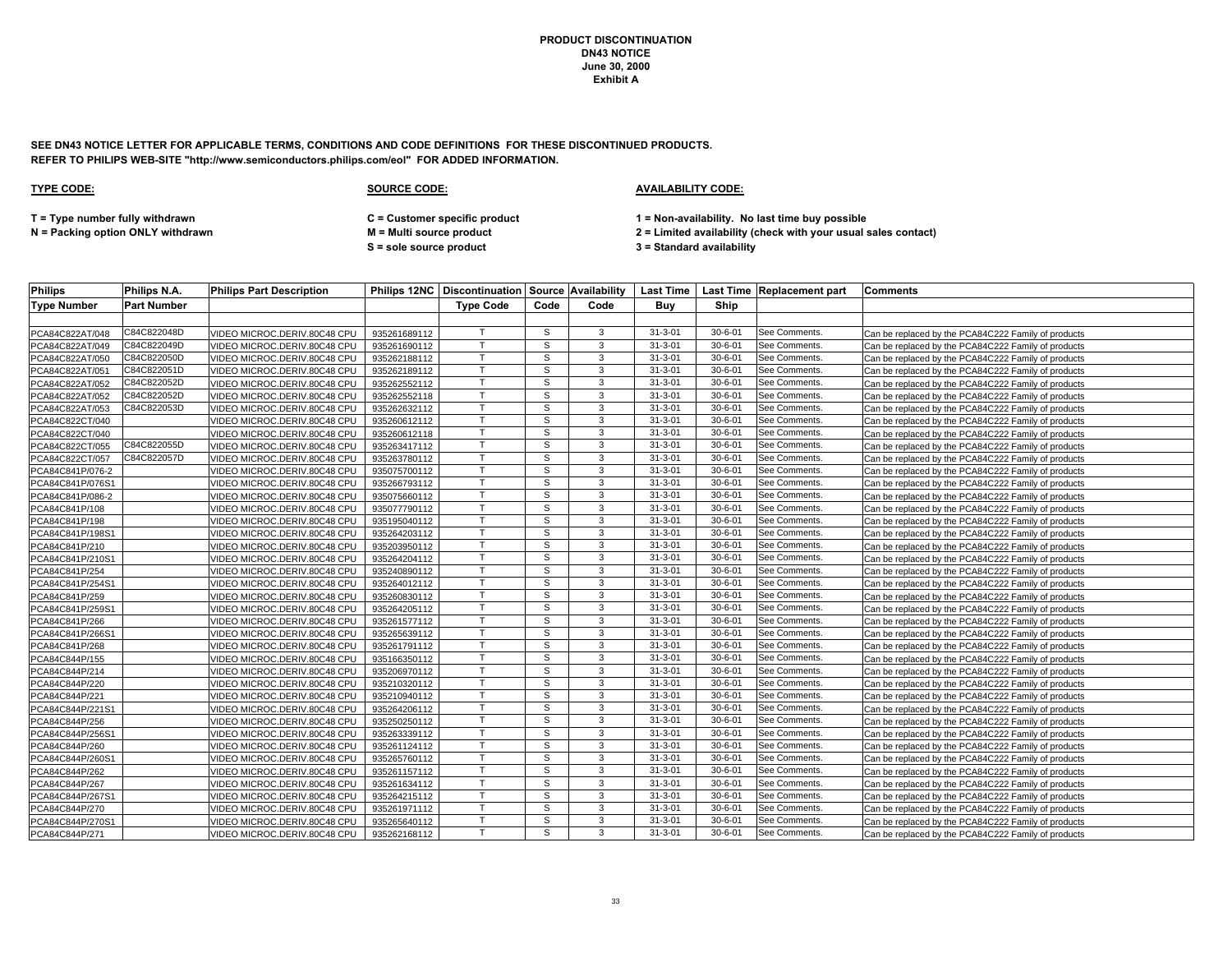**SEE DN43 NOTICE LETTER FOR APPLICABLE TERMS, CONDITIONS AND CODE DEFINITIONS FOR THESE DISCONTINUED PRODUCTS. REFER TO PHILIPS WEB-SITE "http://www.semiconductors.philips.com/eol" FOR ADDED INFORMATION.**

### **TYPE CODE: SOURCE CODE: AVAILABILITY CODE:**

**T = Type number fully withdrawn C = Customer specific product 1 = Non-availability. No last time buy possible**

**S = sole source product 3 = Standard availability**

| <b>Philips</b>     | Philips N.A.       | <b>Philips Part Description</b> |              |                  |      |              |               |               | Philips 12NC   Discontinuation   Source   Availability   Last Time   Last Time   Replacement part | <b>Comments</b>                                     |
|--------------------|--------------------|---------------------------------|--------------|------------------|------|--------------|---------------|---------------|---------------------------------------------------------------------------------------------------|-----------------------------------------------------|
| <b>Type Number</b> | <b>Part Number</b> |                                 |              | <b>Type Code</b> | Code | Code         | Buy           | Ship          |                                                                                                   |                                                     |
|                    |                    |                                 |              |                  |      |              |               |               |                                                                                                   |                                                     |
| PCA84C822AT/048    | C84C822048D        | VIDEO MICROC.DERIV.80C48 CPU    | 935261689112 | T.               | S    | 3            | $31 - 3 - 01$ | $30 - 6 - 01$ | See Comments.                                                                                     | Can be replaced by the PCA84C222 Family of products |
| PCA84C822AT/049    | C84C822049D        | VIDEO MICROC.DERIV.80C48 CPU    | 935261690112 | $\mathsf{T}$     | s    | $\mathbf{3}$ | $31 - 3 - 01$ | $30 - 6 - 01$ | See Comments.                                                                                     | Can be replaced by the PCA84C222 Family of products |
| PCA84C822AT/050    | C84C822050D        | VIDEO MICROC.DERIV.80C48 CPU    | 935262188112 | T                | S    | 3            | $31 - 3 - 01$ | $30 - 6 - 01$ | See Comments.                                                                                     | Can be replaced by the PCA84C222 Family of products |
| PCA84C822AT/051    | C84C822051D        | VIDEO MICROC.DERIV.80C48 CPU    | 935262189112 | $\mathsf T$      | S    | 3            | $31 - 3 - 01$ | $30 - 6 - 01$ | See Comments.                                                                                     | Can be replaced by the PCA84C222 Family of products |
| PCA84C822AT/052    | C84C822052D        | VIDEO MICROC.DERIV.80C48 CPU    | 935262552112 | Т                | S    | 3            | $31 - 3 - 01$ | $30 - 6 - 01$ | See Comments.                                                                                     | Can be replaced by the PCA84C222 Family of products |
| PCA84C822AT/052    | C84C822052D        | VIDEO MICROC.DERIV.80C48 CPU    | 935262552118 | $\mathsf{T}$     | S    | 3            | $31 - 3 - 01$ | $30 - 6 - 01$ | See Comments.                                                                                     | Can be replaced by the PCA84C222 Family of products |
| PCA84C822AT/053    | C84C822053D        | VIDEO MICROC.DERIV.80C48 CPU    | 935262632112 | $\mathsf{T}$     | s    | 3            | $31 - 3 - 01$ | $30 - 6 - 01$ | See Comments.                                                                                     | Can be replaced by the PCA84C222 Family of products |
| PCA84C822CT/040    |                    | VIDEO MICROC.DERIV.80C48 CPU    | 935260612112 | $\mathsf{T}$     | S    | 3            | $31 - 3 - 01$ | $30 - 6 - 01$ | See Comments.                                                                                     | Can be replaced by the PCA84C222 Family of products |
| PCA84C822CT/040    |                    | VIDEO MICROC.DERIV.80C48 CPU    | 935260612118 |                  | s    | 3            | $31 - 3 - 01$ | $30 - 6 - 01$ | See Comments.                                                                                     | Can be replaced by the PCA84C222 Family of products |
| PCA84C822CT/055    | C84C822055D        | VIDEO MICROC.DERIV.80C48 CPU    | 935263417112 | $\mathsf{T}$     | S    | 3            | $31 - 3 - 01$ | $30 - 6 - 01$ | See Comments.                                                                                     | Can be replaced by the PCA84C222 Family of products |
| PCA84C822CT/057    | C84C822057D        | VIDEO MICROC.DERIV.80C48 CPU    | 935263780112 | $\mathsf{T}$     | s    | 3            | $31 - 3 - 01$ | $30 - 6 - 01$ | See Comments.                                                                                     | Can be replaced by the PCA84C222 Family of products |
| PCA84C841P/076-2   |                    | /IDEO MICROC.DERIV.80C48 CPU    | 935075700112 | $\mathsf{T}$     | S    | 3            | $31 - 3 - 01$ | $30 - 6 - 01$ | See Comments.                                                                                     | Can be replaced by the PCA84C222 Family of products |
| PCA84C841P/076S1   |                    | VIDEO MICROC.DERIV.80C48 CPU    | 935266793112 | $\mathsf{T}$     | s    | 3            | $31 - 3 - 01$ | $30 - 6 - 01$ | See Comments.                                                                                     | Can be replaced by the PCA84C222 Family of products |
| PCA84C841P/086-2   |                    | VIDEO MICROC.DERIV.80C48 CPU    | 935075660112 | T                | s    | 3            | $31 - 3 - 01$ | $30 - 6 - 01$ | See Comments.                                                                                     | Can be replaced by the PCA84C222 Family of products |
| PCA84C841P/108     |                    | VIDEO MICROC.DERIV.80C48 CPU    | 935077790112 | $\mathsf{T}$     | S    | 3            | $31 - 3 - 01$ | $30 - 6 - 01$ | See Comments.                                                                                     | Can be replaced by the PCA84C222 Family of products |
| PCA84C841P/198     |                    | VIDEO MICROC.DERIV.80C48 CPU    | 935195040112 | $\mathsf{T}$     | S    | $\mathbf{3}$ | $31 - 3 - 01$ | $30 - 6 - 01$ | See Comments.                                                                                     | Can be replaced by the PCA84C222 Family of products |
| PCA84C841P/198S1   |                    | /IDEO MICROC.DERIV.80C48 CPU    | 935264203112 | $\mathsf{T}$     | s    | 3            | $31 - 3 - 01$ | $30 - 6 - 01$ | See Comments.                                                                                     | Can be replaced by the PCA84C222 Family of products |
| PCA84C841P/210     |                    | VIDEO MICROC.DERIV.80C48 CPU    | 935203950112 | T                | S    | $\mathbf{3}$ | $31 - 3 - 01$ | $30 - 6 - 01$ | See Comments.                                                                                     | Can be replaced by the PCA84C222 Family of products |
| PCA84C841P/210S1   |                    | VIDEO MICROC.DERIV.80C48 CPU    | 935264204112 | T                | S    | 3            | $31 - 3 - 01$ | $30 - 6 - 01$ | See Comments.                                                                                     | Can be replaced by the PCA84C222 Family of products |
| PCA84C841P/254     |                    | VIDEO MICROC.DERIV.80C48 CPU    | 935240890112 | $\mathsf{T}$     | S    | 3            | $31 - 3 - 01$ | $30 - 6 - 01$ | See Comments.                                                                                     | Can be replaced by the PCA84C222 Family of products |
| PCA84C841P/254S1   |                    | VIDEO MICROC.DERIV.80C48 CPU    | 935264012112 | Τ                | S    | 3            | $31 - 3 - 01$ | $30 - 6 - 01$ | See Comments.                                                                                     | Can be replaced by the PCA84C222 Family of products |
| PCA84C841P/259     |                    | VIDEO MICROC.DERIV.80C48 CPU    | 935260830112 | T                | s    | 3            | $31 - 3 - 01$ | $30 - 6 - 01$ | See Comments.                                                                                     | Can be replaced by the PCA84C222 Family of products |
| PCA84C841P/259S1   |                    | VIDEO MICROC.DERIV.80C48 CPU    | 935264205112 | $\mathsf{T}$     | S    | $\mathbf{3}$ | $31 - 3 - 01$ | $30 - 6 - 01$ | See Comments.                                                                                     | Can be replaced by the PCA84C222 Family of products |
| PCA84C841P/266     |                    | VIDEO MICROC.DERIV.80C48 CPU    | 935261577112 | $\mathsf{T}$     | S    | 3            | $31 - 3 - 01$ | $30 - 6 - 01$ | See Comments.                                                                                     | Can be replaced by the PCA84C222 Family of products |
| PCA84C841P/266S1   |                    | /IDEO MICROC.DERIV.80C48 CPU    | 935265639112 |                  | s    | 3            | $31 - 3 - 01$ | $30 - 6 - 01$ | See Comments.                                                                                     | Can be replaced by the PCA84C222 Family of products |
| PCA84C841P/268     |                    | VIDEO MICROC.DERIV.80C48 CPU    | 935261791112 | $\mathsf{T}$     | S    | $\mathbf{3}$ | $31 - 3 - 01$ | $30 - 6 - 01$ | See Comments.                                                                                     | Can be replaced by the PCA84C222 Family of products |
| PCA84C844P/155     |                    | VIDEO MICROC.DERIV.80C48 CPU    | 935166350112 | $\mathsf{T}$     | s    | 3            | $31 - 3 - 01$ | $30 - 6 - 01$ | See Comments.                                                                                     | Can be replaced by the PCA84C222 Family of products |
| PCA84C844P/214     |                    | /IDEO MICROC.DERIV.80C48 CPU    | 935206970112 |                  | S    | 3            | $31 - 3 - 01$ | $30 - 6 - 01$ | See Comments.                                                                                     | Can be replaced by the PCA84C222 Family of products |
| PCA84C844P/220     |                    | VIDEO MICROC.DERIV.80C48 CPU    | 935210320112 | T                | s    | 3            | $31 - 3 - 01$ | $30 - 6 - 01$ | See Comments.                                                                                     | Can be replaced by the PCA84C222 Family of products |
| PCA84C844P/221     |                    | VIDEO MICROC.DERIV.80C48 CPU    | 935210940112 | T                | S    | 3            | $31 - 3 - 01$ | $30 - 6 - 01$ | See Comments.                                                                                     | Can be replaced by the PCA84C222 Family of products |
| PCA84C844P/221S1   |                    | VIDEO MICROC.DERIV.80C48 CPU    | 935264206112 | $\mathsf{T}$     | s    | $\mathbf{3}$ | $31 - 3 - 01$ | $30 - 6 - 01$ | See Comments.                                                                                     | Can be replaced by the PCA84C222 Family of products |
| CA84C844P/256      |                    | VIDEO MICROC.DERIV.80C48 CPU    | 935250250112 | $\mathsf{T}$     | S    | $\mathbf{3}$ | $31 - 3 - 01$ | $30 - 6 - 01$ | See Comments.                                                                                     | Can be replaced by the PCA84C222 Family of products |
| PCA84C844P/256S1   |                    | VIDEO MICROC.DERIV.80C48 CPU    | 935263339112 | $\mathsf{T}$     | s    | 3            | $31 - 3 - 01$ | $30 - 6 - 01$ | See Comments.                                                                                     | Can be replaced by the PCA84C222 Family of products |
| PCA84C844P/260     |                    | VIDEO MICROC.DERIV.80C48 CPU    | 935261124112 | $\mathsf{T}$     | S    | 3            | $31 - 3 - 01$ | $30 - 6 - 01$ | See Comments.                                                                                     | Can be replaced by the PCA84C222 Family of products |
| PCA84C844P/260S1   |                    | VIDEO MICROC.DERIV.80C48 CPU    | 935265760112 | T                | S    | 3            | $31 - 3 - 01$ | $30 - 6 - 01$ | See Comments.                                                                                     | Can be replaced by the PCA84C222 Family of products |
| PCA84C844P/262     |                    | VIDEO MICROC.DERIV.80C48 CPU    | 935261157112 | T                | S    | 3            | $31 - 3 - 01$ | $30 - 6 - 01$ | See Comments.                                                                                     | Can be replaced by the PCA84C222 Family of products |
| PCA84C844P/267     |                    | VIDEO MICROC.DERIV.80C48 CPU    | 935261634112 | $\mathsf{T}$     | S    | 3            | $31 - 3 - 01$ | $30 - 6 - 01$ | See Comments.                                                                                     | Can be replaced by the PCA84C222 Family of products |
| PCA84C844P/267S1   |                    | VIDEO MICROC.DERIV.80C48 CPU    | 935264215112 | $\mathsf{T}$     | s    | 3            | $31 - 3 - 01$ | $30 - 6 - 01$ | See Comments.                                                                                     | Can be replaced by the PCA84C222 Family of products |
| PCA84C844P/270     |                    | VIDEO MICROC.DERIV.80C48 CPU    | 935261971112 | T.               | S    | 3            | $31 - 3 - 01$ | $30 - 6 - 01$ | See Comments.                                                                                     | Can be replaced by the PCA84C222 Family of products |
| PCA84C844P/270S1   |                    | VIDEO MICROC.DERIV.80C48 CPU    | 935265640112 | $\mathsf{T}$     | S    | 3            | $31 - 3 - 01$ | $30 - 6 - 01$ | See Comments.                                                                                     | Can be replaced by the PCA84C222 Family of products |
| PCA84C844P/271     |                    | /IDEO MICROC.DERIV.80C48 CPU    | 935262168112 |                  | S.   | 3            | $31 - 3 - 01$ | $30 - 6 - 01$ | See Comments.                                                                                     | Can be replaced by the PCA84C222 Family of products |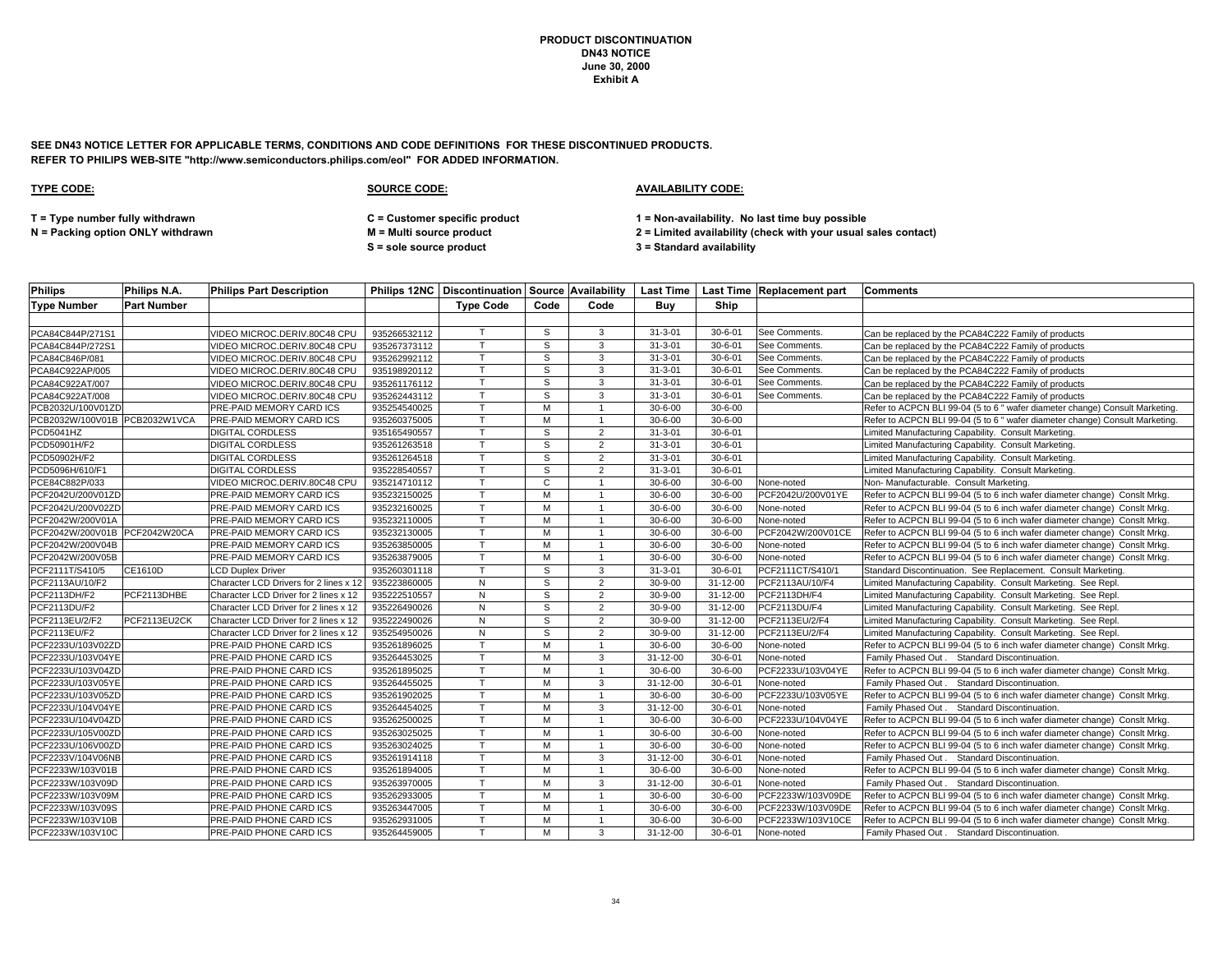**SEE DN43 NOTICE LETTER FOR APPLICABLE TERMS, CONDITIONS AND CODE DEFINITIONS FOR THESE DISCONTINUED PRODUCTS. REFER TO PHILIPS WEB-SITE "http://www.semiconductors.philips.com/eol" FOR ADDED INFORMATION.**

### **TYPE CODE: SOURCE CODE: AVAILABILITY CODE:**

**S = sole source product 3 = Standard availability**

**T = Type number fully withdrawn C = Customer specific product 1 = Non-availability. No last time buy possible**

| <b>Philips</b>                | Philips N.A.       | <b>Philips Part Description</b>        |              |                  |      |                |                |                | <b>Philips 12NC   Discontinuation   Source   Availability   Last Time   Last Time   Replacement part</b> | <b>IComments</b>                                                             |
|-------------------------------|--------------------|----------------------------------------|--------------|------------------|------|----------------|----------------|----------------|----------------------------------------------------------------------------------------------------------|------------------------------------------------------------------------------|
| <b>Type Number</b>            | <b>Part Number</b> |                                        |              | <b>Type Code</b> | Code | Code           | Buv            | Ship           |                                                                                                          |                                                                              |
|                               |                    |                                        |              |                  |      |                |                |                |                                                                                                          |                                                                              |
| PCA84C844P/271S1              |                    | VIDEO MICROC.DERIV.80C48 CPU           | 935266532112 |                  | S    | 3              | $31 - 3 - 01$  | $30 - 6 - 01$  | See Comments.                                                                                            | Can be replaced by the PCA84C222 Family of products                          |
| PCA84C844P/272S1              |                    | VIDEO MICROC.DERIV.80C48 CPU           | 935267373112 | T.               | S    | 3              | $31 - 3 - 01$  | $30 - 6 - 01$  | See Comments.                                                                                            | Can be replaced by the PCA84C222 Family of products                          |
| PCA84C846P/081                |                    | VIDEO MICROC.DERIV.80C48 CPU           | 935262992112 | T.               | S    | $\mathbf{3}$   | $31 - 3 - 01$  | $30 - 6 - 01$  | See Comments.                                                                                            | Can be replaced by the PCA84C222 Family of products                          |
| PCA84C922AP/005               |                    | VIDEO MICROC.DERIV.80C48 CPU           | 935198920112 | T                | S    | 3              | $31 - 3 - 01$  | $30 - 6 - 01$  | See Comments.                                                                                            | Can be replaced by the PCA84C222 Family of products                          |
| PCA84C922AT/007               |                    | VIDEO MICROC.DERIV.80C48 CPU           | 935261176112 |                  | S    | 3              | $31 - 3 - 01$  | $30 - 6 - 01$  | See Comments.                                                                                            | Can be replaced by the PCA84C222 Family of products                          |
| PCA84C922AT/008               |                    | VIDEO MICROC.DERIV.80C48 CPU           | 935262443112 | T                | S    | 3              | $31 - 3 - 01$  | $30 - 6 - 01$  | See Comments.                                                                                            | Can be replaced by the PCA84C222 Family of products                          |
| PCB2032U/100V01ZD             |                    | PRE-PAID MEMORY CARD ICS               | 935254540025 |                  | м    |                | $30 - 6 - 00$  | $30 - 6 - 00$  |                                                                                                          | Refer to ACPCN BLI 99-04 (5 to 6 " wafer diameter change) Consult Marketing. |
| PCB2032W/100V01B PCB2032W1VCA |                    | PRE-PAID MEMORY CARD ICS               | 935260375005 | $\mathsf{T}$     | м    |                | $30 - 6 - 00$  | $30 - 6 - 00$  |                                                                                                          | Refer to ACPCN BLI 99-04 (5 to 6" wafer diameter change) Consult Marketing.  |
| <b>PCD5041HZ</b>              |                    | <b>DIGITAL CORDLESS</b>                | 935165490557 | $\mathsf{T}$     | S    | 2              | $31 - 3 - 01$  | $30 - 6 - 01$  |                                                                                                          | Limited Manufacturing Capability. Consult Marketing.                         |
| PCD50901H/F2                  |                    | <b>DIGITAL CORDLESS</b>                | 935261263518 |                  | S    | $\overline{2}$ | $31 - 3 - 01$  | $30 - 6 - 01$  |                                                                                                          | Limited Manufacturing Capability. Consult Marketing.                         |
| PCD50902H/F2                  |                    | <b>DIGITAL CORDLESS</b>                | 935261264518 |                  | S    | $\overline{2}$ | $31 - 3 - 01$  | $30 - 6 - 01$  |                                                                                                          | Limited Manufacturing Capability. Consult Marketing.                         |
| PCD5096H/610/F1               |                    | <b>DIGITAL CORDLESS</b>                | 935228540557 | $\mathbf \tau$   | S    | $\overline{2}$ | $31 - 3 - 01$  | $30 - 6 - 01$  |                                                                                                          | Limited Manufacturing Capability. Consult Marketing.                         |
| PCE84C882P/033                |                    | VIDEO MICROC.DERIV.80C48 CPU           | 935214710112 |                  | C    |                | $30 - 6 - 00$  | $30 - 6 - 00$  | None-noted                                                                                               | Non- Manufacturable. Consult Marketing.                                      |
| PCF2042U/200V01ZD             |                    | PRE-PAID MEMORY CARD ICS               | 935232150025 |                  | м    |                | $30 - 6 - 00$  | $30 - 6 - 00$  | PCF2042U/200V01YE                                                                                        | Refer to ACPCN BLI 99-04 (5 to 6 inch wafer diameter change) Consit Mrkg     |
| PCF2042U/200V02ZD             |                    | PRE-PAID MEMORY CARD ICS               | 935232160025 | $\mathsf{T}$     | M    |                | $30 - 6 - 00$  | $30 - 6 - 00$  | None-noted                                                                                               | Refer to ACPCN BLI 99-04 (5 to 6 inch wafer diameter change) Conslt Mrkg.    |
| PCF2042W/200V01A              |                    | PRE-PAID MEMORY CARD ICS               | 935232110005 | $\mathsf{T}$     | м    |                | $30 - 6 - 00$  | $30 - 6 - 00$  | None-noted                                                                                               | Refer to ACPCN BLI 99-04 (5 to 6 inch wafer diameter change) Consit Mrkg     |
| PCF2042W/200V01B PCF2042W20CA |                    | <b>PRE-PAID MEMORY CARD ICS</b>        | 935232130005 | T.               | M    |                | $30 - 6 - 00$  | $30 - 6 - 00$  | PCF2042W/200V01CE                                                                                        | Refer to ACPCN BLI 99-04 (5 to 6 inch wafer diameter change) Consit Mrkg     |
| PCF2042W/200V04B              |                    | PRE-PAID MEMORY CARD ICS               | 935263850005 | T.               | м    |                | $30 - 6 - 00$  | $30 - 6 - 00$  | None-noted                                                                                               | Refer to ACPCN BLI 99-04 (5 to 6 inch wafer diameter change) Consit Mrkg.    |
| PCF2042W/200V05B              |                    | PRE-PAID MEMORY CARD ICS               | 935263879005 | T                | M    | $\overline{1}$ | $30 - 6 - 00$  | $30 - 6 - 00$  | None-noted                                                                                               | Refer to ACPCN BLI 99-04 (5 to 6 inch wafer diameter change) Conslt Mrkg     |
| PCF2111T/S410/5               | CE1610D            | <b>LCD Duplex Driver</b>               | 935260301118 | $\mathsf{T}$     | S    | 3              | $31 - 3 - 01$  | $30 - 6 - 01$  | PCF2111CT/S410/1                                                                                         | Standard Discontinuation. See Replacement. Consult Marketing.                |
| PCF2113AU/10/F2               |                    | Character LCD Drivers for 2 lines x 12 | 935223860005 | N                | S    | $\overline{2}$ | $30 - 9 - 00$  | 31-12-00       | PCF2113AU/10/F4                                                                                          | Limited Manufacturing Capability. Consult Marketing. See Repl.               |
| PCF2113DH/F2                  | PCF2113DHBE        | Character LCD Driver for 2 lines x 12  | 935222510557 | N                | S    | 2              | $30 - 9 - 00$  | $31 - 12 - 00$ | PCF2113DH/F4                                                                                             | Limited Manufacturing Capability. Consult Marketing. See Repl.               |
| <b>PCF2113DU/F2</b>           |                    | Character LCD Driver for 2 lines x 12  | 935226490026 | N                | S    | 2              | $30 - 9 - 00$  | 31-12-00       | PCF2113DU/F4                                                                                             | Limited Manufacturing Capability. Consult Marketing. See Repl.               |
| PCF2113EU/2/F2                | PCF2113EU2CK       | Character LCD Driver for 2 lines x 12  | 935222490026 | N                | S    | $\overline{2}$ | $30 - 9 - 00$  | 31-12-00       | PCF2113EU/2/F4                                                                                           | Limited Manufacturing Capability. Consult Marketing. See Repl.               |
| PCF2113EU/F2                  |                    | Character LCD Driver for 2 lines x 12  | 935254950026 | N                | S    | $\overline{2}$ | $30 - 9 - 00$  | $31 - 12 - 00$ | PCF2113EU/2/F4                                                                                           | Limited Manufacturing Capability. Consult Marketing. See Repl.               |
| PCF2233U/103V02ZD             |                    | <b>PRE-PAID PHONE CARD ICS</b>         | 935261896025 | T.               | M    | $\overline{1}$ | $30 - 6 - 00$  | $30 - 6 - 00$  | None-noted                                                                                               | Refer to ACPCN BLI 99-04 (5 to 6 inch wafer diameter change) Consit Mrkg     |
| PCF2233U/103V04YE             |                    | PRE-PAID PHONE CARD ICS                | 935264453025 | $\mathsf{T}$     | м    | 3              | 31-12-00       | $30 - 6 - 01$  | None-noted                                                                                               | Family Phased Out. Standard Discontinuation.                                 |
| PCF2233U/103V04ZD             |                    | PRE-PAID PHONE CARD ICS                | 935261895025 |                  | м    |                | $30 - 6 - 00$  | $30 - 6 - 00$  | PCF2233U/103V04YE                                                                                        | Refer to ACPCN BLI 99-04 (5 to 6 inch wafer diameter change) Consit Mrkg.    |
| PCF2233U/103V05YE             |                    | PRE-PAID PHONE CARD ICS                | 935264455025 | T                | м    | 3              | $31 - 12 - 00$ | $30 - 6 - 01$  | None-noted                                                                                               | Family Phased Out. Standard Discontinuation.                                 |
| PCF2233U/103V05ZD             |                    | PRE-PAID PHONE CARD ICS                | 935261902025 |                  | м    |                | $30 - 6 - 00$  | $30 - 6 - 00$  | PCF2233U/103V05YE                                                                                        | Refer to ACPCN BLI 99-04 (5 to 6 inch wafer diameter change) Consit Mrkg     |
| PCF2233U/104V04YE             |                    | PRE-PAID PHONE CARD ICS                | 935264454025 | T.               | м    | 3              | 31-12-00       | $30 - 6 - 01$  | None-noted                                                                                               | Family Phased Out. Standard Discontinuation.                                 |
| PCF2233U/104V04ZD             |                    | PRE-PAID PHONE CARD ICS                | 935262500025 | T.               | м    | $\overline{1}$ | $30 - 6 - 00$  | $30 - 6 - 00$  | PCF2233U/104V04YE                                                                                        | Refer to ACPCN BLI 99-04 (5 to 6 inch wafer diameter change) Consit Mrkg     |
| PCF2233U/105V00ZD             |                    | PRE-PAID PHONE CARD ICS                | 935263025025 |                  | м    | $\mathbf{1}$   | $30 - 6 - 00$  | $30 - 6 - 00$  | None-noted                                                                                               | Refer to ACPCN BLI 99-04 (5 to 6 inch wafer diameter change) Conslt Mrkg.    |
| PCF2233U/106V00ZD             |                    | PRE-PAID PHONE CARD ICS                | 935263024025 |                  | м    |                | $30 - 6 - 00$  | $30 - 6 - 00$  | None-noted                                                                                               | Refer to ACPCN BLI 99-04 (5 to 6 inch wafer diameter change) Consit Mrkg     |
| PCF2233V/104V06NB             |                    | PRE-PAID PHONE CARD ICS                | 935261914118 | $\mathbf \tau$   | M    | 3              | 31-12-00       | $30 - 6 - 01$  | None-noted                                                                                               | Family Phased Out. Standard Discontinuation.                                 |
| PCF2233W/103V01B              |                    | PRE-PAID PHONE CARD ICS                | 935261894005 | T                | м    | $\overline{1}$ | $30 - 6 - 00$  | $30 - 6 - 00$  | None-noted                                                                                               | Refer to ACPCN BLI 99-04 (5 to 6 inch wafer diameter change) Consit Mrkg     |
| PCF2233W/103V09D              |                    | PRE-PAID PHONE CARD ICS                | 935263970005 | T.               | м    | 3              | 31-12-00       | $30 - 6 - 01$  | None-noted                                                                                               | Family Phased Out . Standard Discontinuation.                                |
| PCF2233W/103V09M              |                    | PRE-PAID PHONE CARD ICS                | 935262933005 | $\mathsf{T}$     | M    |                | $30 - 6 - 00$  | $30 - 6 - 00$  | PCF2233W/103V09DE                                                                                        | Refer to ACPCN BLI 99-04 (5 to 6 inch wafer diameter change) Consit Mrkg.    |
| PCF2233W/103V09S              |                    | PRE-PAID PHONE CARD ICS                | 935263447005 | $\mathsf{T}$     | м    |                | $30 - 6 - 00$  | $30 - 6 - 00$  | PCF2233W/103V09DE                                                                                        | Refer to ACPCN BLI 99-04 (5 to 6 inch wafer diameter change) ConsIt Mrkg.    |
| PCF2233W/103V10B              |                    | PRE-PAID PHONE CARD ICS                | 935262931005 | $\mathsf{T}$     | м    |                | $30 - 6 - 00$  | $30 - 6 - 00$  | PCF2233W/103V10CE                                                                                        | Refer to ACPCN BLI 99-04 (5 to 6 inch wafer diameter change) Consit Mrkg     |
| PCF2233W/103V10C              |                    | PRE-PAID PHONE CARD ICS                | 935264459005 |                  | M    | 3              | 31-12-00       | $30 - 6 - 01$  | None-noted                                                                                               | Family Phased Out. Standard Discontinuation.                                 |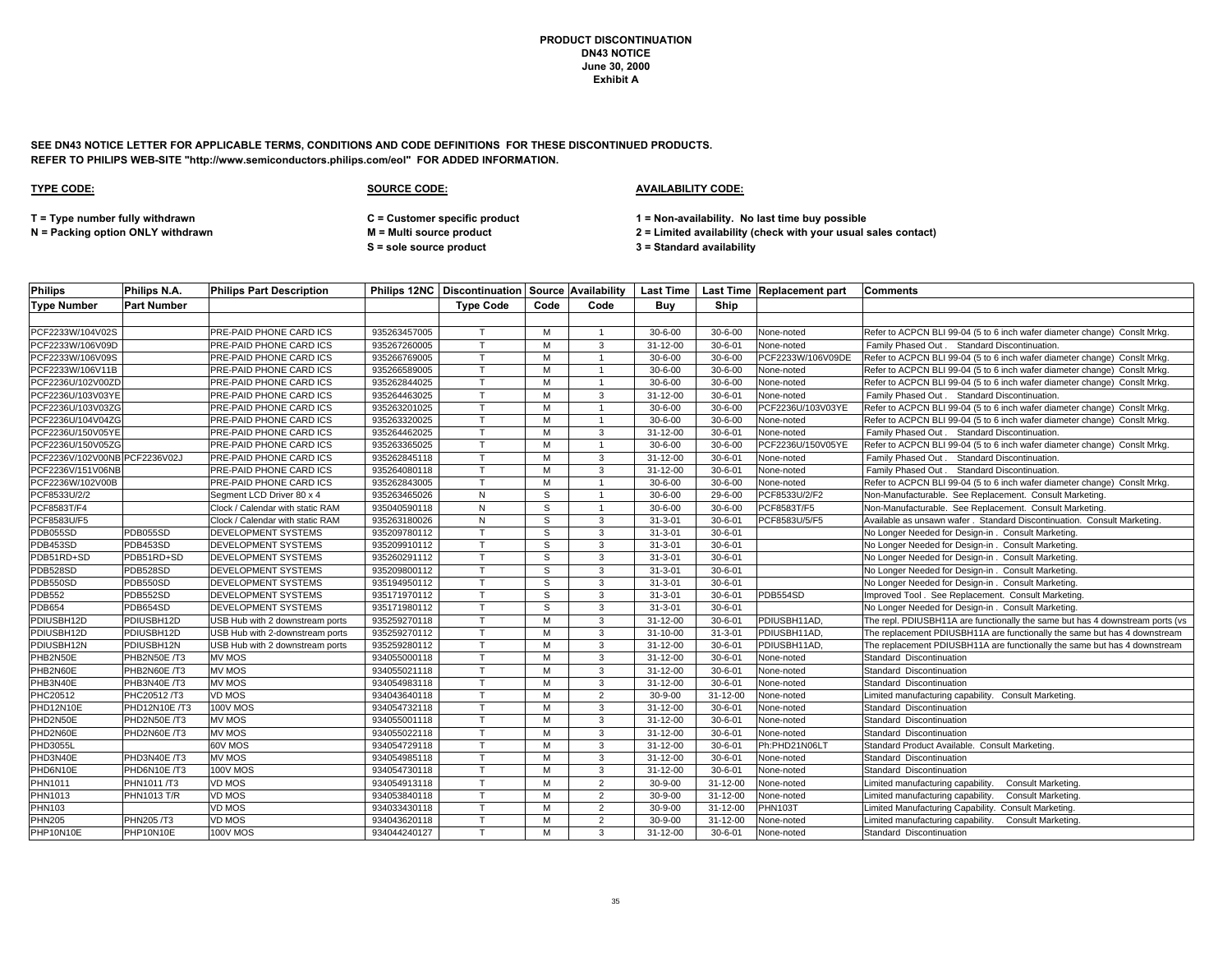**SEE DN43 NOTICE LETTER FOR APPLICABLE TERMS, CONDITIONS AND CODE DEFINITIONS FOR THESE DISCONTINUED PRODUCTS. REFER TO PHILIPS WEB-SITE "http://www.semiconductors.philips.com/eol" FOR ADDED INFORMATION.**

### **TYPE CODE: SOURCE CODE: AVAILABILITY CODE:**

**T = Type number fully withdrawn C = Customer specific product 1 = Non-availability. No last time buy possible**

**N = Packing option ONLY withdrawn M = Multi source product 2 = Limited availability (check with your usual sales contact)**

**S = sole source product 3 = Standard availability**

| <b>Philips</b>                | Philips N.A.       | <b>Philips Part Description</b>  |              |                  |      |                |                |               | Philips 12NC   Discontinuation   Source   Availability   Last Time   Last Time   Replacement part | <b>Comments</b>                                                               |
|-------------------------------|--------------------|----------------------------------|--------------|------------------|------|----------------|----------------|---------------|---------------------------------------------------------------------------------------------------|-------------------------------------------------------------------------------|
| <b>Type Number</b>            | <b>Part Number</b> |                                  |              | <b>Type Code</b> | Code | Code           | Buy            | Ship          |                                                                                                   |                                                                               |
|                               |                    |                                  |              |                  |      |                |                |               |                                                                                                   |                                                                               |
| PCF2233W/104V02S              |                    | PRE-PAID PHONE CARD ICS          | 935263457005 | $\mathsf{T}$     | м    |                | $30 - 6 - 00$  | $30 - 6 - 00$ | None-noted                                                                                        | Refer to ACPCN BLI 99-04 (5 to 6 inch wafer diameter change) Consit Mrkg.     |
| PCF2233W/106V09D              |                    | PRE-PAID PHONE CARD ICS          | 935267260005 | T                | M    | 3              | 31-12-00       | $30 - 6 - 01$ | None-noted                                                                                        | Family Phased Out . Standard Discontinuation.                                 |
| PCF2233W/106V09S              |                    | PRE-PAID PHONE CARD ICS          | 935266769005 | $\mathsf{T}$     | M    | $\overline{1}$ | $30 - 6 - 00$  | $30 - 6 - 00$ | PCF2233W/106V09DE                                                                                 | Refer to ACPCN BLI 99-04 (5 to 6 inch wafer diameter change) Conslt Mrkg.     |
| PCF2233W/106V11B              |                    | PRE-PAID PHONE CARD ICS          | 935266589005 | $\mathsf{T}$     | M    |                | $30 - 6 - 00$  | $30 - 6 - 00$ | None-noted                                                                                        | Refer to ACPCN BLI 99-04 (5 to 6 inch wafer diameter change) Conslt Mrkg.     |
| PCF2236U/102V00ZD             |                    | PRE-PAID PHONE CARD ICS          | 935262844025 | $\mathsf{T}$     | м    |                | $30 - 6 - 00$  | $30 - 6 - 00$ | None-noted                                                                                        | Refer to ACPCN BLI 99-04 (5 to 6 inch wafer diameter change) Conslt Mrkg.     |
| PCF2236U/103V03YE             |                    | PRE-PAID PHONE CARD ICS          | 935264463025 | $\mathsf{T}$     | м    | 3              | 31-12-00       | $30 - 6 - 01$ | None-noted                                                                                        | Family Phased Out . Standard Discontinuation.                                 |
| PCF2236U/103V03ZG             |                    | PRE-PAID PHONE CARD ICS          | 935263201025 | Т                | м    |                | $30 - 6 - 00$  | $30 - 6 - 00$ | PCF2236U/103V03YE                                                                                 | Refer to ACPCN BLI 99-04 (5 to 6 inch wafer diameter change) Conslt Mrkg.     |
| PCF2236U/104V04ZG             |                    | PRE-PAID PHONE CARD ICS          | 935263320025 | $\mathsf{T}$     | M    |                | $30 - 6 - 00$  | $30 - 6 - 00$ | None-noted                                                                                        | Refer to ACPCN BLI 99-04 (5 to 6 inch wafer diameter change) Conslt Mrkg.     |
| PCF2236U/150V05YE             |                    | PRE-PAID PHONE CARD ICS          | 935264462025 | $\mathsf{T}$     | м    | 3              | $31 - 12 - 00$ | $30 - 6 - 01$ | None-noted                                                                                        | Family Phased Out . Standard Discontinuation.                                 |
| PCF2236U/150V05ZG             |                    | PRE-PAID PHONE CARD ICS          | 935263365025 | $\mathsf{T}$     | м    | $\mathbf{1}$   | $30 - 6 - 00$  | $30 - 6 - 00$ | PCF2236U/150V05YE                                                                                 | Refer to ACPCN BLI 99-04 (5 to 6 inch wafer diameter change) ConsIt Mrkg.     |
| PCF2236V/102V00NB PCF2236V02J |                    | PRE-PAID PHONE CARD ICS          | 935262845118 | T                | M    | 3              | 31-12-00       | $30 - 6 - 01$ | None-noted                                                                                        | Family Phased Out . Standard Discontinuation.                                 |
| PCF2236V/151V06NB             |                    | PRE-PAID PHONE CARD ICS          | 935264080118 | T                | M    | 3              | $31 - 12 - 00$ | $30 - 6 - 01$ | None-noted                                                                                        | Family Phased Out. Standard Discontinuation.                                  |
| PCF2236W/102V00B              |                    | PRE-PAID PHONE CARD ICS          | 935262843005 | $\mathsf{T}$     | м    |                | $30 - 6 - 00$  | $30 - 6 - 00$ | None-noted                                                                                        | Refer to ACPCN BLI 99-04 (5 to 6 inch wafer diameter change) Conslt Mrkg.     |
| PCF8533U/2/2                  |                    | Segment LCD Driver 80 x 4        | 935263465026 | N                | S    |                | $30 - 6 - 00$  | 29-6-00       | PCF8533U/2/F2                                                                                     | Non-Manufacturable. See Replacement. Consult Marketing.                       |
| PCF8583T/F4                   |                    | Clock / Calendar with static RAM | 935040590118 | N                | S    |                | $30 - 6 - 00$  | $30 - 6 - 00$ | PCF8583T/F5                                                                                       | Non-Manufacturable. See Replacement. Consult Marketing.                       |
| PCF8583U/F5                   |                    | Clock / Calendar with static RAM | 935263180026 | N                | S    | 3              | $31 - 3 - 01$  | $30 - 6 - 01$ | PCF8583U/5/F5                                                                                     | Available as unsawn wafer . Standard Discontinuation. Consult Marketing.      |
| PDB055SD                      | PDB055SD           | DEVELOPMENT SYSTEMS              | 935209780112 | T.               | S    | 3              | $31 - 3 - 01$  | $30 - 6 - 01$ |                                                                                                   | No Longer Needed for Design-in . Consult Marketing.                           |
| PDB453SD                      | PDB453SD           | DEVELOPMENT SYSTEMS              | 935209910112 | T                | S    | 3              | $31 - 3 - 01$  | $30 - 6 - 01$ |                                                                                                   | No Longer Needed for Design-in . Consult Marketing.                           |
| PDB51RD+SD                    | PDB51RD+SD         | <b>DEVELOPMENT SYSTEMS</b>       | 935260291112 | $\mathsf{T}$     | S    | 3              | $31 - 3 - 01$  | $30 - 6 - 01$ |                                                                                                   | No Longer Needed for Design-in . Consult Marketing.                           |
| PDB528SD                      | PDB528SD           | <b>DEVELOPMENT SYSTEMS</b>       | 935209800112 | $\mathsf{T}$     | s    | 3              | $31 - 3 - 01$  | $30 - 6 - 01$ |                                                                                                   | No Longer Needed for Design-in . Consult Marketing.                           |
| PDB550SD                      | PDB550SD           | DEVELOPMENT SYSTEMS              | 935194950112 | $\mathsf{T}$     | S    | 3              | $31 - 3 - 01$  | $30 - 6 - 01$ |                                                                                                   | No Longer Needed for Design-in . Consult Marketing.                           |
| <b>PDB552</b>                 | PDB552SD           | <b>DEVELOPMENT SYSTEMS</b>       | 935171970112 | $\mathsf{T}$     | S    | 3              | $31 - 3 - 01$  | $30 - 6 - 01$ | PDB554SD                                                                                          | Improved Tool . See Replacement. Consult Marketing.                           |
| <b>PDB654</b>                 | PDB654SD           | DEVELOPMENT SYSTEMS              | 935171980112 | $\mathsf{T}$     | s    | 3              | $31 - 3 - 01$  | $30 - 6 - 01$ |                                                                                                   | No Longer Needed for Design-in. Consult Marketing.                            |
| PDIUSBH12D                    | PDIUSBH12D         | USB Hub with 2 downstream ports  | 935259270118 | T.               | M    | 3              | $31 - 12 - 00$ | $30 - 6 - 01$ | PDIUSBH11AD,                                                                                      | The repl. PDIUSBH11A are functionally the same but has 4 downstream ports (vs |
| PDIUSBH12D                    | PDIUSBH12D         | USB Hub with 2-downstream ports  | 935259270112 | $\mathsf{T}$     | м    | 3              | 31-10-00       | $31 - 3 - 01$ | PDIUSBH11AD                                                                                       | The replacement PDIUSBH11A are functionally the same but has 4 downstream     |
| PDIUSBH12N                    | PDIUSBH12N         | USB Hub with 2 downstream ports  | 935259280112 | T                | M    | 3              | $31 - 12 - 00$ | $30 - 6 - 01$ | PDIUSBH11AD,                                                                                      | The replacement PDIUSBH11A are functionally the same but has 4 downstream     |
| PHB2N50E                      | PHB2N50E /T3       | <b>MV MOS</b>                    | 934055000118 | $\mathsf{T}$     | м    | 3              | $31 - 12 - 00$ | $30 - 6 - 01$ | None-noted                                                                                        | Standard Discontinuation                                                      |
| PHB2N60E                      | PHB2N60E/T3        | MV MOS                           | 934055021118 | $\mathbf \tau$   | M    | 3              | 31-12-00       | $30 - 6 - 01$ | None-noted                                                                                        | Standard Discontinuation                                                      |
| PHB3N40E                      | PHB3N40E /T3       | <b>MV MOS</b>                    | 934054983118 | T.               | м    | 3              | $31 - 12 - 00$ | $30 - 6 - 01$ | None-noted                                                                                        | Standard Discontinuation                                                      |
| PHC20512                      | PHC20512/T3        | VD MOS                           | 934043640118 | $\mathsf{T}$     | M    | 2              | 30-9-00        | 31-12-00      | None-noted                                                                                        | Limited manufacturing capability. Consult Marketing                           |
| PHD12N10E                     | PHD12N10E /T3      | <b>100V MOS</b>                  | 934054732118 | T                | м    | 3              | 31-12-00       | $30 - 6 - 01$ | None-noted                                                                                        | Standard Discontinuation                                                      |
| PHD2N50E                      | PHD2N50E/T3        | <b>MV MOS</b>                    | 934055001118 | $\mathsf{T}$     | M    | 3              | 31-12-00       | $30 - 6 - 01$ | None-noted                                                                                        | Standard Discontinuation                                                      |
| PHD2N60E                      | PHD2N60E/T3        | MV MOS                           | 934055022118 | T                | M    | 3              | 31-12-00       | $30 - 6 - 01$ | None-noted                                                                                        | Standard Discontinuation                                                      |
| <b>PHD3055L</b>               |                    | 60V MOS                          | 934054729118 | т                | м    | 3              | 31-12-00       | $30 - 6 - 01$ | Ph:PHD21N06LT                                                                                     | Standard Product Available. Consult Marketing.                                |
| PHD3N40E                      | PHD3N40E/T3        | <b>MV MOS</b>                    | 934054985118 | T                | м    | 3              | $31 - 12 - 00$ | $30 - 6 - 01$ | None-noted                                                                                        | Standard Discontinuation                                                      |
| PHD6N10E                      | PHD6N10E/T3        | <b>100V MOS</b>                  | 934054730118 | $\mathsf{T}$     | м    | 3              | 31-12-00       | $30 - 6 - 01$ | None-noted                                                                                        | Standard Discontinuation                                                      |
| PHN1011                       | PHN1011/T3         | VD MOS                           | 934054913118 | T                | м    | 2              | $30 - 9 - 00$  | 31-12-00      | None-noted                                                                                        | Limited manufacturing capability<br>Consult Marketing.                        |
| PHN1013                       | PHN1013 T/R        | VD MOS                           | 934053840118 | T                | M    | $\overline{2}$ | $30 - 9 - 00$  | 31-12-00      | None-noted                                                                                        | Limited manufacturing capability<br>Consult Marketing.                        |
| PHN103                        |                    | VD MOS                           | 934033430118 | т                | M    | $\overline{2}$ | $30 - 9 - 00$  | 31-12-00      | <b>PHN103T</b>                                                                                    | Limited Manufacturing Capability.<br>Consult Marketing.                       |
| <b>PHN205</b>                 | PHN205/T3          | VD MOS                           | 934043620118 | $\mathsf{T}$     | M    | $\overline{2}$ | $30 - 9 - 00$  | 31-12-00      | None-noted                                                                                        | Limited manufacturing capability.<br><b>Consult Marketing</b>                 |
| PHP10N10E                     | PHP10N10E          | <b>100V MOS</b>                  | 934044240127 | T                | м    | 3              | 31-12-00       | $30 - 6 - 01$ | None-noted                                                                                        | Standard Discontinuation                                                      |
|                               |                    |                                  |              |                  |      |                |                |               |                                                                                                   |                                                                               |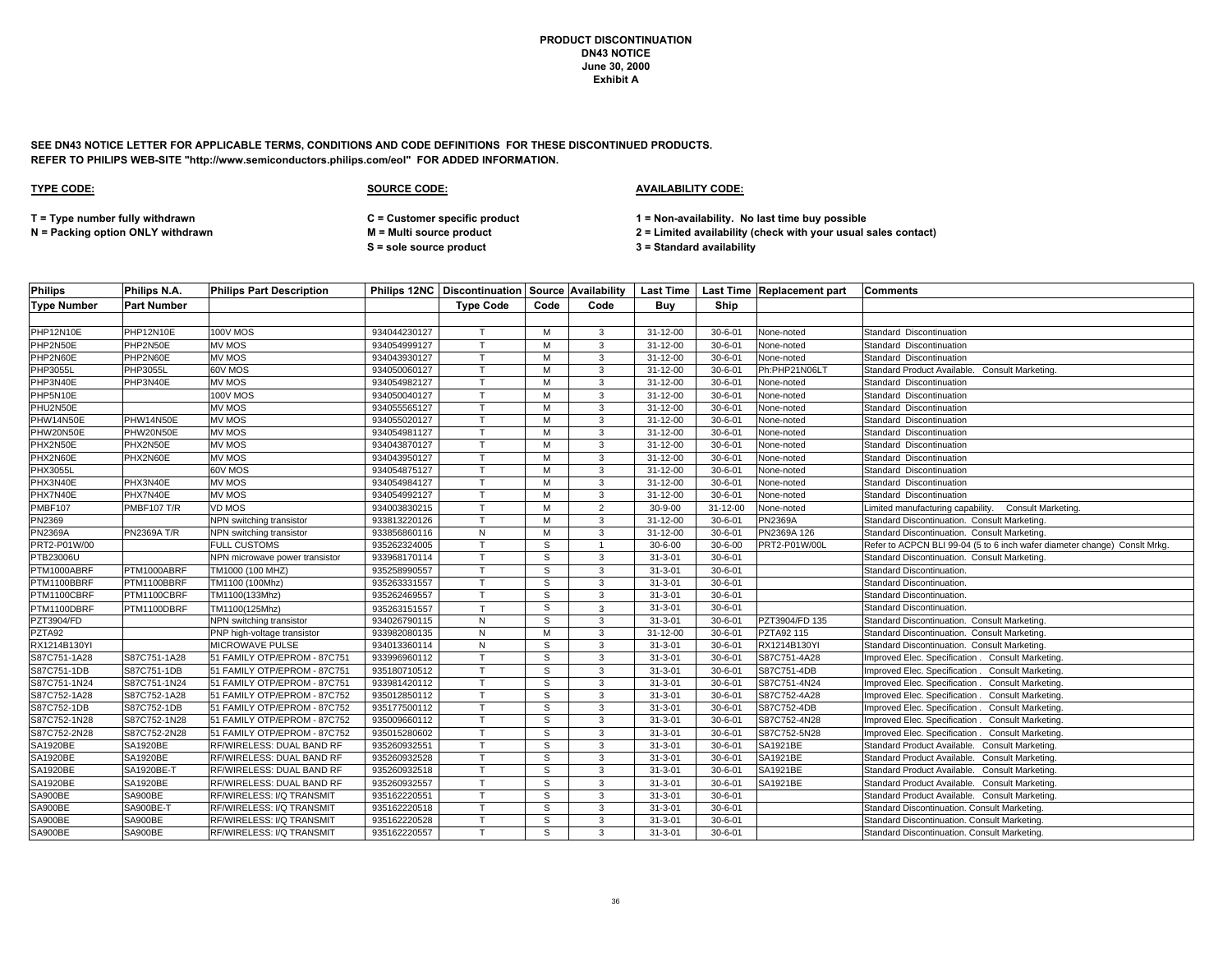**SEE DN43 NOTICE LETTER FOR APPLICABLE TERMS, CONDITIONS AND CODE DEFINITIONS FOR THESE DISCONTINUED PRODUCTS. REFER TO PHILIPS WEB-SITE "http://www.semiconductors.philips.com/eol" FOR ADDED INFORMATION.**

| <b>Philips</b>     | Philips N.A.       | <b>Philips Part Description</b> |              |                  |              |                |                |                | Philips 12NC   Discontinuation   Source   Availability   Last Time   Last Time   Replacement part | <b>Comments</b>                                                           |
|--------------------|--------------------|---------------------------------|--------------|------------------|--------------|----------------|----------------|----------------|---------------------------------------------------------------------------------------------------|---------------------------------------------------------------------------|
| <b>Type Number</b> | <b>Part Number</b> |                                 |              | <b>Type Code</b> | Code         | Code           | Buy            | Ship           |                                                                                                   |                                                                           |
|                    |                    |                                 |              |                  |              |                |                |                |                                                                                                   |                                                                           |
| PHP12N10E          | PHP12N10E          | <b>100V MOS</b>                 | 934044230127 | $\mathsf{T}$     | M            | 3              | 31-12-00       | $30 - 6 - 01$  | None-noted                                                                                        | Standard Discontinuation                                                  |
| PHP2N50E           | PHP2N50E           | MV MOS                          | 934054999127 | T.               | м            | 3              | 31-12-00       | $30 - 6 - 01$  | None-noted                                                                                        | Standard Discontinuation                                                  |
| PHP2N60E           | PHP2N60E           | <b>MV MOS</b>                   | 934043930127 | $\mathsf{T}$     | M            | 3              | 31-12-00       | $30 - 6 - 01$  | None-noted                                                                                        | Standard Discontinuation                                                  |
| PHP3055L           | PHP3055L           | 60V MOS                         | 934050060127 | $\mathsf{T}$     | M            | 3              | 31-12-00       | $30 - 6 - 01$  | Ph:PHP21N06LT                                                                                     | Standard Product Available. Consult Marketing.                            |
| PHP3N40E           | PHP3N40E           | <b>MV MOS</b>                   | 934054982127 |                  | M            | 3              | 31-12-00       | $30 - 6 - 01$  | None-noted                                                                                        | Standard Discontinuation                                                  |
| PHP5N10E           |                    | <b>100V MOS</b>                 | 934050040127 | $\mathsf{T}$     | M            | 3              | $31 - 12 - 00$ | $30 - 6 - 01$  | None-noted                                                                                        | Standard Discontinuation                                                  |
| PHU2N50E           |                    | <b>MV MOS</b>                   | 934055565127 |                  | M            | 3              | 31-12-00       | $30 - 6 - 01$  | None-noted                                                                                        | Standard Discontinuation                                                  |
| PHW14N50E          | PHW14N50E          | <b>MV MOS</b>                   | 934055020127 | $\mathsf{T}$     | M            | 3              | 31-12-00       | $30 - 6 - 01$  | None-noted                                                                                        | Standard Discontinuation                                                  |
| PHW20N50E          | PHW20N50E          | <b>MV MOS</b>                   | 934054981127 | $\mathbf \tau$   | м            | 3              | 31-12-00       | $30 - 6 - 01$  | None-noted                                                                                        | Standard Discontinuation                                                  |
| PHX2N50E           | PHX2N50E           | <b>MV MOS</b>                   | 934043870127 | $\mathsf{T}$     | M            | 3              | 31-12-00       | $30 - 6 - 01$  | None-noted                                                                                        | Standard Discontinuation                                                  |
| PHX2N60E           | PHX2N60E           | MV MOS                          | 934043950127 | $\mathsf{T}$     | M            | 3              | 31-12-00       | $30 - 6 - 01$  | None-noted                                                                                        | Standard Discontinuation                                                  |
| <b>PHX3055L</b>    |                    | 60V MOS                         | 934054875127 |                  | M            | 3              | 31-12-00       | $30 - 6 - 01$  | None-noted                                                                                        | Standard Discontinuation                                                  |
| PHX3N40E           | PHX3N40E           | MV MOS                          | 934054984127 | T                | M            | 3              | 31-12-00       | $30 - 6 - 01$  | None-noted                                                                                        | Standard Discontinuation                                                  |
| PHX7N40E           | PHX7N40E           | <b>MV MOS</b>                   | 934054992127 | $\mathsf{T}$     | м            | 3              | 31-12-00       | $30 - 6 - 01$  | None-noted                                                                                        | Standard Discontinuation                                                  |
| <b>PMBF107</b>     | <b>PMBF107 T/R</b> | VD MOS                          | 934003830215 | т                | м            | $\overline{2}$ | $30 - 9 - 00$  | $31 - 12 - 00$ | None-noted                                                                                        | Limited manufacturing capability.<br>Consult Marketing.                   |
| PN2369             |                    | NPN switching transistor        | 933813220126 | T                | M            | 3              | 31-12-00       | $30 - 6 - 01$  | PN2369A                                                                                           | Standard Discontinuation. Consult Marketing.                              |
| <b>PN2369A</b>     | PN2369A T/R        | NPN switching transistor        | 933856860116 | N                | м            | 3              | 31-12-00       | $30 - 6 - 01$  | PN2369A 126                                                                                       | Standard Discontinuation. Consult Marketing.                              |
| PRT2-P01W/00       |                    | <b>FULL CUSTOMS</b>             | 935262324005 |                  | S            |                | $30 - 6 - 00$  | $30 - 6 - 00$  | PRT2-P01W/00L                                                                                     | Refer to ACPCN BLI 99-04 (5 to 6 inch wafer diameter change) Conslt Mrkg. |
| PTB23006U          |                    | NPN microwave power transistor  | 933968170114 | T                | S            | 3              | $31 - 3 - 01$  | $30 - 6 - 01$  |                                                                                                   | Standard Discontinuation. Consult Marketing.                              |
| PTM1000ABRF        | PTM1000ABRF        | TM1000 (100 MHZ)                | 935258990557 |                  | S            | 3              | $31 - 3 - 01$  | $30 - 6 - 01$  |                                                                                                   | Standard Discontinuation.                                                 |
| PTM1100BBRF        | PTM1100BBRF        | TM1100 (100Mhz)                 | 935263331557 | $\mathsf{T}$     | s            | 3              | $31 - 3 - 01$  | $30 - 6 - 01$  |                                                                                                   | Standard Discontinuation.                                                 |
| PTM1100CBRF        | PTM1100CBRF        | TM1100(133Mhz)                  | 935262469557 | T                | s            | 3              | $31 - 3 - 01$  | $30 - 6 - 01$  |                                                                                                   | Standard Discontinuation.                                                 |
| PTM1100DBRF        | PTM1100DBRF        | TM1100(125Mhz)                  | 935263151557 | T                | S            | 3              | $31 - 3 - 01$  | $30 - 6 - 01$  |                                                                                                   | Standard Discontinuation.                                                 |
| PZT3904/FD         |                    | NPN switching transistor        | 934026790115 | ${\sf N}$        | s            | 3              | $31 - 3 - 01$  | $30 - 6 - 01$  | PZT3904/FD 135                                                                                    | Standard Discontinuation. Consult Marketing.                              |
| PZTA92             |                    | PNP high-voltage transistor     | 933982080135 | N                | M            | 3              | 31-12-00       | $30 - 6 - 01$  | PZTA92 115                                                                                        | Standard Discontinuation. Consult Marketing.                              |
| RX1214B130YI       |                    | <b>MICROWAVE PULSE</b>          | 934013360114 | N                | S            | 3              | $31 - 3 - 01$  | $30 - 6 - 01$  | RX1214B130YI                                                                                      | Standard Discontinuation. Consult Marketing.                              |
| S87C751-1A28       | S87C751-1A28       | 51 FAMILY OTP/EPROM - 87C751    | 933996960112 | $\mathsf{T}$     | s            | 3              | $31 - 3 - 01$  | $30 - 6 - 01$  | S87C751-4A28                                                                                      | Improved Elec. Specification . Consult Marketing                          |
| S87C751-1DB        | S87C751-1DB        | 51 FAMILY OTP/EPROM - 87C751    | 935180710512 |                  | S            | 3              | $31 - 3 - 01$  | $30 - 6 - 01$  | S87C751-4DB                                                                                       | Improved Elec. Specification . Consult Marketing                          |
| S87C751-1N24       | S87C751-1N24       | 51 FAMILY OTP/EPROM - 87C751    | 933981420112 | T                | S            | 3              | $31 - 3 - 01$  | $30 - 6 - 01$  | S87C751-4N24                                                                                      | Improved Elec. Specification.<br><b>Consult Marketing</b>                 |
| S87C752-1A28       | S87C752-1A28       | 51 FAMILY OTP/EPROM - 87C752    | 935012850112 | $\mathsf{T}$     | s            | 3              | $31 - 3 - 01$  | $30 - 6 - 01$  | S87C752-4A28                                                                                      | Consult Marketing.<br>mproved Elec. Specification.                        |
| S87C752-1DB        | S87C752-1DB        | 51 FAMILY OTP/EPROM - 87C752    | 935177500112 | $\mathsf{T}$     | S            | 3              | $31 - 3 - 01$  | $30 - 6 - 01$  | S87C752-4DB                                                                                       | Improved Elec. Specification.<br>Consult Marketing.                       |
| S87C752-1N28       | S87C752-1N28       | 51 FAMILY OTP/EPROM - 87C752    | 935009660112 | T                | s            | 3              | $31 - 3 - 01$  | $30 - 6 - 01$  | S87C752-4N28                                                                                      | Improved Elec. Specification . Consult Marketing                          |
| S87C752-2N28       | S87C752-2N28       | 51 FAMILY OTP/EPROM - 87C752    | 935015280602 |                  | S            | 3              | $31 - 3 - 01$  | $30 - 6 - 01$  | S87C752-5N28                                                                                      | Improved Elec. Specification . Consult Marketing.                         |
| <b>SA1920BE</b>    | <b>SA1920BE</b>    | RF/WIRELESS: DUAL BAND RF       | 935260932551 |                  | S            | 3              | $31 - 3 - 01$  | $30 - 6 - 01$  | SA1921BE                                                                                          | Standard Product Available.<br>Consult Marketing.                         |
| SA1920BE           | SA1920BE           | RF/WIRELESS: DUAL BAND RF       | 935260932528 | $\tau$           | S            | 3              | $31 - 3 - 01$  | $30 - 6 - 01$  | SA1921BE                                                                                          | Standard Product Available.<br>Consult Marketing.                         |
| SA1920BE           | SA1920BE-T         | RF/WIRELESS: DUAL BAND RF       | 935260932518 | $\mathsf{T}$     | S            | 3              | $31 - 3 - 01$  | $30 - 6 - 01$  | SA1921BE                                                                                          | Standard Product Available. Consult Marketing.                            |
| SA1920BE           | SA1920BE           | RF/WIRELESS: DUAL BAND RF       | 935260932557 | T.               | S            | 3              | $31 - 3 - 01$  | $30 - 6 - 01$  | SA1921BE                                                                                          | Standard Product Available. Consult Marketing                             |
| SA900BE            | SA900BE            | RF/WIRELESS: I/Q TRANSMIT       | 935162220551 |                  | $\mathsf{s}$ | 3              | $31 - 3 - 01$  | $30 - 6 - 01$  |                                                                                                   | Standard Product Available. Consult Marketing.                            |
| SA900BE            | SA900BE-T          | RF/WIRELESS: I/Q TRANSMIT       | 935162220518 | T.               | S            | 3              | $31 - 3 - 01$  | $30 - 6 - 01$  |                                                                                                   | Standard Discontinuation. Consult Marketing.                              |
| SA900BE            | SA900BE            | RF/WIRELESS: I/Q TRANSMIT       | 935162220528 | $\mathsf{T}$     | S            | 3              | $31 - 3 - 01$  | $30 - 6 - 01$  |                                                                                                   | Standard Discontinuation. Consult Marketing.                              |
| SA900BE            | SA900BE            | RF/WIRELESS: I/Q TRANSMIT       | 935162220557 |                  | S            | 3              | $31 - 3 - 01$  | $30 - 6 - 01$  |                                                                                                   | Standard Discontinuation. Consult Marketing.                              |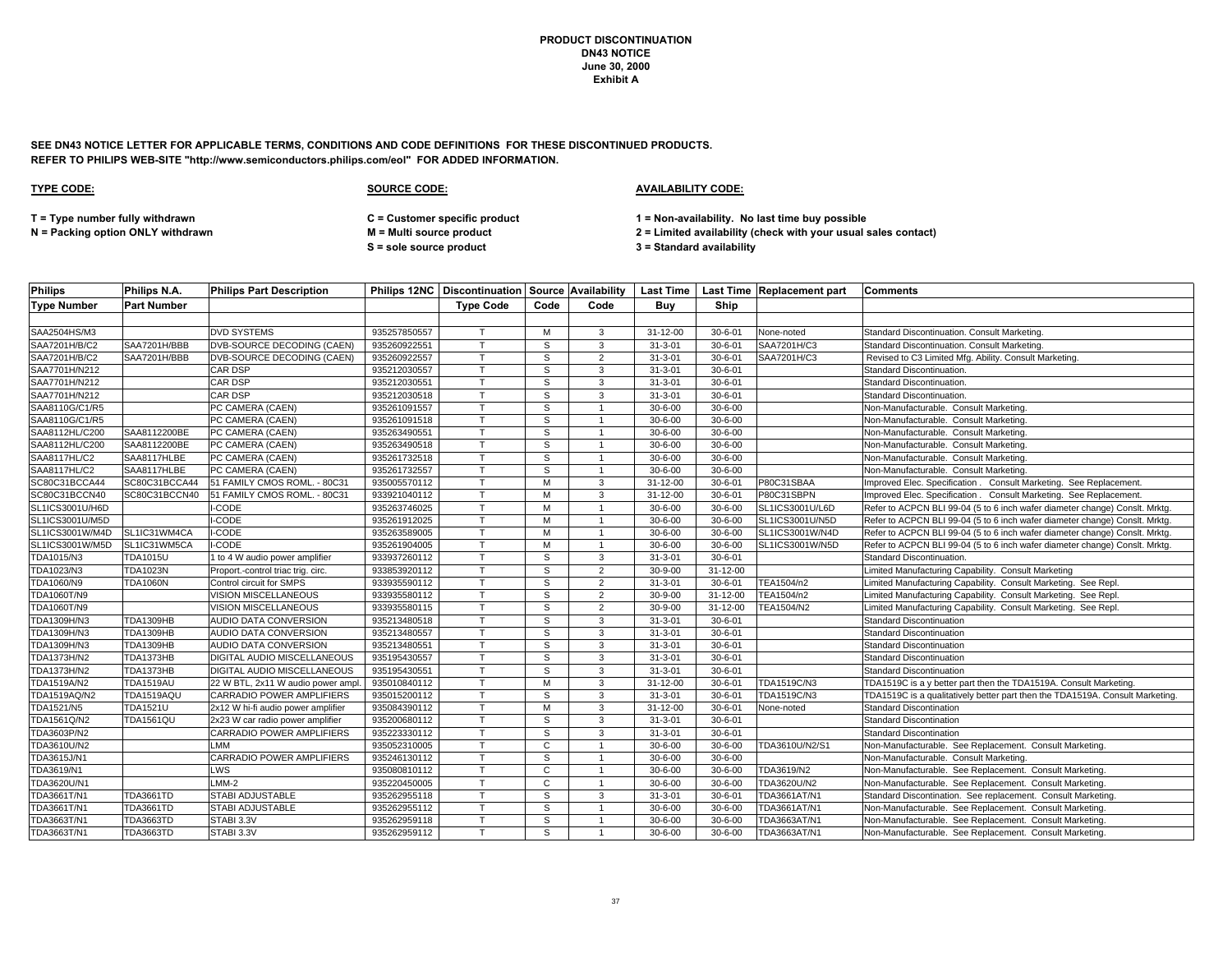**SEE DN43 NOTICE LETTER FOR APPLICABLE TERMS, CONDITIONS AND CODE DEFINITIONS FOR THESE DISCONTINUED PRODUCTS. REFER TO PHILIPS WEB-SITE "http://www.semiconductors.philips.com/eol" FOR ADDED INFORMATION.**

### **TYPE CODE: SOURCE CODE: AVAILABILITY CODE:**

**T = Type number fully withdrawn C = Customer specific product 1 = Non-availability. No last time buy possible**

**N = Packing option ONLY withdrawn M = Multi source product 2 = Limited availability (check with your usual sales contact)**

**S = sole source product 3 = Standard availability**

| <b>Philips</b>     | Philips N.A.       | <b>Philips Part Description</b>    |              |                  |      |                |                |                | Philips 12NC   Discontinuation   Source   Availability   Last Time   Last Time   Replacement part | <b>Comments</b>                                                              |
|--------------------|--------------------|------------------------------------|--------------|------------------|------|----------------|----------------|----------------|---------------------------------------------------------------------------------------------------|------------------------------------------------------------------------------|
| <b>Type Number</b> | <b>Part Number</b> |                                    |              | <b>Type Code</b> | Code | Code           | Buy            | Ship           |                                                                                                   |                                                                              |
|                    |                    |                                    |              |                  |      |                |                |                |                                                                                                   |                                                                              |
| SAA2504HS/M3       |                    | <b>DVD SYSTEMS</b>                 | 935257850557 | $\mathsf{T}$     | м    | 3              | 31-12-00       | $30 - 6 - 01$  | None-noted                                                                                        | Standard Discontinuation. Consult Marketing.                                 |
| SAA7201H/B/C2      | SAA7201H/BBB       | DVB-SOURCE DECODING (CAEN)         | 935260922551 |                  | S    | 3              | $31 - 3 - 01$  | $30 - 6 - 01$  | SAA7201H/C3                                                                                       | Standard Discontinuation. Consult Marketing.                                 |
| SAA7201H/B/C2      | SAA7201H/BBB       | DVB-SOURCE DECODING (CAEN)         | 935260922557 | $\mathbf \tau$   | S    | 2              | $31 - 3 - 01$  | $30 - 6 - 01$  | SAA7201H/C3                                                                                       | Revised to C3 Limited Mfg. Ability. Consult Marketing.                       |
| SAA7701H/N212      |                    | CAR DSP                            | 935212030557 |                  | S    | 3              | $31 - 3 - 01$  | $30 - 6 - 01$  |                                                                                                   | <b>Standard Discontinuation</b>                                              |
| SAA7701H/N212      |                    | <b>CAR DSP</b>                     | 935212030551 |                  | S    | 3              | $31 - 3 - 01$  | $30 - 6 - 01$  |                                                                                                   | Standard Discontinuation.                                                    |
| SAA7701H/N212      |                    | <b>CAR DSP</b>                     | 935212030518 | $\mathsf{T}$     | S    | 3              | $31 - 3 - 01$  | $30 - 6 - 01$  |                                                                                                   | <b>Standard Discontinuation</b>                                              |
| SAA8110G/C1/R5     |                    | PC CAMERA (CAEN)                   | 935261091557 |                  | S    |                | $30 - 6 - 00$  | $30 - 6 - 00$  |                                                                                                   | Non-Manufacturable. Consult Marketing.                                       |
| SAA8110G/C1/R5     |                    | PC CAMERA (CAEN)                   | 935261091518 |                  | S    |                | $30 - 6 - 00$  | $30 - 6 - 00$  |                                                                                                   | Non-Manufacturable. Consult Marketing.                                       |
| SAA8112HL/C200     | SAA8112200BE       | PC CAMERA (CAEN)                   | 935263490551 |                  | S    |                | $30 - 6 - 00$  | $30 - 6 - 00$  |                                                                                                   | Non-Manufacturable. Consult Marketing.                                       |
| SAA8112HL/C200     | SAA8112200BE       | PC CAMERA (CAEN)                   | 935263490518 |                  | S    |                | $30 - 6 - 00$  | $30 - 6 - 00$  |                                                                                                   | Non-Manufacturable. Consult Marketing.                                       |
| SAA8117HL/C2       | SAA8117HLBE        | PC CAMERA (CAEN)                   | 935261732518 | $\mathsf{T}$     | S    |                | $30 - 6 - 00$  | $30 - 6 - 00$  |                                                                                                   | Non-Manufacturable. Consult Marketing.                                       |
| SAA8117HL/C2       | SAA8117HLBE        | PC CAMERA (CAEN)                   | 935261732557 | $\tau$           | S    |                | $30 - 6 - 00$  | $30 - 6 - 00$  |                                                                                                   | Non-Manufacturable. Consult Marketing.                                       |
| SC80C31BCCA44      | SC80C31BCCA44      | 51 FAMILY CMOS ROML. - 80C31       | 935005570112 |                  | M    | 3              | $31 - 12 - 00$ | $30 - 6 - 01$  | P80C31SBAA                                                                                        | Improved Elec. Specification . Consult Marketing. See Replacement.           |
| SC80C31BCCN40      | SC80C31BCCN40      | 51 FAMILY CMOS ROML. - 80C31       | 933921040112 |                  | м    | 3              | $31 - 12 - 00$ | $30 - 6 - 01$  | P80C31SBPN                                                                                        | Improved Elec. Specification . Consult Marketing. See Replacement.           |
| SL1ICS3001U/H6D    |                    | -CODE                              | 935263746025 |                  | M    |                | $30 - 6 - 00$  | $30 - 6 - 00$  | SL1ICS3001U/L6D                                                                                   | Refer to ACPCN BLI 99-04 (5 to 6 inch wafer diameter change) Conslt. Mrktg.  |
| SL1ICS3001U/M5D    |                    | I-CODE                             | 935261912025 |                  | м    |                | $30 - 6 - 00$  | $30 - 6 - 00$  | SL1ICS3001U/N5D                                                                                   | Refer to ACPCN BLI 99-04 (5 to 6 inch wafer diameter change) Conslt. Mrktg.  |
| SL1ICS3001W/M4D    | SL1IC31WM4CA       | I-CODE                             | 935263589005 | $\mathsf{T}$     | M    |                | $30 - 6 - 00$  | $30 - 6 - 00$  | SL1ICS3001W/N4D                                                                                   | Refer to ACPCN BLI 99-04 (5 to 6 inch wafer diameter change) Conslt. Mrktg.  |
| SL1ICS3001W/M5D    | SL1IC31WM5CA       | I-CODE                             | 935261904005 |                  | м    |                | $30 - 6 - 00$  | $30 - 6 - 00$  | SL1ICS3001W/N5D                                                                                   | Refer to ACPCN BLI 99-04 (5 to 6 inch wafer diameter change) Conslt. Mrktg.  |
| TDA1015/N3         | <b>TDA1015U</b>    | 1 to 4 W audio power amplifier     | 933937260112 | T                | S    | 3              | $31 - 3 - 01$  | $30 - 6 - 01$  |                                                                                                   | Standard Discontinuation.                                                    |
| TDA1023/N3         | <b>TDA1023N</b>    | Proport.-control triac trig. circ. | 933853920112 |                  | S    | $\overline{2}$ | $30 - 9 - 00$  | 31-12-00       |                                                                                                   | Limited Manufacturing Capability. Consult Marketing                          |
| TDA1060/N9         | <b>TDA1060N</b>    | Control circuit for SMPS           | 933935590112 |                  | S    | $\overline{2}$ | $31 - 3 - 01$  | $30 - 6 - 01$  | TEA1504/n2                                                                                        | Limited Manufacturing Capability. Consult Marketing. See Repl.               |
| TDA1060T/N9        |                    | VISION MISCELLANEOUS               | 933935580112 | $\tau$           | S    | $\overline{2}$ | $30 - 9 - 00$  | $31 - 12 - 00$ | TEA1504/n2                                                                                        | Limited Manufacturing Capability. Consult Marketing. See Repl.               |
| <b>TDA1060T/N9</b> |                    | VISION MISCELLANEOUS               | 933935580115 |                  | s    | 2              | $30 - 9 - 00$  | $31 - 12 - 00$ | <b>TEA1504/N2</b>                                                                                 | Limited Manufacturing Capability. Consult Marketing. See Repl.               |
| TDA1309H/N3        | <b>TDA1309HB</b>   | AUDIO DATA CONVERSION              | 935213480518 |                  | S    | 3              | $31 - 3 - 01$  | $30 - 6 - 01$  |                                                                                                   | <b>Standard Discontinuation</b>                                              |
| TDA1309H/N3        | <b>TDA1309HB</b>   | AUDIO DATA CONVERSION              | 935213480557 |                  | S    | 3              | $31 - 3 - 01$  | $30 - 6 - 01$  |                                                                                                   | <b>Standard Discontinuation</b>                                              |
| TDA1309H/N3        | <b>TDA1309HB</b>   | AUDIO DATA CONVERSION              | 935213480551 |                  | S    | 3              | $31 - 3 - 01$  | $30 - 6 - 01$  |                                                                                                   | Standard Discontinuation                                                     |
| TDA1373H/N2        | TDA1373HB          | DIGITAL AUDIO MISCELLANEOUS        | 935195430557 | $\mathsf{T}$     | S    | 3              | $31 - 3 - 01$  | $30 - 6 - 01$  |                                                                                                   | <b>Standard Discontinuation</b>                                              |
| TDA1373H/N2        | <b>TDA1373HB</b>   | DIGITAL AUDIO MISCELLANEOUS        | 935195430551 |                  | S    | 3              | $31 - 3 - 01$  | $30 - 6 - 01$  |                                                                                                   | <b>Standard Discontinuation</b>                                              |
| TDA1519A/N2        | <b>TDA1519AU</b>   | 22 W BTL, 2x11 W audio power amp   | 935010840112 | $\mathsf{T}$     | M    | 3              | 31-12-00       | $30 - 6 - 01$  | TDA1519C/N3                                                                                       | TDA1519C is a y better part then the TDA1519A. Consult Marketing.            |
| TDA1519AQ/N2       | TDA1519AQU         | CARRADIO POWER AMPLIFIERS          | 935015200112 |                  | S    | 3              | $31 - 3 - 01$  | $30 - 6 - 01$  | TDA1519C/N3                                                                                       | TDA1519C is a qualitatively better part then the TDA1519A. Consult Marketing |
| TDA1521/N5         | <b>TDA1521U</b>    | 2x12 W hi-fi audio power amplifier | 935084390112 |                  | м    | 3              | 31-12-00       | $30 - 6 - 01$  | None-noted                                                                                        | Standard Discontination                                                      |
| TDA1561Q/N2        | <b>TDA1561QU</b>   | 2x23 W car radio power amplifier   | 935200680112 | $\mathsf{T}$     | S    | 3              | $31 - 3 - 01$  | $30 - 6 - 01$  |                                                                                                   | <b>Standard Discontination</b>                                               |
| TDA3603P/N2        |                    | CARRADIO POWER AMPLIFIERS          | 935223330112 |                  | S    | 3              | $31 - 3 - 01$  | $30 - 6 - 01$  |                                                                                                   | <b>Standard Discontination</b>                                               |
| TDA3610U/N2        |                    | LMM                                | 935052310005 |                  | C    |                | $30 - 6 - 00$  | $30 - 6 - 00$  | TDA3610U/N2/S1                                                                                    | Non-Manufacturable. See Replacement. Consult Marketing                       |
| TDA3615J/N1        |                    | CARRADIO POWER AMPLIFIERS          | 935246130112 | $\mathbf \tau$   | S    |                | $30 - 6 - 00$  | $30 - 6 - 00$  |                                                                                                   | Non-Manufacturable. Consult Marketing.                                       |
| TDA3619/N1         |                    | LWS                                | 935080810112 |                  | C    |                | $30 - 6 - 00$  | $30 - 6 - 00$  | TDA3619/N2                                                                                        | Non-Manufacturable. See Replacement. Consult Marketing.                      |
| TDA3620U/N1        |                    | LMM-2                              | 935220450005 |                  | C    |                | $30 - 6 - 00$  | $30 - 6 - 00$  | TDA3620U/N2                                                                                       | Non-Manufacturable. See Replacement. Consult Marketing.                      |
| TDA3661T/N1        | <b>TDA3661TD</b>   | STABI ADJUSTABLE                   | 935262955118 |                  | S    | 3              | $31 - 3 - 01$  | $30 - 6 - 01$  | TDA3661AT/N1                                                                                      | Standard Discontination. See replacement. Consult Marketing.                 |
| TDA3661T/N1        | <b>TDA3661TD</b>   | <b>STABI ADJUSTABLE</b>            | 935262955112 |                  | S    |                | $30 - 6 - 00$  | $30 - 6 - 00$  | TDA3661AT/N1                                                                                      | Non-Manufacturable. See Replacement. Consult Marketing.                      |
| TDA3663T/N1        | TDA3663TD          | STABI 3.3V                         | 935262959118 |                  | S    |                | $30 - 6 - 00$  | $30 - 6 - 00$  | TDA3663AT/N1                                                                                      | Non-Manufacturable. See Replacement. Consult Marketing.                      |
| TDA3663T/N1        | <b>TDA3663TD</b>   | STABI 3.3V                         | 935262959112 |                  | S    |                | $30 - 6 - 00$  | $30 - 6 - 00$  | TDA3663AT/N1                                                                                      | Non-Manufacturable. See Replacement. Consult Marketing.                      |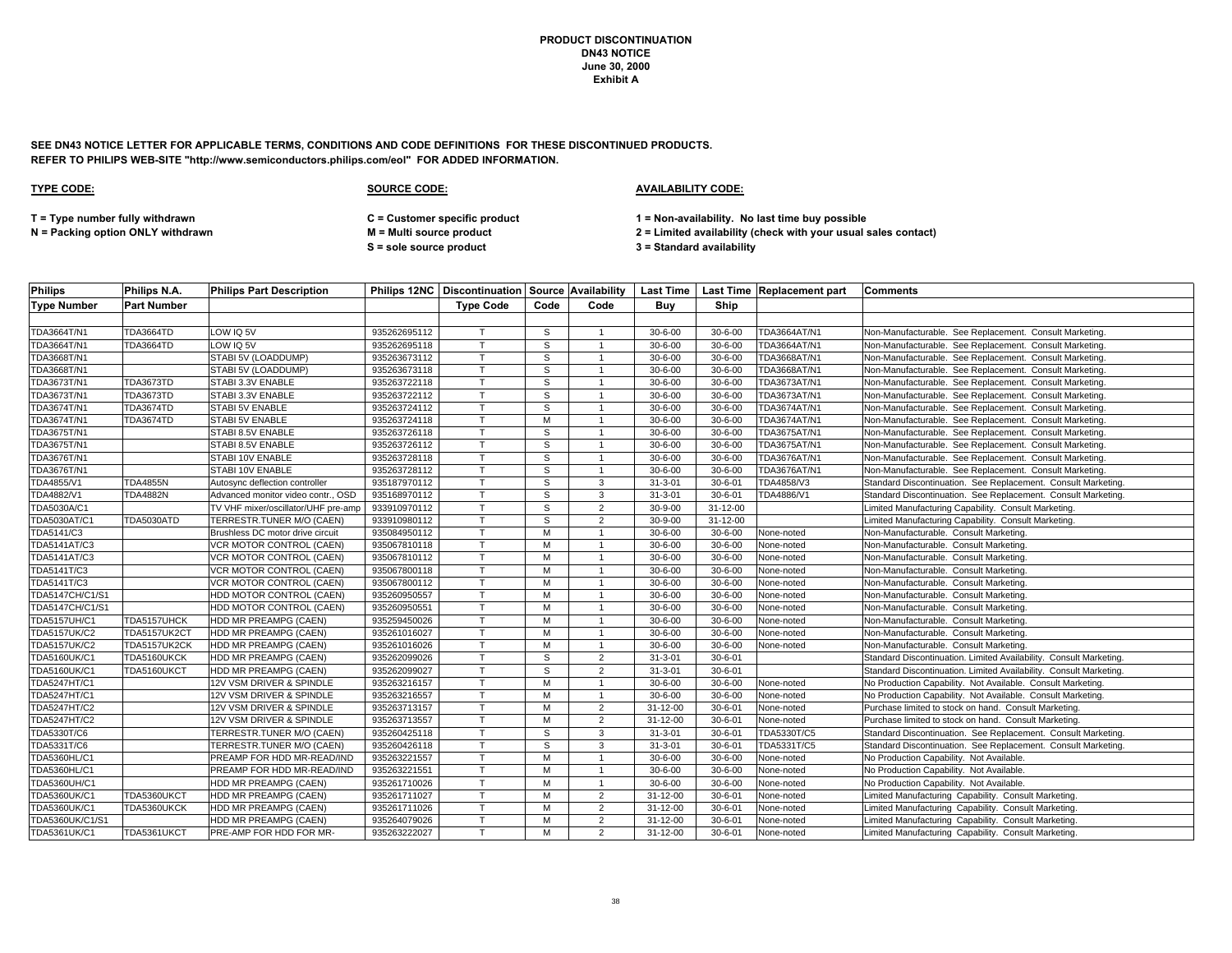**SEE DN43 NOTICE LETTER FOR APPLICABLE TERMS, CONDITIONS AND CODE DEFINITIONS FOR THESE DISCONTINUED PRODUCTS. REFER TO PHILIPS WEB-SITE "http://www.semiconductors.philips.com/eol" FOR ADDED INFORMATION.**

# **TYPE CODE: SOURCE CODE: AVAILABILITY CODE: T = Type number fully withdrawn C = Customer specific product 1 = Non-availability. No last time buy possible N = Packing option ONLY withdrawn M = Multi source product 2 = Limited availability (check with your usual sales contact)**

**S = sole source product 3 = Standard availability**

| <b>Philips</b>      | Philips N.A.       | <b>Philips Part Description</b>     |              |                  |      |                |                |               | Philips 12NC   Discontinuation   Source Availability   Last Time   Last Time   Replacement part | <b>Comments</b>                                                    |
|---------------------|--------------------|-------------------------------------|--------------|------------------|------|----------------|----------------|---------------|-------------------------------------------------------------------------------------------------|--------------------------------------------------------------------|
| <b>Type Number</b>  | <b>Part Number</b> |                                     |              | <b>Type Code</b> | Code | Code           | Buv            | Ship          |                                                                                                 |                                                                    |
|                     |                    |                                     |              |                  |      |                |                |               |                                                                                                 |                                                                    |
| <b>TDA3664T/N1</b>  | TDA3664TD          | LOW IQ 5V                           | 935262695112 |                  | s    |                | $30 - 6 - 00$  | $30 - 6 - 00$ | <b>TDA3664AT/N1</b>                                                                             | Non-Manufacturable. See Replacement. Consult Marketing.            |
| TDA3664T/N1         | TDA3664TD          | LOW IQ 5V                           | 935262695118 | T                | S    |                | $30 - 6 - 00$  | $30 - 6 - 00$ | <b>TDA3664AT/N1</b>                                                                             | Non-Manufacturable. See Replacement. Consult Marketing.            |
| TDA3668T/N1         |                    | STABI 5V (LOADDUMP)                 | 935263673112 | T                | S    | $\overline{1}$ | $30 - 6 - 00$  | $30 - 6 - 00$ | <b>TDA3668AT/N1</b>                                                                             | Non-Manufacturable. See Replacement. Consult Marketing.            |
| TDA3668T/N1         |                    | STABI 5V (LOADDUMP)                 | 935263673118 |                  | s    |                | $30 - 6 - 00$  | $30 - 6 - 00$ | <b>TDA3668AT/N1</b>                                                                             | Non-Manufacturable. See Replacement. Consult Marketing.            |
| TDA3673T/N1         | TDA3673TD          | STABI 3.3V ENABLE                   | 935263722118 |                  | S    |                | $30 - 6 - 00$  | $30 - 6 - 00$ | <b>TDA3673AT/N1</b>                                                                             | Non-Manufacturable. See Replacement. Consult Marketing.            |
| TDA3673T/N1         | <b>TDA3673TD</b>   | STABI 3.3V ENABLE                   | 935263722112 | $\mathsf{T}$     | S    | $\overline{1}$ | $30 - 6 - 00$  | $30 - 6 - 00$ | <b>TDA3673AT/N1</b>                                                                             | Non-Manufacturable. See Replacement. Consult Marketing.            |
| TDA3674T/N1         | TDA3674TD          | STABI 5V ENABLE                     | 935263724112 |                  | s    |                | $30 - 6 - 00$  | $30 - 6 - 00$ | <b>TDA3674AT/N1</b>                                                                             | Non-Manufacturable. See Replacement. Consult Marketing.            |
| TDA3674T/N1         | TDA3674TD          | STABI 5V ENABLE                     | 935263724118 |                  | M    |                | $30 - 6 - 00$  | $30 - 6 - 00$ | <b>TDA3674AT/N1</b>                                                                             | Non-Manufacturable. See Replacement. Consult Marketing.            |
| TDA3675T/N1         |                    | STABI 8.5V ENABLE                   | 935263726118 |                  | S    |                | $30 - 6 - 00$  | $30 - 6 - 00$ | <b>TDA3675AT/N1</b>                                                                             | Non-Manufacturable. See Replacement. Consult Marketing.            |
| TDA3675T/N1         |                    | STABI 8.5V ENABLE                   | 935263726112 |                  | S    | -1             | $30 - 6 - 00$  | $30 - 6 - 00$ | TDA3675AT/N1                                                                                    | Non-Manufacturable. See Replacement. Consult Marketing.            |
| TDA3676T/N1         |                    | STABI 10V ENABLE                    | 935263728118 | T                | S    |                | $30 - 6 - 00$  | $30 - 6 - 00$ | <b>TDA3676AT/N1</b>                                                                             | Non-Manufacturable. See Replacement. Consult Marketing.            |
| TDA3676T/N1         |                    | STABI 10V ENABLE                    | 935263728112 |                  | S    |                | $30 - 6 - 00$  | $30 - 6 - 00$ | <b>TDA3676AT/N1</b>                                                                             | Non-Manufacturable. See Replacement. Consult Marketing.            |
| TDA4855/V1          | <b>TDA4855N</b>    | Autosync deflection controller      | 935187970112 | T.               | S    | 3              | $31 - 3 - 01$  | $30 - 6 - 01$ | TDA4858/V3                                                                                      | Standard Discontinuation. See Replacement. Consult Marketing.      |
| TDA4882/V1          | <b>TDA4882N</b>    | Advanced monitor video contr., OSD  | 935168970112 |                  | S    | 3              | $31 - 3 - 01$  | $30 - 6 - 01$ | TDA4886/V1                                                                                      | Standard Discontinuation. See Replacement. Consult Marketing.      |
| TDA5030A/C1         |                    | TV VHF mixer/oscillator/UHF pre-amp | 933910970112 | T                | S    | $\overline{2}$ | $30 - 9 - 00$  | 31-12-00      |                                                                                                 | Limited Manufacturing Capability. Consult Marketing.               |
| TDA5030AT/C1        | TDA5030ATD         | TERRESTR.TUNER M/O (CAEN)           | 933910980112 |                  | S    | 2              | $30 - 9 - 00$  | 31-12-00      |                                                                                                 | Limited Manufacturing Capability. Consult Marketing.               |
| TDA5141/C3          |                    | Brushless DC motor drive circuit    | 935084950112 | T                | M    |                | $30 - 6 - 00$  | $30 - 6 - 00$ | None-noted                                                                                      | Non-Manufacturable. Consult Marketing.                             |
| <b>TDA5141AT/C3</b> |                    | VCR MOTOR CONTROL (CAEN)            | 935067810118 | $\mathsf{T}$     | M    |                | $30 - 6 - 00$  | $30 - 6 - 00$ | None-noted                                                                                      | Non-Manufacturable. Consult Marketing.                             |
| TDA5141AT/C3        |                    | VCR MOTOR CONTROL (CAEN)            | 935067810112 | T                | M    | $\overline{1}$ | $30 - 6 - 00$  | $30 - 6 - 00$ | None-noted                                                                                      | Non-Manufacturable. Consult Marketing.                             |
| TDA5141T/C3         |                    | VCR MOTOR CONTROL (CAEN)            | 935067800118 | T                | M    |                | $30 - 6 - 00$  | $30 - 6 - 00$ | None-noted                                                                                      | Non-Manufacturable. Consult Marketing.                             |
| TDA5141T/C3         |                    | VCR MOTOR CONTROL (CAEN)            | 935067800112 | т                | м    |                | $30 - 6 - 00$  | $30 - 6 - 00$ | None-noted                                                                                      | Non-Manufacturable. Consult Marketing.                             |
| TDA5147CH/C1/S1     |                    | HDD MOTOR CONTROL (CAEN)            | 935260950557 | T                | м    | -1             | $30 - 6 - 00$  | $30 - 6 - 00$ | None-noted                                                                                      | Non-Manufacturable. Consult Marketing.                             |
| TDA5147CH/C1/S1     |                    | HDD MOTOR CONTROL (CAEN)            | 935260950551 |                  | M    |                | $30 - 6 - 00$  | $30 - 6 - 00$ | None-noted                                                                                      | Non-Manufacturable. Consult Marketing.                             |
| <b>TDA5157UH/C1</b> | TDA5157UHCK        | HDD MR PREAMPG (CAEN)               | 935259450026 | T                | M    |                | $30 - 6 - 00$  | $30 - 6 - 00$ | None-noted                                                                                      | Non-Manufacturable. Consult Marketing.                             |
| <b>TDA5157UK/C2</b> | TDA5157UK2CT       | HDD MR PREAMPG (CAEN)               | 935261016027 | $\mathsf{T}$     | м    | $\overline{1}$ | $30 - 6 - 00$  | $30 - 6 - 00$ | None-noted                                                                                      | Non-Manufacturable. Consult Marketing.                             |
| <b>TDA5157UK/C2</b> | TDA5157UK2CK       | HDD MR PREAMPG (CAEN)               | 935261016026 | $\mathsf{T}$     | м    | -1             | $30 - 6 - 00$  | $30 - 6 - 00$ | None-noted                                                                                      | Non-Manufacturable. Consult Marketing.                             |
| TDA5160UK/C1        | TDA5160UKCK        | HDD MR PREAMPG (CAEN)               | 935262099026 | $\mathsf{T}$     | S    | $\overline{2}$ | $31 - 3 - 01$  | $30 - 6 - 01$ |                                                                                                 | Standard Discontinuation. Limited Availability. Consult Marketing. |
| <b>TDA5160UK/C1</b> | <b>TDA5160UKCT</b> | HDD MR PREAMPG (CAEN)               | 935262099027 |                  | S    | $\mathcal{P}$  | $31 - 3 - 01$  | $30 - 6 - 01$ |                                                                                                 | Standard Discontinuation. Limited Availability. Consult Marketing. |
| <b>TDA5247HT/C1</b> |                    | 12V VSM DRIVER & SPINDLE            | 935263216157 |                  | M    |                | $30 - 6 - 00$  | $30 - 6 - 00$ | None-noted                                                                                      | No Production Capability. Not Available. Consult Marketing.        |
| TDA5247HT/C1        |                    | 12V VSM DRIVER & SPINDLE            | 935263216557 | т                | м    |                | $30 - 6 - 00$  | $30 - 6 - 00$ | None-noted                                                                                      | No Production Capability. Not Available. Consult Marketing         |
| <b>TDA5247HT/C2</b> |                    | 12V VSM DRIVER & SPINDLE            | 935263713157 |                  | M    | 2              | 31-12-00       | $30 - 6 - 01$ | None-noted                                                                                      | Purchase limited to stock on hand. Consult Marketing.              |
| <b>TDA5247HT/C2</b> |                    | 12V VSM DRIVER & SPINDLE            | 935263713557 | $\mathsf{T}$     | м    | 2              | $31 - 12 - 00$ | $30 - 6 - 01$ | None-noted                                                                                      | Purchase limited to stock on hand. Consult Marketing.              |
| TDA5330T/C6         |                    | TERRESTR.TUNER M/O (CAEN)           | 935260425118 | $\mathsf{T}$     | s    | 3              | $31 - 3 - 01$  | $30 - 6 - 01$ | TDA5330T/C5                                                                                     | Standard Discontinuation. See Replacement. Consult Marketing.      |
| TDA5331T/C6         |                    | TERRESTR.TUNER M/O (CAEN)           | 935260426118 |                  | S    | 3              | $31 - 3 - 01$  | $30 - 6 - 01$ | TDA5331T/C5                                                                                     | Standard Discontinuation. See Replacement. Consult Marketing.      |
| TDA5360HL/C1        |                    | PREAMP FOR HDD MR-READ/IND          | 935263221557 | $\mathsf{T}$     | M    | $\overline{1}$ | $30 - 6 - 00$  | $30 - 6 - 00$ | None-noted                                                                                      | No Production Capability. Not Available.                           |
| TDA5360HL/C1        |                    | PREAMP FOR HDD MR-READ/IND          | 935263221551 |                  | м    |                | $30 - 6 - 00$  | $30 - 6 - 00$ | None-noted                                                                                      | No Production Capability. Not Available.                           |
| <b>TDA5360UH/C1</b> |                    | HDD MR PREAMPG (CAEN)               | 935261710026 | $\mathsf{T}$     | M    |                | $30 - 6 - 00$  | $30 - 6 - 00$ | None-noted                                                                                      | No Production Capability. Not Available.                           |
| TDA5360UK/C1        | <b>TDA5360UKCT</b> | HDD MR PREAMPG (CAEN)               | 935261711027 | T                | M    | 2              | 31-12-00       | $30 - 6 - 01$ | None-noted                                                                                      | Limited Manufacturing Capability. Consult Marketing.               |
| <b>TDA5360UK/C1</b> | TDA5360UKCK        | <b>HDD MR PREAMPG (CAEN)</b>        | 935261711026 |                  | M    | $\overline{2}$ | 31-12-00       | $30 - 6 - 01$ | None-noted                                                                                      | Limited Manufacturing Capability. Consult Marketing.               |
| TDA5360UK/C1/S1     |                    | HDD MR PREAMPG (CAEN)               | 935264079026 | $\mathsf{T}$     | M    | 2              | $31 - 12 - 00$ | $30 - 6 - 01$ | None-noted                                                                                      | Limited Manufacturing Capability. Consult Marketing.               |
| <b>TDA5361UK/C1</b> | TDA5361UKCT        | PRE-AMP FOR HDD FOR MR-             | 935263222027 | T.               | M    | 2              | 31-12-00       | $30 - 6 - 01$ | None-noted                                                                                      | Limited Manufacturing Capability. Consult Marketing.               |
|                     |                    |                                     |              |                  |      |                |                |               |                                                                                                 |                                                                    |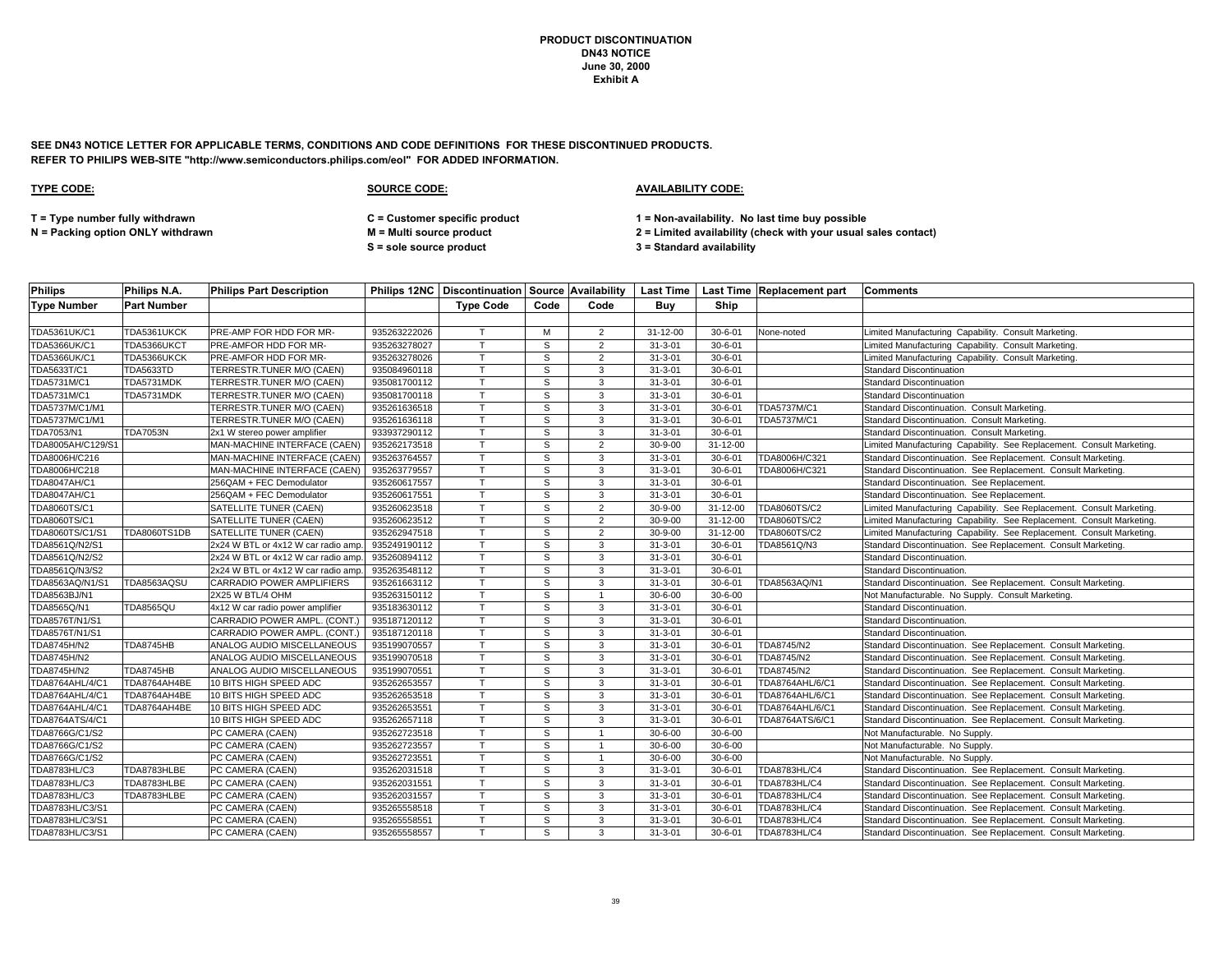**SEE DN43 NOTICE LETTER FOR APPLICABLE TERMS, CONDITIONS AND CODE DEFINITIONS FOR THESE DISCONTINUED PRODUCTS. REFER TO PHILIPS WEB-SITE "http://www.semiconductors.philips.com/eol" FOR ADDED INFORMATION.**

### **TYPE CODE: SOURCE CODE: AVAILABILITY CODE:**

**S = sole source product 3 = Standard availability**

**T = Type number fully withdrawn C = Customer specific product 1 = Non-availability. No last time buy possible**

| <b>Philips</b>      | Philips N.A.       | <b>Philips Part Description</b>    |              |                  |              |                |                |               | Philips 12NC   Discontinuation   Source   Availability   Last Time   Last Time   Replacement part | <b>Comments</b>                                                       |
|---------------------|--------------------|------------------------------------|--------------|------------------|--------------|----------------|----------------|---------------|---------------------------------------------------------------------------------------------------|-----------------------------------------------------------------------|
| Type Number         | <b>Part Number</b> |                                    |              | <b>Type Code</b> | Code         | Code           | Buv            | Ship          |                                                                                                   |                                                                       |
|                     |                    |                                    |              |                  |              |                |                |               |                                                                                                   |                                                                       |
| <b>TDA5361UK/C1</b> | TDA5361UKCK        | PRE-AMP FOR HDD FOR MR-            | 935263222026 | $\mathsf{T}$     | M            | $\overline{2}$ | $31 - 12 - 00$ | $30 - 6 - 01$ | None-noted                                                                                        | Limited Manufacturing Capability. Consult Marketing.                  |
| TDA5366UK/C1        | TDA5366UKCT        | PRE-AMFOR HDD FOR MR-              | 935263278027 | T                | S            | 2              | $31 - 3 - 01$  | $30 - 6 - 01$ |                                                                                                   | Limited Manufacturing Capability. Consult Marketing.                  |
| TDA5366UK/C1        | TDA5366UKCK        | PRE-AMFOR HDD FOR MR-              | 935263278026 | T                | S            | $\overline{2}$ | $31 - 3 - 01$  | $30 - 6 - 01$ |                                                                                                   | Limited Manufacturing Capability. Consult Marketing.                  |
| TDA5633T/C1         | <b>TDA5633TD</b>   | TERRESTR.TUNER M/O (CAEN)          | 935084960118 | $\mathsf{T}$     | S            | 3              | $31 - 3 - 01$  | $30 - 6 - 01$ |                                                                                                   | <b>Standard Discontinuation</b>                                       |
| TDA5731M/C1         | TDA5731MDK         | TERRESTR.TUNER M/O (CAEN)          | 935081700112 | T                | S            | 3              | $31 - 3 - 01$  | $30 - 6 - 01$ |                                                                                                   | <b>Standard Discontinuation</b>                                       |
| TDA5731M/C1         | TDA5731MDK         | TERRESTR.TUNER M/O (CAEN)          | 935081700118 | T                | s            | 3              | $31 - 3 - 01$  | $30 - 6 - 01$ |                                                                                                   | <b>Standard Discontinuation</b>                                       |
| TDA5737M/C1/M1      |                    | TERRESTR.TUNER M/O (CAEN)          | 935261636518 |                  | S            | 3              | $31 - 3 - 01$  | $30 - 6 - 01$ | TDA5737M/C1                                                                                       | Standard Discontinuation. Consult Marketing.                          |
| TDA5737M/C1/M1      |                    | TERRESTR.TUNER M/O (CAEN)          | 935261636118 | $\mathsf{T}$     | S            | 3              | $31 - 3 - 01$  | $30 - 6 - 01$ | TDA5737M/C1                                                                                       | Standard Discontinuation. Consult Marketing.                          |
| TDA7053/N1          | <b>TDA7053N</b>    | 2x1 W stereo power amplifier       | 933937290112 | $\mathsf{T}$     | S            | 3              | $31 - 3 - 01$  | $30 - 6 - 01$ |                                                                                                   | Standard Discontinuation. Consult Marketing.                          |
| TDA8005AH/C129/S1   |                    | MAN-MACHINE INTERFACE (CAEN)       | 935262173518 | T                | S            | $\overline{2}$ | $30 - 9 - 00$  | 31-12-00      |                                                                                                   | Limited Manufacturing Capability. See Replacement. Consult Marketing. |
| TDA8006H/C216       |                    | MAN-MACHINE INTERFACE (CAEN)       | 935263764557 | T                | S            | 3              | $31 - 3 - 01$  | $30 - 6 - 01$ | TDA8006H/C321                                                                                     | Standard Discontinuation. See Replacement. Consult Marketing.         |
| TDA8006H/C218       |                    | MAN-MACHINE INTERFACE (CAEN)       | 935263779557 | $\mathsf{T}$     | S            | $\mathbf{3}$   | $31 - 3 - 01$  | $30 - 6 - 01$ | TDA8006H/C321                                                                                     | Standard Discontinuation. See Replacement. Consult Marketing.         |
| <b>TDA8047AH/C1</b> |                    | 256QAM + FEC Demodulator           | 935260617557 | $\mathsf{T}$     | S            | 3              | $31 - 3 - 01$  | $30 - 6 - 01$ |                                                                                                   | Standard Discontinuation. See Replacement.                            |
| <b>TDA8047AH/C1</b> |                    | 256QAM + FEC Demodulator           | 935260617551 |                  | s            | 3              | $31 - 3 - 01$  | $30 - 6 - 01$ |                                                                                                   | Standard Discontinuation. See Replacement.                            |
| TDA8060TS/C1        |                    | SATELLITE TUNER (CAEN)             | 935260623518 | $\mathsf{T}$     | S            | 2              | $30 - 9 - 00$  | 31-12-00      | TDA8060TS/C2                                                                                      | Limited Manufacturing Capability. See Replacement. Consult Marketing. |
| TDA8060TS/C1        |                    | <b>SATELLITE TUNER (CAEN)</b>      | 935260623512 | $\mathsf{T}$     | S            | $\overline{2}$ | $30 - 9 - 00$  | 31-12-00      | <b>TDA8060TS/C2</b>                                                                               | Limited Manufacturing Capability. See Replacement. Consult Marketing. |
| TDA8060TS/C1/S1     | TDA8060TS1DB       | SATELLITE TUNER (CAEN)             | 935262947518 | T                | S            | $\overline{2}$ | $30 - 9 - 00$  | 31-12-00      | TDA8060TS/C2                                                                                      | Limited Manufacturing Capability. See Replacement. Consult Marketing. |
| TDA8561Q/N2/S1      |                    | 2x24 W BTL or 4x12 W car radio amp | 935249190112 | T                | S            | $\mathbf{3}$   | $31 - 3 - 01$  | $30 - 6 - 01$ | TDA8561Q/N3                                                                                       | Standard Discontinuation. See Replacement. Consult Marketing.         |
| TDA8561Q/N2/S2      |                    | 2x24 W BTL or 4x12 W car radio amp | 935260894112 | T                | S            | 3              | $31 - 3 - 01$  | $30 - 6 - 01$ |                                                                                                   | Standard Discontinuation.                                             |
| TDA8561Q/N3/S2      |                    | 2x24 W BTL or 4x12 W car radio amp | 935263548112 | $\mathsf{T}$     | s            | 3              | $31 - 3 - 01$  | $30 - 6 - 01$ |                                                                                                   | Standard Discontinuation.                                             |
| TDA8563AQ/N1/S1     | TDA8563AQSU        | CARRADIO POWER AMPLIFIERS          | 935261663112 | Т                | S            | 3              | $31 - 3 - 01$  | $30 - 6 - 01$ | TDA8563AQ/N1                                                                                      | Standard Discontinuation. See Replacement. Consult Marketing.         |
| TDA8563BJ/N1        |                    | 2X25 W BTL/4 OHM                   | 935263150112 | $\mathsf{T}$     | S            |                | $30 - 6 - 00$  | $30 - 6 - 00$ |                                                                                                   | Not Manufacturable. No Supply. Consult Marketing                      |
| TDA8565Q/N1         | <b>TDA8565QU</b>   | 4x12 W car radio power amplifier   | 935183630112 | T.               | S            | 3              | $31 - 3 - 01$  | $30 - 6 - 01$ |                                                                                                   | Standard Discontinuation.                                             |
| TDA8576T/N1/S1      |                    | CARRADIO POWER AMPL. (CONT.        | 935187120112 | $\mathsf{T}$     | S            | 3              | $31 - 3 - 01$  | $30 - 6 - 01$ |                                                                                                   | Standard Discontinuation.                                             |
| TDA8576T/N1/S1      |                    | CARRADIO POWER AMPL. (CONT.)       | 935187120118 | $\mathsf{T}$     | S            | 3              | $31 - 3 - 01$  | $30 - 6 - 01$ |                                                                                                   | Standard Discontinuation.                                             |
| <b>TDA8745H/N2</b>  | <b>TDA8745HB</b>   | ANALOG AUDIO MISCELLANEOUS         | 935199070557 | $\mathsf{T}$     | S            | $\mathbf{3}$   | $31 - 3 - 01$  | $30 - 6 - 01$ | <b>TDA8745/N2</b>                                                                                 | Standard Discontinuation. See Replacement. Consult Marketing.         |
| TDA8745H/N2         |                    | ANALOG AUDIO MISCELLANEOUS         | 935199070518 | $\mathsf{T}$     | S            | 3              | $31 - 3 - 01$  | $30 - 6 - 01$ | TDA8745/N2                                                                                        | Standard Discontinuation. See Replacement. Consult Marketing.         |
| TDA8745H/N2         | <b>TDA8745HB</b>   | ANALOG AUDIO MISCELLANEOUS         | 935199070551 | T                | S            | 3              | $31 - 3 - 01$  | $30 - 6 - 01$ | <b>TDA8745/N2</b>                                                                                 | Standard Discontinuation. See Replacement. Consult Marketing.         |
| TDA8764AHL/4/C1     | TDA8764AH4BE       | 10 BITS HIGH SPEED ADC             | 935262653557 | $\mathsf{T}$     | S            | 3              | $31 - 3 - 01$  | $30 - 6 - 01$ | TDA8764AHL/6/C1                                                                                   | Standard Discontinuation. See Replacement. Consult Marketing.         |
| TDA8764AHL/4/C1     | TDA8764AH4BE       | 10 BITS HIGH SPEED ADC             | 935262653518 | $\mathsf{T}$     | S            | 3              | $31 - 3 - 01$  | $30 - 6 - 01$ | TDA8764AHL/6/C1                                                                                   | Standard Discontinuation. See Replacement. Consult Marketing.         |
| TDA8764AHL/4/C1     | TDA8764AH4BE       | 10 BITS HIGH SPEED ADC             | 935262653551 | $\mathsf{T}$     | S            | 3              | $31 - 3 - 01$  | $30 - 6 - 01$ | TDA8764AHL/6/C1                                                                                   | Standard Discontinuation. See Replacement. Consult Marketing.         |
| TDA8764ATS/4/C1     |                    | 10 BITS HIGH SPEED ADC             | 935262657118 | $\mathsf{T}$     | S            | 3              | $31 - 3 - 01$  | $30 - 6 - 01$ | TDA8764ATS/6/C1                                                                                   | Standard Discontinuation. See Replacement. Consult Marketing.         |
| TDA8766G/C1/S2      |                    | PC CAMERA (CAEN)                   | 935262723518 | $\mathsf{T}$     | S            |                | $30 - 6 - 00$  | $30 - 6 - 00$ |                                                                                                   | Not Manufacturable. No Supply.                                        |
| TDA8766G/C1/S2      |                    | PC CAMERA (CAEN)                   | 935262723557 | $\mathsf{T}$     | S            |                | $30 - 6 - 00$  | $30 - 6 - 00$ |                                                                                                   | Not Manufacturable. No Supply.                                        |
| TDA8766G/C1/S2      |                    | PC CAMERA (CAEN)                   | 935262723551 | $\mathsf{T}$     | S            | $\overline{1}$ | $30 - 6 - 00$  | $30 - 6 - 00$ |                                                                                                   | Not Manufacturable. No Supply.                                        |
| TDA8783HL/C3        | TDA8783HLBE        | PC CAMERA (CAEN)                   | 935262031518 | $\mathsf{T}$     | $\mathsf{s}$ | 3              | $31 - 3 - 01$  | $30 - 6 - 01$ | TDA8783HL/C4                                                                                      | Standard Discontinuation. See Replacement. Consult Marketing.         |
| TDA8783HL/C3        | TDA8783HLBE        | PC CAMERA (CAEN)                   | 935262031551 | T                | S            | 3              | $31 - 3 - 01$  | $30 - 6 - 01$ | TDA8783HL/C4                                                                                      | Standard Discontinuation. See Replacement. Consult Marketing.         |
| TDA8783HL/C3        | TDA8783HLBE        | PC CAMERA (CAEN)                   | 935262031557 | $\mathsf{T}$     | S            | $\mathbf{3}$   | $31 - 3 - 01$  | $30 - 6 - 01$ | TDA8783HL/C4                                                                                      | Standard Discontinuation. See Replacement. Consult Marketing.         |
| TDA8783HL/C3/S1     |                    | PC CAMERA (CAEN)                   | 935265558518 | $\mathsf{T}$     | S            | 3              | $31 - 3 - 01$  | $30 - 6 - 01$ | TDA8783HL/C4                                                                                      | Standard Discontinuation. See Replacement. Consult Marketing.         |
| TDA8783HL/C3/S1     |                    | PC CAMERA (CAEN)                   | 935265558551 | $\mathsf{T}$     | s            | 3              | $31 - 3 - 01$  | $30 - 6 - 01$ | TDA8783HL/C4                                                                                      | Standard Discontinuation. See Replacement. Consult Marketing.         |
| TDA8783HL/C3/S1     |                    | PC CAMERA (CAEN)                   | 935265558557 | T                | S            | 3              | $31 - 3 - 01$  | $30 - 6 - 01$ | TDA8783HL/C4                                                                                      | Standard Discontinuation. See Replacement. Consult Marketing.         |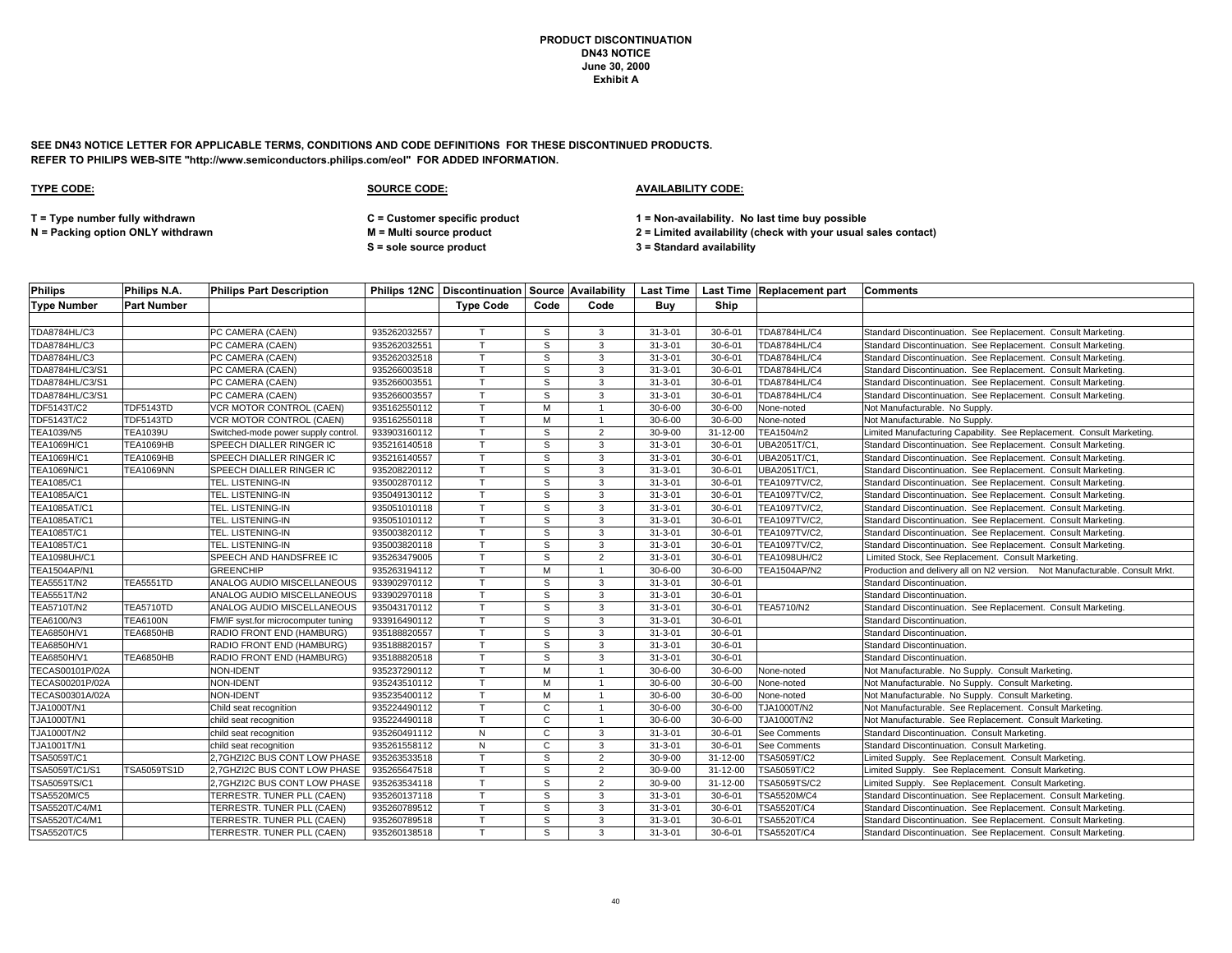**SEE DN43 NOTICE LETTER FOR APPLICABLE TERMS, CONDITIONS AND CODE DEFINITIONS FOR THESE DISCONTINUED PRODUCTS. REFER TO PHILIPS WEB-SITE "http://www.semiconductors.philips.com/eol" FOR ADDED INFORMATION.**

### **TYPE CODE: SOURCE CODE: AVAILABILITY CODE:**

**T = Type number fully withdrawn C = Customer specific product 1 = Non-availability. No last time buy possible**

**S = sole source product 3 = Standard availability**

| <b>Philips</b>      | Philips N.A.       | <b>Philips Part Description</b>     |              |                  |              |                         |               |                | Philips 12NC   Discontinuation   Source   Availability   Last Time   Last Time   Replacement part | <b>Comments</b>                                                              |
|---------------------|--------------------|-------------------------------------|--------------|------------------|--------------|-------------------------|---------------|----------------|---------------------------------------------------------------------------------------------------|------------------------------------------------------------------------------|
| <b>Type Number</b>  | <b>Part Number</b> |                                     |              | <b>Type Code</b> | Code         | Code                    | Buy           | Ship           |                                                                                                   |                                                                              |
|                     |                    |                                     |              |                  |              |                         |               |                |                                                                                                   |                                                                              |
| TDA8784HL/C3        |                    | PC CAMERA (CAEN)                    | 935262032557 |                  | S            | 3                       | $31 - 3 - 01$ | $30 - 6 - 01$  | <b>TDA8784HL/C4</b>                                                                               | Standard Discontinuation. See Replacement. Consult Marketing.                |
| TDA8784HL/C3        |                    | PC CAMERA (CAEN)                    | 935262032551 |                  | S            | 3                       | $31 - 3 - 01$ | $30 - 6 - 01$  | TDA8784HL/C4                                                                                      | Standard Discontinuation. See Replacement. Consult Marketing.                |
| TDA8784HL/C3        |                    | PC CAMERA (CAEN)                    | 935262032518 |                  | S            | 3                       | $31 - 3 - 01$ | $30 - 6 - 01$  | <b>TDA8784HL/C4</b>                                                                               | Standard Discontinuation. See Replacement. Consult Marketing.                |
| TDA8784HL/C3/S1     |                    | PC CAMERA (CAEN)                    | 935266003518 |                  | S            | 3                       | $31 - 3 - 01$ | $30 - 6 - 01$  | TDA8784HL/C4                                                                                      | Standard Discontinuation. See Replacement. Consult Marketing.                |
| TDA8784HL/C3/S1     |                    | PC CAMERA (CAEN)                    | 935266003551 |                  | S            | 3                       | $31 - 3 - 01$ | $30 - 6 - 01$  | TDA8784HL/C4                                                                                      | Standard Discontinuation. See Replacement. Consult Marketing.                |
| TDA8784HL/C3/S1     |                    | PC CAMERA (CAEN)                    | 935266003557 |                  | S            | 3                       | $31 - 3 - 01$ | $30 - 6 - 01$  | <b>TDA8784HL/C4</b>                                                                               | Standard Discontinuation. See Replacement. Consult Marketing.                |
| <b>TDF5143T/C2</b>  | <b>TDF5143TD</b>   | <b>VCR MOTOR CONTROL (CAEN)</b>     | 935162550112 |                  | M            |                         | $30 - 6 - 00$ | $30 - 6 - 00$  | None-noted                                                                                        | Not Manufacturable. No Supply.                                               |
| TDF5143T/C2         | <b>TDF5143TD</b>   | VCR MOTOR CONTROL (CAEN)            | 935162550118 |                  | M            | $\overline{1}$          | $30 - 6 - 00$ | $30 - 6 - 00$  | None-noted                                                                                        | Not Manufacturable. No Supply                                                |
| <b>TEA1039/N5</b>   | <b>TEA1039U</b>    | Switched-mode power supply control. | 933903160112 |                  | S            | $\overline{2}$          | $30 - 9 - 00$ | $31 - 12 - 00$ | TEA1504/n2                                                                                        | Limited Manufacturing Capability. See Replacement. Consult Marketing.        |
| TEA1069H/C1         | <b>TEA1069HB</b>   | SPEECH DIALLER RINGER IC            | 935216140518 |                  | S            | 3                       | $31 - 3 - 01$ | $30 - 6 - 01$  | UBA2051T/C1                                                                                       | Standard Discontinuation. See Replacement. Consult Marketing.                |
| TEA1069H/C1         | TEA1069HB          | SPEECH DIALLER RINGER IC            | 935216140557 |                  | S            | 3                       | $31 - 3 - 01$ | $30 - 6 - 01$  | UBA2051T/C1,                                                                                      | Standard Discontinuation. See Replacement. Consult Marketing.                |
| TEA1069N/C1         | <b>TEA1069NN</b>   | SPEECH DIALLER RINGER IC            | 935208220112 |                  | S            | 3                       | $31 - 3 - 01$ | $30 - 6 - 01$  | UBA2051T/C1,                                                                                      | Standard Discontinuation. See Replacement. Consult Marketing.                |
| TEA1085/C1          |                    | TEL. LISTENING-IN                   | 935002870112 |                  | S            | 3                       | $31 - 3 - 01$ | $30 - 6 - 01$  | TEA1097TV/C2,                                                                                     | Standard Discontinuation. See Replacement. Consult Marketing.                |
| <b>TEA1085A/C1</b>  |                    | TEL. LISTENING-IN                   | 935049130112 |                  | S            | 3                       | $31 - 3 - 01$ | $30 - 6 - 01$  | TEA1097TV/C2,                                                                                     | Standard Discontinuation. See Replacement. Consult Marketing.                |
| TEA1085AT/C1        |                    | TEL. LISTENING-IN                   | 935051010118 |                  | S            | 3                       | $31 - 3 - 01$ | $30 - 6 - 01$  | TEA1097TV/C2,                                                                                     | Standard Discontinuation. See Replacement. Consult Marketing.                |
| <b>TEA1085AT/C1</b> |                    | TEL. LISTENING-IN                   | 935051010112 |                  | S            | 3                       | $31 - 3 - 01$ | $30 - 6 - 01$  | TEA1097TV/C2,                                                                                     | Standard Discontinuation. See Replacement. Consult Marketing.                |
| TEA1085T/C1         |                    | TEL. LISTENING-IN                   | 935003820112 |                  | S            | 3                       | $31 - 3 - 01$ | $30 - 6 - 01$  | TEA1097TV/C2,                                                                                     | Standard Discontinuation. See Replacement. Consult Marketing.                |
| TEA1085T/C1         |                    | TEL. LISTENING-IN                   | 935003820118 |                  | S            | 3                       | $31 - 3 - 01$ | $30 - 6 - 01$  | TEA1097TV/C2,                                                                                     | Standard Discontinuation. See Replacement. Consult Marketing.                |
| TEA1098UH/C1        |                    | SPEECH AND HANDSFREE IC             | 935263479005 |                  | S            | $\overline{2}$          | $31 - 3 - 01$ | $30 - 6 - 01$  | TEA1098UH/C2                                                                                      | Limited Stock, See Replacement. Consult Marketing.                           |
| TEA1504AP/N1        |                    | <b>GREENCHIP</b>                    | 935263194112 |                  | M            | $\overline{1}$          | $30 - 6 - 00$ | $30 - 6 - 00$  | TEA1504AP/N2                                                                                      | Production and delivery all on N2 version. Not Manufacturable. Consult Mrkt. |
| TEA5551T/N2         | <b>TEA5551TD</b>   | ANALOG AUDIO MISCELLANEOUS          | 933902970112 |                  | S            | 3                       | $31 - 3 - 01$ | $30 - 6 - 01$  |                                                                                                   | Standard Discontinuation.                                                    |
| TEA5551T/N2         |                    | ANALOG AUDIO MISCELLANEOUS          | 933902970118 |                  | S            | 3                       | $31 - 3 - 01$ | $30 - 6 - 01$  |                                                                                                   | Standard Discontinuation.                                                    |
| TEA5710T/N2         | <b>TEA5710TD</b>   | ANALOG AUDIO MISCELLANEOUS          | 935043170112 |                  | S            | 3                       | $31 - 3 - 01$ | $30 - 6 - 01$  | TEA5710/N2                                                                                        | Standard Discontinuation. See Replacement. Consult Marketing.                |
| TEA6100/N3          | <b>TEA6100N</b>    | FM/IF syst.for microcomputer tuning | 933916490112 |                  | S            | 3                       | $31 - 3 - 01$ | $30 - 6 - 01$  |                                                                                                   | <b>Standard Discontinuation</b>                                              |
| TEA6850H/V1         | <b>TEA6850HB</b>   | RADIO FRONT END (HAMBURG)           | 935188820557 |                  | s            | 3                       | $31 - 3 - 01$ | $30 - 6 - 01$  |                                                                                                   | Standard Discontinuation.                                                    |
| TEA6850H/V1         |                    | RADIO FRONT END (HAMBURG)           | 935188820157 |                  | S            | 3                       | $31 - 3 - 01$ | $30 - 6 - 01$  |                                                                                                   | Standard Discontinuation.                                                    |
| TEA6850H/V1         | <b>TEA6850HB</b>   | RADIO FRONT END (HAMBURG)           | 935188820518 |                  | S            | 3                       | $31 - 3 - 01$ | $30 - 6 - 01$  |                                                                                                   | Standard Discontinuation.                                                    |
| TECAS00101P/02A     |                    | NON-IDENT                           | 935237290112 |                  | M            | $\overline{1}$          | $30 - 6 - 00$ | $30 - 6 - 00$  | None-noted                                                                                        | Not Manufacturable. No Supply. Consult Marketing.                            |
| TECAS00201P/02A     |                    | NON-IDENT                           | 935243510112 |                  | M            | $\overline{1}$          | $30 - 6 - 00$ | $30 - 6 - 00$  | None-noted                                                                                        | Not Manufacturable. No Supply. Consult Marketing.                            |
| TECAS00301A/02A     |                    | NON-IDENT                           | 935235400112 |                  | M            |                         | $30 - 6 - 00$ | $30 - 6 - 00$  | None-noted                                                                                        | Not Manufacturable. No Supply. Consult Marketing.                            |
| TJA1000T/N1         |                    | Child seat recognition              | 935224490112 |                  | $\mathbf{C}$ | $\overline{\mathbf{1}}$ | $30 - 6 - 00$ | $30 - 6 - 00$  | TJA1000T/N2                                                                                       | Not Manufacturable. See Replacement. Consult Marketing.                      |
| <b>TJA1000T/N1</b>  |                    | child seat recognition              | 935224490118 |                  | C            | $\overline{1}$          | $30 - 6 - 00$ | $30 - 6 - 00$  | TJA1000T/N2                                                                                       | Not Manufacturable. See Replacement. Consult Marketing.                      |
| TJA1000T/N2         |                    | child seat recognition              | 935260491112 | N                | C            | 3                       | $31 - 3 - 01$ | $30 - 6 - 01$  | <b>See Comments</b>                                                                               | Standard Discontinuation. Consult Marketing.                                 |
| TJA1001T/N1         |                    | child seat recognition              | 935261558112 | N                | C            | 3                       | $31 - 3 - 01$ | $30 - 6 - 01$  | See Comments                                                                                      | Standard Discontinuation. Consult Marketing.                                 |
| TSA5059T/C1         |                    | 2,7GHZI2C BUS CONT LOW PHASE        | 935263533518 |                  | S            | $\overline{2}$          | $30 - 9 - 00$ | $31 - 12 - 00$ | TSA5059T/C2                                                                                       | Limited Supply. See Replacement. Consult Marketing.                          |
| TSA5059T/C1/S1      | TSA5059TS1D        | 2,7GHZI2C BUS CONT LOW PHASE        | 935265647518 |                  | S            | $\overline{2}$          | $30 - 9 - 00$ | $31 - 12 - 00$ | TSA5059T/C2                                                                                       | Limited Supply. See Replacement. Consult Marketing.                          |
| TSA5059TS/C1        |                    | 2,7GHZI2C BUS CONT LOW PHASE        | 935263534118 |                  | S            | $\overline{2}$          | $30 - 9 - 00$ | 31-12-00       | TSA5059TS/C2                                                                                      | Limited Supply. See Replacement. Consult Marketing.                          |
| TSA5520M/C5         |                    | TERRESTR. TUNER PLL (CAEN)          | 935260137118 |                  | $\mathsf{s}$ | 3                       | $31 - 3 - 01$ | $30 - 6 - 01$  | <b>TSA5520M/C4</b>                                                                                | Standard Discontinuation. See Replacement. Consult Marketing.                |
| TSA5520T/C4/M1      |                    | TERRESTR. TUNER PLL (CAEN)          | 935260789512 |                  | s            | 3                       | $31 - 3 - 01$ | $30 - 6 - 01$  | TSA5520T/C4                                                                                       | Standard Discontinuation. See Replacement. Consult Marketing.                |
| TSA5520T/C4/M1      |                    | TERRESTR. TUNER PLL (CAEN)          | 935260789518 |                  | s            | 3                       | $31 - 3 - 01$ | $30 - 6 - 01$  | TSA5520T/C4                                                                                       | Standard Discontinuation. See Replacement. Consult Marketing.                |
| TSA5520T/C5         |                    | TERRESTR. TUNER PLL (CAEN)          | 935260138518 |                  | s            | 3                       | $31 - 3 - 01$ | $30 - 6 - 01$  | TSA5520T/C4                                                                                       | Standard Discontinuation. See Replacement. Consult Marketing.                |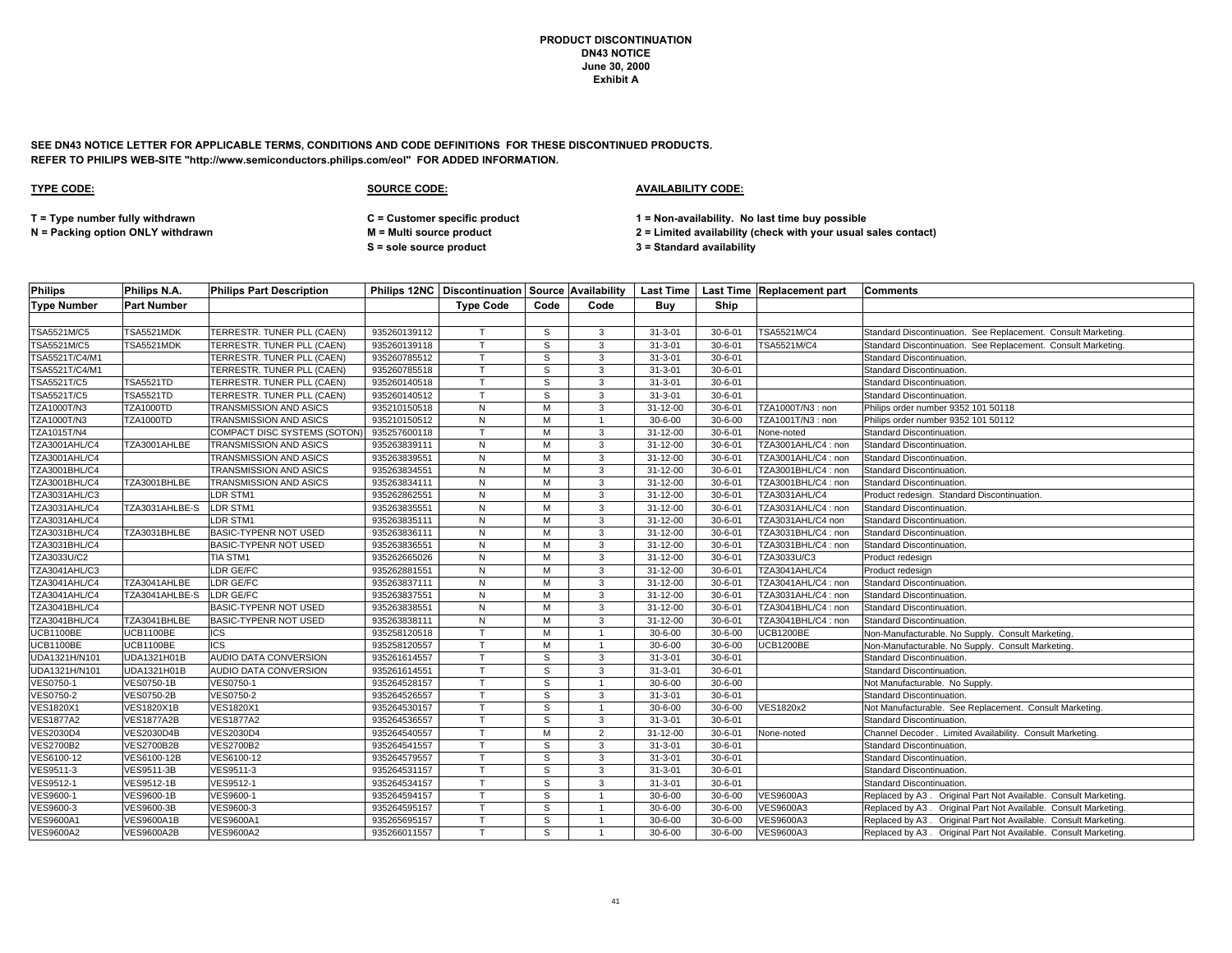**SEE DN43 NOTICE LETTER FOR APPLICABLE TERMS, CONDITIONS AND CODE DEFINITIONS FOR THESE DISCONTINUED PRODUCTS. REFER TO PHILIPS WEB-SITE "http://www.semiconductors.philips.com/eol" FOR ADDED INFORMATION.**

### **TYPE CODE: SOURCE CODE: AVAILABILITY CODE:**

**T = Type number fully withdrawn C = Customer specific product 1 = Non-availability. No last time buy possible**

**S = sole source product 3 = Standard availability**

| <b>Philips</b>       | Philips N.A.       | <b>Philips Part Description</b> |              |                  |      |                |                |               | Philips 12NC   Discontinuation   Source   Availability   Last Time   Last Time   Replacement part | <b>Comments</b>                                                 |
|----------------------|--------------------|---------------------------------|--------------|------------------|------|----------------|----------------|---------------|---------------------------------------------------------------------------------------------------|-----------------------------------------------------------------|
| <b>Type Number</b>   | <b>Part Number</b> |                                 |              | <b>Type Code</b> | Code | Code           | Buv            | Ship          |                                                                                                   |                                                                 |
|                      |                    |                                 |              |                  |      |                |                |               |                                                                                                   |                                                                 |
| TSA5521M/C5          | <b>TSA5521MDK</b>  | TERRESTR. TUNER PLL (CAEN)      | 935260139112 | $\mathsf{T}$     | S    | 3              | $31 - 3 - 01$  | $30 - 6 - 01$ | TSA5521M/C4                                                                                       | Standard Discontinuation. See Replacement. Consult Marketing.   |
| TSA5521M/C5          | TSA5521MDK         | TERRESTR. TUNER PLL (CAEN)      | 935260139118 | T                | S    | $\mathbf{3}$   | $31 - 3 - 01$  | $30 - 6 - 01$ | TSA5521M/C4                                                                                       | Standard Discontinuation. See Replacement. Consult Marketing.   |
| TSA5521T/C4/M1       |                    | TERRESTR. TUNER PLL (CAEN)      | 935260785512 | T                | S    | 3              | $31 - 3 - 01$  | $30 - 6 - 01$ |                                                                                                   | Standard Discontinuation.                                       |
| TSA5521T/C4/M1       |                    | TERRESTR. TUNER PLL (CAEN)      | 935260785518 | $\mathsf{T}$     | S    | 3              | $31 - 3 - 01$  | $30 - 6 - 01$ |                                                                                                   | Standard Discontinuation.                                       |
| <b>TSA5521T/C5</b>   | <b>TSA5521TD</b>   | TERRESTR. TUNER PLL (CAEN)      | 935260140518 |                  | S    | 3              | $31 - 3 - 01$  | $30 - 6 - 01$ |                                                                                                   | Standard Discontinuation.                                       |
| TSA5521T/C5          | <b>TSA5521TD</b>   | TERRESTR. TUNER PLL (CAEN)      | 935260140512 | $\mathsf{T}$     | S    | 3              | $31 - 3 - 01$  | $30 - 6 - 01$ |                                                                                                   | <b>Standard Discontinuation</b>                                 |
| <b>TZA1000T/N3</b>   | <b>TZA1000TD</b>   | TRANSMISSION AND ASICS          | 935210150518 | N                | M    | 3              | 31-12-00       | $30 - 6 - 01$ | TZA1000T/N3: non                                                                                  | Philips order number 9352 101 50118                             |
| TZA1000T/N3          | <b>TZA1000TD</b>   | TRANSMISSION AND ASICS          | 935210150512 | ${\sf N}$        | M    |                | $30 - 6 - 00$  | $30 - 6 - 00$ | TZA1001T/N3: non                                                                                  | Philips order number 9352 101 50112                             |
| <b>TZA1015T/N4</b>   |                    | COMPACT DISC SYSTEMS (SOTON     | 935257600118 | $\mathsf{T}$     | M    | 3              | $31 - 12 - 00$ | $30 - 6 - 01$ | None-noted                                                                                        | Standard Discontinuation.                                       |
| <b>TZA3001AHL/C4</b> | TZA3001AHLBE       | TRANSMISSION AND ASICS          | 935263839111 | N                | M    | $\mathbf{3}$   | 31-12-00       | $30 - 6 - 01$ | TZA3001AHL/C4: non                                                                                | Standard Discontinuation.                                       |
| <b>TZA3001AHL/C4</b> |                    | TRANSMISSION AND ASICS          | 935263839551 | N                | м    | 3              | $31 - 12 - 00$ | $30 - 6 - 01$ | TZA3001AHL/C4: non                                                                                | Standard Discontinuation.                                       |
| TZA3001BHL/C4        |                    | TRANSMISSION AND ASICS          | 935263834551 | N                | M    | 3              | 31-12-00       | $30 - 6 - 01$ | TZA3001BHL/C4: non                                                                                | Standard Discontinuation.                                       |
| <b>TZA3001BHL/C4</b> | TZA3001BHLBE       | TRANSMISSION AND ASICS          | 935263834111 | N                | м    | 3              | 31-12-00       | $30 - 6 - 01$ | TZA3001BHL/C4: non                                                                                | Standard Discontinuation.                                       |
| TZA3031AHL/C3        |                    | LDR STM1                        | 935262862551 | N                | M    | 3              | 31-12-00       | $30 - 6 - 01$ | <b>TZA3031AHL/C4</b>                                                                              | Product redesign. Standard Discontinuation.                     |
| TZA3031AHL/C4        | TZA3031AHLBE-S     | LDR STM1                        | 935263835551 | N                | м    | 3              | $31 - 12 - 00$ | $30 - 6 - 01$ | TZA3031AHL/C4: non                                                                                | Standard Discontinuation.                                       |
| TZA3031AHL/C4        |                    | LDR STM1                        | 935263835111 | N                | M    | 3              | 31-12-00       | $30 - 6 - 01$ | TZA3031AHL/C4 non                                                                                 | Standard Discontinuation.                                       |
| TZA3031BHL/C4        | TZA3031BHLBE       | <b>BASIC-TYPENR NOT USED</b>    | 935263836111 | N                | M    | 3              | 31-12-00       | $30 - 6 - 01$ | TZA3031BHL/C4: non                                                                                | Standard Discontinuation.                                       |
| TZA3031BHL/C4        |                    | <b>BASIC-TYPENR NOT USED</b>    | 935263836551 | N                | м    | 3              | $31 - 12 - 00$ | $30 - 6 - 01$ | TZA3031BHL/C4: non                                                                                | Standard Discontinuation.                                       |
| TZA3033U/C2          |                    | TIA STM1                        | 935262665026 | N                | M    | 3              | 31-12-00       | $30 - 6 - 01$ | TZA3033U/C3                                                                                       | Product redesign                                                |
| <b>TZA3041AHL/C3</b> |                    | LDR GE/FC                       | 935262881551 | N                | M    | 3              | $31 - 12 - 00$ | $30 - 6 - 01$ | <b>TZA3041AHL/C4</b>                                                                              | Product redesign                                                |
| TZA3041AHL/C4        | TZA3041AHLBE       | LDR GE/FC                       | 935263837111 | N                | м    | 3              | $31 - 12 - 00$ | $30 - 6 - 01$ | TZA3041AHL/C4: non                                                                                | Standard Discontinuation.                                       |
| TZA3041AHL/C4        | TZA3041AHLBE-S     | LDR GE/FC                       | 935263837551 | N                | м    | 3              | 31-12-00       | $30 - 6 - 01$ | TZA3031AHL/C4: non                                                                                | Standard Discontinuation.                                       |
| TZA3041BHL/C4        |                    | <b>BASIC-TYPENR NOT USED</b>    | 935263838551 | N                | M    | 3              | 31-12-00       | $30 - 6 - 01$ | TZA3041BHL/C4: non                                                                                | Standard Discontinuation.                                       |
| TZA3041BHL/C4        | TZA3041BHLBE       | <b>BASIC-TYPENR NOT USED</b>    | 935263838111 | N                | м    | 3              | $31 - 12 - 00$ | $30 - 6 - 01$ | TZA3041BHL/C4: non                                                                                | Standard Discontinuation.                                       |
| <b>UCB1100BE</b>     | <b>UCB1100BE</b>   | ICS                             | 935258120518 | $\mathsf{T}$     | м    | $\overline{1}$ | $30 - 6 - 00$  | $30 - 6 - 00$ | <b>UCB1200BE</b>                                                                                  | Non-Manufacturable. No Supply. Consult Marketing.               |
| UCB1100BE            | <b>UCB1100BE</b>   | <b>ICS</b>                      | 935258120557 | T                | м    | $\mathbf{1}$   | $30 - 6 - 00$  | $30 - 6 - 00$ | <b>UCB1200BE</b>                                                                                  | Non-Manufacturable. No Supply. Consult Marketing.               |
| UDA1321H/N101        | UDA1321H01B        | AUDIO DATA CONVERSION           | 935261614557 | $\mathsf{T}$     | S    | 3              | $31 - 3 - 01$  | $30 - 6 - 01$ |                                                                                                   | Standard Discontinuation.                                       |
| UDA1321H/N101        | UDA1321H01B        | AUDIO DATA CONVERSION           | 935261614551 |                  | S    | 3              | $31 - 3 - 01$  | $30 - 6 - 01$ |                                                                                                   | Standard Discontinuation.                                       |
| <b>VES0750-1</b>     | VES0750-1B         | VES0750-1                       | 935264528157 |                  | S    |                | $30 - 6 - 00$  | $30 - 6 - 00$ |                                                                                                   | Not Manufacturable. No Supply.                                  |
| VES0750-2            | <b>VES0750-2B</b>  | VES0750-2                       | 935264526557 |                  | S    | 3              | $31 - 3 - 01$  | $30 - 6 - 01$ |                                                                                                   | Standard Discontinuation.                                       |
| <b>VES1820X1</b>     | <b>VES1820X1B</b>  | <b>VES1820X1</b>                | 935264530157 | $\mathsf{T}$     | S    |                | $30 - 6 - 00$  | $30 - 6 - 00$ | VES1820x2                                                                                         | Not Manufacturable. See Replacement. Consult Marketing.         |
| <b>VES1877A2</b>     | <b>VES1877A2B</b>  | <b>VES1877A2</b>                | 935264536557 | $\mathsf{T}$     | S    | 3              | $31 - 3 - 01$  | $30 - 6 - 01$ |                                                                                                   | Standard Discontinuation.                                       |
| <b>VES2030D4</b>     | <b>VES2030D4B</b>  | <b>VES2030D4</b>                | 935264540557 |                  | M    | $\overline{2}$ | 31-12-00       | $30 - 6 - 01$ | None-noted                                                                                        | Channel Decoder . Limited Availability. Consult Marketing.      |
| <b>VES2700B2</b>     | <b>VES2700B2B</b>  | <b>VES2700B2</b>                | 935264541557 |                  | S    | 3              | $31 - 3 - 01$  | $30 - 6 - 01$ |                                                                                                   | Standard Discontinuation.                                       |
| VES6100-12           | VES6100-12B        | VES6100-12                      | 935264579557 | $\mathsf{T}$     | S    | 3              | $31 - 3 - 01$  | $30 - 6 - 01$ |                                                                                                   | Standard Discontinuation.                                       |
| VES9511-3            | VES9511-3B         | VES9511-3                       | 935264531157 |                  | S    | 3              | $31 - 3 - 01$  | $30 - 6 - 01$ |                                                                                                   | Standard Discontinuation.                                       |
| VES9512-1            | VES9512-1B         | VES9512-1                       | 935264534157 |                  | S    | 3              | $31 - 3 - 01$  | $30 - 6 - 01$ |                                                                                                   | Standard Discontinuation.                                       |
| VES9600-1            | VES9600-1B         | VES9600-1                       | 935264594157 | $\mathsf{T}$     | S    | $\overline{1}$ | $30 - 6 - 00$  | $30 - 6 - 00$ | <b>VES9600A3</b>                                                                                  | Replaced by A3. Original Part Not Available. Consult Marketing. |
| VES9600-3            | <b>VES9600-3B</b>  | VES9600-3                       | 935264595157 |                  | s    |                | $30 - 6 - 00$  | $30 - 6 - 00$ | <b>VES9600A3</b>                                                                                  | Replaced by A3. Original Part Not Available. Consult Marketing. |
| <b>VES9600A1</b>     | <b>VES9600A1B</b>  | <b>VES9600A1</b>                | 935265695157 |                  | S    |                | $30 - 6 - 00$  | $30 - 6 - 00$ | VES9600A3                                                                                         | Replaced by A3. Original Part Not Available. Consult Marketing. |
| <b>VES9600A2</b>     | <b>VES9600A2B</b>  | <b>VES9600A2</b>                | 935266011557 | T.               | S    |                | $30 - 6 - 00$  | $30 - 6 - 00$ | <b>VES9600A3</b>                                                                                  | Replaced by A3. Original Part Not Available. Consult Marketing. |